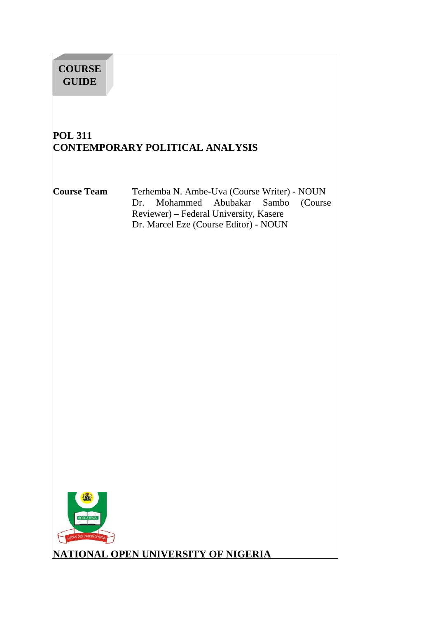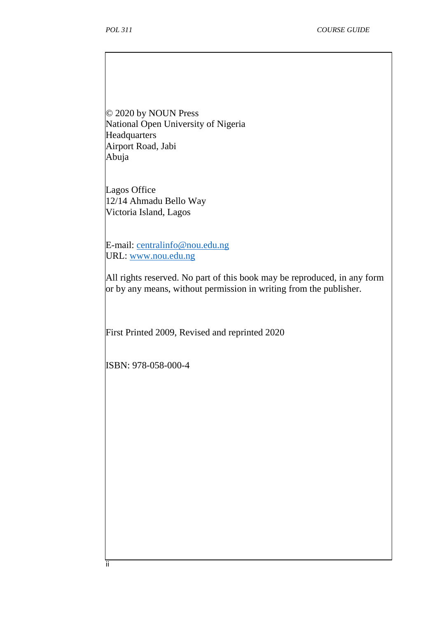© 2020 by NOUN Press National Open University of Nigeria **Headquarters** Airport Road, Jabi Abuja

Lagos Office 12/14 Ahmadu Bello Way Victoria Island, Lagos

E-mail: centralinfo@nou.edu.ng URL: www.nou.edu.ng

All rights reserved. No part of this book may be reproduced, in any form or by any means, without permission in writing from the publisher.

First Printed 2009, Revised and reprinted 2020

ISBN: 978-058-000-4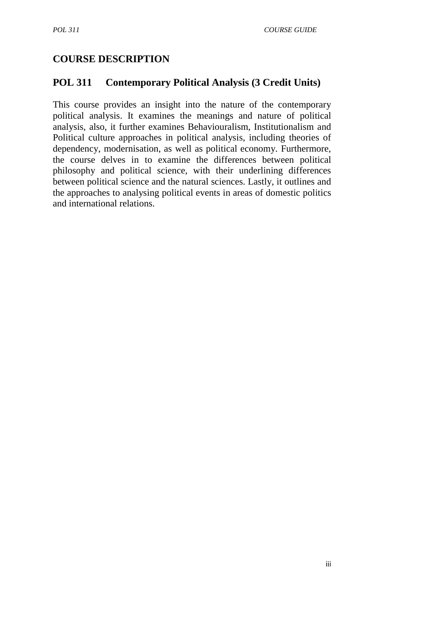# **COURSE DESCRIPTION**

# **POL 311 Contemporary Political Analysis (3 Credit Units)**

This course provides an insight into the nature of the contemporary political analysis. It examines the meanings and nature of political analysis, also, it further examines Behaviouralism, Institutionalism and Political culture approaches in political analysis, including theories of dependency, modernisation, as well as political economy. Furthermore, the course delves in to examine the differences between political philosophy and political science, with their underlining differences between political science and the natural sciences. Lastly, it outlines and the approaches to analysing political events in areas of domestic politics and international relations.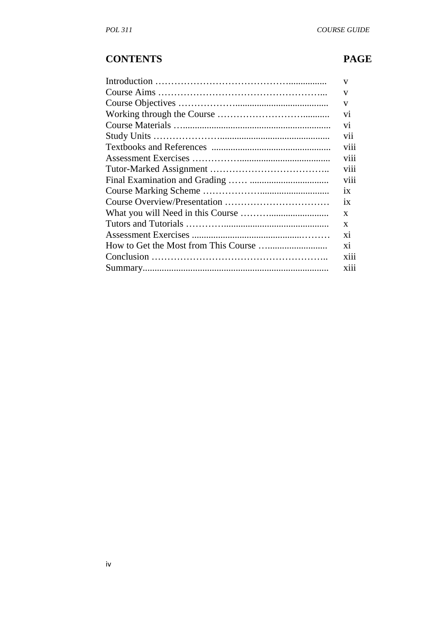# **CONTENTS PAGE**

| V              |
|----------------|
| V              |
| V              |
| V <sub>1</sub> |
| V1             |
| vii            |
| viii           |
| viii           |
| viii           |
| viii           |
| 1X             |
| 1X             |
| X              |
| X              |
| X1             |
| xi             |
| xiii           |
| <b>X111</b>    |
|                |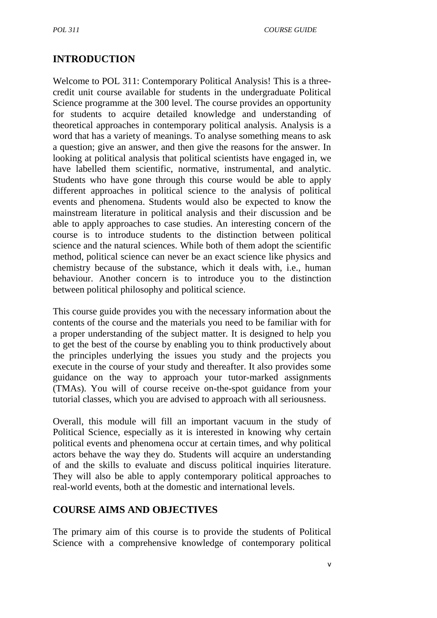# **INTRODUCTION**

Welcome to POL 311: Contemporary Political Analysis! This is a three credit unit course available for students in the undergraduate Political Science programme at the 300 level. The course provides an opportunity for students to acquire detailed knowledge and understanding of theoretical approaches in contemporary political analysis. Analysis is a word that has a variety of meanings. To analyse something means to ask a question; give an answer, and then give the reasons for the answer. In looking at political analysis that political scientists have engaged in, we have labelled them scientific, normative, instrumental, and analytic. Students who have gone through this course would be able to apply different approaches in political science to the analysis of political events and phenomena. Students would also be expected to know the mainstream literature in political analysis and their discussion and be able to apply approaches to case studies. An interesting concern of the course is to introduce students to the distinction between political science and the natural sciences. While both of them adopt the scientific method, political science can never be an exact science like physics and chemistry because of the substance, which it deals with, i.e., human behaviour. Another concern is to introduce you to the distinction between political philosophy and political science.

This course guide provides you with the necessary information about the contents of the course and the materials you need to be familiar with for a proper understanding of the subject matter. It is designed to help you to get the best of the course by enabling you to think productively about the principles underlying the issues you study and the projects you execute in the course of your study and thereafter. It also provides some guidance on the way to approach your tutor-marked assignments (TMAs). You will of course receive on-the-spot guidance from your tutorial classes, which you are advised to approach with all seriousness.

Overall, this module will fill an important vacuum in the study of Political Science, especially as it is interested in knowing why certain political events and phenomena occur at certain times, and why political actors behave the way they do. Students will acquire an understanding of and the skills to evaluate and discuss political inquiries literature. They will also be able to apply contemporary political approaches to real-world events, both at the domestic and international levels.

# **COURSE AIMS AND OBJECTIVES**

The primary aim of this course is to provide the students of Political Science with a comprehensive knowledge of contemporary political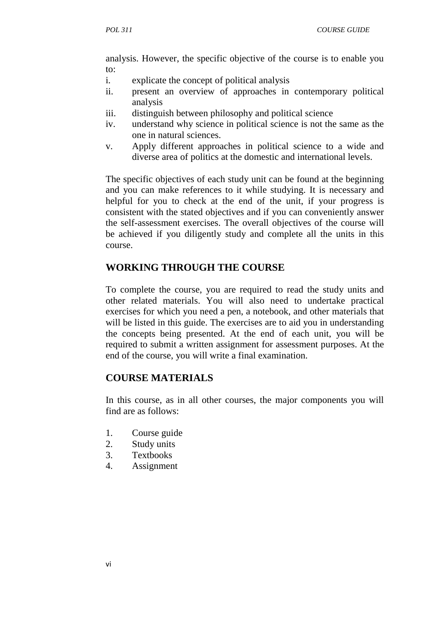analysis. However, the specific objective of the course is to enable you to:

- i. explicate the concept of political analysis
- ii. present an overview of approaches in contemporary political analysis
- iii. distinguish between philosophy and political science
- iv. understand why science in political science is not the same as the one in natural sciences.
- v. Apply different approaches in political science to a wide and diverse area of politics at the domestic and international levels.

The specific objectives of each study unit can be found at the beginning and you can make references to it while studying. It is necessary and helpful for you to check at the end of the unit, if your progress is consistent with the stated objectives and if you can conveniently answer the self-assessment exercises. The overall objectives of the course will be achieved if you diligently study and complete all the units in this course.

# **WORKING THROUGH THE COURSE**

To complete the course, you are required to read the study units and other related materials. You will also need to undertake practical exercises for which you need a pen, a notebook, and other materials that will be listed in this guide. The exercises are to aid you in understanding the concepts being presented. At the end of each unit, you will be required to submit a written assignment for assessment purposes. At the end of the course, you will write a final examination.

# **COURSE MATERIALS**

In this course, as in all other courses, the major components you will find are as follows:

- 1. Course guide
- 2. Study units
- 3. Textbooks
- 4. Assignment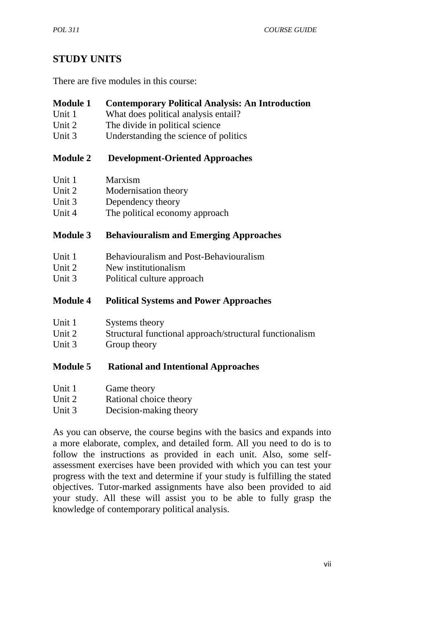*POL 311 COURSE GUIDE*

# **STUDY UNITS**

There are five modules in this course:

#### **Module 1 Contemporary Political Analysis: An Introduction**

- Unit 1 What does political analysis entail?
- Unit 2 The divide in political science
- Unit 3 Understanding the science of politics

#### **Module 2 Development-Oriented Approaches**

- Unit 1 Marxism
- Unit 2 Modernisation theory
- Unit 3 Dependency theory
- Unit 4 The political economy approach

#### **Module 3 Behaviouralism and Emerging Approaches**

- Unit 1 Behaviouralism and Post-Behaviouralism
- Unit 2 New institutionalism
- Unit 3 Political culture approach

#### **Module 4 Political Systems and Power Approaches**

| Unit 1 | Systems theory |
|--------|----------------|
|--------|----------------|

- Unit 2 Structural functional approach/structural functionalism
- Unit 3 Group theory

#### **Module 5 Rational and Intentional Approaches**

- Unit 1 Game theory
- Unit 2 Rational choice theory
- Unit 3 Decision-making theory

As you can observe, the course begins with the basics and expands into a more elaborate, complex, and detailed form. All you need to do is to follow the instructions as provided in each unit. Also, some self assessment exercises have been provided with which you can test your progress with the text and determine if your study is fulfilling the stated objectives. Tutor-marked assignments have also been provided to aid your study. All these will assist you to be able to fully grasp the knowledge of contemporary political analysis.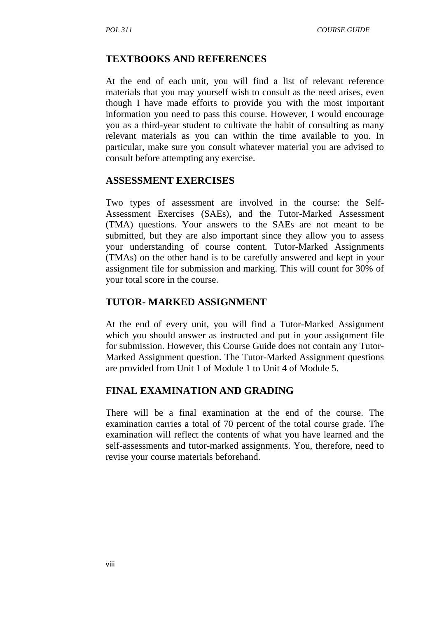#### **TEXTBOOKS AND REFERENCES**

At the end of each unit, you will find a list of relevant reference materials that you may yourself wish to consult as the need arises, even though I have made efforts to provide you with the most important information you need to pass this course. However, I would encourage you as a third-year student to cultivate the habit of consulting as many relevant materials as you can within the time available to you. In particular, make sure you consult whatever material you are advised to consult before attempting any exercise.

#### **ASSESSMENT EXERCISES**

Two types of assessment are involved in the course: the Self- Assessment Exercises (SAEs), and the Tutor-Marked Assessment (TMA) questions. Your answers to the SAEs are not meant to be submitted, but they are also important since they allow you to assess your understanding of course content. Tutor-Marked Assignments (TMAs) on the other hand is to be carefully answered and kept in your assignment file for submission and marking. This will count for 30% of your total score in the course.

#### **TUTOR- MARKED ASSIGNMENT**

At the end of every unit, you will find a Tutor-Marked Assignment which you should answer as instructed and put in your assignment file for submission. However, this Course Guide does not contain any Tutor- Marked Assignment question. The Tutor-Marked Assignment questions are provided from Unit 1 of Module 1 to Unit 4 of Module 5.

#### **FINAL EXAMINATION AND GRADING**

There will be a final examination at the end of the course. The examination carries a total of 70 percent of the total course grade. The examination will reflect the contents of what you have learned and the self-assessments and tutor-marked assignments. You, therefore, need to revise your course materials beforehand.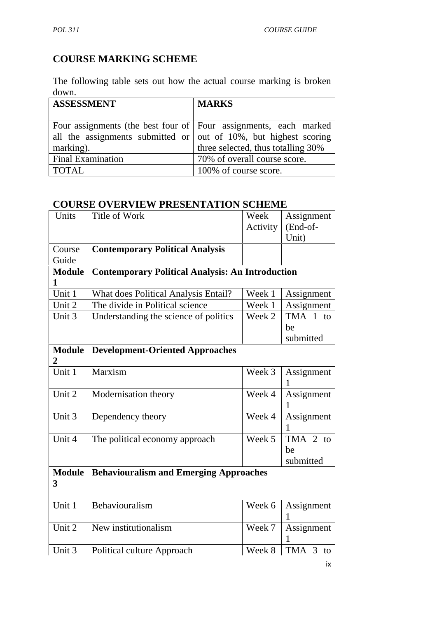# **COURSE MARKING SCHEME**

The following table sets out how the actual course marking is broken down.

| <b>ASSESSMENT</b>                                                        | <b>MARKS</b>                       |
|--------------------------------------------------------------------------|------------------------------------|
|                                                                          |                                    |
| Four assignments (the best four of Four assignments, each marked         |                                    |
| all the assignments submitted or $\vert$ out of 10%, but highest scoring |                                    |
| marking).                                                                | three selected, thus totalling 30% |
| <b>Final Examination</b>                                                 | 70% of overall course score.       |
| <b>TOTAL</b>                                                             | 100% of course score.              |

# **COURSE OVERVIEW PRESENTATION SCHEME**

| Units              | Title of Work                                           | Week<br>Activity | Assignment<br>(End-of-<br>Unit) |
|--------------------|---------------------------------------------------------|------------------|---------------------------------|
| Course<br>Guide    | <b>Contemporary Political Analysis</b>                  |                  |                                 |
| <b>Module</b>      | <b>Contemporary Political Analysis: An Introduction</b> |                  |                                 |
| Unit 1             | What does Political Analysis Entail?                    | Week 1           | Assignment                      |
| Unit 2             | The divide in Political science                         | Week 1           | Assignment                      |
| Unit 3             | Understanding the science of politics                   | Week 2           | TMA 1 to<br>be<br>submitted     |
| <b>Module</b><br>2 | <b>Development-Oriented Approaches</b>                  |                  |                                 |
| Unit 1             | Marxism                                                 | Week 3           | Assignment                      |
| Unit 2             | Modernisation theory                                    | Week 4           | Assignment<br>1                 |
| Unit 3             | Dependency theory                                       | Week 4           | Assignment                      |
| Unit 4             | The political economy approach                          | Week 5           | TMA 2 to<br>be<br>submitted     |
| <b>Module</b><br>3 | <b>Behaviouralism and Emerging Approaches</b>           |                  |                                 |
| Unit 1             | Behaviouralism                                          | Week 6           | Assignment<br>1                 |
| Unit 2             | New institutionalism                                    | Week 7           | Assignment<br>1                 |
| Unit 3             | Political culture Approach                              | Week 8           | TMA 3 to                        |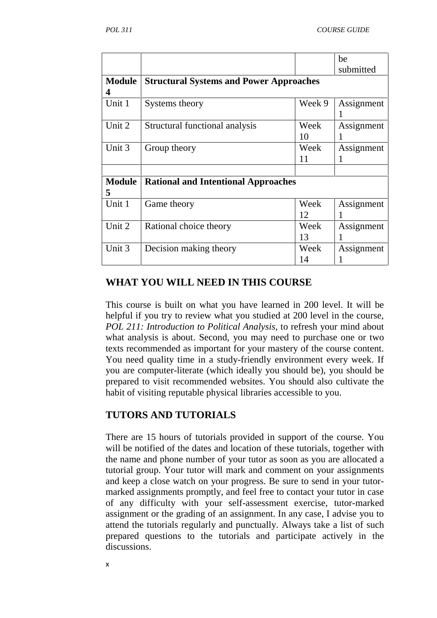|                    |                                                |            | be<br>submitted |
|--------------------|------------------------------------------------|------------|-----------------|
| <b>Module</b><br>4 | <b>Structural Systems and Power Approaches</b> |            |                 |
| Unit 1             | Systems theory                                 | Week 9     | Assignment      |
| Unit 2             | Structural functional analysis                 | Week<br>10 | Assignment      |
| Unit 3             | Group theory                                   | Week<br>11 | Assignment      |
| <b>Module</b><br>5 | <b>Rational and Intentional Approaches</b>     |            |                 |
| Unit 1             | Game theory                                    | Week<br>12 | Assignment      |
| Unit 2             | Rational choice theory                         | Week<br>13 | Assignment      |
| Unit 3             | Decision making theory                         | Week<br>14 | Assignment      |

# **WHAT YOU WILL NEED IN THIS COURSE**

This course is built on what you have learned in 200 level. It will be helpful if you try to review what you studied at 200 level in the course, *POL 211: Introduction to Political Analysis*, to refresh your mind about what analysis is about. Second, you may need to purchase one or two texts recommended as important for your mastery of the course content. You need quality time in a study-friendly environment every week. If you are computer-literate (which ideally you should be), you should be prepared to visit recommended websites. You should also cultivate the habit of visiting reputable physical libraries accessible to you.

# **TUTORS AND TUTORIALS**

There are 15 hours of tutorials provided in support of the course. You will be notified of the dates and location of these tutorials, together with the name and phone number of your tutor as soon as you are allocated a tutorial group. Your tutor will mark and comment on your assignments and keep a close watch on your progress. Be sure to send in your tutor marked assignments promptly, and feel free to contact your tutor in case of any difficulty with your self-assessment exercise, tutor-marked assignment or the grading of an assignment. In any case, I advise you to attend the tutorials regularly and punctually. Always take a list of such prepared questions to the tutorials and participate actively in the discussions.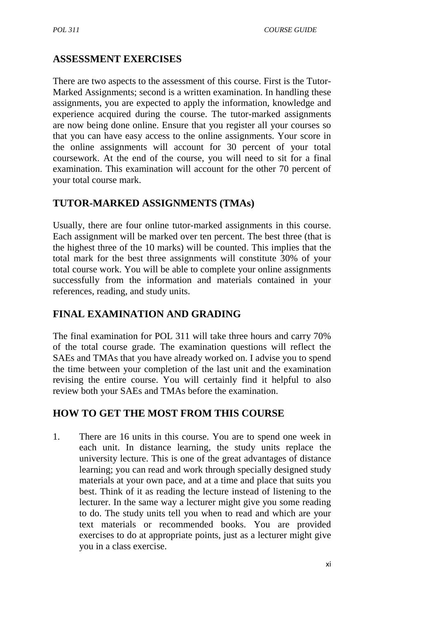# **ASSESSMENT EXERCISES**

There are two aspects to the assessment of this course. First is the Tutor- Marked Assignments; second is a written examination. In handling these assignments, you are expected to apply the information, knowledge and experience acquired during the course. The tutor-marked assignments are now being done online. Ensure that you register all your courses so that you can have easy access to the online assignments. Your score in the online assignments will account for 30 percent of your total coursework. At the end of the course, you will need to sit for a final examination. This examination will account for the other 70 percent of your total course mark.

# **TUTOR-MARKED ASSIGNMENTS (TMAs)**

Usually, there are four online tutor-marked assignments in this course. Each assignment will be marked over ten percent. The best three (that is the highest three of the 10 marks) will be counted. This implies that the total mark for the best three assignments will constitute 30% of your total course work. You will be able to complete your online assignments successfully from the information and materials contained in your references, reading, and study units.

# **FINAL EXAMINATION AND GRADING**

The final examination for POL 311 will take three hours and carry 70% of the total course grade. The examination questions will reflect the SAEs and TMAs that you have already worked on. I advise you to spend the time between your completion of the last unit and the examination revising the entire course. You will certainly find it helpful to also review both your SAEs and TMAs before the examination.

# **HOW TO GET THE MOST FROM THIS COURSE**

1. There are 16 units in this course. You are to spend one week in each unit. In distance learning, the study units replace the university lecture. This is one of the great advantages of distance learning; you can read and work through specially designed study materials at your own pace, and at a time and place that suits you best. Think of it as reading the lecture instead of listening to the lecturer. In the same way a lecturer might give you some reading to do. The study units tell you when to read and which are your text materials or recommended books. You are provided exercises to do at appropriate points, just as a lecturer might give you in a class exercise.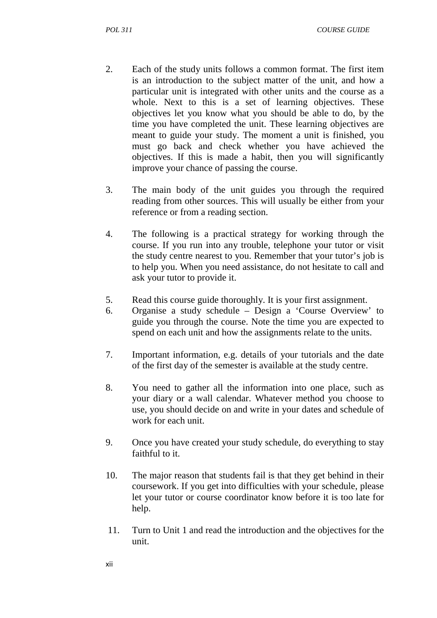- 2. Each of the study units follows a common format. The first item is an introduction to the subject matter of the unit, and how a particular unit is integrated with other units and the course as a whole. Next to this is a set of learning objectives. These objectives let you know what you should be able to do, by the time you have completed the unit. These learning objectives are meant to guide your study. The moment a unit is finished, you must go back and check whether you have achieved the objectives. If this is made a habit, then you will significantly improve your chance of passing the course.
- 3. The main body of the unit guides you through the required reading from other sources. This will usually be either from your reference or from a reading section.
- 4. The following is a practical strategy for working through the course. If you run into any trouble, telephone your tutor or visit the study centre nearest to you. Remember that your tutor's job is to help you. When you need assistance, do not hesitate to call and ask your tutor to provide it.
- 5. Read this course guide thoroughly. It is your first assignment.
- 6. Organise a study schedule Design a 'Course Overview' to guide you through the course. Note the time you are expected to spend on each unit and how the assignments relate to the units.
- 7. Important information, e.g. details of your tutorials and the date of the first day of the semester is available at the study centre.
- 8. You need to gather all the information into one place, such as your diary or a wall calendar. Whatever method you choose to use, you should decide on and write in your dates and schedule of work for each unit.
- 9. Once you have created your study schedule, do everything to stay faithful to it.
- 10. The major reason that students fail is that they get behind in their coursework. If you get into difficulties with your schedule, please let your tutor or course coordinator know before it is too late for help.
- 11. Turn to Unit 1 and read the introduction and the objectives for the unit.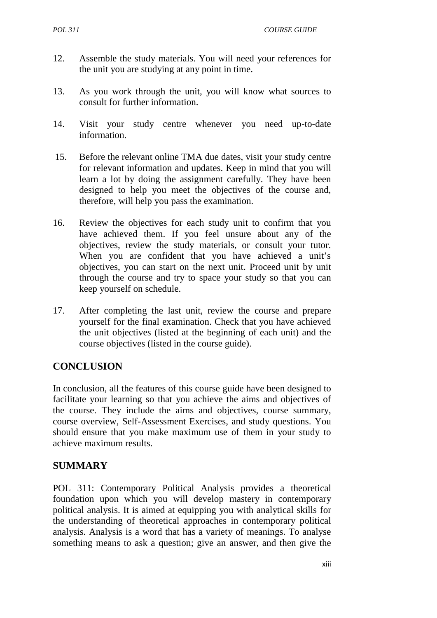- 12. Assemble the study materials. You will need your references for the unit you are studying at any point in time.
- 13. As you work through the unit, you will know what sources to consult for further information.
- 14. Visit your study centre whenever you need up-to-date information.
- 15. Before the relevant online TMA due dates, visit your study centre for relevant information and updates. Keep in mind that you will learn a lot by doing the assignment carefully. They have been designed to help you meet the objectives of the course and, therefore, will help you pass the examination.
- 16. Review the objectives for each study unit to confirm that you have achieved them. If you feel unsure about any of the objectives, review the study materials, or consult your tutor. When you are confident that you have achieved a unit's objectives, you can start on the next unit. Proceed unit by unit through the course and try to space your study so that you can keep yourself on schedule.
- 17. After completing the last unit, review the course and prepare yourself for the final examination. Check that you have achieved the unit objectives (listed at the beginning of each unit) and the course objectives (listed in the course guide).

# **CONCLUSION**

In conclusion, all the features of this course guide have been designed to facilitate your learning so that you achieve the aims and objectives of the course. They include the aims and objectives, course summary, course overview, Self-Assessment Exercises, and study questions. You should ensure that you make maximum use of them in your study to achieve maximum results.

# **SUMMARY**

POL 311: Contemporary Political Analysis provides a theoretical foundation upon which you will develop mastery in contemporary political analysis. It is aimed at equipping you with analytical skills for the understanding of theoretical approaches in contemporary political analysis. Analysis is a word that has a variety of meanings. To analyse something means to ask a question; give an answer, and then give the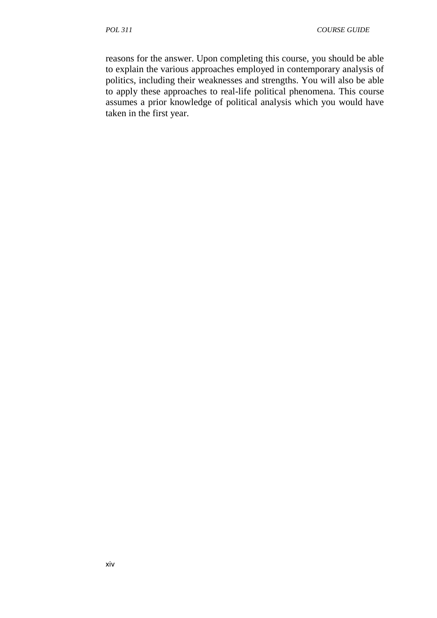reasons for the answer. Upon completing this course, you should be able to explain the various approaches employed in contemporary analysis of politics, including their weaknesses and strengths. You will also be able to apply these approaches to real-life political phenomena. This course assumes a prior knowledge of political analysis which you would have taken in the first year.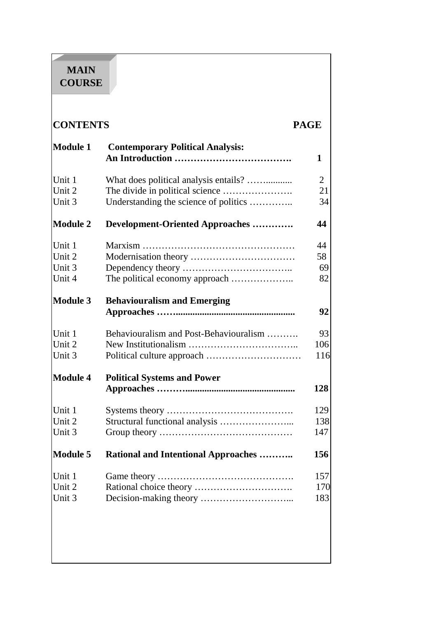# **MAIN COURSE**

|                 | <b>CONTENTS</b><br><b>PAGE</b>              |     |
|-----------------|---------------------------------------------|-----|
| <b>Module 1</b> | <b>Contemporary Political Analysis:</b>     | 1   |
| Unit 1          |                                             | 2   |
| Unit 2          |                                             | 21  |
| Unit 3          | Understanding the science of politics       | 34  |
| <b>Module 2</b> | Development-Oriented Approaches             | 44  |
| Unit 1          |                                             | 44  |
| Unit 2          |                                             | 58  |
| Unit 3          |                                             | 69  |
| Unit 4          |                                             | 82  |
| <b>Module 3</b> | <b>Behaviouralism and Emerging</b>          |     |
|                 |                                             | 92  |
| Unit 1          | Behaviouralism and Post-Behaviouralism      | 93  |
| Unit 2          |                                             | 106 |
| Unit 3          |                                             | 116 |
| <b>Module 4</b> | <b>Political Systems and Power</b>          |     |
|                 |                                             | 128 |
| Unit 1          |                                             | 129 |
| Unit 2          |                                             | 138 |
| Unit 3          |                                             | 147 |
| <b>Module 5</b> | <b>Rational and Intentional Approaches </b> | 156 |
|                 |                                             | 157 |
| Unit 1          |                                             | 170 |
| Unit 2          |                                             |     |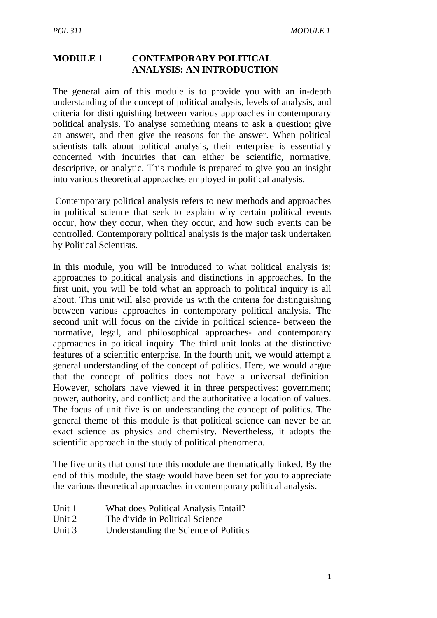#### **MODULE 1 CONTEMPORARY POLITICAL ANALYSIS: AN INTRODUCTION**

The general aim of this module is to provide you with an in-depth understanding of the concept of political analysis, levels of analysis, and criteria for distinguishing between various approaches in contemporary political analysis. To analyse something means to ask a question; give an answer, and then give the reasons for the answer. When political scientists talk about political analysis, their enterprise is essentially concerned with inquiries that can either be scientific, normative, descriptive, or analytic. This module is prepared to give you an insight into various theoretical approaches employed in political analysis.

Contemporary political analysis refers to new methods and approaches in political science that seek to explain why certain political events occur, how they occur, when they occur, and how such events can be controlled. Contemporary political analysis is the major task undertaken by Political Scientists.

In this module, you will be introduced to what political analysis is; approaches to political analysis and distinctions in approaches. In the first unit, you will be told what an approach to political inquiry is all about. This unit will also provide us with the criteria for distinguishing between various approaches in contemporary political analysis. The second unit will focus on the divide in political science- between the normative, legal, and philosophical approaches- and contemporary approaches in political inquiry. The third unit looks at the distinctive features of a scientific enterprise. In the fourth unit, we would attempt a general understanding of the concept of politics. Here, we would argue that the concept of politics does not have a universal definition. However, scholars have viewed it in three perspectives: government; power, authority, and conflict; and the authoritative allocation of values. The focus of unit five is on understanding the concept of politics. The general theme of this module is that political science can never be an exact science as physics and chemistry. Nevertheless, it adopts the scientific approach in the study of political phenomena.

The five units that constitute this module are thematically linked. By the end of this module, the stage would have been set for you to appreciate the various theoretical approaches in contemporary political analysis.

- Unit 1 What does Political Analysis Entail?
- Unit 2 The divide in Political Science
- Unit 3 Understanding the Science of Politics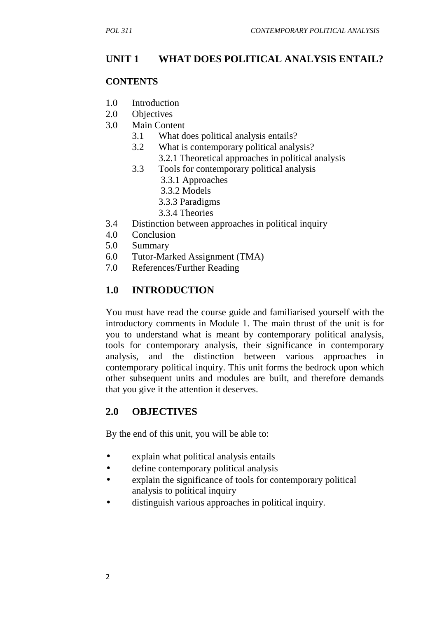# **UNIT 1 WHAT DOES POLITICAL ANALYSIS ENTAIL?**

### **CONTENTS**

- 1.0 Introduction
- 2.0 Objectives
- 3.0 Main Content
	- 3.1 What does political analysis entails?
	- 3.2 What is contemporary political analysis?
		- 3.2.1 Theoretical approaches in political analysis
	- 3.3 Tools for contemporary political analysis
		- 3.3.1 Approaches
		- 3.3.2 Models
		- 3.3.3 Paradigms
		- 3.3.4 Theories
- 3.4 Distinction between approaches in political inquiry
- 4.0 Conclusion
- 5.0 Summary
- 6.0 Tutor-Marked Assignment (TMA)
- 7.0 References/Further Reading

# **1.0 INTRODUCTION**

You must have read the course guide and familiarised yourself with the introductory comments in Module 1. The main thrust of the unit is for you to understand what is meant by contemporary political analysis, tools for contemporary analysis, their significance in contemporary analysis, and the distinction between various approaches in contemporary political inquiry. This unit forms the bedrock upon which other subsequent units and modules are built, and therefore demands that you give it the attention it deserves.

# **2.0 OBJECTIVES**

By the end of this unit, you will be able to:

- explain what political analysis entails
- define contemporary political analysis
- explain the significance of tools for contemporary political analysis to political inquiry
- distinguish various approaches in political inquiry.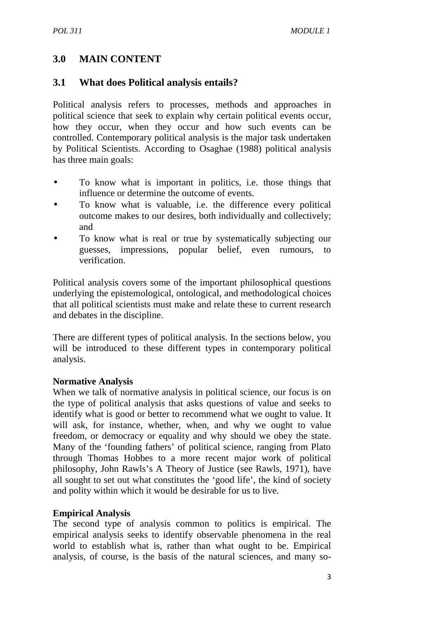# **3.0 MAIN CONTENT**

### **3.1 What does Political analysis entails?**

Political analysis refers to processes, methods and approaches in political science that seek to explain why certain political events occur, how they occur, when they occur and how such events can be controlled. Contemporary political analysis is the major task undertaken by Political Scientists. According to Osaghae (1988) political analysis has three main goals:

- To know what is important in politics, i.e. those things that influence or determine the outcome of events.
- To know what is valuable, i.e. the difference every political outcome makes to our desires, both individually and collectively; and
- To know what is real or true by systematically subjecting our guesses, impressions, popular belief, even rumours, to verification.

Political analysis covers some of the important philosophical questions underlying the epistemological, ontological, and methodological choices that all political scientists must make and relate these to current research and debates in the discipline.

There are different types of political analysis. In the sections below, you will be introduced to these different types in contemporary political analysis.

#### **Normative Analysis**

When we talk of normative analysis in political science, our focus is on the type of political analysis that asks questions of value and seeks to identify what is good or better to recommend what we ought to value. It will ask, for instance, whether, when, and why we ought to value freedom, or democracy or equality and why should we obey the state. Many of the 'founding fathers' of political science, ranging from Plato through Thomas Hobbes to a more recent major work of political philosophy, John Rawls's A Theory of Justice (see Rawls, 1971), have all sought to set out what constitutes the 'good life', the kind of society and polity within which it would be desirable for us to live.

#### **Empirical Analysis**

The second type of analysis common to politics is empirical. The empirical analysis seeks to identify observable phenomena in the real world to establish what is, rather than what ought to be. Empirical analysis, of course, is the basis of the natural sciences, and many so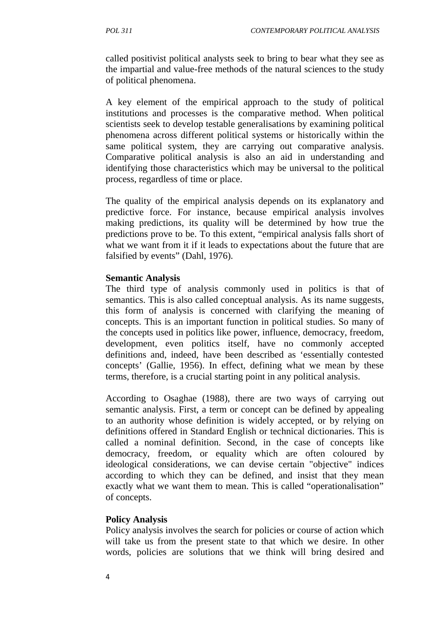called positivist political analysts seek to bring to bear what they see as the impartial and value-free methods of the natural sciences to the study of political phenomena.

A key element of the empirical approach to the study of political institutions and processes is the comparative method. When political scientists seek to develop testable generalisations by examining political phenomena across different political systems or historically within the same political system, they are carrying out comparative analysis. Comparative political analysis is also an aid in understanding and identifying those characteristics which may be universal to the political process, regardless of time or place.

The quality of the empirical analysis depends on its explanatory and predictive force. For instance, because empirical analysis involves making predictions, its quality will be determined by how true the predictions prove to be. To this extent, "empirical analysis falls short of what we want from it if it leads to expectations about the future that are falsified by events" (Dahl, 1976).

#### **Semantic Analysis**

The third type of analysis commonly used in politics is that of semantics. This is also called conceptual analysis. As its name suggests, this form of analysis is concerned with clarifying the meaning of concepts. This is an important function in political studies. So many of the concepts used in politics like power, influence, democracy, freedom, development, even politics itself, have no commonly accepted definitions and, indeed, have been described as 'essentially contested concepts' (Gallie, 1956). In effect, defining what we mean by these terms, therefore, is a crucial starting point in any political analysis.

According to Osaghae (1988), there are two ways of carrying out semantic analysis. First, a term or concept can be defined by appealing to an authority whose definition is widely accepted, or by relying on definitions offered in Standard English or technical dictionaries. This is called a nominal definition. Second, in the case of concepts like democracy, freedom, or equality which are often coloured by ideological considerations, we can devise certain "objective" indices according to which they can be defined, and insist that they mean exactly what we want them to mean. This is called "operationalisation" of concepts.

#### **Policy Analysis**

Policy analysis involves the search for policies or course of action which will take us from the present state to that which we desire. In other words, policies are solutions that we think will bring desired and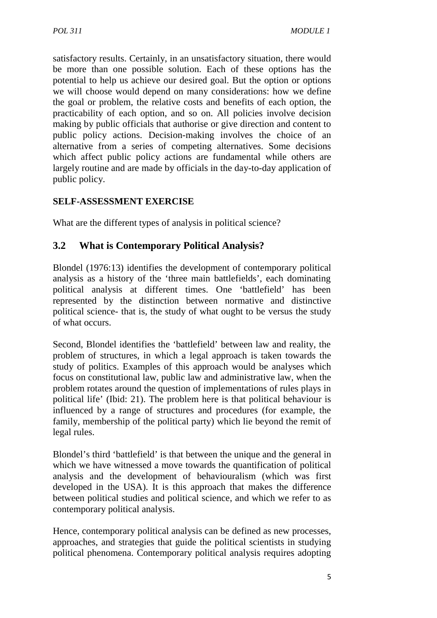satisfactory results. Certainly, in an unsatisfactory situation, there would be more than one possible solution. Each of these options has the potential to help us achieve our desired goal. But the option or options we will choose would depend on many considerations: how we define the goal or problem, the relative costs and benefits of each option, the practicability of each option, and so on. All policies involve decision making by public officials that authorise or give direction and content to public policy actions. Decision-making involves the choice of an alternative from a series of competing alternatives. Some decisions which affect public policy actions are fundamental while others are largely routine and are made by officials in the day-to-day application of public policy.

# **SELF-ASSESSMENT EXERCISE**

What are the different types of analysis in political science?

### **3.2 What is Contemporary Political Analysis?**

Blondel (1976:13) identifies the development of contemporary political analysis as a history of the 'three main battlefields', each dominating political analysis at different times. One 'battlefield' has been represented by the distinction between normative and distinctive political science- that is, the study of what ought to be versus the study of what occurs.

Second, Blondel identifies the 'battlefield' between law and reality, the problem of structures, in which a legal approach is taken towards the study of politics. Examples of this approach would be analyses which focus on constitutional law, public law and administrative law, when the problem rotates around the question of implementations of rules plays in political life' (Ibid: 21). The problem here is that political behaviour is influenced by a range of structures and procedures (for example, the family, membership of the political party) which lie beyond the remit of legal rules.

Blondel's third 'battlefield' is that between the unique and the general in which we have witnessed a move towards the quantification of political analysis and the development of behaviouralism (which was first developed in the USA). It is this approach that makes the difference between political studies and political science, and which we refer to as contemporary political analysis.

Hence, contemporary political analysis can be defined as new processes, approaches, and strategies that guide the political scientists in studying political phenomena. Contemporary political analysis requires adopting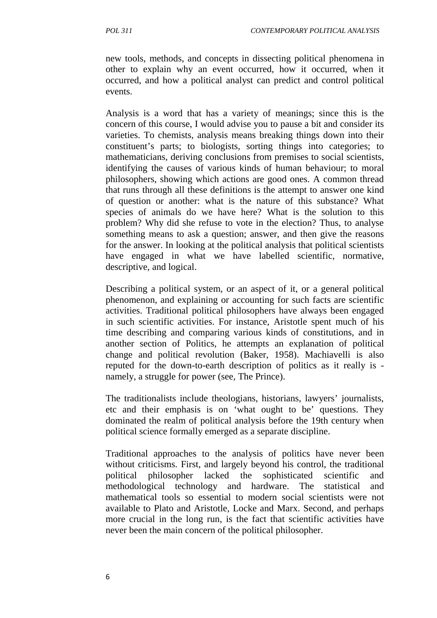new tools, methods, and concepts in dissecting political phenomena in other to explain why an event occurred, how it occurred, when it occurred, and how a political analyst can predict and control political events.

Analysis is a word that has a variety of meanings; since this is the concern of this course, I would advise you to pause a bit and consider its varieties. To chemists, analysis means breaking things down into their constituent's parts; to biologists, sorting things into categories; to mathematicians, deriving conclusions from premises to social scientists, identifying the causes of various kinds of human behaviour; to moral philosophers, showing which actions are good ones. A common thread that runs through all these definitions is the attempt to answer one kind of question or another: what is the nature of this substance? What species of animals do we have here? What is the solution to this problem? Why did she refuse to vote in the election? Thus, to analyse something means to ask a question; answer, and then give the reasons for the answer. In looking at the political analysis that political scientists have engaged in what we have labelled scientific, normative, descriptive, and logical.

Describing a political system, or an aspect of it, or a general political phenomenon, and explaining or accounting for such facts are scientific activities. Traditional political philosophers have always been engaged in such scientific activities. For instance, Aristotle spent much of his time describing and comparing various kinds of constitutions, and in another section of Politics, he attempts an explanation of political change and political revolution (Baker, 1958). Machiavelli is also reputed for the down-to-earth description of politics as it really is namely, a struggle for power (see, The Prince).

The traditionalists include theologians, historians, lawyers' journalists, etc and their emphasis is on 'what ought to be' questions. They dominated the realm of political analysis before the 19th century when political science formally emerged as a separate discipline.

Traditional approaches to the analysis of politics have never been without criticisms. First, and largely beyond his control, the traditional political philosopher lacked the sophisticated scientific and methodological technology and hardware. The statistical and mathematical tools so essential to modern social scientists were not available to Plato and Aristotle, Locke and Marx. Second, and perhaps more crucial in the long run, is the fact that scientific activities have never been the main concern of the political philosopher.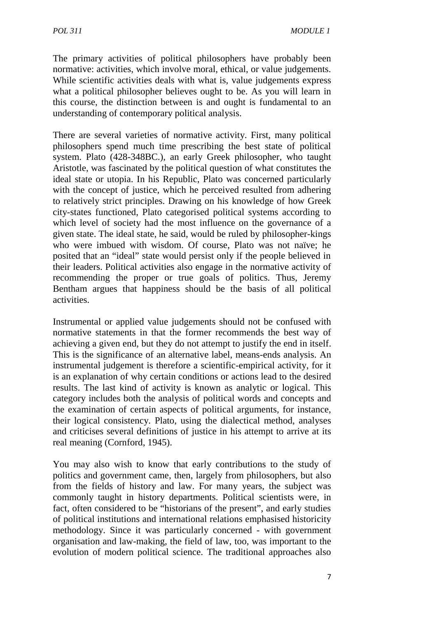The primary activities of political philosophers have probably been normative: activities, which involve moral, ethical, or value judgements. While scientific activities deals with what is, value judgements express what a political philosopher believes ought to be. As you will learn in this course, the distinction between is and ought is fundamental to an understanding of contemporary political analysis.

There are several varieties of normative activity. First, many political philosophers spend much time prescribing the best state of political system. Plato (428-348BC.), an early Greek philosopher, who taught Aristotle, was fascinated by the political question of what constitutes the ideal state or utopia. In his Republic, Plato was concerned particularly with the concept of justice, which he perceived resulted from adhering to relatively strict principles. Drawing on his knowledge of how Greek city-states functioned, Plato categorised political systems according to which level of society had the most influence on the governance of a given state. The ideal state, he said, would be ruled by philosopher-kings who were imbued with wisdom. Of course, Plato was not naïve; he posited that an "ideal" state would persist only if the people believed in their leaders. Political activities also engage in the normative activity of recommending the proper or true goals of politics. Thus, Jeremy Bentham argues that happiness should be the basis of all political activities.

Instrumental or applied value judgements should not be confused with normative statements in that the former recommends the best way of achieving a given end, but they do not attempt to justify the end in itself. This is the significance of an alternative label, means-ends analysis. An instrumental judgement is therefore a scientific-empirical activity, for it is an explanation of why certain conditions or actions lead to the desired results. The last kind of activity is known as analytic or logical. This category includes both the analysis of political words and concepts and the examination of certain aspects of political arguments, for instance, their logical consistency. Plato, using the dialectical method, analyses and criticises several definitions of justice in his attempt to arrive at its real meaning (Cornford, 1945).

You may also wish to know that early contributions to the study of politics and government came, then, largely from philosophers, but also from the fields of history and law. For many years, the subject was commonly taught in history departments. Political scientists were, in fact, often considered to be "historians of the present", and early studies of political institutions and international relations emphasised historicity methodology. Since it was particularly concerned - with government organisation and law-making, the field of law, too, was important to the evolution of modern political science. The traditional approaches also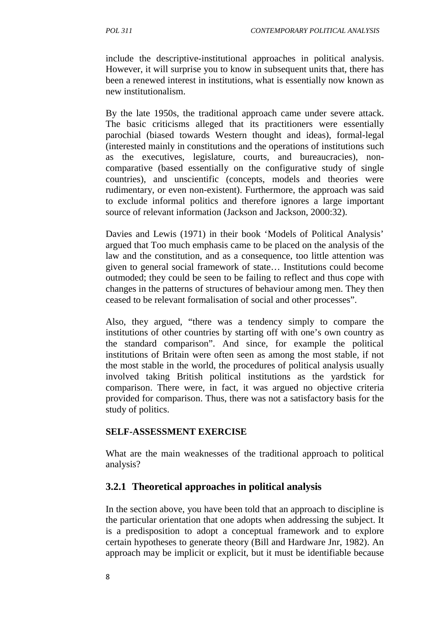include the descriptive-institutional approaches in political analysis. However, it will surprise you to know in subsequent units that, there has been a renewed interest in institutions, what is essentially now known as new institutionalism.

By the late 1950s, the traditional approach came under severe attack. The basic criticisms alleged that its practitioners were essentially parochial (biased towards Western thought and ideas), formal-legal (interested mainly in constitutions and the operations of institutions such as the executives, legislature, courts, and bureaucracies), non comparative (based essentially on the configurative study of single countries), and unscientific (concepts, models and theories were rudimentary, or even non-existent). Furthermore, the approach was said to exclude informal politics and therefore ignores a large important source of relevant information (Jackson and Jackson, 2000:32).

Davies and Lewis (1971) in their book 'Models of Political Analysis' argued that Too much emphasis came to be placed on the analysis of the law and the constitution, and as a consequence, too little attention was given to general social framework of state… Institutions could become outmoded; they could be seen to be failing to reflect and thus cope with changes in the patterns of structures of behaviour among men. They then ceased to be relevant formalisation of social and other processes".

Also, they argued, "there was a tendency simply to compare the institutions of other countries by starting off with one's own country as the standard comparison". And since, for example the political institutions of Britain were often seen as among the most stable, if not the most stable in the world, the procedures of political analysis usually involved taking British political institutions as the yardstick for comparison. There were, in fact, it was argued no objective criteria provided for comparison. Thus, there was not a satisfactory basis for the study of politics.

#### **SELF-ASSESSMENT EXERCISE**

What are the main weaknesses of the traditional approach to political analysis?

# **3.2.1 Theoretical approaches in political analysis**

In the section above, you have been told that an approach to discipline is the particular orientation that one adopts when addressing the subject. It is a predisposition to adopt a conceptual framework and to explore certain hypotheses to generate theory (Bill and Hardware Jnr, 1982). An approach may be implicit or explicit, but it must be identifiable because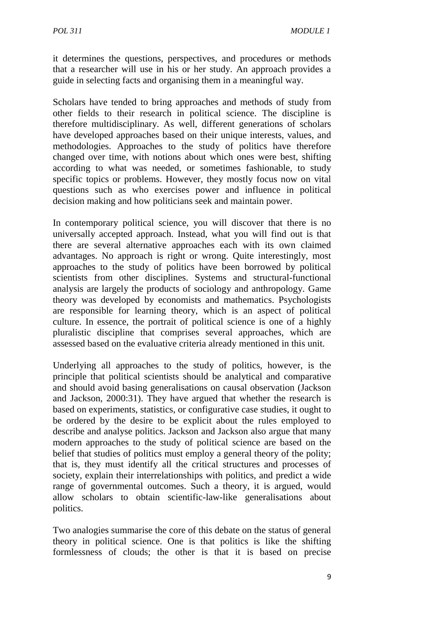it determines the questions, perspectives, and procedures or methods that a researcher will use in his or her study. An approach provides a guide in selecting facts and organising them in a meaningful way.

Scholars have tended to bring approaches and methods of study from other fields to their research in political science. The discipline is therefore multidisciplinary. As well, different generations of scholars have developed approaches based on their unique interests, values, and methodologies. Approaches to the study of politics have therefore changed over time, with notions about which ones were best, shifting according to what was needed, or sometimes fashionable, to study specific topics or problems. However, they mostly focus now on vital questions such as who exercises power and influence in political decision making and how politicians seek and maintain power.

In contemporary political science, you will discover that there is no universally accepted approach. Instead, what you will find out is that there are several alternative approaches each with its own claimed advantages. No approach is right or wrong. Quite interestingly, most approaches to the study of politics have been borrowed by political scientists from other disciplines. Systems and structural-functional analysis are largely the products of sociology and anthropology. Game theory was developed by economists and mathematics. Psychologists are responsible for learning theory, which is an aspect of political culture. In essence, the portrait of political science is one of a highly pluralistic discipline that comprises several approaches, which are assessed based on the evaluative criteria already mentioned in this unit.

Underlying all approaches to the study of politics, however, is the principle that political scientists should be analytical and comparative and should avoid basing generalisations on causal observation (Jackson and Jackson, 2000:31). They have argued that whether the research is based on experiments, statistics, or configurative case studies, it ought to be ordered by the desire to be explicit about the rules employed to describe and analyse politics. Jackson and Jackson also argue that many modern approaches to the study of political science are based on the belief that studies of politics must employ a general theory of the polity; that is, they must identify all the critical structures and processes of society, explain their interrelationships with politics, and predict a wide range of governmental outcomes. Such a theory, it is argued, would allow scholars to obtain scientific-law-like generalisations about politics.

Two analogies summarise the core of this debate on the status of general theory in political science. One is that politics is like the shifting formlessness of clouds; the other is that it is based on precise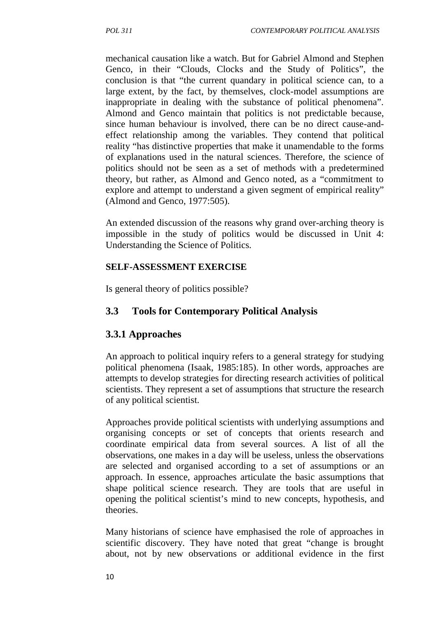mechanical causation like a watch. But for Gabriel Almond and Stephen Genco, in their "Clouds, Clocks and the Study of Politics", the conclusion is that "the current quandary in political science can, to a large extent, by the fact, by themselves, clock-model assumptions are inappropriate in dealing with the substance of political phenomena". Almond and Genco maintain that politics is not predictable because, since human behaviour is involved, there can be no direct cause-and effect relationship among the variables. They contend that political reality "has distinctive properties that make it unamendable to the forms of explanations used in the natural sciences. Therefore, the science of politics should not be seen as a set of methods with a predetermined theory, but rather, as Almond and Genco noted, as a "commitment to explore and attempt to understand a given segment of empirical reality" (Almond and Genco, 1977:505).

An extended discussion of the reasons why grand over-arching theory is impossible in the study of politics would be discussed in Unit 4: Understanding the Science of Politics.

### **SELF-ASSESSMENT EXERCISE**

Is general theory of politics possible?

# **3.3 Tools for Contemporary Political Analysis**

# **3.3.1 Approaches**

An approach to political inquiry refers to a general strategy for studying political phenomena (Isaak, 1985:185). In other words, approaches are attempts to develop strategies for directing research activities of political scientists. They represent a set of assumptions that structure the research of any political scientist.

Approaches provide political scientists with underlying assumptions and organising concepts or set of concepts that orients research and coordinate empirical data from several sources. A list of all the observations, one makes in a day will be useless, unless the observations are selected and organised according to a set of assumptions or an approach. In essence, approaches articulate the basic assumptions that shape political science research. They are tools that are useful in opening the political scientist's mind to new concepts, hypothesis, and theories.

Many historians of science have emphasised the role of approaches in scientific discovery. They have noted that great "change is brought about, not by new observations or additional evidence in the first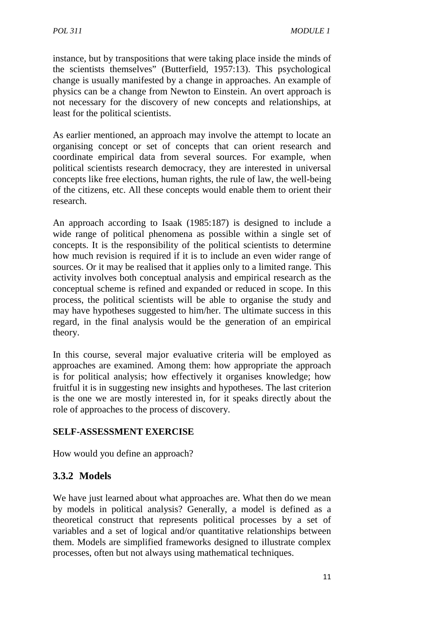instance, but by transpositions that were taking place inside the minds of the scientists themselves" (Butterfield, 1957:13). This psychological change is usually manifested by a change in approaches. An example of physics can be a change from Newton to Einstein. An overt approach is not necessary for the discovery of new concepts and relationships, at least for the political scientists.

As earlier mentioned, an approach may involve the attempt to locate an organising concept or set of concepts that can orient research and coordinate empirical data from several sources. For example, when political scientists research democracy, they are interested in universal concepts like free elections, human rights, the rule of law, the well-being of the citizens, etc. All these concepts would enable them to orient their research.

An approach according to Isaak (1985:187) is designed to include a wide range of political phenomena as possible within a single set of concepts. It is the responsibility of the political scientists to determine how much revision is required if it is to include an even wider range of sources. Or it may be realised that it applies only to a limited range. This activity involves both conceptual analysis and empirical research as the conceptual scheme is refined and expanded or reduced in scope. In this process, the political scientists will be able to organise the study and may have hypotheses suggested to him/her. The ultimate success in this regard, in the final analysis would be the generation of an empirical theory.

In this course, several major evaluative criteria will be employed as approaches are examined. Among them: how appropriate the approach is for political analysis; how effectively it organises knowledge; how fruitful it is in suggesting new insights and hypotheses. The last criterion is the one we are mostly interested in, for it speaks directly about the role of approaches to the process of discovery.

#### **SELF-ASSESSMENT EXERCISE**

How would you define an approach?

# **3.3.2 Models**

We have just learned about what approaches are. What then do we mean by models in political analysis? Generally, a model is defined as a theoretical construct that represents political processes by a set of variables and a set of logical and/or quantitative relationships between them. Models are simplified frameworks designed to illustrate complex processes, often but not always using mathematical techniques.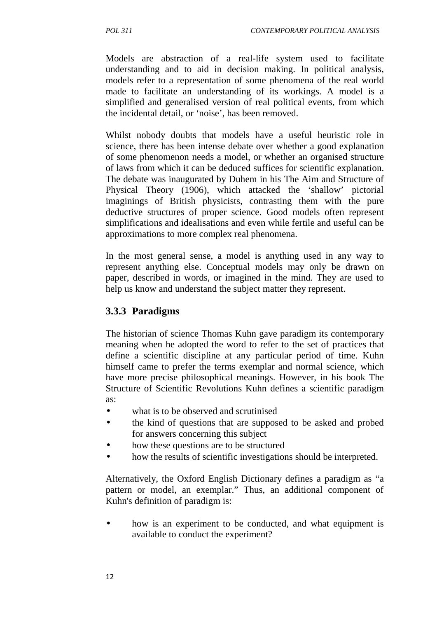Models are abstraction of a real-life system used to facilitate understanding and to aid in decision making. In political analysis, models refer to a representation of some phenomena of the real world made to facilitate an understanding of its workings. A model is a simplified and generalised version of real political events, from which the incidental detail, or 'noise', has been removed.

Whilst nobody doubts that models have a useful heuristic role in science, there has been intense debate over whether a good explanation of some phenomenon needs a model, or whether an organised structure of laws from which it can be deduced suffices for scientific explanation. The debate was inaugurated by Duhem in his The Aim and Structure of Physical Theory (1906), which attacked the 'shallow' pictorial imaginings of British physicists, contrasting them with the pure deductive structures of proper science. Good models often represent simplifications and idealisations and even while fertile and useful can be approximations to more complex real phenomena.

In the most general sense, a model is anything used in any way to represent anything else. Conceptual models may only be drawn on paper, described in words, or imagined in the mind. They are used to help us know and understand the subject matter they represent.

# **3.3.3 Paradigms**

The historian of science Thomas Kuhn gave paradigm its contemporary meaning when he adopted the word to refer to the set of practices that define a scientific discipline at any particular period of time. Kuhn himself came to prefer the terms exemplar and normal science, which have more precise philosophical meanings. However, in his book The Structure of Scientific Revolutions Kuhn defines a scientific paradigm as:

- what is to be observed and scrutinised
- the kind of questions that are supposed to be asked and probed for answers concerning this subject
- how these questions are to be structured
- how the results of scientific investigations should be interpreted.

Alternatively, the Oxford English Dictionary defines a paradigm as "a pattern or model, an exemplar." Thus, an additional component of Kuhn's definition of paradigm is:

• how is an experiment to be conducted, and what equipment is available to conduct the experiment?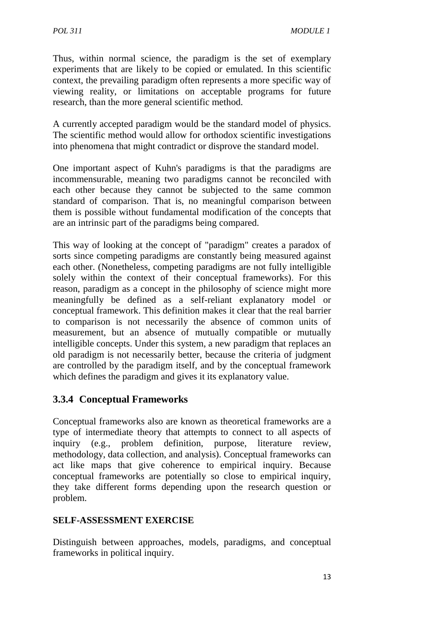Thus, within normal science, the paradigm is the set of exemplary experiments that are likely to be copied or emulated. In this scientific context, the prevailing paradigm often represents a more specific way of viewing reality, or limitations on acceptable programs for future research, than the more general scientific method.

A currently accepted paradigm would be the standard model of physics. The scientific method would allow for orthodox scientific investigations into phenomena that might contradict or disprove the standard model.

One important aspect of Kuhn's paradigms is that the paradigms are incommensurable, meaning two paradigms cannot be reconciled with each other because they cannot be subjected to the same common standard of comparison. That is, no meaningful comparison between them is possible without fundamental modification of the concepts that are an intrinsic part of the paradigms being compared.

This way of looking at the concept of "paradigm" creates a paradox of sorts since competing paradigms are constantly being measured against each other. (Nonetheless, competing paradigms are not fully intelligible solely within the context of their conceptual frameworks). For this reason, paradigm as a concept in the philosophy of science might more meaningfully be defined as a self-reliant explanatory model or conceptual framework. This definition makes it clear that the real barrier to comparison is not necessarily the absence of common units of measurement, but an absence of mutually compatible or mutually intelligible concepts. Under this system, a new paradigm that replaces an old paradigm is not necessarily better, because the criteria of judgment are controlled by the paradigm itself, and by the conceptual framework which defines the paradigm and gives it its explanatory value.

# **3.3.4 Conceptual Frameworks**

Conceptual frameworks also are known as theoretical frameworks are a type of intermediate theory that attempts to connect to all aspects of inquiry (e.g., problem definition, purpose, literature review, methodology, data collection, and analysis). Conceptual frameworks can act like maps that give coherence to empirical inquiry. Because conceptual frameworks are potentially so close to empirical inquiry, they take different forms depending upon the research question or problem.

#### **SELF-ASSESSMENT EXERCISE**

Distinguish between approaches, models, paradigms, and conceptual frameworks in political inquiry.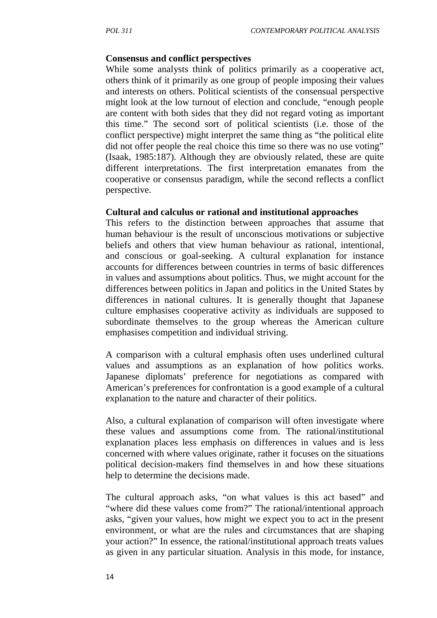#### **Consensus and conflict perspectives**

While some analysts think of politics primarily as a cooperative act, others think of it primarily as one group of people imposing their values and interests on others. Political scientists of the consensual perspective might look at the low turnout of election and conclude, "enough people are content with both sides that they did not regard voting as important this time." The second sort of political scientists (i.e. those of the conflict perspective) might interpret the same thing as "the political elite did not offer people the real choice this time so there was no use voting" (Isaak, 1985:187). Although they are obviously related, these are quite different interpretations. The first interpretation emanates from the cooperative or consensus paradigm, while the second reflects a conflict perspective.

#### **Cultural and calculus or rational and institutional approaches**

This refers to the distinction between approaches that assume that human behaviour is the result of unconscious motivations or subjective beliefs and others that view human behaviour as rational, intentional, and conscious or goal-seeking. A cultural explanation for instance accounts for differences between countries in terms of basic differences in values and assumptions about politics. Thus, we might account for the differences between politics in Japan and politics in the United States by differences in national cultures. It is generally thought that Japanese culture emphasises cooperative activity as individuals are supposed to subordinate themselves to the group whereas the American culture emphasises competition and individual striving.

A comparison with a cultural emphasis often uses underlined cultural values and assumptions as an explanation of how politics works. Japanese diplomats' preference for negotiations as compared with American's preferences for confrontation is a good example of a cultural explanation to the nature and character of their politics.

Also, a cultural explanation of comparison will often investigate where these values and assumptions come from. The rational/institutional explanation places less emphasis on differences in values and is less concerned with where values originate, rather it focuses on the situations political decision-makers find themselves in and how these situations help to determine the decisions made.

The cultural approach asks, "on what values is this act based" and "where did these values come from?" The rational/intentional approach asks, "given your values, how might we expect you to act in the present environment, or what are the rules and circumstances that are shaping your action?" In essence, the rational/institutional approach treats values as given in any particular situation. Analysis in this mode, for instance,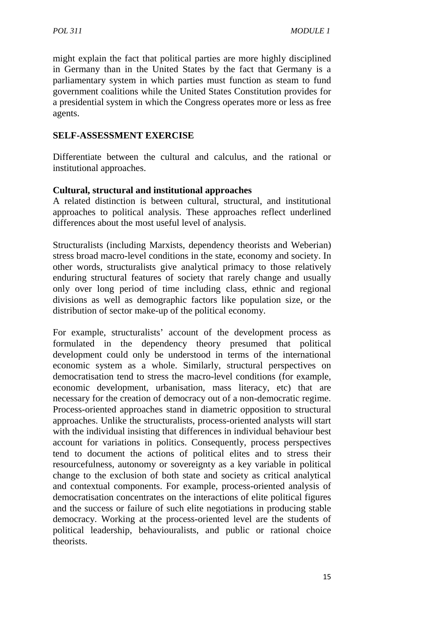might explain the fact that political parties are more highly disciplined in Germany than in the United States by the fact that Germany is a parliamentary system in which parties must function as steam to fund government coalitions while the United States Constitution provides for a presidential system in which the Congress operates more or less as free agents.

### **SELF-ASSESSMENT EXERCISE**

Differentiate between the cultural and calculus, and the rational or institutional approaches.

#### **Cultural, structural and institutional approaches**

A related distinction is between cultural, structural, and institutional approaches to political analysis. These approaches reflect underlined differences about the most useful level of analysis.

Structuralists (including Marxists, dependency theorists and Weberian) stress broad macro-level conditions in the state, economy and society. In other words, structuralists give analytical primacy to those relatively enduring structural features of society that rarely change and usually only over long period of time including class, ethnic and regional divisions as well as demographic factors like population size, or the distribution of sector make-up of the political economy.

For example, structuralists' account of the development process as formulated in the dependency theory presumed that political development could only be understood in terms of the international economic system as a whole. Similarly, structural perspectives on democratisation tend to stress the macro-level conditions (for example, economic development, urbanisation, mass literacy, etc) that are necessary for the creation of democracy out of a non-democratic regime. Process-oriented approaches stand in diametric opposition to structural approaches. Unlike the structuralists, process-oriented analysts will start with the individual insisting that differences in individual behaviour best account for variations in politics. Consequently, process perspectives tend to document the actions of political elites and to stress their resourcefulness, autonomy or sovereignty as a key variable in political change to the exclusion of both state and society as critical analytical and contextual components. For example, process-oriented analysis of democratisation concentrates on the interactions of elite political figures and the success or failure of such elite negotiations in producing stable democracy. Working at the process-oriented level are the students of political leadership, behaviouralists, and public or rational choice theorists.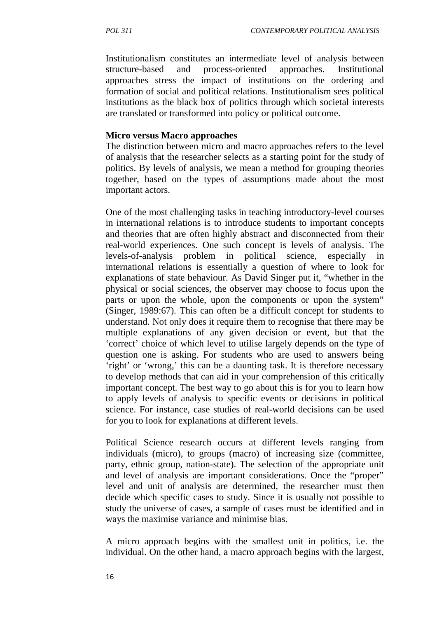Institutionalism constitutes an intermediate level of analysis between structure-based and process-oriented approaches. Institutional approaches stress the impact of institutions on the ordering and formation of social and political relations. Institutionalism sees political institutions as the black box of politics through which societal interests are translated or transformed into policy or political outcome.

#### **Micro versus Macro approaches**

The distinction between micro and macro approaches refers to the level of analysis that the researcher selects as a starting point for the study of politics. By levels of analysis, we mean a method for grouping theories together, based on the types of assumptions made about the most important actors.

One of the most challenging tasks in teaching introductory-level courses in international relations is to introduce students to important concepts and theories that are often highly abstract and disconnected from their real-world experiences. One such concept is levels of analysis. The levels-of-analysis problem in political science, especially in international relations is essentially a question of where to look for explanations of state behaviour. As David Singer put it, "whether in the physical or social sciences, the observer may choose to focus upon the parts or upon the whole, upon the components or upon the system" (Singer, 1989:67). This can often be a difficult concept for students to understand. Not only does it require them to recognise that there may be multiple explanations of any given decision or event, but that the 'correct' choice of which level to utilise largely depends on the type of question one is asking. For students who are used to answers being 'right' or 'wrong,' this can be a daunting task. It is therefore necessary to develop methods that can aid in your comprehension of this critically important concept. The best way to go about this is for you to learn how to apply levels of analysis to specific events or decisions in political science. For instance, case studies of real-world decisions can be used for you to look for explanations at different levels.

Political Science research occurs at different levels ranging from individuals (micro), to groups (macro) of increasing size (committee, party, ethnic group, nation-state). The selection of the appropriate unit and level of analysis are important considerations. Once the "proper" level and unit of analysis are determined, the researcher must then decide which specific cases to study. Since it is usually not possible to study the universe of cases, a sample of cases must be identified and in ways the maximise variance and minimise bias.

A micro approach begins with the smallest unit in politics, i.e. the individual. On the other hand, a macro approach begins with the largest,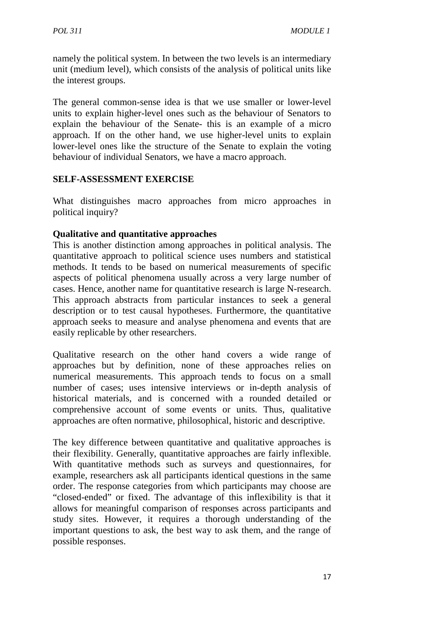namely the political system. In between the two levels is an intermediary unit (medium level), which consists of the analysis of political units like the interest groups.

The general common-sense idea is that we use smaller or lower-level units to explain higher-level ones such as the behaviour of Senators to explain the behaviour of the Senate- this is an example of a micro approach. If on the other hand, we use higher-level units to explain lower-level ones like the structure of the Senate to explain the voting behaviour of individual Senators, we have a macro approach.

#### **SELF-ASSESSMENT EXERCISE**

What distinguishes macro approaches from micro approaches in political inquiry?

### **Qualitative and quantitative approaches**

This is another distinction among approaches in political analysis. The quantitative approach to political science uses numbers and statistical methods. It tends to be based on numerical measurements of specific aspects of political phenomena usually across a very large number of cases. Hence, another name for quantitative research is large N-research. This approach abstracts from particular instances to seek a general description or to test causal hypotheses. Furthermore, the quantitative approach seeks to measure and analyse phenomena and events that are easily replicable by other researchers.

Qualitative research on the other hand covers a wide range of approaches but by definition, none of these approaches relies on numerical measurements. This approach tends to focus on a small number of cases; uses intensive interviews or in-depth analysis of historical materials, and is concerned with a rounded detailed or comprehensive account of some events or units. Thus, qualitative approaches are often normative, philosophical, historic and descriptive.

The key difference between quantitative and qualitative approaches is their flexibility. Generally, quantitative approaches are fairly inflexible. With quantitative methods such as surveys and questionnaires, for example, researchers ask all participants identical questions in the same order. The response categories from which participants may choose are "closed-ended" or fixed. The advantage of this inflexibility is that it allows for meaningful comparison of responses across participants and study sites. However, it requires a thorough understanding of the important questions to ask, the best way to ask them, and the range of possible responses.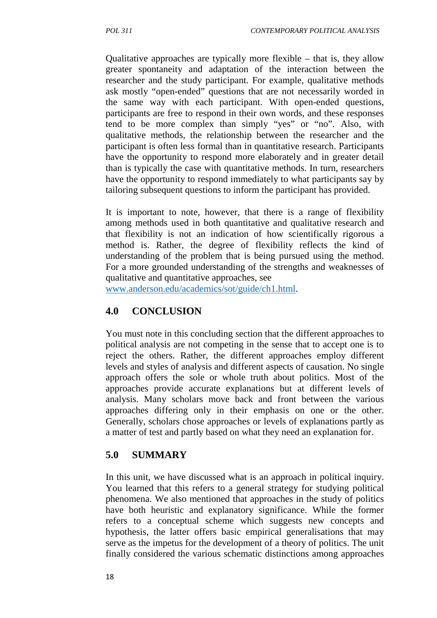Qualitative approaches are typically more flexible – that is, they allow greater spontaneity and adaptation of the interaction between the researcher and the study participant. For example, qualitative methods ask mostly "open-ended" questions that are not necessarily worded in the same way with each participant. With open-ended questions, participants are free to respond in their own words, and these responses tend to be more complex than simply "yes" or "no". Also, with qualitative methods, the relationship between the researcher and the participant is often less formal than in quantitative research. Participants have the opportunity to respond more elaborately and in greater detail than is typically the case with quantitative methods. In turn, researchers have the opportunity to respond immediately to what participants say by tailoring subsequent questions to inform the participant has provided.

It is important to note, however, that there is a range of flexibility among methods used in both quantitative and qualitative research and that flexibility is not an indication of how scientifically rigorous a method is. Rather, the degree of flexibility reflects the kind of understanding of the problem that is being pursued using the method. For a more grounded understanding of the strengths and weaknesses of qualitative and quantitative approaches, see

www.anderson.edu/academics/sot/guide/ch1.html.

# **4.0 CONCLUSION**

You must note in this concluding section that the different approaches to political analysis are not competing in the sense that to accept one is to reject the others. Rather, the different approaches employ different levels and styles of analysis and different aspects of causation. No single approach offers the sole or whole truth about politics. Most of the approaches provide accurate explanations but at different levels of analysis. Many scholars move back and front between the various approaches differing only in their emphasis on one or the other. Generally, scholars chose approaches or levels of explanations partly as a matter of test and partly based on what they need an explanation for.

# **5.0 SUMMARY**

In this unit, we have discussed what is an approach in political inquiry. You learned that this refers to a general strategy for studying political phenomena. We also mentioned that approaches in the study of politics have both heuristic and explanatory significance. While the former refers to a conceptual scheme which suggests new concepts and hypothesis, the latter offers basic empirical generalisations that may serve as the impetus for the development of a theory of politics. The unit finally considered the various schematic distinctions among approaches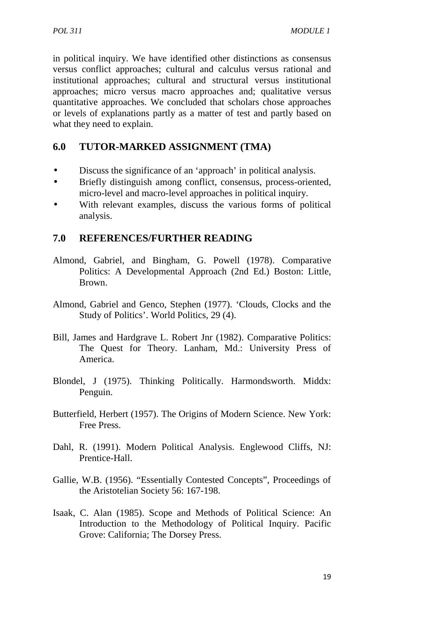in political inquiry. We have identified other distinctions as consensus versus conflict approaches; cultural and calculus versus rational and institutional approaches; cultural and structural versus institutional approaches; micro versus macro approaches and; qualitative versus quantitative approaches. We concluded that scholars chose approaches or levels of explanations partly as a matter of test and partly based on what they need to explain.

# **6.0 TUTOR-MARKED ASSIGNMENT (TMA)**

- Discuss the significance of an 'approach' in political analysis.
- Briefly distinguish among conflict, consensus, process-oriented, micro-level and macro-level approaches in political inquiry.
- With relevant examples, discuss the various forms of political analysis.

# **7.0 REFERENCES/FURTHER READING**

- Almond, Gabriel, and Bingham, G. Powell (1978). Comparative Politics: A Developmental Approach (2nd Ed.) Boston: Little, Brown.
- Almond, Gabriel and Genco, Stephen (1977). 'Clouds, Clocks and the Study of Politics'. World Politics, 29 (4).
- Bill, James and Hardgrave L. Robert Jnr (1982). Comparative Politics: The Quest for Theory. Lanham, Md.: University Press of America.
- Blondel, J (1975). Thinking Politically. Harmondsworth. Middx: Penguin.
- Butterfield, Herbert (1957). The Origins of Modern Science. New York: Free Press.
- Dahl, R. (1991). Modern Political Analysis. Englewood Cliffs, NJ: Prentice-Hall.
- Gallie, W.B. (1956). "Essentially Contested Concepts", Proceedings of the Aristotelian Society 56: 167-198.
- Isaak, C. Alan (1985). Scope and Methods of Political Science: An Introduction to the Methodology of Political Inquiry. Pacific Grove: California; The Dorsey Press.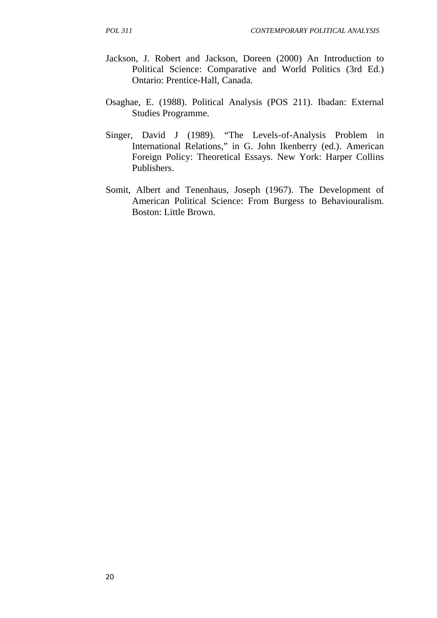- Jackson, J. Robert and Jackson, Doreen (2000) An Introduction to Political Science: Comparative and World Politics (3rd Ed.) Ontario: Prentice-Hall, Canada.
- Osaghae, E. (1988). Political Analysis (POS 211). Ibadan: External Studies Programme.
- Singer, David J (1989). "The Levels-of-Analysis Problem in International Relations," in G. John Ikenberry (ed.). American Foreign Policy: Theoretical Essays. New York: Harper Collins Publishers.
- Somit, Albert and Tenenhaus, Joseph (1967). The Development of American Political Science: From Burgess to Behaviouralism. Boston: Little Brown.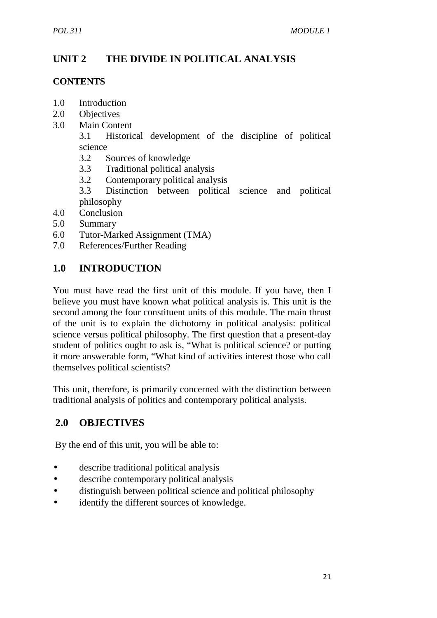# **UNIT 2 THE DIVIDE IN POLITICAL ANALYSIS**

### **CONTENTS**

- 1.0 Introduction
- 2.0 Objectives
- 3.0 Main Content
	- 3.1 Historical development of the discipline of political science
	- 3.2 Sources of knowledge
	- 3.3 Traditional political analysis
	- 3.2 Contemporary political analysis
	- 3.3 Distinction between political science and political philosophy
- 4.0 Conclusion
- 5.0 Summary
- 6.0 Tutor-Marked Assignment (TMA)
- 7.0 References/Further Reading

# **1.0 INTRODUCTION**

You must have read the first unit of this module. If you have, then I believe you must have known what political analysis is. This unit is the second among the four constituent units of this module. The main thrust of the unit is to explain the dichotomy in political analysis: political science versus political philosophy. The first question that a present-day student of politics ought to ask is, "What is political science? or putting it more answerable form, "What kind of activities interest those who call themselves political scientists?

This unit, therefore, is primarily concerned with the distinction between traditional analysis of politics and contemporary political analysis.

# **2.0 OBJECTIVES**

By the end of this unit, you will be able to:

- describe traditional political analysis
- describe contemporary political analysis
- distinguish between political science and political philosophy
- identify the different sources of knowledge.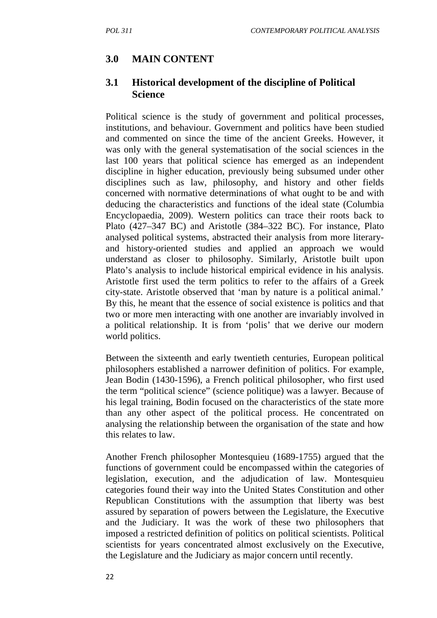## **3.0 MAIN CONTENT**

## **3.1 Historical development of the discipline of Political Science**

Political science is the study of government and political processes, institutions, and behaviour. Government and politics have been studied and commented on since the time of the ancient Greeks. However, it was only with the general systematisation of the social sciences in the last 100 years that political science has emerged as an independent discipline in higher education, previously being subsumed under other disciplines such as law, philosophy, and history and other fields concerned with normative determinations of what ought to be and with deducing the characteristics and functions of the ideal state (Columbia Encyclopaedia, 2009). Western politics can trace their roots back to Plato (427–347 BC) and Aristotle (384–322 BC). For instance, Plato analysed political systems, abstracted their analysis from more literary and history-oriented studies and applied an approach we would understand as closer to philosophy. Similarly, Aristotle built upon Plato's analysis to include historical empirical evidence in his analysis. Aristotle first used the term politics to refer to the affairs of a Greek city-state. Aristotle observed that 'man by nature is a political animal.' By this, he meant that the essence of social existence is politics and that two or more men interacting with one another are invariably involved in a political relationship. It is from 'polis' that we derive our modern world politics.

Between the sixteenth and early twentieth centuries, European political philosophers established a narrower definition of politics. For example, Jean Bodin (1430-1596), a French political philosopher, who first used the term "political science" (science politique) was a lawyer. Because of his legal training, Bodin focused on the characteristics of the state more than any other aspect of the political process. He concentrated on analysing the relationship between the organisation of the state and how this relates to law.

Another French philosopher Montesquieu (1689-1755) argued that the functions of government could be encompassed within the categories of legislation, execution, and the adjudication of law. Montesquieu categories found their way into the United States Constitution and other Republican Constitutions with the assumption that liberty was best assured by separation of powers between the Legislature, the Executive and the Judiciary. It was the work of these two philosophers that imposed a restricted definition of politics on political scientists. Political scientists for years concentrated almost exclusively on the Executive, the Legislature and the Judiciary as major concern until recently.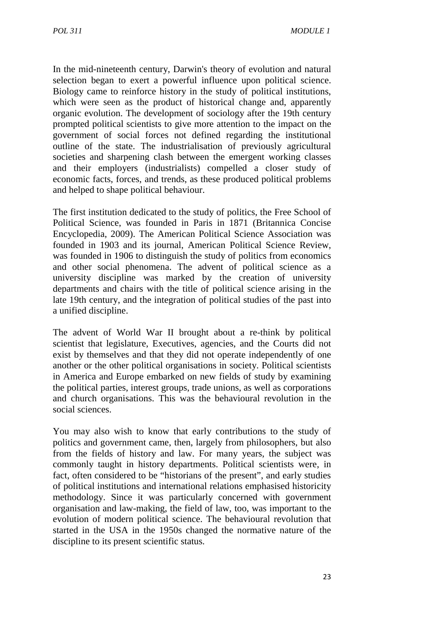In the mid-nineteenth century, Darwin's theory of evolution and natural selection began to exert a powerful influence upon political science. Biology came to reinforce history in the study of political institutions, which were seen as the product of historical change and, apparently organic evolution. The development of sociology after the 19th century prompted political scientists to give more attention to the impact on the government of social forces not defined regarding the institutional outline of the state. The industrialisation of previously agricultural societies and sharpening clash between the emergent working classes and their employers (industrialists) compelled a closer study of economic facts, forces, and trends, as these produced political problems and helped to shape political behaviour.

The first institution dedicated to the study of politics, the Free School of Political Science, was founded in Paris in 1871 (Britannica Concise Encyclopedia, 2009). The American Political Science Association was founded in 1903 and its journal, American Political Science Review, was founded in 1906 to distinguish the study of politics from economics and other social phenomena. The advent of political science as a university discipline was marked by the creation of university departments and chairs with the title of political science arising in the late 19th century, and the integration of political studies of the past into a unified discipline.

The advent of World War II brought about a re-think by political scientist that legislature, Executives, agencies, and the Courts did not exist by themselves and that they did not operate independently of one another or the other political organisations in society. Political scientists in America and Europe embarked on new fields of study by examining the political parties, interest groups, trade unions, as well as corporations and church organisations. This was the behavioural revolution in the social sciences.

You may also wish to know that early contributions to the study of politics and government came, then, largely from philosophers, but also from the fields of history and law. For many years, the subject was commonly taught in history departments. Political scientists were, in fact, often considered to be "historians of the present", and early studies of political institutions and international relations emphasised historicity methodology. Since it was particularly concerned with government organisation and law-making, the field of law, too, was important to the evolution of modern political science. The behavioural revolution that started in the USA in the 1950s changed the normative nature of the discipline to its present scientific status.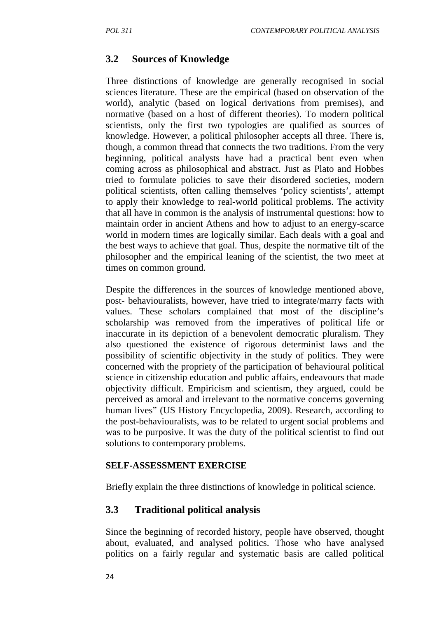### **3.2 Sources of Knowledge**

Three distinctions of knowledge are generally recognised in social sciences literature. These are the empirical (based on observation of the world), analytic (based on logical derivations from premises), and normative (based on a host of different theories). To modern political scientists, only the first two typologies are qualified as sources of knowledge. However, a political philosopher accepts all three. There is, though, a common thread that connects the two traditions. From the very beginning, political analysts have had a practical bent even when coming across as philosophical and abstract. Just as Plato and Hobbes tried to formulate policies to save their disordered societies, modern political scientists, often calling themselves 'policy scientists', attempt to apply their knowledge to real-world political problems. The activity that all have in common is the analysis of instrumental questions: how to maintain order in ancient Athens and how to adjust to an energy-scarce world in modern times are logically similar. Each deals with a goal and the best ways to achieve that goal. Thus, despite the normative tilt of the philosopher and the empirical leaning of the scientist, the two meet at times on common ground.

Despite the differences in the sources of knowledge mentioned above, post- behaviouralists, however, have tried to integrate/marry facts with values. These scholars complained that most of the discipline's scholarship was removed from the imperatives of political life or inaccurate in its depiction of a benevolent democratic pluralism. They also questioned the existence of rigorous determinist laws and the possibility of scientific objectivity in the study of politics. They were concerned with the propriety of the participation of behavioural political science in citizenship education and public affairs, endeavours that made objectivity difficult. Empiricism and scientism, they argued, could be perceived as amoral and irrelevant to the normative concerns governing human lives" (US History Encyclopedia, 2009). Research, according to the post-behaviouralists, was to be related to urgent social problems and was to be purposive. It was the duty of the political scientist to find out solutions to contemporary problems.

#### **SELF-ASSESSMENT EXERCISE**

Briefly explain the three distinctions of knowledge in political science.

#### **3.3 Traditional political analysis**

Since the beginning of recorded history, people have observed, thought about, evaluated, and analysed politics. Those who have analysed politics on a fairly regular and systematic basis are called political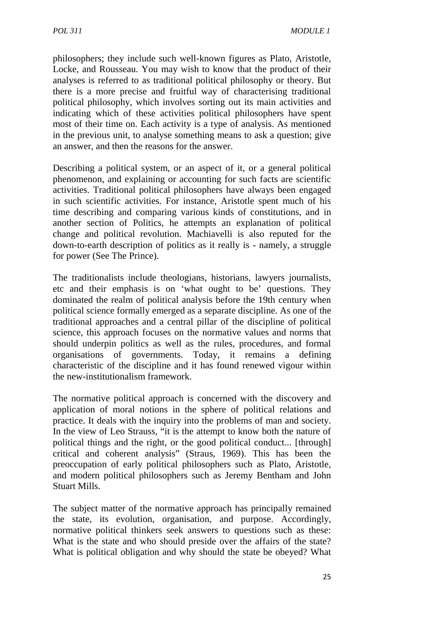philosophers; they include such well-known figures as Plato, Aristotle, Locke, and Rousseau. You may wish to know that the product of their analyses is referred to as traditional political philosophy or theory. But there is a more precise and fruitful way of characterising traditional political philosophy, which involves sorting out its main activities and indicating which of these activities political philosophers have spent most of their time on. Each activity is a type of analysis. As mentioned in the previous unit, to analyse something means to ask a question; give an answer, and then the reasons for the answer.

Describing a political system, or an aspect of it, or a general political phenomenon, and explaining or accounting for such facts are scientific activities. Traditional political philosophers have always been engaged in such scientific activities. For instance, Aristotle spent much of his time describing and comparing various kinds of constitutions, and in another section of Politics, he attempts an explanation of political change and political revolution. Machiavelli is also reputed for the down-to-earth description of politics as it really is - namely, a struggle for power (See The Prince).

The traditionalists include theologians, historians, lawyers journalists, etc and their emphasis is on 'what ought to be' questions. They dominated the realm of political analysis before the 19th century when political science formally emerged as a separate discipline. As one of the traditional approaches and a central pillar of the discipline of political science, this approach focuses on the normative values and norms that should underpin politics as well as the rules, procedures, and formal organisations of governments. Today, it remains a defining characteristic of the discipline and it has found renewed vigour within the new-institutionalism framework.

The normative political approach is concerned with the discovery and application of moral notions in the sphere of political relations and practice. It deals with the inquiry into the problems of man and society. In the view of Leo Strauss, "it is the attempt to know both the nature of political things and the right, or the good political conduct... [through] critical and coherent analysis" (Straus, 1969). This has been the preoccupation of early political philosophers such as Plato, Aristotle, and modern political philosophers such as Jeremy Bentham and John Stuart Mills.

The subject matter of the normative approach has principally remained the state, its evolution, organisation, and purpose. Accordingly, normative political thinkers seek answers to questions such as these: What is the state and who should preside over the affairs of the state? What is political obligation and why should the state be obeyed? What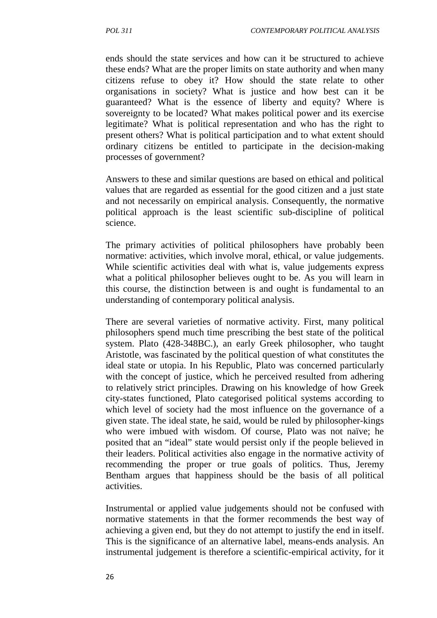ends should the state services and how can it be structured to achieve these ends? What are the proper limits on state authority and when many citizens refuse to obey it? How should the state relate to other organisations in society? What is justice and how best can it be guaranteed? What is the essence of liberty and equity? Where is sovereignty to be located? What makes political power and its exercise legitimate? What is political representation and who has the right to present others? What is political participation and to what extent should ordinary citizens be entitled to participate in the decision-making processes of government?

Answers to these and similar questions are based on ethical and political values that are regarded as essential for the good citizen and a just state and not necessarily on empirical analysis. Consequently, the normative political approach is the least scientific sub-discipline of political science.

The primary activities of political philosophers have probably been normative: activities, which involve moral, ethical, or value judgements. While scientific activities deal with what is, value judgements express what a political philosopher believes ought to be. As you will learn in this course, the distinction between is and ought is fundamental to an understanding of contemporary political analysis.

There are several varieties of normative activity. First, many political philosophers spend much time prescribing the best state of the political system. Plato (428-348BC.), an early Greek philosopher, who taught Aristotle, was fascinated by the political question of what constitutes the ideal state or utopia. In his Republic, Plato was concerned particularly with the concept of justice, which he perceived resulted from adhering to relatively strict principles. Drawing on his knowledge of how Greek city-states functioned, Plato categorised political systems according to which level of society had the most influence on the governance of a given state. The ideal state, he said, would be ruled by philosopher-kings who were imbued with wisdom. Of course, Plato was not naïve; he posited that an "ideal" state would persist only if the people believed in their leaders. Political activities also engage in the normative activity of recommending the proper or true goals of politics. Thus, Jeremy Bentham argues that happiness should be the basis of all political activities.

Instrumental or applied value judgements should not be confused with normative statements in that the former recommends the best way of achieving a given end, but they do not attempt to justify the end in itself. This is the significance of an alternative label, means-ends analysis. An instrumental judgement is therefore a scientific-empirical activity, for it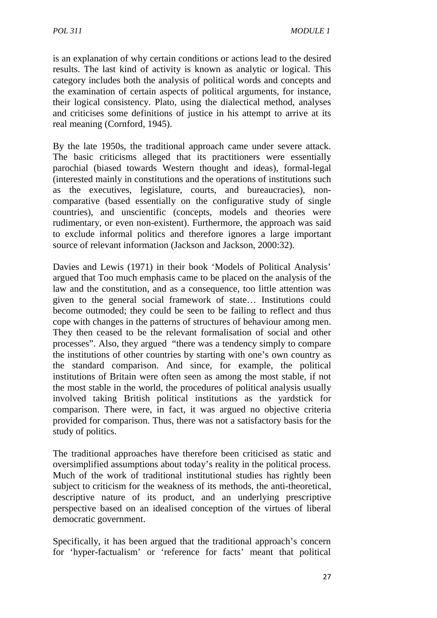is an explanation of why certain conditions or actions lead to the desired results. The last kind of activity is known as analytic or logical. This category includes both the analysis of political words and concepts and the examination of certain aspects of political arguments, for instance, their logical consistency. Plato, using the dialectical method, analyses and criticises some definitions of justice in his attempt to arrive at its real meaning (Cornford, 1945).

By the late 1950s, the traditional approach came under severe attack. The basic criticisms alleged that its practitioners were essentially parochial (biased towards Western thought and ideas), formal-legal (interested mainly in constitutions and the operations of institutions such as the executives, legislature, courts, and bureaucracies), non comparative (based essentially on the configurative study of single countries), and unscientific (concepts, models and theories were rudimentary, or even non-existent). Furthermore, the approach was said to exclude informal politics and therefore ignores a large important source of relevant information (Jackson and Jackson, 2000:32).

Davies and Lewis (1971) in their book 'Models of Political Analysis' argued that Too much emphasis came to be placed on the analysis of the law and the constitution, and as a consequence, too little attention was given to the general social framework of state… Institutions could become outmoded; they could be seen to be failing to reflect and thus cope with changes in the patterns of structures of behaviour among men. They then ceased to be the relevant formalisation of social and other processes". Also, they argued "there was a tendency simply to compare the institutions of other countries by starting with one's own country as the standard comparison. And since, for example, the political institutions of Britain were often seen as among the most stable, if not the most stable in the world, the procedures of political analysis usually involved taking British political institutions as the yardstick for comparison. There were, in fact, it was argued no objective criteria provided for comparison. Thus, there was not a satisfactory basis for the study of politics.

The traditional approaches have therefore been criticised as static and oversimplified assumptions about today's reality in the political process. Much of the work of traditional institutional studies has rightly been subject to criticism for the weakness of its methods, the anti-theoretical, descriptive nature of its product, and an underlying prescriptive perspective based on an idealised conception of the virtues of liberal democratic government.

Specifically, it has been argued that the traditional approach's concern for 'hyper-factualism' or 'reference for facts' meant that political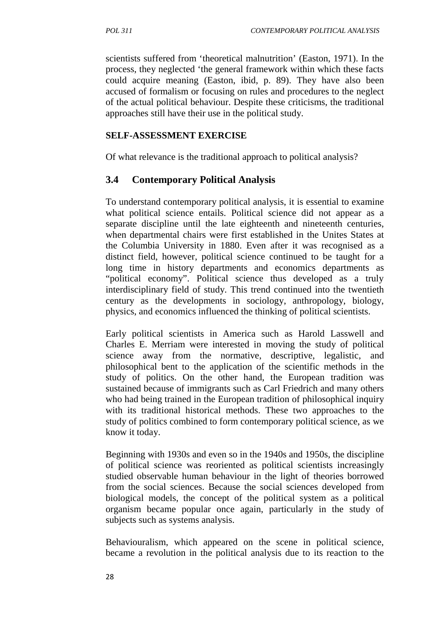scientists suffered from 'theoretical malnutrition' (Easton, 1971). In the process, they neglected 'the general framework within which these facts could acquire meaning (Easton, ibid, p. 89). They have also been accused of formalism or focusing on rules and procedures to the neglect of the actual political behaviour. Despite these criticisms, the traditional approaches still have their use in the political study.

### **SELF-ASSESSMENT EXERCISE**

Of what relevance is the traditional approach to political analysis?

## **3.4 Contemporary Political Analysis**

To understand contemporary political analysis, it is essential to examine what political science entails. Political science did not appear as a separate discipline until the late eighteenth and nineteenth centuries, when departmental chairs were first established in the Unites States at the Columbia University in 1880. Even after it was recognised as a distinct field, however, political science continued to be taught for a long time in history departments and economics departments as "political economy". Political science thus developed as a truly interdisciplinary field of study. This trend continued into the twentieth century as the developments in sociology, anthropology, biology, physics, and economics influenced the thinking of political scientists.

Early political scientists in America such as Harold Lasswell and Charles E. Merriam were interested in moving the study of political science away from the normative, descriptive, legalistic, and philosophical bent to the application of the scientific methods in the study of politics. On the other hand, the European tradition was sustained because of immigrants such as Carl Friedrich and many others who had being trained in the European tradition of philosophical inquiry with its traditional historical methods. These two approaches to the study of politics combined to form contemporary political science, as we know it today.

Beginning with 1930s and even so in the 1940s and 1950s, the discipline of political science was reoriented as political scientists increasingly studied observable human behaviour in the light of theories borrowed from the social sciences. Because the social sciences developed from biological models, the concept of the political system as a political organism became popular once again, particularly in the study of subjects such as systems analysis.

Behaviouralism, which appeared on the scene in political science, became a revolution in the political analysis due to its reaction to the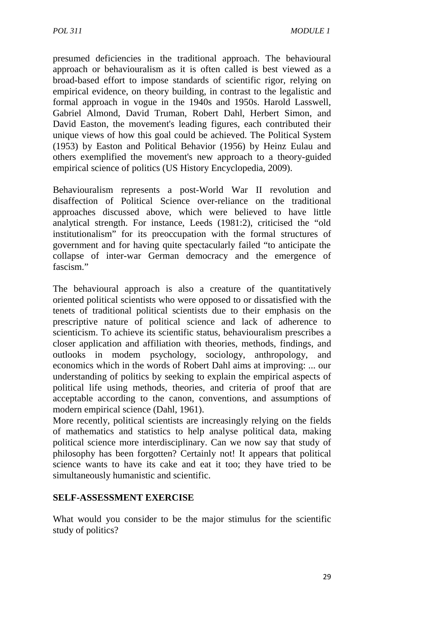presumed deficiencies in the traditional approach. The behavioural approach or behaviouralism as it is often called is best viewed as a broad-based effort to impose standards of scientific rigor, relying on empirical evidence, on theory building, in contrast to the legalistic and formal approach in vogue in the 1940s and 1950s. Harold Lasswell, Gabriel Almond, David Truman, Robert Dahl, Herbert Simon, and David Easton, the movement's leading figures, each contributed their unique views of how this goal could be achieved. The Political System (1953) by Easton and Political Behavior (1956) by Heinz Eulau and others exemplified the movement's new approach to a theory-guided empirical science of politics (US History Encyclopedia, 2009).

Behaviouralism represents a post-World War II revolution and disaffection of Political Science over-reliance on the traditional approaches discussed above, which were believed to have little analytical strength. For instance, Leeds (1981:2), criticised the "old institutionalism" for its preoccupation with the formal structures of government and for having quite spectacularly failed "to anticipate the collapse of inter-war German democracy and the emergence of fascism."

The behavioural approach is also a creature of the quantitatively oriented political scientists who were opposed to or dissatisfied with the tenets of traditional political scientists due to their emphasis on the prescriptive nature of political science and lack of adherence to scienticism. To achieve its scientific status, behaviouralism prescribes a closer application and affiliation with theories, methods, findings, and outlooks in modem psychology, sociology, anthropology, and economics which in the words of Robert Dahl aims at improving: ... our understanding of politics by seeking to explain the empirical aspects of political life using methods, theories, and criteria of proof that are acceptable according to the canon, conventions, and assumptions of modern empirical science (Dahl, 1961).

More recently, political scientists are increasingly relying on the fields of mathematics and statistics to help analyse political data, making political science more interdisciplinary. Can we now say that study of philosophy has been forgotten? Certainly not! It appears that political science wants to have its cake and eat it too; they have tried to be simultaneously humanistic and scientific.

#### **SELF-ASSESSMENT EXERCISE**

What would you consider to be the major stimulus for the scientific study of politics?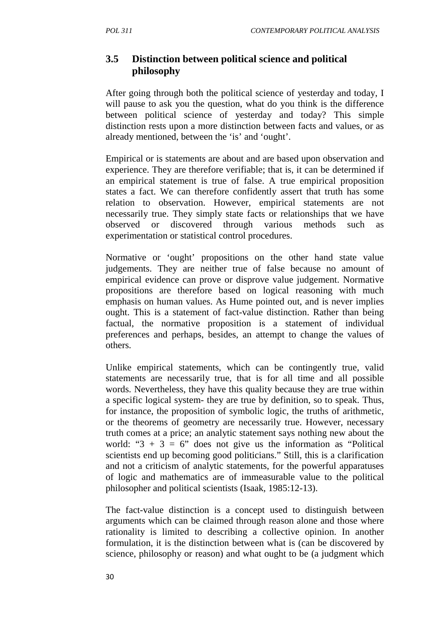# **3.5 Distinction between political science and political philosophy**

After going through both the political science of yesterday and today, I will pause to ask you the question, what do you think is the difference between political science of yesterday and today? This simple distinction rests upon a more distinction between facts and values, or as already mentioned, between the 'is' and 'ought'.

Empirical or is statements are about and are based upon observation and experience. They are therefore verifiable; that is, it can be determined if an empirical statement is true of false. A true empirical proposition states a fact. We can therefore confidently assert that truth has some relation to observation. However, empirical statements are not necessarily true. They simply state facts or relationships that we have observed or discovered through various methods such as experimentation or statistical control procedures.

Normative or 'ought' propositions on the other hand state value judgements. They are neither true of false because no amount of empirical evidence can prove or disprove value judgement. Normative propositions are therefore based on logical reasoning with much emphasis on human values. As Hume pointed out, and is never implies ought. This is a statement of fact-value distinction. Rather than being factual, the normative proposition is a statement of individual preferences and perhaps, besides, an attempt to change the values of others.

Unlike empirical statements, which can be contingently true, valid statements are necessarily true, that is for all time and all possible words. Nevertheless, they have this quality because they are true within a specific logical system- they are true by definition, so to speak. Thus, for instance, the proposition of symbolic logic, the truths of arithmetic, or the theorems of geometry are necessarily true. However, necessary truth comes at a price; an analytic statement says nothing new about the world: " $3 + 3 = 6$ " does not give us the information as "Political" scientists end up becoming good politicians." Still, this is a clarification and not a criticism of analytic statements, for the powerful apparatuses of logic and mathematics are of immeasurable value to the political philosopher and political scientists (Isaak, 1985:12-13).

The fact-value distinction is a concept used to distinguish between arguments which can be claimed through reason alone and those where rationality is limited to describing a collective opinion. In another formulation, it is the distinction between what is (can be discovered by science, philosophy or reason) and what ought to be (a judgment which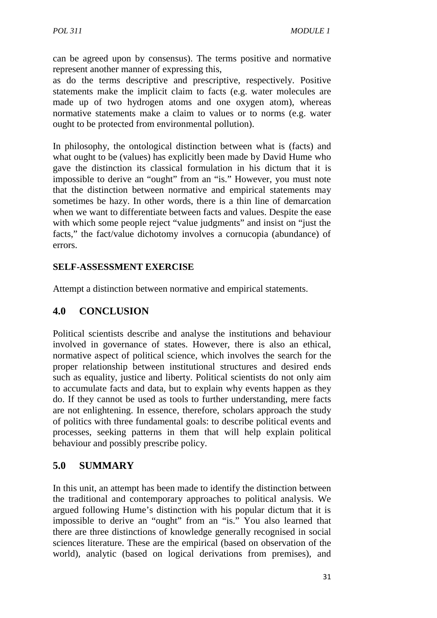can be agreed upon by consensus). The terms positive and normative represent another manner of expressing this,

as do the terms descriptive and prescriptive, respectively. Positive statements make the implicit claim to facts (e.g. water molecules are made up of two hydrogen atoms and one oxygen atom), whereas normative statements make a claim to values or to norms (e.g. water ought to be protected from environmental pollution).

In philosophy, the ontological distinction between what is (facts) and what ought to be (values) has explicitly been made by David Hume who gave the distinction its classical formulation in his dictum that it is impossible to derive an "ought" from an "is." However, you must note that the distinction between normative and empirical statements may sometimes be hazy. In other words, there is a thin line of demarcation when we want to differentiate between facts and values. Despite the ease with which some people reject "value judgments" and insist on "just the facts," the fact/value dichotomy involves a cornucopia (abundance) of errors.

### **SELF-ASSESSMENT EXERCISE**

Attempt a distinction between normative and empirical statements.

## **4.0 CONCLUSION**

Political scientists describe and analyse the institutions and behaviour involved in governance of states. However, there is also an ethical, normative aspect of political science, which involves the search for the proper relationship between institutional structures and desired ends such as equality, justice and liberty. Political scientists do not only aim to accumulate facts and data, but to explain why events happen as they do. If they cannot be used as tools to further understanding, mere facts are not enlightening. In essence, therefore, scholars approach the study of politics with three fundamental goals: to describe political events and processes, seeking patterns in them that will help explain political behaviour and possibly prescribe policy.

## **5.0 SUMMARY**

In this unit, an attempt has been made to identify the distinction between the traditional and contemporary approaches to political analysis. We argued following Hume's distinction with his popular dictum that it is impossible to derive an "ought" from an "is." You also learned that there are three distinctions of knowledge generally recognised in social sciences literature. These are the empirical (based on observation of the world), analytic (based on logical derivations from premises), and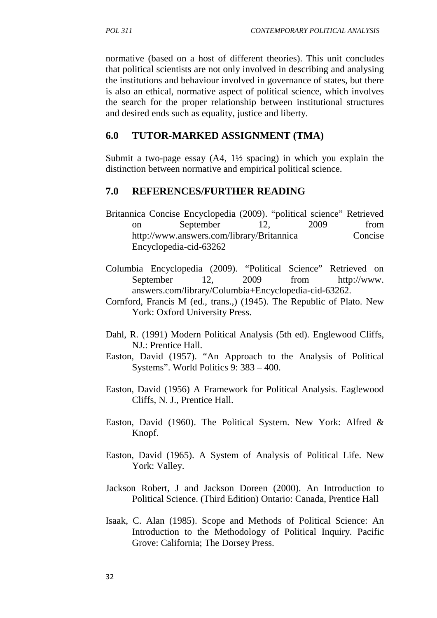normative (based on a host of different theories). This unit concludes that political scientists are not only involved in describing and analysing the institutions and behaviour involved in governance of states, but there is also an ethical, normative aspect of political science, which involves the search for the proper relationship between institutional structures and desired ends such as equality, justice and liberty.

## **6.0 TUTOR-MARKED ASSIGNMENT (TMA)**

Submit a two-page essay  $(A4, 1\frac{1}{2})$  spacing) in which you explain the distinction between normative and empirical political science.

## **7.0 REFERENCES/FURTHER READING**

- Britannica Concise Encyclopedia (2009). "political science" Retrieved on September 12, 2009 from http://www.answers.com/library/Britannica Concise Encyclopedia-cid-63262
- Columbia Encyclopedia (2009). "Political Science" Retrieved on September 12, 2009 from http://www. answers.com/library/Columbia+Encyclopedia-cid-63262.
- Cornford, Francis M (ed., trans.,) (1945). The Republic of Plato. New York: Oxford University Press.
- Dahl, R. (1991) Modern Political Analysis (5th ed). Englewood Cliffs, NJ.: Prentice Hall.
- Easton, David (1957). "An Approach to the Analysis of Political Systems". World Politics 9: 383 – 400.
- Easton, David (1956) A Framework for Political Analysis. Eaglewood Cliffs, N. J., Prentice Hall.
- Easton, David (1960). The Political System. New York: Alfred & Knopf.
- Easton, David (1965). A System of Analysis of Political Life. New York: Valley.
- Jackson Robert, J and Jackson Doreen (2000). An Introduction to Political Science. (Third Edition) Ontario: Canada, Prentice Hall
- Isaak, C. Alan (1985). Scope and Methods of Political Science: An Introduction to the Methodology of Political Inquiry. Pacific Grove: California; The Dorsey Press.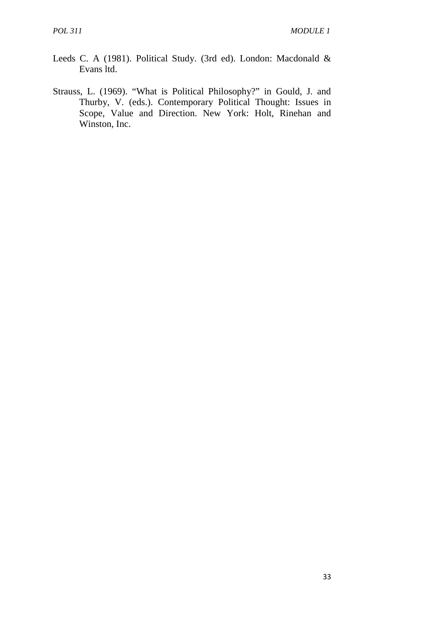- Leeds C. A (1981). Political Study. (3rd ed). London: Macdonald & Evans ltd.
- Strauss, L. (1969). "What is Political Philosophy?" in Gould, J. and Thurby, V. (eds.). Contemporary Political Thought: Issues in Scope, Value and Direction. New York: Holt, Rinehan and Winston, Inc.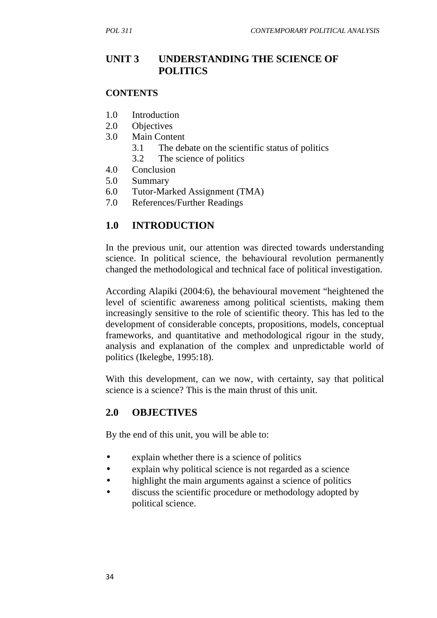### **UNIT 3 UNDERSTANDING THE SCIENCE OF POLITICS**

#### **CONTENTS**

- 1.0 Introduction
- 2.0 Objectives
- 3.0 Main Content
	- 3.1 The debate on the scientific status of politics
	- 3.2 The science of politics
- 4.0 Conclusion
- 5.0 Summary
- 6.0 Tutor-Marked Assignment (TMA)
- 7.0 References/Further Readings

### **1.0 INTRODUCTION**

In the previous unit, our attention was directed towards understanding science. In political science, the behavioural revolution permanently changed the methodological and technical face of political investigation.

According Alapiki (2004:6), the behavioural movement "heightened the level of scientific awareness among political scientists, making them increasingly sensitive to the role of scientific theory. This has led to the development of considerable concepts, propositions, models, conceptual frameworks, and quantitative and methodological rigour in the study, analysis and explanation of the complex and unpredictable world of politics (Ikelegbe, 1995:18).

With this development, can we now, with certainty, say that political science is a science? This is the main thrust of this unit.

#### **2.0 OBJECTIVES**

By the end of this unit, you will be able to:

- explain whether there is a science of politics
- explain why political science is not regarded as a science
- highlight the main arguments against a science of politics
- discuss the scientific procedure or methodology adopted by political science.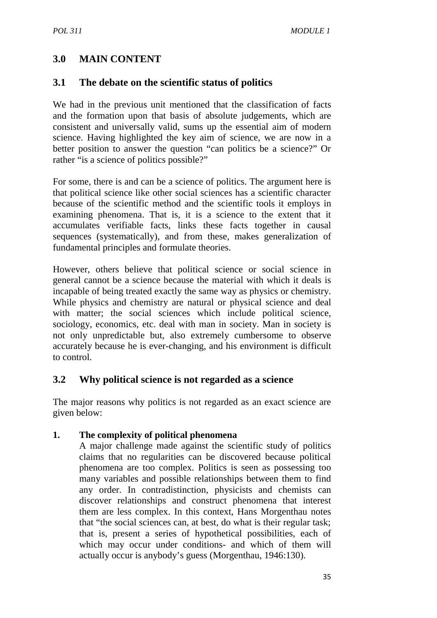# **3.0 MAIN CONTENT**

## **3.1 The debate on the scientific status of politics**

We had in the previous unit mentioned that the classification of facts and the formation upon that basis of absolute judgements, which are consistent and universally valid, sums up the essential aim of modern science. Having highlighted the key aim of science, we are now in a better position to answer the question "can politics be a science?" Or rather "is a science of politics possible?"

For some, there is and can be a science of politics. The argument here is that political science like other social sciences has a scientific character because of the scientific method and the scientific tools it employs in examining phenomena. That is, it is a science to the extent that it accumulates verifiable facts, links these facts together in causal sequences (systematically), and from these, makes generalization of fundamental principles and formulate theories.

However, others believe that political science or social science in general cannot be a science because the material with which it deals is incapable of being treated exactly the same way as physics or chemistry. While physics and chemistry are natural or physical science and deal with matter; the social sciences which include political science, sociology, economics, etc. deal with man in society. Man in society is not only unpredictable but, also extremely cumbersome to observe accurately because he is ever-changing, and his environment is difficult to control.

## **3.2 Why political science is not regarded as a science**

The major reasons why politics is not regarded as an exact science are given below:

**1. The complexity of political phenomena**

A major challenge made against the scientific study of politics claims that no regularities can be discovered because political phenomena are too complex. Politics is seen as possessing too many variables and possible relationships between them to find any order. In contradistinction, physicists and chemists can discover relationships and construct phenomena that interest them are less complex. In this context, Hans Morgenthau notes that "the social sciences can, at best, do what is their regular task; that is, present a series of hypothetical possibilities, each of which may occur under conditions- and which of them will actually occur is anybody's guess (Morgenthau, 1946:130).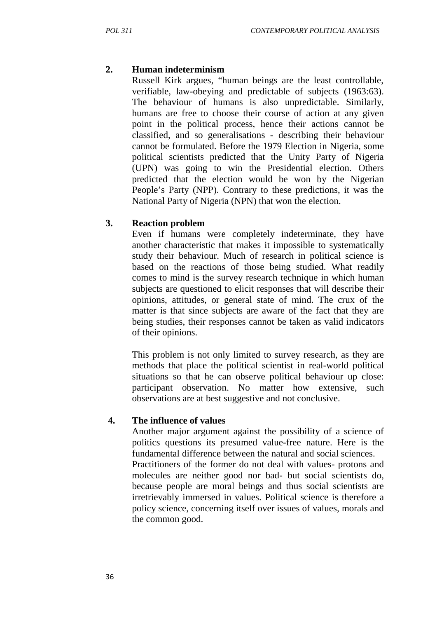### **2. Human indeterminism**

Russell Kirk argues, "human beings are the least controllable, verifiable, law-obeying and predictable of subjects (1963:63). The behaviour of humans is also unpredictable. Similarly, humans are free to choose their course of action at any given point in the political process, hence their actions cannot be classified, and so generalisations - describing their behaviour cannot be formulated. Before the 1979 Election in Nigeria, some political scientists predicted that the Unity Party of Nigeria (UPN) was going to win the Presidential election. Others predicted that the election would be won by the Nigerian People's Party (NPP). Contrary to these predictions, it was the National Party of Nigeria (NPN) that won the election.

### **3. Reaction problem**

Even if humans were completely indeterminate, they have another characteristic that makes it impossible to systematically study their behaviour. Much of research in political science is based on the reactions of those being studied. What readily comes to mind is the survey research technique in which human subjects are questioned to elicit responses that will describe their opinions, attitudes, or general state of mind. The crux of the matter is that since subjects are aware of the fact that they are being studies, their responses cannot be taken as valid indicators of their opinions.

This problem is not only limited to survey research, as they are methods that place the political scientist in real-world political situations so that he can observe political behaviour up close: participant observation. No matter how extensive, such observations are at best suggestive and not conclusive.

#### **4. The influence of values**

Another major argument against the possibility of a science of politics questions its presumed value-free nature. Here is the fundamental difference between the natural and social sciences. Practitioners of the former do not deal with values- protons and molecules are neither good nor bad- but social scientists do, because people are moral beings and thus social scientists are irretrievably immersed in values. Political science is therefore a policy science, concerning itself over issues of values, morals and the common good.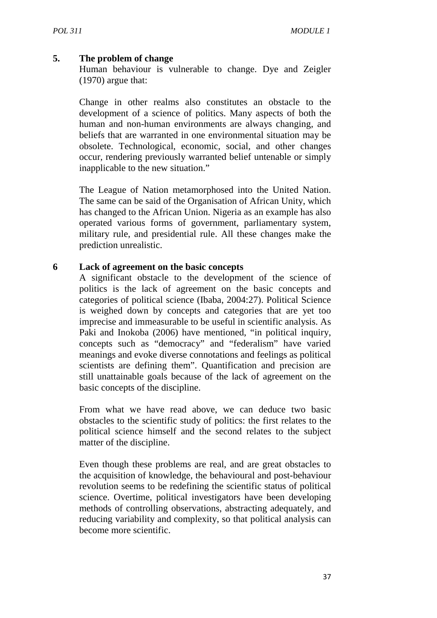#### **5. The problem of change**

Human behaviour is vulnerable to change. Dye and Zeigler (1970) argue that:

Change in other realms also constitutes an obstacle to the development of a science of politics. Many aspects of both the human and non-human environments are always changing, and beliefs that are warranted in one environmental situation may be obsolete. Technological, economic, social, and other changes occur, rendering previously warranted belief untenable or simply inapplicable to the new situation."

The League of Nation metamorphosed into the United Nation. The same can be said of the Organisation of African Unity, which has changed to the African Union. Nigeria as an example has also operated various forms of government, parliamentary system, military rule, and presidential rule. All these changes make the prediction unrealistic.

#### **6 Lack of agreement on the basic concepts**

A significant obstacle to the development of the science of politics is the lack of agreement on the basic concepts and categories of political science (Ibaba, 2004:27). Political Science is weighed down by concepts and categories that are yet too imprecise and immeasurable to be useful in scientific analysis. As Paki and Inokoba (2006) have mentioned, "in political inquiry, concepts such as "democracy" and "federalism" have varied meanings and evoke diverse connotations and feelings as political scientists are defining them". Quantification and precision are still unattainable goals because of the lack of agreement on the basic concepts of the discipline.

From what we have read above, we can deduce two basic obstacles to the scientific study of politics: the first relates to the political science himself and the second relates to the subject matter of the discipline.

Even though these problems are real, and are great obstacles to the acquisition of knowledge, the behavioural and post-behaviour revolution seems to be redefining the scientific status of political science. Overtime, political investigators have been developing methods of controlling observations, abstracting adequately, and reducing variability and complexity, so that political analysis can become more scientific.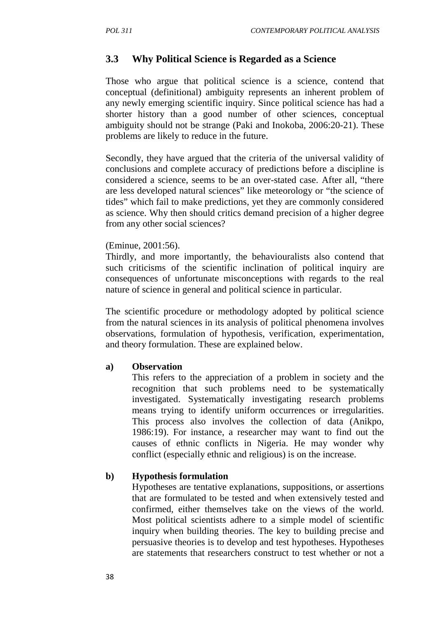#### **3.3 Why Political Science is Regarded as a Science**

Those who argue that political science is a science, contend that conceptual (definitional) ambiguity represents an inherent problem of any newly emerging scientific inquiry. Since political science has had a shorter history than a good number of other sciences, conceptual ambiguity should not be strange (Paki and Inokoba, 2006:20-21). These problems are likely to reduce in the future.

Secondly, they have argued that the criteria of the universal validity of conclusions and complete accuracy of predictions before a discipline is considered a science, seems to be an over-stated case. After all, "there are less developed natural sciences" like meteorology or "the science of tides" which fail to make predictions, yet they are commonly considered as science. Why then should critics demand precision of a higher degree from any other social sciences?

#### (Eminue, 2001:56).

Thirdly, and more importantly, the behaviouralists also contend that such criticisms of the scientific inclination of political inquiry are consequences of unfortunate misconceptions with regards to the real nature of science in general and political science in particular.

The scientific procedure or methodology adopted by political science from the natural sciences in its analysis of political phenomena involves observations, formulation of hypothesis, verification, experimentation, and theory formulation. These are explained below.

#### **a) Observation**

This refers to the appreciation of a problem in society and the recognition that such problems need to be systematically investigated. Systematically investigating research problems means trying to identify uniform occurrences or irregularities. This process also involves the collection of data (Anikpo, 1986:19). For instance, a researcher may want to find out the causes of ethnic conflicts in Nigeria. He may wonder why conflict (especially ethnic and religious) is on the increase.

#### **b) Hypothesis formulation**

Hypotheses are tentative explanations, suppositions, or assertions that are formulated to be tested and when extensively tested and confirmed, either themselves take on the views of the world. Most political scientists adhere to a simple model of scientific inquiry when building theories. The key to building precise and persuasive theories is to develop and test hypotheses. Hypotheses are statements that researchers construct to test whether or not a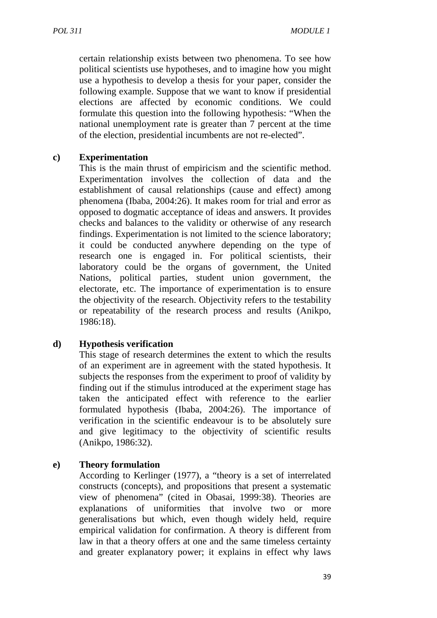certain relationship exists between two phenomena. To see how political scientists use hypotheses, and to imagine how you might use a hypothesis to develop a thesis for your paper, consider the following example. Suppose that we want to know if presidential elections are affected by economic conditions. We could formulate this question into the following hypothesis: "When the national unemployment rate is greater than 7 percent at the time of the election, presidential incumbents are not re-elected".

#### **c) Experimentation**

This is the main thrust of empiricism and the scientific method. Experimentation involves the collection of data and the establishment of causal relationships (cause and effect) among phenomena (Ibaba, 2004:26). It makes room for trial and error as opposed to dogmatic acceptance of ideas and answers. It provides checks and balances to the validity or otherwise of any research findings. Experimentation is not limited to the science laboratory; it could be conducted anywhere depending on the type of research one is engaged in. For political scientists, their laboratory could be the organs of government, the United Nations, political parties, student union government, the electorate, etc. The importance of experimentation is to ensure the objectivity of the research. Objectivity refers to the testability or repeatability of the research process and results (Anikpo, 1986:18).

#### **d) Hypothesis verification**

This stage of research determines the extent to which the results of an experiment are in agreement with the stated hypothesis. It subjects the responses from the experiment to proof of validity by finding out if the stimulus introduced at the experiment stage has taken the anticipated effect with reference to the earlier formulated hypothesis (Ibaba, 2004:26). The importance of verification in the scientific endeavour is to be absolutely sure and give legitimacy to the objectivity of scientific results (Anikpo, 1986:32).

#### **e) Theory formulation**

According to Kerlinger (1977), a "theory is a set of interrelated constructs (concepts), and propositions that present a systematic view of phenomena" (cited in Obasai, 1999:38). Theories are explanations of uniformities that involve two or more generalisations but which, even though widely held, require empirical validation for confirmation. A theory is different from law in that a theory offers at one and the same timeless certainty and greater explanatory power; it explains in effect why laws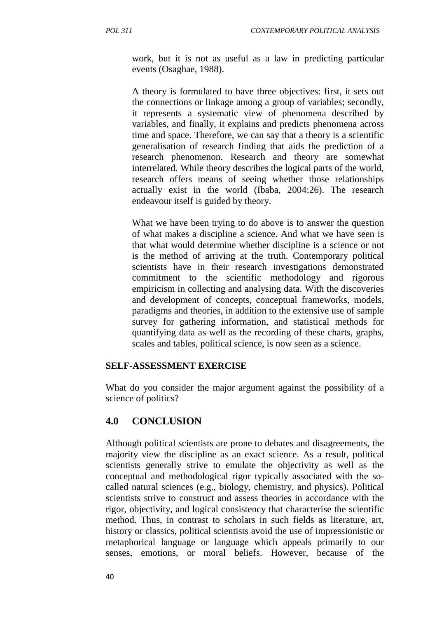work, but it is not as useful as a law in predicting particular events (Osaghae, 1988).

A theory is formulated to have three objectives: first, it sets out the connections or linkage among a group of variables; secondly, it represents a systematic view of phenomena described by variables, and finally, it explains and predicts phenomena across time and space. Therefore, we can say that a theory is a scientific generalisation of research finding that aids the prediction of a research phenomenon. Research and theory are somewhat interrelated. While theory describes the logical parts of the world, research offers means of seeing whether those relationships actually exist in the world (Ibaba, 2004:26). The research endeavour itself is guided by theory.

What we have been trying to do above is to answer the question of what makes a discipline a science. And what we have seen is that what would determine whether discipline is a science or not is the method of arriving at the truth. Contemporary political scientists have in their research investigations demonstrated commitment to the scientific methodology and rigorous empiricism in collecting and analysing data. With the discoveries and development of concepts, conceptual frameworks, models, paradigms and theories, in addition to the extensive use of sample survey for gathering information, and statistical methods for quantifying data as well as the recording of these charts, graphs, scales and tables, political science, is now seen as a science.

#### **SELF-ASSESSMENT EXERCISE**

What do you consider the major argument against the possibility of a science of politics?

## **4.0 CONCLUSION**

Although political scientists are prone to debates and disagreements, the majority view the discipline as an exact science. As a result, political scientists generally strive to emulate the objectivity as well as the conceptual and methodological rigor typically associated with the so called natural sciences (e.g., biology, chemistry, and physics). Political scientists strive to construct and assess theories in accordance with the rigor, objectivity, and logical consistency that characterise the scientific method. Thus, in contrast to scholars in such fields as literature, art, history or classics, political scientists avoid the use of impressionistic or metaphorical language or language which appeals primarily to our senses, emotions, or moral beliefs. However, because of the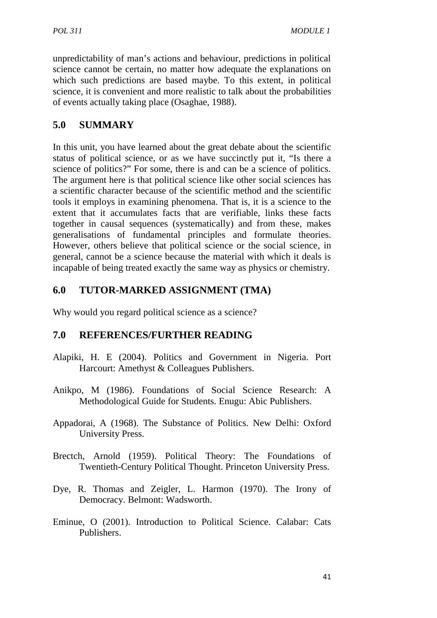unpredictability of man's actions and behaviour, predictions in political science cannot be certain, no matter how adequate the explanations on which such predictions are based maybe. To this extent, in political science, it is convenient and more realistic to talk about the probabilities of events actually taking place (Osaghae, 1988).

## **5.0 SUMMARY**

In this unit, you have learned about the great debate about the scientific status of political science, or as we have succinctly put it, "Is there a science of politics?" For some, there is and can be a science of politics. The argument here is that political science like other social sciences has a scientific character because of the scientific method and the scientific tools it employs in examining phenomena. That is, it is a science to the extent that it accumulates facts that are verifiable, links these facts together in causal sequences (systematically) and from these, makes generalisations of fundamental principles and formulate theories. However, others believe that political science or the social science, in general, cannot be a science because the material with which it deals is incapable of being treated exactly the same way as physics or chemistry.

## **6.0 TUTOR-MARKED ASSIGNMENT (TMA)**

Why would you regard political science as a science?

## **7.0 REFERENCES/FURTHER READING**

- Alapiki, H. E (2004). Politics and Government in Nigeria. Port Harcourt: Amethyst & Colleagues Publishers.
- Anikpo, M (1986). Foundations of Social Science Research: A Methodological Guide for Students. Enugu: Abic Publishers.
- Appadorai, A (1968). The Substance of Politics. New Delhi: Oxford University Press.
- Brectch, Arnold (1959). Political Theory: The Foundations of Twentieth-Century Political Thought. Princeton University Press.
- Dye, R. Thomas and Zeigler, L. Harmon (1970). The Irony of Democracy. Belmont: Wadsworth.
- Eminue, O (2001). Introduction to Political Science. Calabar: Cats Publishers.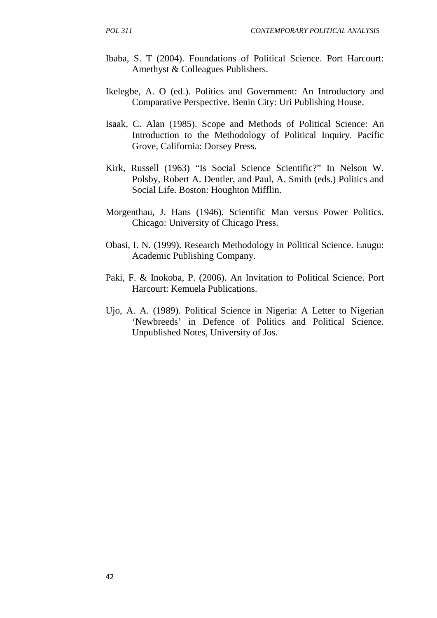- Ibaba, S. T (2004). Foundations of Political Science. Port Harcourt: Amethyst & Colleagues Publishers.
- Ikelegbe, A. O (ed.). Politics and Government: An Introductory and Comparative Perspective. Benin City: Uri Publishing House.
- Isaak, C. Alan (1985). Scope and Methods of Political Science: An Introduction to the Methodology of Political Inquiry. Pacific Grove, California: Dorsey Press.
- Kirk, Russell (1963) "Is Social Science Scientific?" In Nelson W. Polsby, Robert A. Dentler, and Paul, A. Smith (eds.) Politics and Social Life. Boston: Houghton Mifflin.
- Morgenthau, J. Hans (1946). Scientific Man versus Power Politics. Chicago: University of Chicago Press.
- Obasi, I. N. (1999). Research Methodology in Political Science. Enugu: Academic Publishing Company.
- Paki, F. & Inokoba, P. (2006). An Invitation to Political Science. Port Harcourt: Kemuela Publications.
- Ujo, A. A. (1989). Political Science in Nigeria: A Letter to Nigerian 'Newbreeds' in Defence of Politics and Political Science. Unpublished Notes, University of Jos.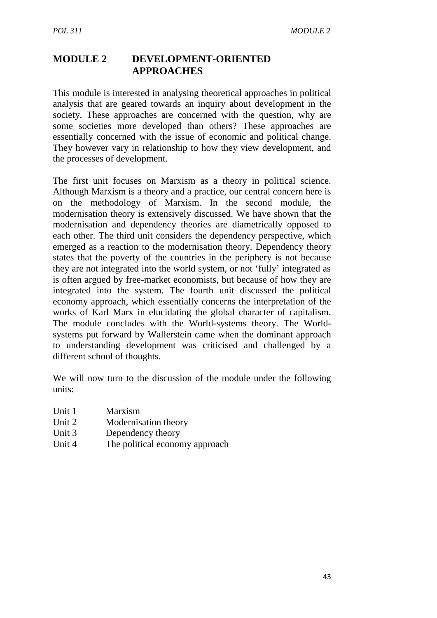## **MODULE 2 DEVELOPMENT-ORIENTED APPROACHES**

This module is interested in analysing theoretical approaches in political analysis that are geared towards an inquiry about development in the society. These approaches are concerned with the question, why are some societies more developed than others? These approaches are essentially concerned with the issue of economic and political change. They however vary in relationship to how they view development, and the processes of development.

The first unit focuses on Marxism as a theory in political science. Although Marxism is a theory and a practice, our central concern here is on the methodology of Marxism. In the second module, the modernisation theory is extensively discussed. We have shown that the modernisation and dependency theories are diametrically opposed to each other. The third unit considers the dependency perspective, which emerged as a reaction to the modernisation theory. Dependency theory states that the poverty of the countries in the periphery is not because they are not integrated into the world system, or not 'fully' integrated as is often argued by free-market economists, but because of how they are integrated into the system. The fourth unit discussed the political economy approach, which essentially concerns the interpretation of the works of Karl Marx in elucidating the global character of capitalism. The module concludes with the World-systems theory. The World systems put forward by Wallerstein came when the dominant approach to understanding development was criticised and challenged by a different school of thoughts.

We will now turn to the discussion of the module under the following units:

- Unit 1 Marxism
- Unit 2 Modernisation theory
- Unit 3 Dependency theory
- Unit 4 The political economy approach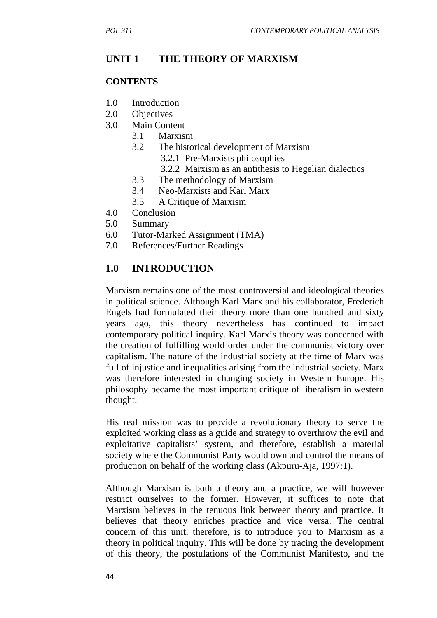## **UNIT 1 THE THEORY OF MARXISM**

#### **CONTENTS**

- 1.0 Introduction
- 2.0 Objectives
- 3.0 Main Content
	- 3.1 Marxism
	- 3.2 The historical development of Marxism
		- 3.2.1 Pre-Marxists philosophies
		- 3.2.2 Marxism as an antithesis to Hegelian dialectics
	- 3.3 The methodology of Marxism
	- 3.4 Neo-Marxists and Karl Marx
	- 3.5 A Critique of Marxism
- 4.0 Conclusion
- 5.0 Summary
- 6.0 Tutor-Marked Assignment (TMA)
- 7.0 References/Further Readings

## **1.0 INTRODUCTION**

Marxism remains one of the most controversial and ideological theories in political science. Although Karl Marx and his collaborator, Frederich Engels had formulated their theory more than one hundred and sixty years ago, this theory nevertheless has continued to impact contemporary political inquiry. Karl Marx's theory was concerned with the creation of fulfilling world order under the communist victory over capitalism. The nature of the industrial society at the time of Marx was full of injustice and inequalities arising from the industrial society. Marx was therefore interested in changing society in Western Europe. His philosophy became the most important critique of liberalism in western thought.

His real mission was to provide a revolutionary theory to serve the exploited working class as a guide and strategy to overthrow the evil and exploitative capitalists' system, and therefore, establish a material society where the Communist Party would own and control the means of production on behalf of the working class (Akpuru-Aja, 1997:1).

Although Marxism is both a theory and a practice, we will however restrict ourselves to the former. However, it suffices to note that Marxism believes in the tenuous link between theory and practice. It believes that theory enriches practice and vice versa. The central concern of this unit, therefore, is to introduce you to Marxism as a theory in political inquiry. This will be done by tracing the development of this theory, the postulations of the Communist Manifesto, and the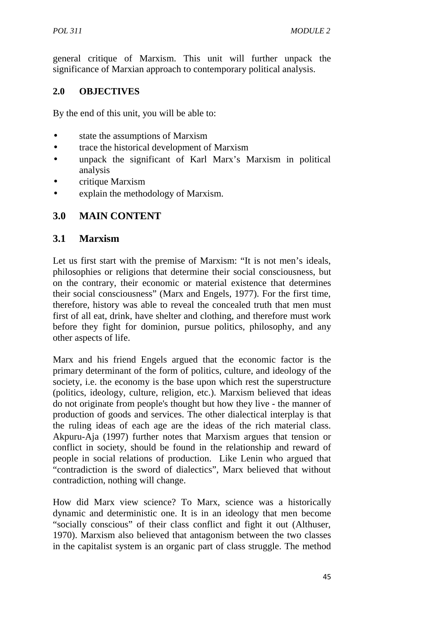general critique of Marxism. This unit will further unpack the significance of Marxian approach to contemporary political analysis.

#### **2.0 OBJECTIVES**

By the end of this unit, you will be able to:

- state the assumptions of Marxism
- trace the historical development of Marxism
- unpack the significant of Karl Marx's Marxism in political analysis
- critique Marxism
- explain the methodology of Marxism.

## **3.0 MAIN CONTENT**

### **3.1 Marxism**

Let us first start with the premise of Marxism: "It is not men's ideals, philosophies or religions that determine their social consciousness, but on the contrary, their economic or material existence that determines their social consciousness" (Marx and Engels, 1977). For the first time, therefore, history was able to reveal the concealed truth that men must first of all eat, drink, have shelter and clothing, and therefore must work before they fight for dominion, pursue politics, philosophy, and any other aspects of life.

Marx and his friend Engels argued that the economic factor is the primary determinant of the form of politics, culture, and ideology of the society, i.e. the economy is the base upon which rest the superstructure (politics, ideology, culture, religion, etc.). Marxism believed that ideas do not originate from people's thought but how they live - the manner of production of goods and services. The other dialectical interplay is that the ruling ideas of each age are the ideas of the rich material class. Akpuru-Aja (1997) further notes that Marxism argues that tension or conflict in society, should be found in the relationship and reward of people in social relations of production. Like Lenin who argued that "contradiction is the sword of dialectics", Marx believed that without contradiction, nothing will change.

How did Marx view science? To Marx, science was a historically dynamic and deterministic one. It is in an ideology that men become "socially conscious" of their class conflict and fight it out (Althuser, 1970). Marxism also believed that antagonism between the two classes in the capitalist system is an organic part of class struggle. The method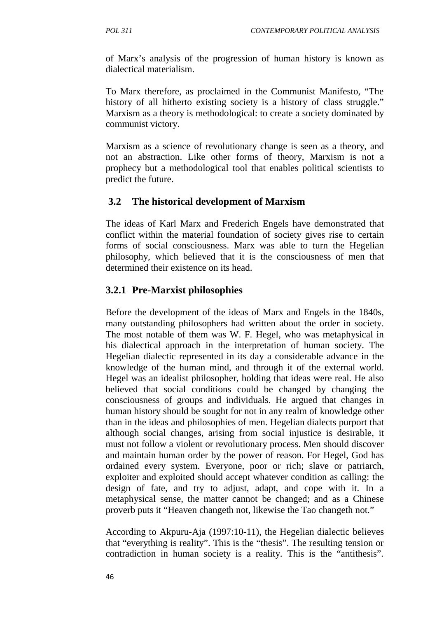of Marx's analysis of the progression of human history is known as dialectical materialism.

To Marx therefore, as proclaimed in the Communist Manifesto, "The history of all hitherto existing society is a history of class struggle." Marxism as a theory is methodological: to create a society dominated by communist victory.

Marxism as a science of revolutionary change is seen as a theory, and not an abstraction. Like other forms of theory, Marxism is not a prophecy but a methodological tool that enables political scientists to predict the future.

## **3.2 The historical development of Marxism**

The ideas of Karl Marx and Frederich Engels have demonstrated that conflict within the material foundation of society gives rise to certain forms of social consciousness. Marx was able to turn the Hegelian philosophy, which believed that it is the consciousness of men that determined their existence on its head.

# **3.2.1 Pre-Marxist philosophies**

Before the development of the ideas of Marx and Engels in the 1840s, many outstanding philosophers had written about the order in society. The most notable of them was W. F. Hegel, who was metaphysical in his dialectical approach in the interpretation of human society. The Hegelian dialectic represented in its day a considerable advance in the knowledge of the human mind, and through it of the external world. Hegel was an idealist philosopher, holding that ideas were real. He also believed that social conditions could be changed by changing the consciousness of groups and individuals. He argued that changes in human history should be sought for not in any realm of knowledge other than in the ideas and philosophies of men. Hegelian dialects purport that although social changes, arising from social injustice is desirable, it must not follow a violent or revolutionary process. Men should discover and maintain human order by the power of reason. For Hegel, God has ordained every system. Everyone, poor or rich; slave or patriarch, exploiter and exploited should accept whatever condition as calling: the design of fate, and try to adjust, adapt, and cope with it. In a metaphysical sense, the matter cannot be changed; and as a Chinese proverb puts it "Heaven changeth not, likewise the Tao changeth not."

According to Akpuru-Aja (1997:10-11), the Hegelian dialectic believes that "everything is reality". This is the "thesis". The resulting tension or contradiction in human society is a reality. This is the "antithesis".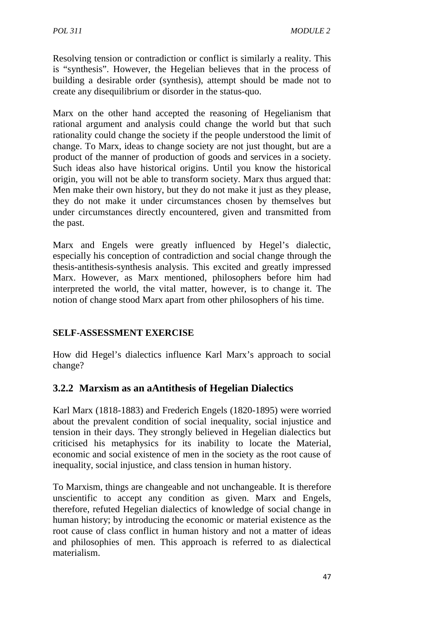Resolving tension or contradiction or conflict is similarly a reality. This is "synthesis". However, the Hegelian believes that in the process of building a desirable order (synthesis), attempt should be made not to create any disequilibrium or disorder in the status-quo.

Marx on the other hand accepted the reasoning of Hegelianism that rational argument and analysis could change the world but that such rationality could change the society if the people understood the limit of change. To Marx, ideas to change society are not just thought, but are a product of the manner of production of goods and services in a society. Such ideas also have historical origins. Until you know the historical origin, you will not be able to transform society. Marx thus argued that: Men make their own history, but they do not make it just as they please, they do not make it under circumstances chosen by themselves but under circumstances directly encountered, given and transmitted from the past.

Marx and Engels were greatly influenced by Hegel's dialectic, especially his conception of contradiction and social change through the thesis-antithesis-synthesis analysis. This excited and greatly impressed Marx. However, as Marx mentioned, philosophers before him had interpreted the world, the vital matter, however, is to change it. The notion of change stood Marx apart from other philosophers of his time.

## **SELF-ASSESSMENT EXERCISE**

How did Hegel's dialectics influence Karl Marx's approach to social change?

## **3.2.2 Marxism as an aAntithesis of Hegelian Dialectics**

Karl Marx (1818-1883) and Frederich Engels (1820-1895) were worried about the prevalent condition of social inequality, social injustice and tension in their days. They strongly believed in Hegelian dialectics but criticised his metaphysics for its inability to locate the Material, economic and social existence of men in the society as the root cause of inequality, social injustice, and class tension in human history.

To Marxism, things are changeable and not unchangeable. It is therefore unscientific to accept any condition as given. Marx and Engels, therefore, refuted Hegelian dialectics of knowledge of social change in human history; by introducing the economic or material existence as the root cause of class conflict in human history and not a matter of ideas and philosophies of men. This approach is referred to as dialectical materialism.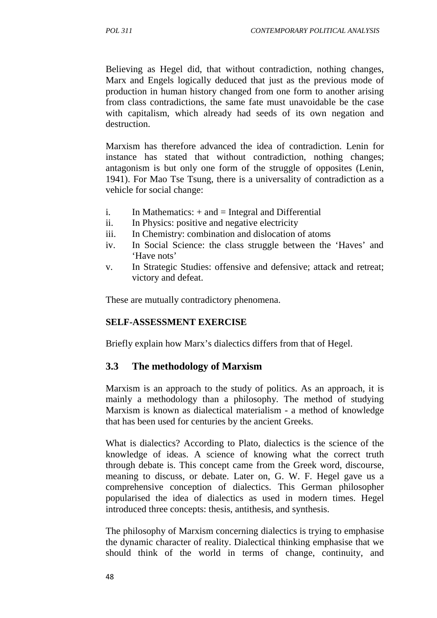Believing as Hegel did, that without contradiction, nothing changes, Marx and Engels logically deduced that just as the previous mode of production in human history changed from one form to another arising from class contradictions, the same fate must unavoidable be the case with capitalism, which already had seeds of its own negation and destruction.

Marxism has therefore advanced the idea of contradiction. Lenin for instance has stated that without contradiction, nothing changes; antagonism is but only one form of the struggle of opposites (Lenin, 1941). For Mao Tse Tsung, there is a universality of contradiction as a vehicle for social change:

- i. In Mathematics:  $+$  and  $=$  Integral and Differential
- ii. In Physics: positive and negative electricity
- iii. In Chemistry: combination and dislocation of atoms
- iv. In Social Science: the class struggle between the 'Haves' and 'Have nots'
- v. In Strategic Studies: offensive and defensive; attack and retreat; victory and defeat.

These are mutually contradictory phenomena.

## **SELF-ASSESSMENT EXERCISE**

Briefly explain how Marx's dialectics differs from that of Hegel.

## **3.3 The methodology of Marxism**

Marxism is an approach to the study of politics. As an approach, it is mainly a methodology than a philosophy. The method of studying Marxism is known as dialectical materialism - a method of knowledge that has been used for centuries by the ancient Greeks.

What is dialectics? According to Plato, dialectics is the science of the knowledge of ideas. A science of knowing what the correct truth through debate is. This concept came from the Greek word, discourse, meaning to discuss, or debate. Later on, G. W. F. Hegel gave us a comprehensive conception of dialectics. This German philosopher popularised the idea of dialectics as used in modern times. Hegel introduced three concepts: thesis, antithesis, and synthesis.

The philosophy of Marxism concerning dialectics is trying to emphasise the dynamic character of reality. Dialectical thinking emphasise that we should think of the world in terms of change, continuity, and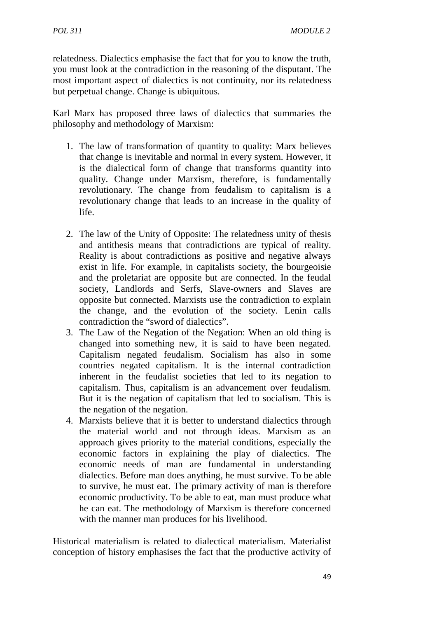relatedness. Dialectics emphasise the fact that for you to know the truth, you must look at the contradiction in the reasoning of the disputant. The most important aspect of dialectics is not continuity, nor its relatedness but perpetual change. Change is ubiquitous.

Karl Marx has proposed three laws of dialectics that summaries the philosophy and methodology of Marxism:

- 1. The law of transformation of quantity to quality: Marx believes that change is inevitable and normal in every system. However, it is the dialectical form of change that transforms quantity into quality. Change under Marxism, therefore, is fundamentally revolutionary. The change from feudalism to capitalism is a revolutionary change that leads to an increase in the quality of life.
- 2. The law of the Unity of Opposite: The relatedness unity of thesis and antithesis means that contradictions are typical of reality. Reality is about contradictions as positive and negative always exist in life. For example, in capitalists society, the bourgeoisie and the proletariat are opposite but are connected. In the feudal society, Landlords and Serfs, Slave-owners and Slaves are opposite but connected. Marxists use the contradiction to explain the change, and the evolution of the society. Lenin calls contradiction the "sword of dialectics".
- 3. The Law of the Negation of the Negation: When an old thing is changed into something new, it is said to have been negated. Capitalism negated feudalism. Socialism has also in some countries negated capitalism. It is the internal contradiction inherent in the feudalist societies that led to its negation to capitalism. Thus, capitalism is an advancement over feudalism. But it is the negation of capitalism that led to socialism. This is the negation of the negation.
- 4. Marxists believe that it is better to understand dialectics through the material world and not through ideas. Marxism as an approach gives priority to the material conditions, especially the economic factors in explaining the play of dialectics. The economic needs of man are fundamental in understanding dialectics. Before man does anything, he must survive. To be able to survive, he must eat. The primary activity of man is therefore economic productivity. To be able to eat, man must produce what he can eat. The methodology of Marxism is therefore concerned with the manner man produces for his livelihood.

Historical materialism is related to dialectical materialism. Materialist conception of history emphasises the fact that the productive activity of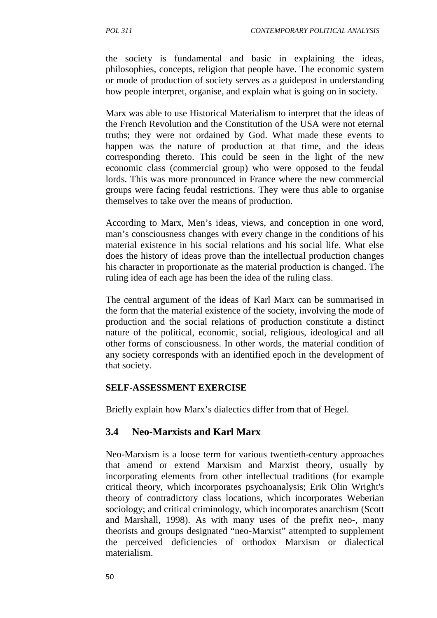the society is fundamental and basic in explaining the ideas, philosophies, concepts, religion that people have. The economic system or mode of production of society serves as a guidepost in understanding how people interpret, organise, and explain what is going on in society.

Marx was able to use Historical Materialism to interpret that the ideas of the French Revolution and the Constitution of the USA were not eternal truths; they were not ordained by God. What made these events to happen was the nature of production at that time, and the ideas corresponding thereto. This could be seen in the light of the new economic class (commercial group) who were opposed to the feudal lords. This was more pronounced in France where the new commercial groups were facing feudal restrictions. They were thus able to organise themselves to take over the means of production.

According to Marx, Men's ideas, views, and conception in one word, man's consciousness changes with every change in the conditions of his material existence in his social relations and his social life. What else does the history of ideas prove than the intellectual production changes his character in proportionate as the material production is changed. The ruling idea of each age has been the idea of the ruling class.

The central argument of the ideas of Karl Marx can be summarised in the form that the material existence of the society, involving the mode of production and the social relations of production constitute a distinct nature of the political, economic, social, religious, ideological and all other forms of consciousness. In other words, the material condition of any society corresponds with an identified epoch in the development of that society.

## **SELF-ASSESSMENT EXERCISE**

Briefly explain how Marx's dialectics differ from that of Hegel.

## **3.4 Neo-Marxists and Karl Marx**

Neo-Marxism is a loose term for various twentieth-century approaches that amend or extend Marxism and Marxist theory, usually by incorporating elements from other intellectual traditions (for example critical theory, which incorporates psychoanalysis; Erik Olin Wright's theory of contradictory class locations, which incorporates Weberian sociology; and critical criminology, which incorporates anarchism (Scott and Marshall, 1998). As with many uses of the prefix neo-, many theorists and groups designated "neo-Marxist" attempted to supplement the perceived deficiencies of orthodox Marxism or dialectical materialism.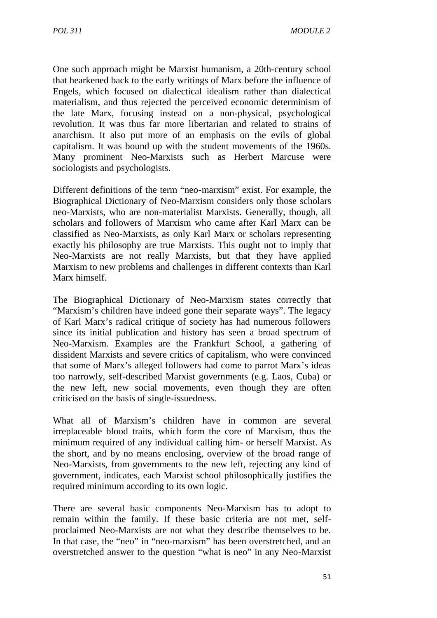One such approach might be Marxist humanism, a 20th-century school that hearkened back to the early writings of Marx before the influence of Engels, which focused on dialectical idealism rather than dialectical materialism, and thus rejected the perceived economic determinism of the late Marx, focusing instead on a non-physical, psychological revolution. It was thus far more libertarian and related to strains of anarchism. It also put more of an emphasis on the evils of global capitalism. It was bound up with the student movements of the 1960s. Many prominent Neo-Marxists such as Herbert Marcuse were sociologists and psychologists.

Different definitions of the term "neo-marxism" exist. For example, the Biographical Dictionary of Neo-Marxism considers only those scholars neo-Marxists, who are non-materialist Marxists. Generally, though, all scholars and followers of Marxism who came after Karl Marx can be classified as Neo-Marxists, as only Karl Marx or scholars representing exactly his philosophy are true Marxists. This ought not to imply that Neo-Marxists are not really Marxists, but that they have applied Marxism to new problems and challenges in different contexts than Karl Marx himself.

The Biographical Dictionary of Neo-Marxism states correctly that "Marxism's children have indeed gone their separate ways". The legacy of Karl Marx's radical critique of society has had numerous followers since its initial publication and history has seen a broad spectrum of Neo-Marxism. Examples are the Frankfurt School, a gathering of dissident Marxists and severe critics of capitalism, who were convinced that some of Marx's alleged followers had come to parrot Marx's ideas too narrowly, self-described Marxist governments (e.g. Laos, Cuba) or the new left, new social movements, even though they are often criticised on the basis of single-issuedness.

What all of Marxism's children have in common are several irreplaceable blood traits, which form the core of Marxism, thus the minimum required of any individual calling him- or herself Marxist. As the short, and by no means enclosing, overview of the broad range of Neo-Marxists, from governments to the new left, rejecting any kind of government, indicates, each Marxist school philosophically justifies the required minimum according to its own logic.

There are several basic components Neo-Marxism has to adopt to remain within the family. If these basic criteria are not met, self proclaimed Neo-Marxists are not what they describe themselves to be. In that case, the "neo" in "neo-marxism" has been overstretched, and an overstretched answer to the question "what is neo" in any Neo-Marxist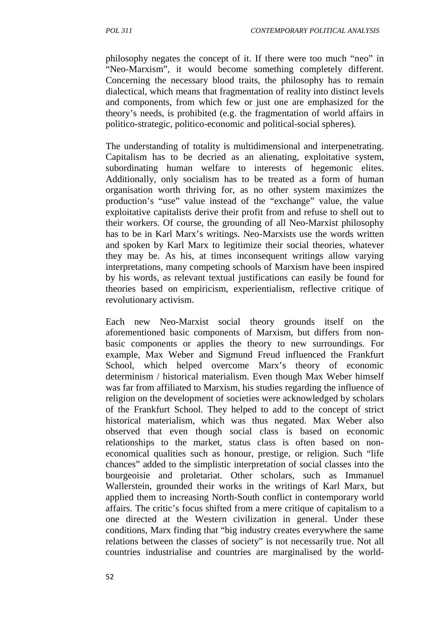philosophy negates the concept of it. If there were too much "neo" in "Neo-Marxism", it would become something completely different. Concerning the necessary blood traits, the philosophy has to remain dialectical, which means that fragmentation of reality into distinct levels and components, from which few or just one are emphasized for the theory's needs, is prohibited (e.g. the fragmentation of world affairs in politico-strategic, politico-economic and political-social spheres).

The understanding of totality is multidimensional and interpenetrating. Capitalism has to be decried as an alienating, exploitative system, subordinating human welfare to interests of hegemonic elites. Additionally, only socialism has to be treated as a form of human organisation worth thriving for, as no other system maximizes the production's "use" value instead of the "exchange" value, the value exploitative capitalists derive their profit from and refuse to shell out to their workers. Of course, the grounding of all Neo-Marxist philosophy has to be in Karl Marx's writings. Neo-Marxists use the words written and spoken by Karl Marx to legitimize their social theories, whatever they may be. As his, at times inconsequent writings allow varying interpretations, many competing schools of Marxism have been inspired by his words, as relevant textual justifications can easily be found for theories based on empiricism, experientialism, reflective critique of revolutionary activism.

Each new Neo-Marxist social theory grounds itself on the aforementioned basic components of Marxism, but differs from non basic components or applies the theory to new surroundings. For example, Max Weber and Sigmund Freud influenced the Frankfurt School, which helped overcome Marx's theory of economic determinism / historical materialism. Even though Max Weber himself was far from affiliated to Marxism, his studies regarding the influence of religion on the development of societies were acknowledged by scholars of the Frankfurt School. They helped to add to the concept of strict historical materialism, which was thus negated. Max Weber also observed that even though social class is based on economic relationships to the market, status class is often based on non economical qualities such as honour, prestige, or religion. Such "life chances" added to the simplistic interpretation of social classes into the bourgeoisie and proletariat. Other scholars, such as Immanuel Wallerstein, grounded their works in the writings of Karl Marx, but applied them to increasing North-South conflict in contemporary world affairs. The critic's focus shifted from a mere critique of capitalism to a one directed at the Western civilization in general. Under these conditions, Marx finding that "big industry creates everywhere the same relations between the classes of society" is not necessarily true. Not all countries industrialise and countries are marginalised by the world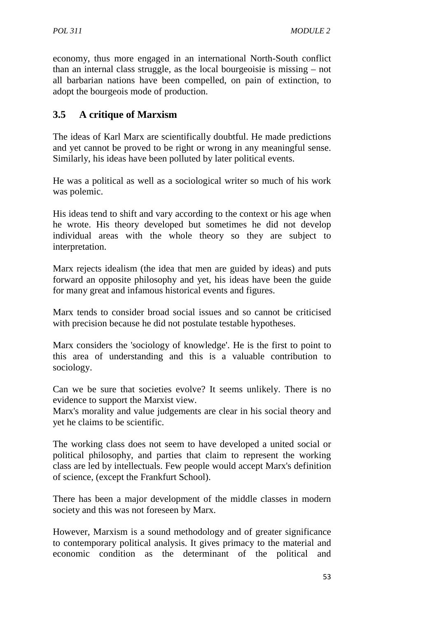economy, thus more engaged in an international North-South conflict than an internal class struggle, as the local bourgeoisie is missing – not all barbarian nations have been compelled, on pain of extinction, to adopt the bourgeois mode of production.

## **3.5 A critique of Marxism**

The ideas of Karl Marx are scientifically doubtful. He made predictions and yet cannot be proved to be right or wrong in any meaningful sense. Similarly, his ideas have been polluted by later political events.

He was a political as well as a sociological writer so much of his work was polemic.

His ideas tend to shift and vary according to the context or his age when he wrote. His theory developed but sometimes he did not develop individual areas with the whole theory so they are subject to interpretation.

Marx rejects idealism (the idea that men are guided by ideas) and puts forward an opposite philosophy and yet, his ideas have been the guide for many great and infamous historical events and figures.

Marx tends to consider broad social issues and so cannot be criticised with precision because he did not postulate testable hypotheses.

Marx considers the 'sociology of knowledge'. He is the first to point to this area of understanding and this is a valuable contribution to sociology.

Can we be sure that societies evolve? It seems unlikely. There is no evidence to support the Marxist view.

Marx's morality and value judgements are clear in his social theory and yet he claims to be scientific.

The working class does not seem to have developed a united social or political philosophy, and parties that claim to represent the working class are led by intellectuals. Few people would accept Marx's definition of science, (except the Frankfurt School).

There has been a major development of the middle classes in modern society and this was not foreseen by Marx.

However, Marxism is a sound methodology and of greater significance to contemporary political analysis. It gives primacy to the material and economic condition as the determinant of the political and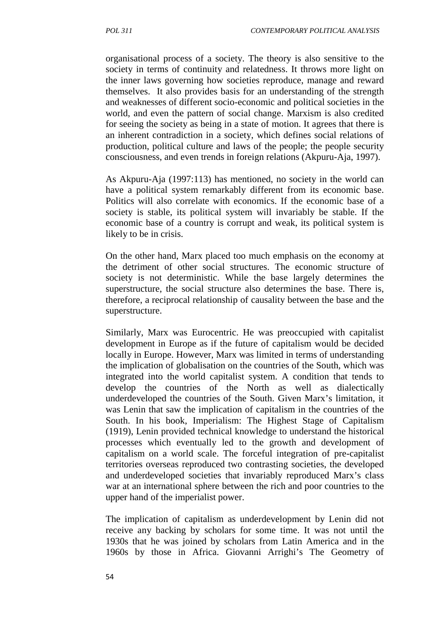organisational process of a society. The theory is also sensitive to the society in terms of continuity and relatedness. It throws more light on the inner laws governing how societies reproduce, manage and reward themselves. It also provides basis for an understanding of the strength and weaknesses of different socio-economic and political societies in the world, and even the pattern of social change. Marxism is also credited for seeing the society as being in a state of motion. It agrees that there is an inherent contradiction in a society, which defines social relations of production, political culture and laws of the people; the people security consciousness, and even trends in foreign relations (Akpuru-Aja, 1997).

As Akpuru-Aja (1997:113) has mentioned, no society in the world can have a political system remarkably different from its economic base. Politics will also correlate with economics. If the economic base of a society is stable, its political system will invariably be stable. If the economic base of a country is corrupt and weak, its political system is likely to be in crisis.

On the other hand, Marx placed too much emphasis on the economy at the detriment of other social structures. The economic structure of society is not deterministic. While the base largely determines the superstructure, the social structure also determines the base. There is, therefore, a reciprocal relationship of causality between the base and the superstructure.

Similarly, Marx was Eurocentric. He was preoccupied with capitalist development in Europe as if the future of capitalism would be decided locally in Europe. However, Marx was limited in terms of understanding the implication of globalisation on the countries of the South, which was integrated into the world capitalist system. A condition that tends to develop the countries of the North as well as dialectically underdeveloped the countries of the South. Given Marx's limitation, it was Lenin that saw the implication of capitalism in the countries of the South. In his book, Imperialism: The Highest Stage of Capitalism (1919), Lenin provided technical knowledge to understand the historical processes which eventually led to the growth and development of capitalism on a world scale. The forceful integration of pre-capitalist territories overseas reproduced two contrasting societies, the developed and underdeveloped societies that invariably reproduced Marx's class war at an international sphere between the rich and poor countries to the upper hand of the imperialist power.

The implication of capitalism as underdevelopment by Lenin did not receive any backing by scholars for some time. It was not until the 1930s that he was joined by scholars from Latin America and in the 1960s by those in Africa. Giovanni Arrighi's The Geometry of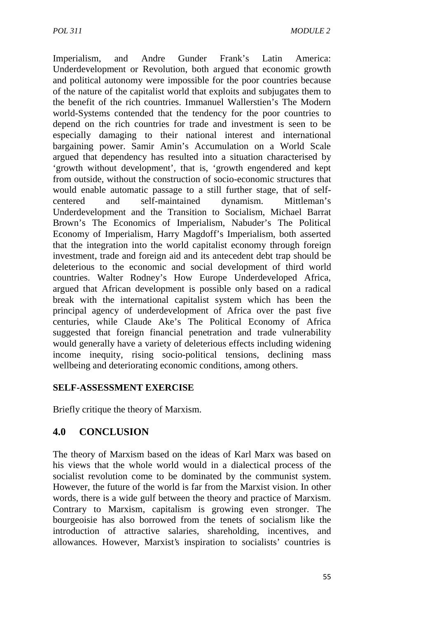Imperialism, and Andre Gunder Frank's Latin America: Underdevelopment or Revolution, both argued that economic growth and political autonomy were impossible for the poor countries because of the nature of the capitalist world that exploits and subjugates them to the benefit of the rich countries. Immanuel Wallerstien's The Modern world-Systems contended that the tendency for the poor countries to depend on the rich countries for trade and investment is seen to be especially damaging to their national interest and international bargaining power. Samir Amin's Accumulation on a World Scale argued that dependency has resulted into a situation characterised by 'growth without development', that is, 'growth engendered and kept from outside, without the construction of socio-economic structures that would enable automatic passage to a still further stage, that of self centered and self-maintained dynamism. Mittleman's Underdevelopment and the Transition to Socialism, Michael Barrat Brown's The Economics of Imperialism, Nabuder's The Political Economy of Imperialism, Harry Magdoff's Imperialism, both asserted that the integration into the world capitalist economy through foreign investment, trade and foreign aid and its antecedent debt trap should be deleterious to the economic and social development of third world countries. Walter Rodney's How Europe Underdeveloped Africa, argued that African development is possible only based on a radical break with the international capitalist system which has been the principal agency of underdevelopment of Africa over the past five centuries, while Claude Ake's The Political Economy of Africa suggested that foreign financial penetration and trade vulnerability would generally have a variety of deleterious effects including widening income inequity, rising socio-political tensions, declining mass wellbeing and deteriorating economic conditions, among others.

## **SELF-ASSESSMENT EXERCISE**

Briefly critique the theory of Marxism.

## **4.0 CONCLUSION**

The theory of Marxism based on the ideas of Karl Marx was based on his views that the whole world would in a dialectical process of the socialist revolution come to be dominated by the communist system. However, the future of the world is far from the Marxist vision. In other words, there is a wide gulf between the theory and practice of Marxism. Contrary to Marxism, capitalism is growing even stronger. The bourgeoisie has also borrowed from the tenets of socialism like the introduction of attractive salaries, shareholding, incentives, and allowances. However, Marxist's inspiration to socialists' countries is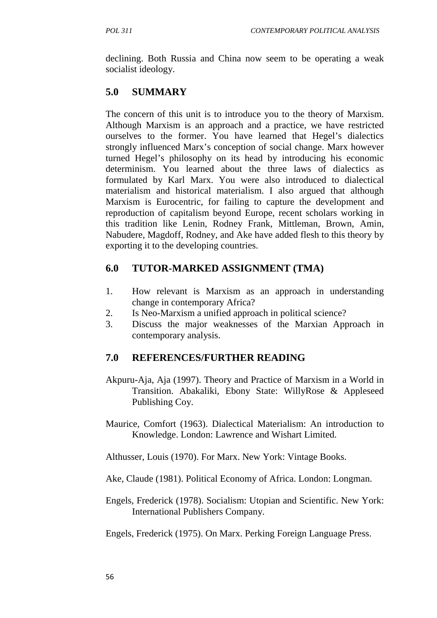declining. Both Russia and China now seem to be operating a weak socialist ideology.

# **5.0 SUMMARY**

The concern of this unit is to introduce you to the theory of Marxism. Although Marxism is an approach and a practice, we have restricted ourselves to the former. You have learned that Hegel's dialectics strongly influenced Marx's conception of social change. Marx however turned Hegel's philosophy on its head by introducing his economic determinism. You learned about the three laws of dialectics as formulated by Karl Marx. You were also introduced to dialectical materialism and historical materialism. I also argued that although Marxism is Eurocentric, for failing to capture the development and reproduction of capitalism beyond Europe, recent scholars working in this tradition like Lenin, Rodney Frank, Mittleman, Brown, Amin, Nabudere, Magdoff, Rodney, and Ake have added flesh to this theory by exporting it to the developing countries.

# **6.0 TUTOR-MARKED ASSIGNMENT (TMA)**

- 1. How relevant is Marxism as an approach in understanding change in contemporary Africa?
- 2. Is Neo-Marxism a unified approach in political science?
- 3. Discuss the major weaknesses of the Marxian Approach in contemporary analysis.

## **7.0 REFERENCES/FURTHER READING**

- Akpuru-Aja, Aja (1997). Theory and Practice of Marxism in a World in Transition. Abakaliki, Ebony State: WillyRose & Appleseed Publishing Coy.
- Maurice, Comfort (1963). Dialectical Materialism: An introduction to Knowledge. London: Lawrence and Wishart Limited.

Althusser, Louis (1970). For Marx. New York: Vintage Books.

Ake, Claude (1981). Political Economy of Africa. London: Longman.

Engels, Frederick (1978). Socialism: Utopian and Scientific. New York: International Publishers Company.

Engels, Frederick (1975). On Marx. Perking Foreign Language Press.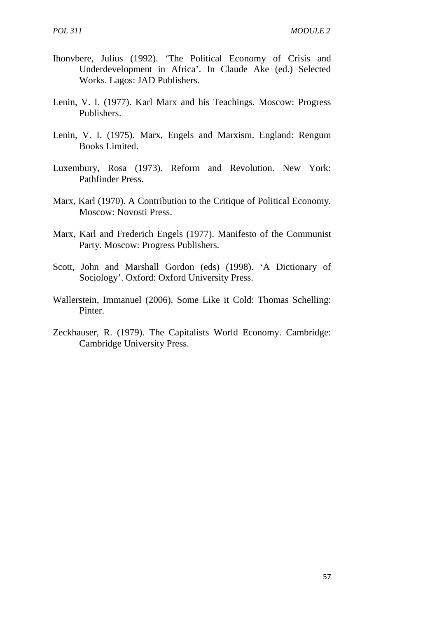- Ihonvbere, Julius (1992). 'The Political Economy of Crisis and Underdevelopment in Africa'. In Claude Ake (ed.) Selected Works. Lagos: JAD Publishers.
- Lenin, V. I. (1977). Karl Marx and his Teachings. Moscow: Progress Publishers.
- Lenin, V. I. (1975). Marx, Engels and Marxism. England: Rengum Books Limited.
- Luxembury, Rosa (1973). Reform and Revolution. New York: Pathfinder Press.
- Marx, Karl (1970). A Contribution to the Critique of Political Economy. Moscow: Novosti Press.
- Marx, Karl and Frederich Engels (1977). Manifesto of the Communist Party. Moscow: Progress Publishers.
- Scott, John and Marshall Gordon (eds) (1998). 'A Dictionary of Sociology'. Oxford: Oxford University Press.
- Wallerstein, Immanuel (2006). Some Like it Cold: Thomas Schelling: Pinter.
- Zeckhauser, R. (1979). The Capitalists World Economy. Cambridge: Cambridge University Press.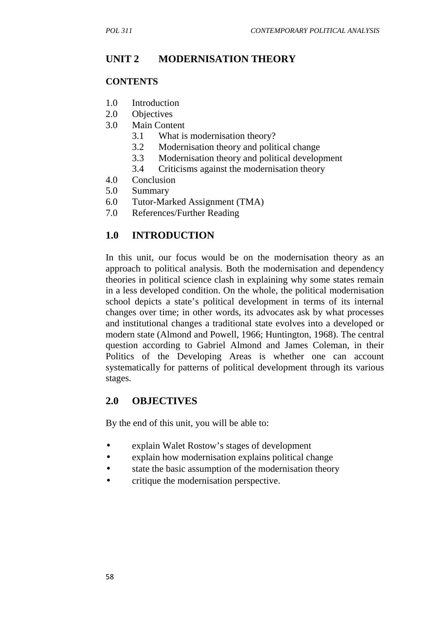## **UNIT 2 MODERNISATION THEORY**

#### **CONTENTS**

- 1.0 Introduction
- 2.0 Objectives
- 3.0 Main Content
	- 3.1 What is modernisation theory?
	- 3.2 Modernisation theory and political change
	- 3.3 Modernisation theory and political development
	- 3.4 Criticisms against the modernisation theory
- 4.0 Conclusion
- 5.0 Summary
- 6.0 Tutor-Marked Assignment (TMA)
- 7.0 References/Further Reading

## **1.0 INTRODUCTION**

In this unit, our focus would be on the modernisation theory as an approach to political analysis. Both the modernisation and dependency theories in political science clash in explaining why some states remain in a less developed condition. On the whole, the political modernisation school depicts a state's political development in terms of its internal changes over time; in other words, its advocates ask by what processes and institutional changes a traditional state evolves into a developed or modern state (Almond and Powell, 1966; Huntington, 1968). The central question according to Gabriel Almond and James Coleman, in their Politics of the Developing Areas is whether one can account systematically for patterns of political development through its various stages.

## **2.0 OBJECTIVES**

By the end of this unit, you will be able to:

- explain Walet Rostow's stages of development
- explain how modernisation explains political change
- state the basic assumption of the modernisation theory
- critique the modernisation perspective.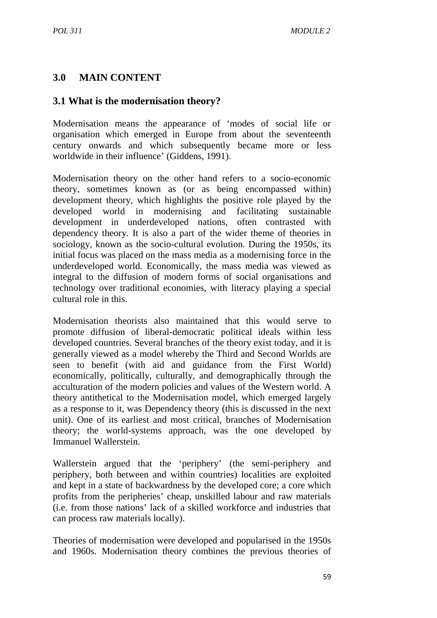## **3.0 MAIN CONTENT**

## **3.1 What is the modernisation theory?**

Modernisation means the appearance of 'modes of social life or organisation which emerged in Europe from about the seventeenth century onwards and which subsequently became more or less worldwide in their influence' (Giddens, 1991).

Modernisation theory on the other hand refers to a socio-economic theory, sometimes known as (or as being encompassed within) development theory, which highlights the positive role played by the developed world in modernising and facilitating sustainable development in underdeveloped nations, often contrasted with dependency theory. It is also a part of the wider theme of theories in sociology, known as the socio-cultural evolution. During the 1950s, its initial focus was placed on the mass media as a modernising force in the underdeveloped world. Economically, the mass media was viewed as integral to the diffusion of modern forms of social organisations and technology over traditional economies, with literacy playing a special cultural role in this.

Modernisation theorists also maintained that this would serve to promote diffusion of liberal-democratic political ideals within less developed countries. Several branches of the theory exist today, and it is generally viewed as a model whereby the Third and Second Worlds are seen to benefit (with aid and guidance from the First World) economically, politically, culturally, and demographically through the acculturation of the modern policies and values of the Western world. A theory antithetical to the Modernisation model, which emerged largely as a response to it, was Dependency theory (this is discussed in the next unit). One of its earliest and most critical, branches of Modernisation theory; the world-systems approach, was the one developed by Immanuel Wallerstein.

Wallerstein argued that the 'periphery' (the semi-periphery and periphery, both between and within countries) localities are exploited and kept in a state of backwardness by the developed core; a core which profits from the peripheries' cheap, unskilled labour and raw materials (i.e. from those nations' lack of a skilled workforce and industries that can process raw materials locally).

Theories of modernisation were developed and popularised in the 1950s and 1960s. Modernisation theory combines the previous theories of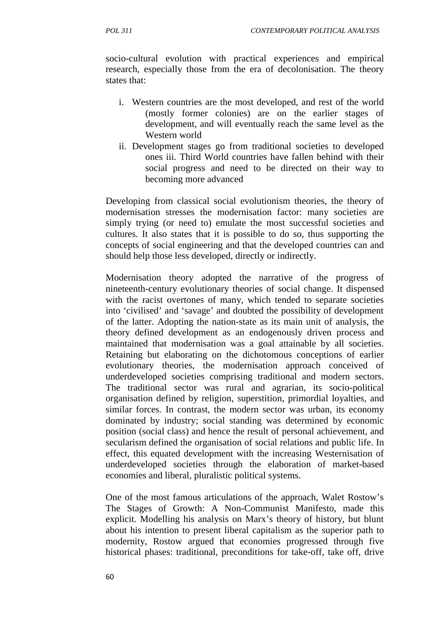socio-cultural evolution with practical experiences and empirical research, especially those from the era of decolonisation. The theory states that:

- i. Western countries are the most developed, and rest of the world (mostly former colonies) are on the earlier stages of development, and will eventually reach the same level as the Western world
- ii. Development stages go from traditional societies to developed ones iii. Third World countries have fallen behind with their social progress and need to be directed on their way to becoming more advanced

Developing from classical social evolutionism theories, the theory of modernisation stresses the modernisation factor: many societies are simply trying (or need to) emulate the most successful societies and cultures. It also states that it is possible to do so, thus supporting the concepts of social engineering and that the developed countries can and should help those less developed, directly or indirectly.

Modernisation theory adopted the narrative of the progress of nineteenth-century evolutionary theories of social change. It dispensed with the racist overtones of many, which tended to separate societies into 'civilised' and 'savage' and doubted the possibility of development of the latter. Adopting the nation-state as its main unit of analysis, the theory defined development as an endogenously driven process and maintained that modernisation was a goal attainable by all societies. Retaining but elaborating on the dichotomous conceptions of earlier evolutionary theories, the modernisation approach conceived of underdeveloped societies comprising traditional and modern sectors. The traditional sector was rural and agrarian, its socio-political organisation defined by religion, superstition, primordial loyalties, and similar forces. In contrast, the modern sector was urban, its economy dominated by industry; social standing was determined by economic position (social class) and hence the result of personal achievement, and secularism defined the organisation of social relations and public life. In effect, this equated development with the increasing Westernisation of underdeveloped societies through the elaboration of market-based economies and liberal, pluralistic political systems.

One of the most famous articulations of the approach, Walet Rostow's The Stages of Growth: A Non-Communist Manifesto, made this explicit. Modelling his analysis on Marx's theory of history, but blunt about his intention to present liberal capitalism as the superior path to modernity, Rostow argued that economies progressed through five historical phases: traditional, preconditions for take-off, take off, drive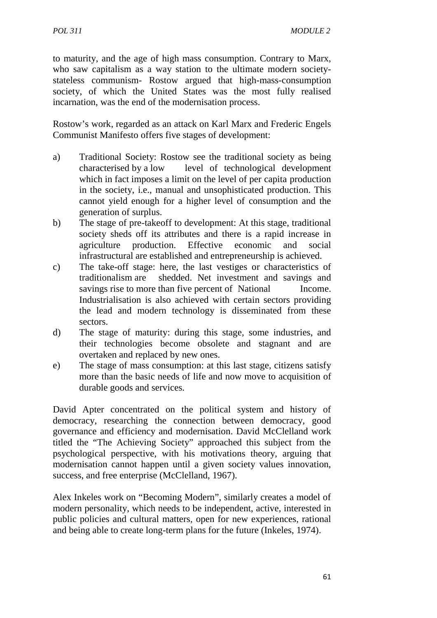to maturity, and the age of high mass consumption. Contrary to Marx, who saw capitalism as a way station to the ultimate modern society stateless communism- Rostow argued that high-mass-consumption society, of which the United States was the most fully realised incarnation, was the end of the modernisation process.

Rostow's work, regarded as an attack on Karl Marx and Frederic Engels Communist Manifesto offers five stages of development:

- a) Traditional Society: Rostow see the traditional society as being characterised by a low level of technological development which in fact imposes a limit on the level of per capita production in the society, i.e., manual and unsophisticated production. This cannot yield enough for a higher level of consumption and the generation of surplus.
- b) The stage of pre-takeoff to development: At this stage, traditional society sheds off its attributes and there is a rapid increase in agriculture production. Effective economic and social infrastructural are established and entrepreneurship is achieved.
- c) The take-off stage: here, the last vestiges or characteristics of traditionalism are shedded. Net investment and savings and savings rise to more than five percent of National Income. Industrialisation is also achieved with certain sectors providing the lead and modern technology is disseminated from these sectors.
- d) The stage of maturity: during this stage, some industries, and their technologies become obsolete and stagnant and are overtaken and replaced by new ones.
- e) The stage of mass consumption: at this last stage, citizens satisfy more than the basic needs of life and now move to acquisition of durable goods and services.

David Apter concentrated on the political system and history of democracy, researching the connection between democracy, good governance and efficiency and modernisation. David McClelland work titled the "The Achieving Society" approached this subject from the psychological perspective, with his motivations theory, arguing that modernisation cannot happen until a given society values innovation, success, and free enterprise (McClelland, 1967).

Alex Inkeles work on "Becoming Modern", similarly creates a model of modern personality, which needs to be independent, active, interested in public policies and cultural matters, open for new experiences, rational and being able to create long-term plans for the future (Inkeles, 1974).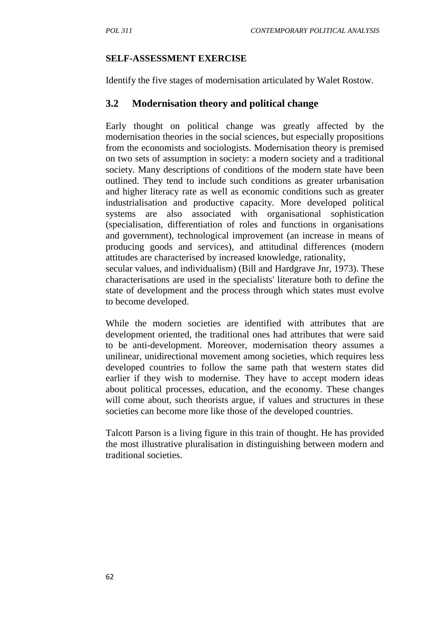### **SELF-ASSESSMENT EXERCISE**

Identify the five stages of modernisation articulated by Walet Rostow.

## **3.2 Modernisation theory and political change**

Early thought on political change was greatly affected by the modernisation theories in the social sciences, but especially propositions from the economists and sociologists. Modernisation theory is premised on two sets of assumption in society: a modern society and a traditional society. Many descriptions of conditions of the modern state have been outlined. They tend to include such conditions as greater urbanisation and higher literacy rate as well as economic conditions such as greater industrialisation and productive capacity. More developed political systems are also associated with organisational sophistication (specialisation, differentiation of roles and functions in organisations and government), technological improvement (an increase in means of producing goods and services), and attitudinal differences (modern attitudes are characterised by increased knowledge, rationality,

secular values, and individualism) (Bill and Hardgrave Jnr, 1973). These characterisations are used in the specialists' literature both to define the state of development and the process through which states must evolve to become developed.

While the modern societies are identified with attributes that are development oriented, the traditional ones had attributes that were said to be anti-development. Moreover, modernisation theory assumes a unilinear, unidirectional movement among societies, which requires less developed countries to follow the same path that western states did earlier if they wish to modernise. They have to accept modern ideas about political processes, education, and the economy. These changes will come about, such theorists argue, if values and structures in these societies can become more like those of the developed countries.

Talcott Parson is a living figure in this train of thought. He has provided the most illustrative pluralisation in distinguishing between modern and traditional societies.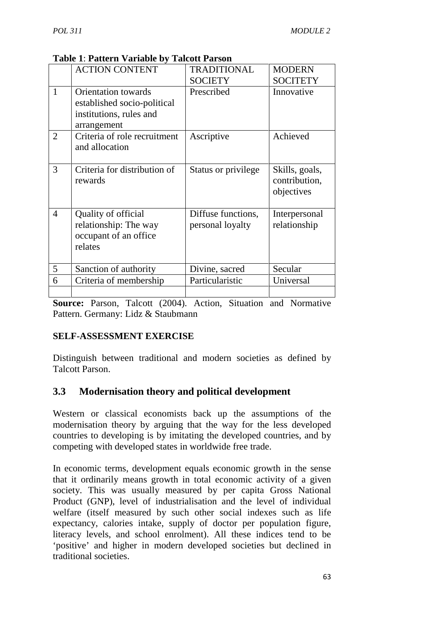|                | <b>ACTION CONTENT</b>                                                                               | <b>TRADITIONAL</b>                     | <b>MODERN</b>                                 |
|----------------|-----------------------------------------------------------------------------------------------------|----------------------------------------|-----------------------------------------------|
|                |                                                                                                     | <b>SOCIETY</b>                         | <b>SOCITETY</b>                               |
| $\mathbf{1}$   | <b>Orientation towards</b><br>established socio-political<br>institutions, rules and<br>arrangement | Prescribed                             | Innovative                                    |
| $\overline{2}$ | Criteria of role recruitment<br>and allocation                                                      | Ascriptive                             | Achieved                                      |
| 3              | Criteria for distribution of<br>rewards                                                             | Status or privilege                    | Skills, goals,<br>contribution,<br>objectives |
| $\overline{4}$ | Quality of official<br>relationship: The way<br>occupant of an office<br>relates                    | Diffuse functions,<br>personal loyalty | Interpersonal<br>relationship                 |
| 5              | Sanction of authority                                                                               | Divine, sacred                         | Secular                                       |
| 6              | Criteria of membership                                                                              | Particularistic                        | Universal                                     |
|                |                                                                                                     |                                        |                                               |

#### **Table 1**: **Pattern Variable by Talcott Parson**

**Source:** Parson, Talcott (2004). Action, Situation and Normative Pattern. Germany: Lidz & Staubmann

### **SELF-ASSESSMENT EXERCISE**

Distinguish between traditional and modern societies as defined by Talcott Parson.

# **3.3 Modernisation theory and political development**

Western or classical economists back up the assumptions of the modernisation theory by arguing that the way for the less developed countries to developing is by imitating the developed countries, and by competing with developed states in worldwide free trade.

In economic terms, development equals economic growth in the sense that it ordinarily means growth in total economic activity of a given society. This was usually measured by per capita Gross National Product (GNP), level of industrialisation and the level of individual welfare (itself measured by such other social indexes such as life expectancy, calories intake, supply of doctor per population figure, literacy levels, and school enrolment). All these indices tend to be 'positive' and higher in modern developed societies but declined in traditional societies.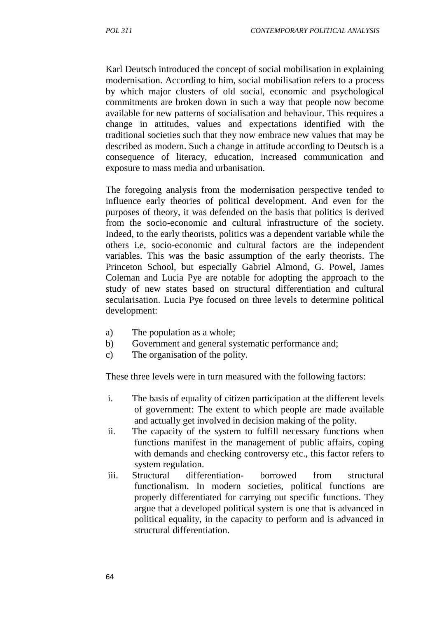Karl Deutsch introduced the concept of social mobilisation in explaining modernisation. According to him, social mobilisation refers to a process by which major clusters of old social, economic and psychological commitments are broken down in such a way that people now become available for new patterns of socialisation and behaviour. This requires a change in attitudes, values and expectations identified with the traditional societies such that they now embrace new values that may be described as modern. Such a change in attitude according to Deutsch is a consequence of literacy, education, increased communication and exposure to mass media and urbanisation.

The foregoing analysis from the modernisation perspective tended to influence early theories of political development. And even for the purposes of theory, it was defended on the basis that politics is derived from the socio-economic and cultural infrastructure of the society. Indeed, to the early theorists, politics was a dependent variable while the others i.e, socio-economic and cultural factors are the independent variables. This was the basic assumption of the early theorists. The Princeton School, but especially Gabriel Almond, G. Powel, James Coleman and Lucia Pye are notable for adopting the approach to the study of new states based on structural differentiation and cultural secularisation. Lucia Pye focused on three levels to determine political development:

- a) The population as a whole;
- b) Government and general systematic performance and;
- c) The organisation of the polity.

These three levels were in turn measured with the following factors:

- i. The basis of equality of citizen participation at the different levels of government: The extent to which people are made available and actually get involved in decision making of the polity.
- ii. The capacity of the system to fulfill necessary functions when functions manifest in the management of public affairs, coping with demands and checking controversy etc., this factor refers to system regulation.
- iii. Structural differentiation- borrowed from structural functionalism. In modern societies, political functions are properly differentiated for carrying out specific functions. They argue that a developed political system is one that is advanced in political equality, in the capacity to perform and is advanced in structural differentiation.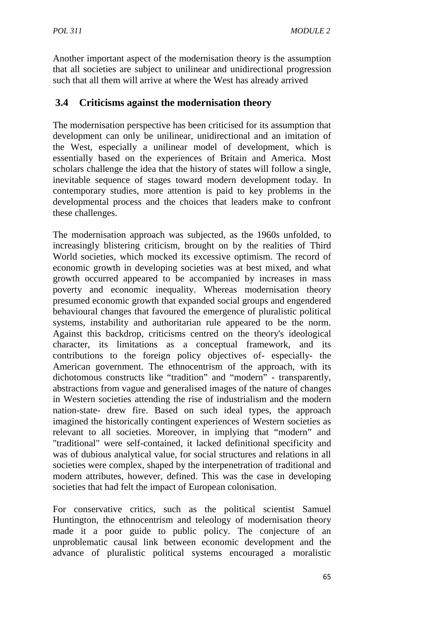Another important aspect of the modernisation theory is the assumption that all societies are subject to unilinear and unidirectional progression such that all them will arrive at where the West has already arrived

## **3.4 Criticisms against the modernisation theory**

The modernisation perspective has been criticised for its assumption that development can only be unilinear, unidirectional and an imitation of the West, especially a unilinear model of development, which is essentially based on the experiences of Britain and America. Most scholars challenge the idea that the history of states will follow a single, inevitable sequence of stages toward modern development today. In contemporary studies, more attention is paid to key problems in the developmental process and the choices that leaders make to confront these challenges.

The modernisation approach was subjected, as the 1960s unfolded, to increasingly blistering criticism, brought on by the realities of Third World societies, which mocked its excessive optimism. The record of economic growth in developing societies was at best mixed, and what growth occurred appeared to be accompanied by increases in mass poverty and economic inequality. Whereas modernisation theory presumed economic growth that expanded social groups and engendered behavioural changes that favoured the emergence of pluralistic political systems, instability and authoritarian rule appeared to be the norm. Against this backdrop, criticisms centred on the theory's ideological character, its limitations as a conceptual framework, and its contributions to the foreign policy objectives of- especially- the American government. The ethnocentrism of the approach, with its dichotomous constructs like "tradition" and "modern" - transparently, abstractions from vague and generalised images of the nature of changes in Western societies attending the rise of industrialism and the modern nation-state- drew fire. Based on such ideal types, the approach imagined the historically contingent experiences of Western societies as relevant to all societies. Moreover, in implying that "modern" and "traditional" were self-contained, it lacked definitional specificity and was of dubious analytical value, for social structures and relations in all societies were complex, shaped by the interpenetration of traditional and modern attributes, however, defined. This was the case in developing societies that had felt the impact of European colonisation.

For conservative critics, such as the political scientist Samuel Huntington, the ethnocentrism and teleology of modernisation theory made it a poor guide to public policy. The conjecture of an unproblematic causal link between economic development and the advance of pluralistic political systems encouraged a moralistic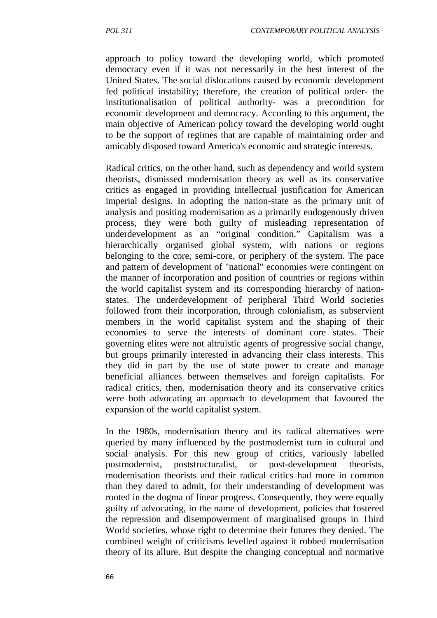approach to policy toward the developing world, which promoted democracy even if it was not necessarily in the best interest of the United States. The social dislocations caused by economic development fed political instability; therefore, the creation of political order- the institutionalisation of political authority- was a precondition for economic development and democracy. According to this argument, the main objective of American policy toward the developing world ought to be the support of regimes that are capable of maintaining order and amicably disposed toward America's economic and strategic interests.

Radical critics, on the other hand, such as dependency and world system theorists, dismissed modernisation theory as well as its conservative critics as engaged in providing intellectual justification for American imperial designs. In adopting the nation-state as the primary unit of analysis and positing modernisation as a primarily endogenously driven process, they were both guilty of misleading representation of underdevelopment as an "original condition." Capitalism was a hierarchically organised global system, with nations or regions belonging to the core, semi-core, or periphery of the system. The pace and pattern of development of "national" economies were contingent on the manner of incorporation and position of countries or regions within the world capitalist system and its corresponding hierarchy of nation states. The underdevelopment of peripheral Third World societies followed from their incorporation, through colonialism, as subservient members in the world capitalist system and the shaping of their economies to serve the interests of dominant core states. Their governing elites were not altruistic agents of progressive social change, but groups primarily interested in advancing their class interests. This they did in part by the use of state power to create and manage beneficial alliances between themselves and foreign capitalists. For radical critics, then, modernisation theory and its conservative critics were both advocating an approach to development that favoured the expansion of the world capitalist system.

In the 1980s, modernisation theory and its radical alternatives were queried by many influenced by the postmodernist turn in cultural and social analysis. For this new group of critics, variously labelled postmodernist, poststructuralist, or post-development theorists, modernisation theorists and their radical critics had more in common than they dared to admit, for their understanding of development was rooted in the dogma of linear progress. Consequently, they were equally guilty of advocating, in the name of development, policies that fostered the repression and disempowerment of marginalised groups in Third World societies, whose right to determine their futures they denied. The combined weight of criticisms levelled against it robbed modernisation theory of its allure. But despite the changing conceptual and normative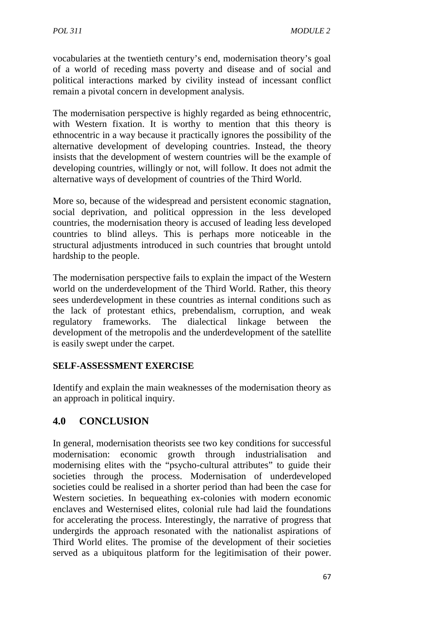vocabularies at the twentieth century's end, modernisation theory's goal of a world of receding mass poverty and disease and of social and political interactions marked by civility instead of incessant conflict remain a pivotal concern in development analysis.

The modernisation perspective is highly regarded as being ethnocentric, with Western fixation. It is worthy to mention that this theory is ethnocentric in a way because it practically ignores the possibility of the alternative development of developing countries. Instead, the theory insists that the development of western countries will be the example of developing countries, willingly or not, will follow. It does not admit the alternative ways of development of countries of the Third World.

More so, because of the widespread and persistent economic stagnation, social deprivation, and political oppression in the less developed countries, the modernisation theory is accused of leading less developed countries to blind alleys. This is perhaps more noticeable in the structural adjustments introduced in such countries that brought untold hardship to the people.

The modernisation perspective fails to explain the impact of the Western world on the underdevelopment of the Third World. Rather, this theory sees underdevelopment in these countries as internal conditions such as the lack of protestant ethics, prebendalism, corruption, and weak regulatory frameworks. The dialectical linkage between the development of the metropolis and the underdevelopment of the satellite is easily swept under the carpet.

### **SELF-ASSESSMENT EXERCISE**

Identify and explain the main weaknesses of the modernisation theory as an approach in political inquiry.

# **4.0 CONCLUSION**

In general, modernisation theorists see two key conditions for successful modernisation: economic growth through industrialisation and modernising elites with the "psycho-cultural attributes" to guide their societies through the process. Modernisation of underdeveloped societies could be realised in a shorter period than had been the case for Western societies. In bequeathing ex-colonies with modern economic enclaves and Westernised elites, colonial rule had laid the foundations for accelerating the process. Interestingly, the narrative of progress that undergirds the approach resonated with the nationalist aspirations of Third World elites. The promise of the development of their societies served as a ubiquitous platform for the legitimisation of their power.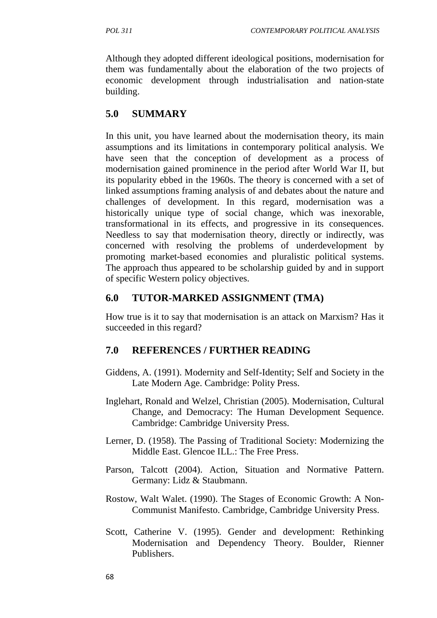Although they adopted different ideological positions, modernisation for them was fundamentally about the elaboration of the two projects of economic development through industrialisation and nation-state building.

# **5.0 SUMMARY**

In this unit, you have learned about the modernisation theory, its main assumptions and its limitations in contemporary political analysis. We have seen that the conception of development as a process of modernisation gained prominence in the period after World War II, but its popularity ebbed in the 1960s. The theory is concerned with a set of linked assumptions framing analysis of and debates about the nature and challenges of development. In this regard, modernisation was a historically unique type of social change, which was inexorable, transformational in its effects, and progressive in its consequences. Needless to say that modernisation theory, directly or indirectly, was concerned with resolving the problems of underdevelopment by promoting market-based economies and pluralistic political systems. The approach thus appeared to be scholarship guided by and in support of specific Western policy objectives.

# **6.0 TUTOR-MARKED ASSIGNMENT (TMA)**

How true is it to say that modernisation is an attack on Marxism? Has it succeeded in this regard?

# **7.0 REFERENCES / FURTHER READING**

- Giddens, A. (1991). Modernity and Self-Identity; Self and Society in the Late Modern Age. Cambridge: Polity Press.
- Inglehart, Ronald and Welzel, Christian (2005). Modernisation, Cultural Change, and Democracy: The Human Development Sequence. Cambridge: Cambridge University Press.
- Lerner, D. (1958). The Passing of Traditional Society: Modernizing the Middle East. Glencoe ILL.: The Free Press.
- Parson, Talcott (2004). Action, Situation and Normative Pattern. Germany: Lidz & Staubmann.
- Rostow, Walt Walet. (1990). The Stages of Economic Growth: A Non- Communist Manifesto. Cambridge, Cambridge University Press.
- Scott, Catherine V. (1995). Gender and development: Rethinking Modernisation and Dependency Theory. Boulder, Rienner Publishers.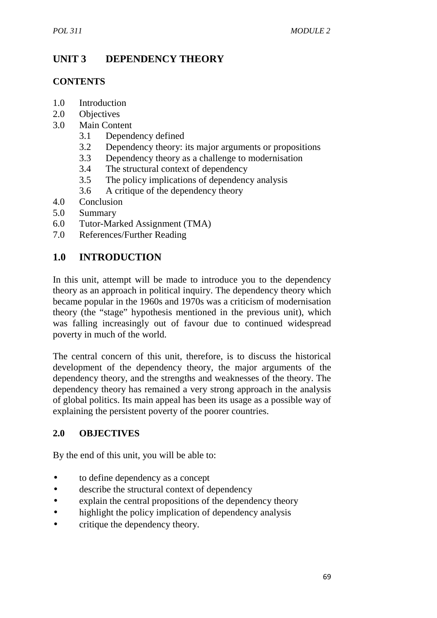# **UNIT 3 DEPENDENCY THEORY**

### **CONTENTS**

- 1.0 Introduction
- 2.0 Objectives
- 3.0 Main Content
	- 3.1 Dependency defined
	- 3.2 Dependency theory: its major arguments or propositions
	- 3.3 Dependency theory as a challenge to modernisation
	- 3.4 The structural context of dependency
	- 3.5 The policy implications of dependency analysis
	- 3.6 A critique of the dependency theory
- 4.0 Conclusion
- 5.0 Summary
- 6.0 Tutor-Marked Assignment (TMA)
- 7.0 References/Further Reading

## **1.0 INTRODUCTION**

In this unit, attempt will be made to introduce you to the dependency theory as an approach in political inquiry. The dependency theory which became popular in the 1960s and 1970s was a criticism of modernisation theory (the "stage" hypothesis mentioned in the previous unit), which was falling increasingly out of favour due to continued widespread poverty in much of the world.

The central concern of this unit, therefore, is to discuss the historical development of the dependency theory, the major arguments of the dependency theory, and the strengths and weaknesses of the theory. The dependency theory has remained a very strong approach in the analysis of global politics. Its main appeal has been its usage as a possible way of explaining the persistent poverty of the poorer countries.

## **2.0 OBJECTIVES**

By the end of this unit, you will be able to:

- to define dependency as a concept
- describe the structural context of dependency
- explain the central propositions of the dependency theory
- highlight the policy implication of dependency analysis
- critique the dependency theory.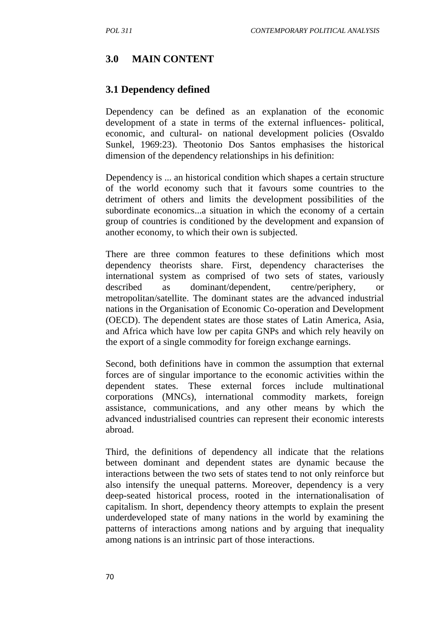## **3.0 MAIN CONTENT**

#### **3.1 Dependency defined**

Dependency can be defined as an explanation of the economic development of a state in terms of the external influences- political, economic, and cultural- on national development policies (Osvaldo Sunkel, 1969:23). Theotonio Dos Santos emphasises the historical dimension of the dependency relationships in his definition:

Dependency is ... an historical condition which shapes a certain structure of the world economy such that it favours some countries to the detriment of others and limits the development possibilities of the subordinate economics...a situation in which the economy of a certain group of countries is conditioned by the development and expansion of another economy, to which their own is subjected.

There are three common features to these definitions which most dependency theorists share. First, dependency characterises the international system as comprised of two sets of states, variously described as dominant/dependent, centre/periphery, or metropolitan/satellite. The dominant states are the advanced industrial nations in the Organisation of Economic Co-operation and Development (OECD). The dependent states are those states of Latin America, Asia, and Africa which have low per capita GNPs and which rely heavily on the export of a single commodity for foreign exchange earnings.

Second, both definitions have in common the assumption that external forces are of singular importance to the economic activities within the dependent states. These external forces include multinational corporations (MNCs), international commodity markets, foreign assistance, communications, and any other means by which the advanced industrialised countries can represent their economic interests abroad.

Third, the definitions of dependency all indicate that the relations between dominant and dependent states are dynamic because the interactions between the two sets of states tend to not only reinforce but also intensify the unequal patterns. Moreover, dependency is a very deep-seated historical process, rooted in the internationalisation of capitalism. In short, dependency theory attempts to explain the present underdeveloped state of many nations in the world by examining the patterns of interactions among nations and by arguing that inequality among nations is an intrinsic part of those interactions.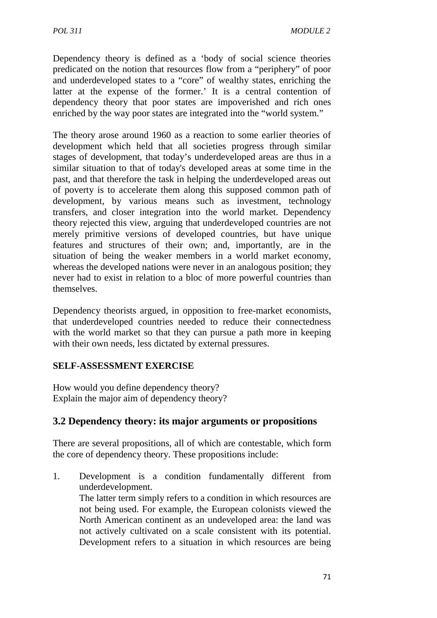Dependency theory is defined as a 'body of social science theories predicated on the notion that resources flow from a "periphery" of poor and underdeveloped states to a "core" of wealthy states, enriching the latter at the expense of the former.' It is a central contention of dependency theory that poor states are impoverished and rich ones enriched by the way poor states are integrated into the "world system."

The theory arose around 1960 as a reaction to some earlier theories of development which held that all societies progress through similar stages of development, that today's underdeveloped areas are thus in a similar situation to that of today's developed areas at some time in the past, and that therefore the task in helping the underdeveloped areas out of poverty is to accelerate them along this supposed common path of development, by various means such as investment, technology transfers, and closer integration into the world market. Dependency theory rejected this view, arguing that underdeveloped countries are not merely primitive versions of developed countries, but have unique features and structures of their own; and, importantly, are in the situation of being the weaker members in a world market economy, whereas the developed nations were never in an analogous position; they never had to exist in relation to a bloc of more powerful countries than themselves.

Dependency theorists argued, in opposition to free-market economists, that underdeveloped countries needed to reduce their connectedness with the world market so that they can pursue a path more in keeping with their own needs, less dictated by external pressures.

### **SELF-ASSESSMENT EXERCISE**

How would you define dependency theory? Explain the major aim of dependency theory?

### **3.2 Dependency theory: its major arguments or propositions**

There are several propositions, all of which are contestable, which form the core of dependency theory. These propositions include:

1. Development is a condition fundamentally different from underdevelopment. The latter term simply refers to a condition in which resources are not being used. For example, the European colonists viewed the North American continent as an undeveloped area: the land was not actively cultivated on a scale consistent with its potential. Development refers to a situation in which resources are being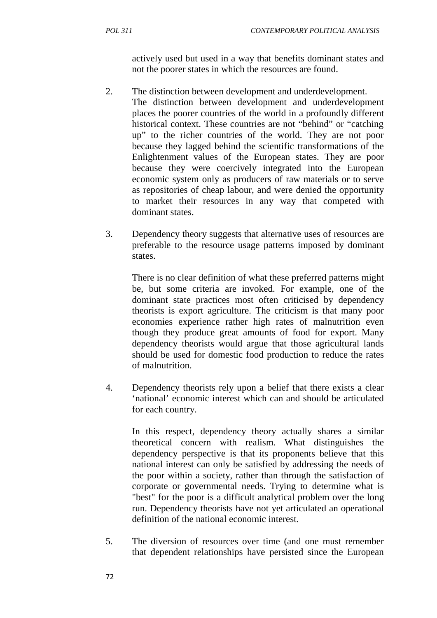actively used but used in a way that benefits dominant states and not the poorer states in which the resources are found.

2. The distinction between development and underdevelopment.

The distinction between development and underdevelopment places the poorer countries of the world in a profoundly different historical context. These countries are not "behind" or "catching up" to the richer countries of the world. They are not poor because they lagged behind the scientific transformations of the Enlightenment values of the European states. They are poor because they were coercively integrated into the European economic system only as producers of raw materials or to serve as repositories of cheap labour, and were denied the opportunity to market their resources in any way that competed with dominant states.

3. Dependency theory suggests that alternative uses of resources are preferable to the resource usage patterns imposed by dominant states.

There is no clear definition of what these preferred patterns might be, but some criteria are invoked. For example, one of the dominant state practices most often criticised by dependency theorists is export agriculture. The criticism is that many poor economies experience rather high rates of malnutrition even though they produce great amounts of food for export. Many dependency theorists would argue that those agricultural lands should be used for domestic food production to reduce the rates of malnutrition.

4. Dependency theorists rely upon a belief that there exists a clear 'national' economic interest which can and should be articulated for each country.

In this respect, dependency theory actually shares a similar theoretical concern with realism. What distinguishes the dependency perspective is that its proponents believe that this national interest can only be satisfied by addressing the needs of the poor within a society, rather than through the satisfaction of corporate or governmental needs. Trying to determine what is "best" for the poor is a difficult analytical problem over the long run. Dependency theorists have not yet articulated an operational definition of the national economic interest.

5. The diversion of resources over time (and one must remember that dependent relationships have persisted since the European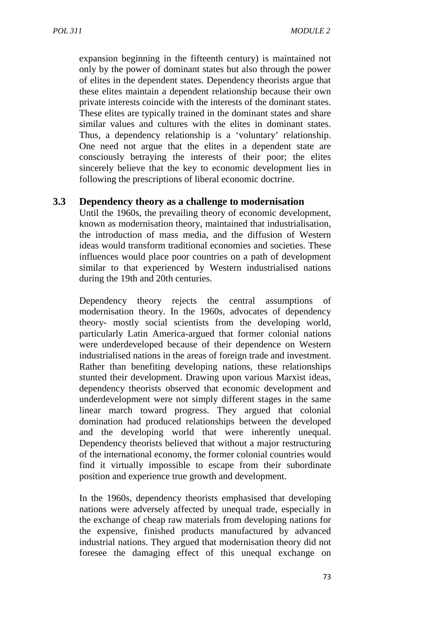expansion beginning in the fifteenth century) is maintained not only by the power of dominant states but also through the power of elites in the dependent states. Dependency theorists argue that these elites maintain a dependent relationship because their own private interests coincide with the interests of the dominant states. These elites are typically trained in the dominant states and share similar values and cultures with the elites in dominant states. Thus, a dependency relationship is a 'voluntary' relationship. One need not argue that the elites in a dependent state are consciously betraying the interests of their poor; the elites sincerely believe that the key to economic development lies in following the prescriptions of liberal economic doctrine.

## **3.3 Dependency theory as a challenge to modernisation**

Until the 1960s, the prevailing theory of economic development, known as modernisation theory, maintained that industrialisation, the introduction of mass media, and the diffusion of Western ideas would transform traditional economies and societies. These influences would place poor countries on a path of development similar to that experienced by Western industrialised nations during the 19th and 20th centuries.

Dependency theory rejects the central assumptions of modernisation theory. In the 1960s, advocates of dependency theory- mostly social scientists from the developing world, particularly Latin America-argued that former colonial nations were underdeveloped because of their dependence on Western industrialised nations in the areas of foreign trade and investment. Rather than benefiting developing nations, these relationships stunted their development. Drawing upon various Marxist ideas, dependency theorists observed that economic development and underdevelopment were not simply different stages in the same linear march toward progress. They argued that colonial domination had produced relationships between the developed and the developing world that were inherently unequal. Dependency theorists believed that without a major restructuring of the international economy, the former colonial countries would find it virtually impossible to escape from their subordinate position and experience true growth and development.

In the 1960s, dependency theorists emphasised that developing nations were adversely affected by unequal trade, especially in the exchange of cheap raw materials from developing nations for the expensive, finished products manufactured by advanced industrial nations. They argued that modernisation theory did not foresee the damaging effect of this unequal exchange on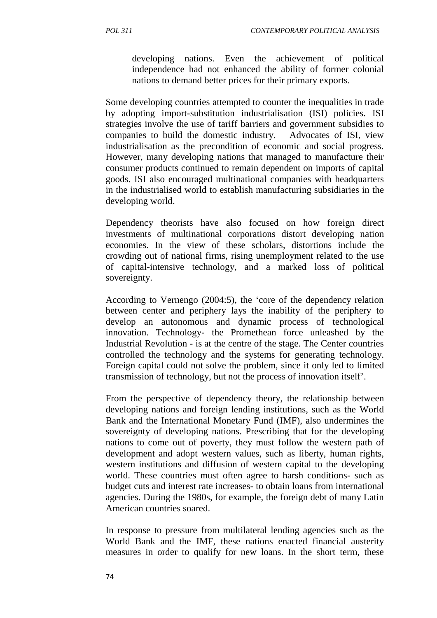developing nations. Even the achievement of political independence had not enhanced the ability of former colonial nations to demand better prices for their primary exports.

Some developing countries attempted to counter the inequalities in trade by adopting import-substitution industrialisation (ISI) policies. ISI strategies involve the use of tariff barriers and government subsidies to companies to build the domestic industry. Advocates of ISI, view industrialisation as the precondition of economic and social progress. However, many developing nations that managed to manufacture their consumer products continued to remain dependent on imports of capital goods. ISI also encouraged multinational companies with headquarters in the industrialised world to establish manufacturing subsidiaries in the developing world.

Dependency theorists have also focused on how foreign direct investments of multinational corporations distort developing nation economies. In the view of these scholars, distortions include the crowding out of national firms, rising unemployment related to the use of capital-intensive technology, and a marked loss of political sovereignty.

According to Vernengo (2004:5), the 'core of the dependency relation between center and periphery lays the inability of the periphery to develop an autonomous and dynamic process of technological innovation. Technology- the Promethean force unleashed by the Industrial Revolution - is at the centre of the stage. The Center countries controlled the technology and the systems for generating technology. Foreign capital could not solve the problem, since it only led to limited transmission of technology, but not the process of innovation itself'.

From the perspective of dependency theory, the relationship between developing nations and foreign lending institutions, such as the World Bank and the International Monetary Fund (IMF), also undermines the sovereignty of developing nations. Prescribing that for the developing nations to come out of poverty, they must follow the western path of development and adopt western values, such as liberty, human rights, western institutions and diffusion of western capital to the developing world. These countries must often agree to harsh conditions- such as budget cuts and interest rate increases- to obtain loans from international agencies. During the 1980s, for example, the foreign debt of many Latin American countries soared.

In response to pressure from multilateral lending agencies such as the World Bank and the IMF, these nations enacted financial austerity measures in order to qualify for new loans. In the short term, these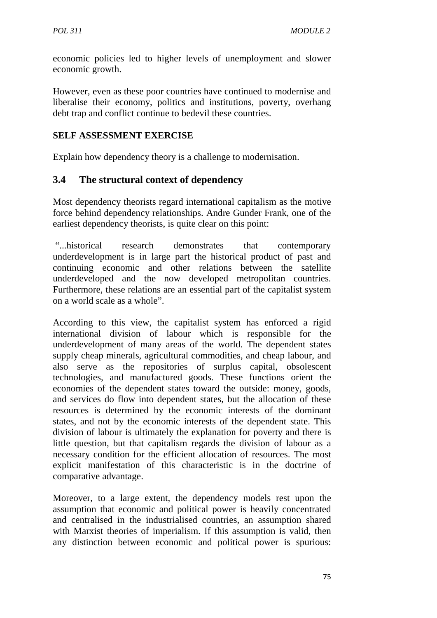economic policies led to higher levels of unemployment and slower economic growth.

However, even as these poor countries have continued to modernise and liberalise their economy, politics and institutions, poverty, overhang debt trap and conflict continue to bedevil these countries.

### **SELF ASSESSMENT EXERCISE**

Explain how dependency theory is a challenge to modernisation.

### **3.4 The structural context of dependency**

Most dependency theorists regard international capitalism as the motive force behind dependency relationships. Andre Gunder Frank, one of the earliest dependency theorists, is quite clear on this point:

"...historical research demonstrates that contemporary underdevelopment is in large part the historical product of past and continuing economic and other relations between the satellite underdeveloped and the now developed metropolitan countries. Furthermore, these relations are an essential part of the capitalist system on a world scale as a whole".

According to this view, the capitalist system has enforced a rigid international division of labour which is responsible for the underdevelopment of many areas of the world. The dependent states supply cheap minerals, agricultural commodities, and cheap labour, and also serve as the repositories of surplus capital, obsolescent technologies, and manufactured goods. These functions orient the economies of the dependent states toward the outside: money, goods, and services do flow into dependent states, but the allocation of these resources is determined by the economic interests of the dominant states, and not by the economic interests of the dependent state. This division of labour is ultimately the explanation for poverty and there is little question, but that capitalism regards the division of labour as a necessary condition for the efficient allocation of resources. The most explicit manifestation of this characteristic is in the doctrine of comparative advantage.

Moreover, to a large extent, the dependency models rest upon the assumption that economic and political power is heavily concentrated and centralised in the industrialised countries, an assumption shared with Marxist theories of imperialism. If this assumption is valid, then any distinction between economic and political power is spurious: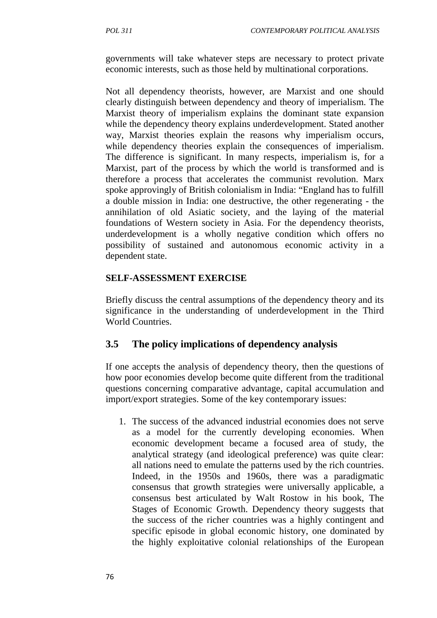governments will take whatever steps are necessary to protect private economic interests, such as those held by multinational corporations.

Not all dependency theorists, however, are Marxist and one should clearly distinguish between dependency and theory of imperialism. The Marxist theory of imperialism explains the dominant state expansion while the dependency theory explains underdevelopment. Stated another way, Marxist theories explain the reasons why imperialism occurs, while dependency theories explain the consequences of imperialism. The difference is significant. In many respects, imperialism is, for a Marxist, part of the process by which the world is transformed and is therefore a process that accelerates the communist revolution. Marx spoke approvingly of British colonialism in India: "England has to fulfill a double mission in India: one destructive, the other regenerating - the annihilation of old Asiatic society, and the laying of the material foundations of Western society in Asia. For the dependency theorists, underdevelopment is a wholly negative condition which offers no possibility of sustained and autonomous economic activity in a dependent state.

#### **SELF-ASSESSMENT EXERCISE**

Briefly discuss the central assumptions of the dependency theory and its significance in the understanding of underdevelopment in the Third World Countries.

### **3.5 The policy implications of dependency analysis**

If one accepts the analysis of dependency theory, then the questions of how poor economies develop become quite different from the traditional questions concerning comparative advantage, capital accumulation and import/export strategies. Some of the key contemporary issues:

1. The success of the advanced industrial economies does not serve as a model for the currently developing economies. When economic development became a focused area of study, the analytical strategy (and ideological preference) was quite clear: all nations need to emulate the patterns used by the rich countries. Indeed, in the 1950s and 1960s, there was a paradigmatic consensus that growth strategies were universally applicable, a consensus best articulated by Walt Rostow in his book, The Stages of Economic Growth. Dependency theory suggests that the success of the richer countries was a highly contingent and specific episode in global economic history, one dominated by the highly exploitative colonial relationships of the European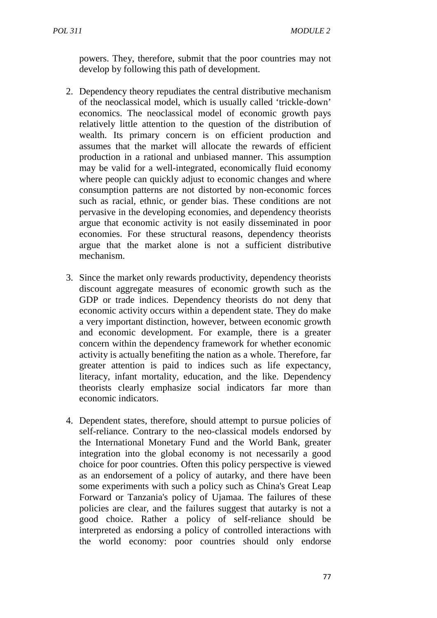powers. They, therefore, submit that the poor countries may not develop by following this path of development.

- 2. Dependency theory repudiates the central distributive mechanism of the neoclassical model, which is usually called 'trickle-down' economics. The neoclassical model of economic growth pays relatively little attention to the question of the distribution of wealth. Its primary concern is on efficient production and assumes that the market will allocate the rewards of efficient production in a rational and unbiased manner. This assumption may be valid for a well-integrated, economically fluid economy where people can quickly adjust to economic changes and where consumption patterns are not distorted by non-economic forces such as racial, ethnic, or gender bias. These conditions are not pervasive in the developing economies, and dependency theorists argue that economic activity is not easily disseminated in poor economies. For these structural reasons, dependency theorists argue that the market alone is not a sufficient distributive mechanism.
- 3. Since the market only rewards productivity, dependency theorists discount aggregate measures of economic growth such as the GDP or trade indices. Dependency theorists do not deny that economic activity occurs within a dependent state. They do make a very important distinction, however, between economic growth and economic development. For example, there is a greater concern within the dependency framework for whether economic activity is actually benefiting the nation as a whole. Therefore, far greater attention is paid to indices such as life expectancy, literacy, infant mortality, education, and the like. Dependency theorists clearly emphasize social indicators far more than economic indicators.
- 4. Dependent states, therefore, should attempt to pursue policies of self-reliance. Contrary to the neo-classical models endorsed by the International Monetary Fund and the World Bank, greater integration into the global economy is not necessarily a good choice for poor countries. Often this policy perspective is viewed as an endorsement of a policy of autarky, and there have been some experiments with such a policy such as China's Great Leap Forward or Tanzania's policy of Ujamaa. The failures of these policies are clear, and the failures suggest that autarky is not a good choice. Rather a policy of self-reliance should be interpreted as endorsing a policy of controlled interactions with the world economy: poor countries should only endorse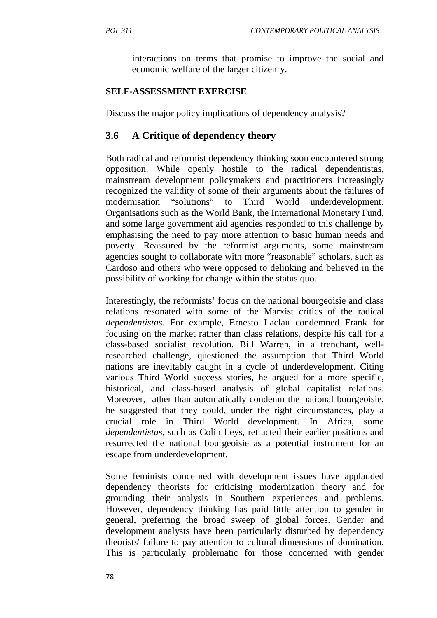interactions on terms that promise to improve the social and economic welfare of the larger citizenry.

### **SELF-ASSESSMENT EXERCISE**

Discuss the major policy implications of dependency analysis?

## **3.6 A Critique of dependency theory**

Both radical and reformist dependency thinking soon encountered strong opposition. While openly hostile to the radical dependentistas, mainstream development policymakers and practitioners increasingly recognized the validity of some of their arguments about the failures of modernisation "solutions" to Third World underdevelopment. Organisations such as the World Bank, the International Monetary Fund, and some large government aid agencies responded to this challenge by emphasising the need to pay more attention to basic human needs and poverty. Reassured by the reformist arguments, some mainstream agencies sought to collaborate with more "reasonable" scholars, such as Cardoso and others who were opposed to delinking and believed in the possibility of working for change within the status quo.

Interestingly, the reformists' focus on the national bourgeoisie and class relations resonated with some of the Marxist critics of the radical *dependentistas*. For example, Ernesto Laclau condemned Frank for focusing on the market rather than class relations, despite his call for a class-based socialist revolution. Bill Warren, in a trenchant, wellresearched challenge, questioned the assumption that Third World nations are inevitably caught in a cycle of underdevelopment. Citing various Third World success stories, he argued for a more specific, historical, and class-based analysis of global capitalist relations. Moreover, rather than automatically condemn the national bourgeoisie, he suggested that they could, under the right circumstances, play a crucial role in Third World development. In Africa, some *dependentistas,* such as Colin Leys, retracted their earlier positions and resurrected the national bourgeoisie as a potential instrument for an escape from underdevelopment.

Some feminists concerned with development issues have applauded dependency theorists for criticising modernization theory and for grounding their analysis in Southern experiences and problems. However, dependency thinking has paid little attention to gender in general, preferring the broad sweep of global forces. Gender and development analysts have been particularly disturbed by dependency theorists' failure to pay attention to cultural dimensions of domination. This is particularly problematic for those concerned with gender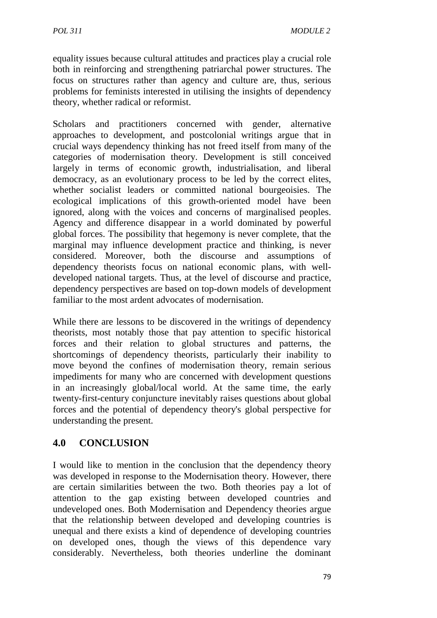equality issues because cultural attitudes and practices play a crucial role both in reinforcing and strengthening patriarchal power structures. The focus on structures rather than agency and culture are, thus, serious problems for feminists interested in utilising the insights of dependency theory, whether radical or reformist.

Scholars and practitioners concerned with gender, alternative approaches to development, and postcolonial writings argue that in crucial ways dependency thinking has not freed itself from many of the categories of modernisation theory. Development is still conceived largely in terms of economic growth, industrialisation, and liberal democracy, as an evolutionary process to be led by the correct elites, whether socialist leaders or committed national bourgeoisies. The ecological implications of this growth-oriented model have been ignored, along with the voices and concerns of marginalised peoples. Agency and difference disappear in a world dominated by powerful global forces. The possibility that hegemony is never complete, that the marginal may influence development practice and thinking, is never considered. Moreover, both the discourse and assumptions of dependency theorists focus on national economic plans, with well developed national targets. Thus, at the level of discourse and practice, dependency perspectives are based on top-down models of development familiar to the most ardent advocates of modernisation.

While there are lessons to be discovered in the writings of dependency theorists, most notably those that pay attention to specific historical forces and their relation to global structures and patterns, the shortcomings of dependency theorists, particularly their inability to move beyond the confines of modernisation theory, remain serious impediments for many who are concerned with development questions in an increasingly global/local world. At the same time, the early twenty-first-century conjuncture inevitably raises questions about global forces and the potential of dependency theory's global perspective for understanding the present.

# **4.0 CONCLUSION**

I would like to mention in the conclusion that the dependency theory was developed in response to the Modernisation theory. However, there are certain similarities between the two. Both theories pay a lot of attention to the gap existing between developed countries and undeveloped ones. Both Modernisation and Dependency theories argue that the relationship between developed and developing countries is unequal and there exists a kind of dependence of developing countries on developed ones, though the views of this dependence vary considerably. Nevertheless, both theories underline the dominant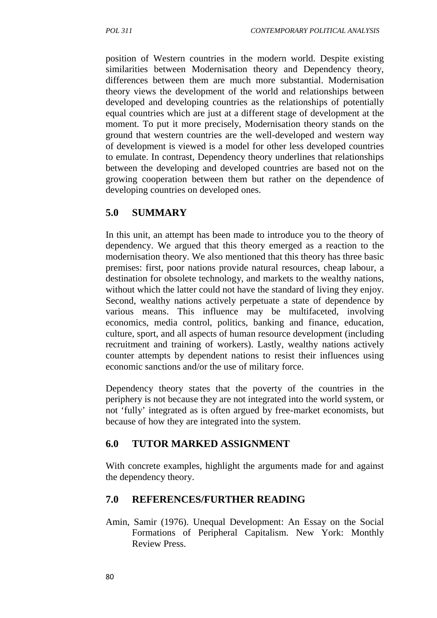position of Western countries in the modern world. Despite existing similarities between Modernisation theory and Dependency theory, differences between them are much more substantial. Modernisation theory views the development of the world and relationships between developed and developing countries as the relationships of potentially equal countries which are just at a different stage of development at the moment. To put it more precisely, Modernisation theory stands on the ground that western countries are the well-developed and western way of development is viewed is a model for other less developed countries to emulate. In contrast, Dependency theory underlines that relationships between the developing and developed countries are based not on the growing cooperation between them but rather on the dependence of developing countries on developed ones.

# **5.0 SUMMARY**

In this unit, an attempt has been made to introduce you to the theory of dependency. We argued that this theory emerged as a reaction to the modernisation theory. We also mentioned that this theory has three basic premises: first, poor nations provide natural resources, cheap labour, a destination for obsolete technology, and markets to the wealthy nations, without which the latter could not have the standard of living they enjoy. Second, wealthy nations actively perpetuate a state of dependence by various means. This influence may be multifaceted, involving economics, media control, politics, banking and finance, education, culture, sport, and all aspects of human resource development (including recruitment and training of workers). Lastly, wealthy nations actively counter attempts by dependent nations to resist their influences using economic sanctions and/or the use of military force.

Dependency theory states that the poverty of the countries in the periphery is not because they are not integrated into the world system, or not 'fully' integrated as is often argued by free-market economists, but because of how they are integrated into the system.

## **6.0 TUTOR MARKED ASSIGNMENT**

With concrete examples, highlight the arguments made for and against the dependency theory.

# **7.0 REFERENCES/FURTHER READING**

Amin, Samir (1976). Unequal Development: An Essay on the Social Formations of Peripheral Capitalism. New York: Monthly Review Press.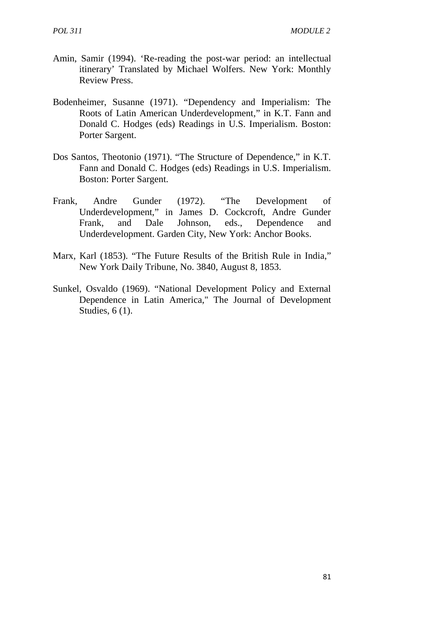- Amin, Samir (1994). 'Re-reading the post-war period: an intellectual itinerary' Translated by Michael Wolfers. New York: Monthly Review Press.
- Bodenheimer, Susanne (1971). "Dependency and Imperialism: The Roots of Latin American Underdevelopment," in K.T. Fann and Donald C. Hodges (eds) Readings in U.S. Imperialism. Boston: Porter Sargent.
- Dos Santos, Theotonio (1971). "The Structure of Dependence," in K.T. Fann and Donald C. Hodges (eds) Readings in U.S. Imperialism. Boston: Porter Sargent.
- Frank, Andre Gunder (1972). "The Development of Underdevelopment," in James D. Cockcroft, Andre Gunder Frank, and Dale Johnson, eds., Dependence and Underdevelopment. Garden City, New York: Anchor Books.
- Marx, Karl (1853). "The Future Results of the British Rule in India," New York Daily Tribune, No. 3840, August 8, 1853.
- Sunkel, Osvaldo (1969). "National Development Policy and External Dependence in Latin America," The Journal of Development Studies, 6 (1).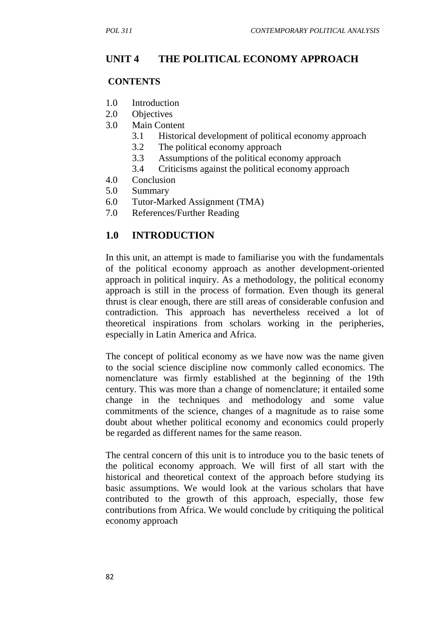## **UNIT 4 THE POLITICAL ECONOMY APPROACH**

#### **CONTENTS**

- 1.0 Introduction
- 2.0 Objectives
- 3.0 Main Content
	- 3.1 Historical development of political economy approach
	- 3.2 The political economy approach
	- 3.3 Assumptions of the political economy approach
	- 3.4 Criticisms against the political economy approach
- 4.0 Conclusion
- 5.0 Summary
- 6.0 Tutor-Marked Assignment (TMA)
- 7.0 References/Further Reading

## **1.0 INTRODUCTION**

In this unit, an attempt is made to familiarise you with the fundamentals of the political economy approach as another development-oriented approach in political inquiry. As a methodology, the political economy approach is still in the process of formation. Even though its general thrust is clear enough, there are still areas of considerable confusion and contradiction. This approach has nevertheless received a lot of theoretical inspirations from scholars working in the peripheries, especially in Latin America and Africa.

The concept of political economy as we have now was the name given to the social science discipline now commonly called economics. The nomenclature was firmly established at the beginning of the 19th century. This was more than a change of nomenclature; it entailed some change in the techniques and methodology and some value commitments of the science, changes of a magnitude as to raise some doubt about whether political economy and economics could properly be regarded as different names for the same reason.

The central concern of this unit is to introduce you to the basic tenets of the political economy approach. We will first of all start with the historical and theoretical context of the approach before studying its basic assumptions. We would look at the various scholars that have contributed to the growth of this approach, especially, those few contributions from Africa. We would conclude by critiquing the political economy approach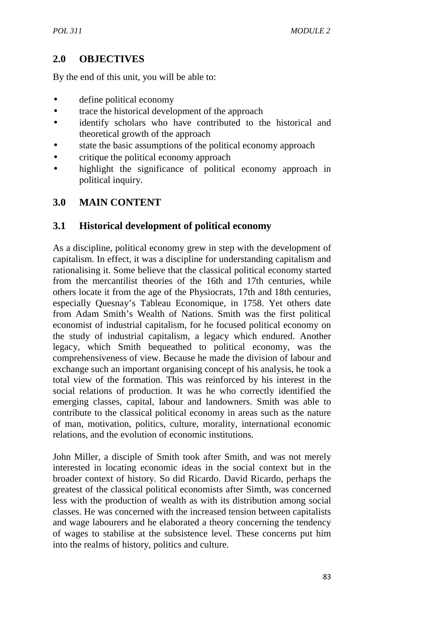## **2.0 OBJECTIVES**

By the end of this unit, you will be able to:

- define political economy
- trace the historical development of the approach
- identify scholars who have contributed to the historical and theoretical growth of the approach
- state the basic assumptions of the political economy approach
- critique the political economy approach
- highlight the significance of political economy approach in political inquiry.

## **3.0 MAIN CONTENT**

## **3.1 Historical development of political economy**

As a discipline, political economy grew in step with the development of capitalism. In effect, it was a discipline for understanding capitalism and rationalising it. Some believe that the classical political economy started from the mercantilist theories of the 16th and 17th centuries, while others locate it from the age of the Physiocrats, 17th and 18th centuries, especially Quesnay's Tableau Economique, in 1758. Yet others date from Adam Smith's Wealth of Nations. Smith was the first political economist of industrial capitalism, for he focused political economy on the study of industrial capitalism, a legacy which endured. Another legacy, which Smith bequeathed to political economy, was the comprehensiveness of view. Because he made the division of labour and exchange such an important organising concept of his analysis, he took a total view of the formation. This was reinforced by his interest in the social relations of production. It was he who correctly identified the emerging classes, capital, labour and landowners. Smith was able to contribute to the classical political economy in areas such as the nature of man, motivation, politics, culture, morality, international economic relations, and the evolution of economic institutions.

John Miller, a disciple of Smith took after Smith, and was not merely interested in locating economic ideas in the social context but in the broader context of history. So did Ricardo. David Ricardo, perhaps the greatest of the classical political economists after Simth, was concerned less with the production of wealth as with its distribution among social classes. He was concerned with the increased tension between capitalists and wage labourers and he elaborated a theory concerning the tendency of wages to stabilise at the subsistence level. These concerns put him into the realms of history, politics and culture.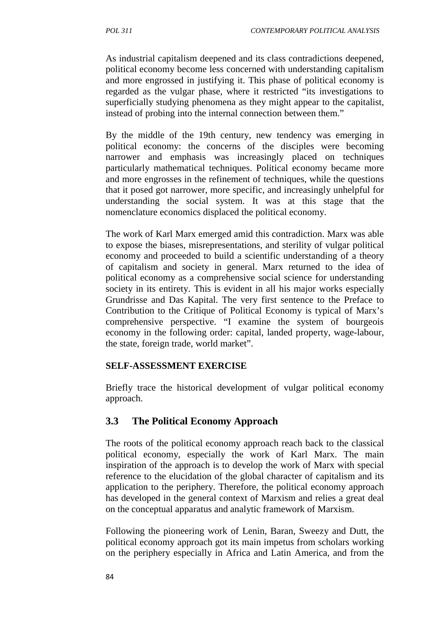As industrial capitalism deepened and its class contradictions deepened, political economy become less concerned with understanding capitalism and more engrossed in justifying it. This phase of political economy is regarded as the vulgar phase, where it restricted "its investigations to superficially studying phenomena as they might appear to the capitalist, instead of probing into the internal connection between them."

By the middle of the 19th century, new tendency was emerging in political economy: the concerns of the disciples were becoming narrower and emphasis was increasingly placed on techniques particularly mathematical techniques. Political economy became more and more engrosses in the refinement of techniques, while the questions that it posed got narrower, more specific, and increasingly unhelpful for understanding the social system. It was at this stage that the nomenclature economics displaced the political economy.

The work of Karl Marx emerged amid this contradiction. Marx was able to expose the biases, misrepresentations, and sterility of vulgar political economy and proceeded to build a scientific understanding of a theory of capitalism and society in general. Marx returned to the idea of political economy as a comprehensive social science for understanding society in its entirety. This is evident in all his major works especially Grundrisse and Das Kapital. The very first sentence to the Preface to Contribution to the Critique of Political Economy is typical of Marx's comprehensive perspective. "I examine the system of bourgeois economy in the following order: capital, landed property, wage-labour, the state, foreign trade, world market".

## **SELF-ASSESSMENT EXERCISE**

Briefly trace the historical development of vulgar political economy approach.

# **3.3 The Political Economy Approach**

The roots of the political economy approach reach back to the classical political economy, especially the work of Karl Marx. The main inspiration of the approach is to develop the work of Marx with special reference to the elucidation of the global character of capitalism and its application to the periphery. Therefore, the political economy approach has developed in the general context of Marxism and relies a great deal on the conceptual apparatus and analytic framework of Marxism.

Following the pioneering work of Lenin, Baran, Sweezy and Dutt, the political economy approach got its main impetus from scholars working on the periphery especially in Africa and Latin America, and from the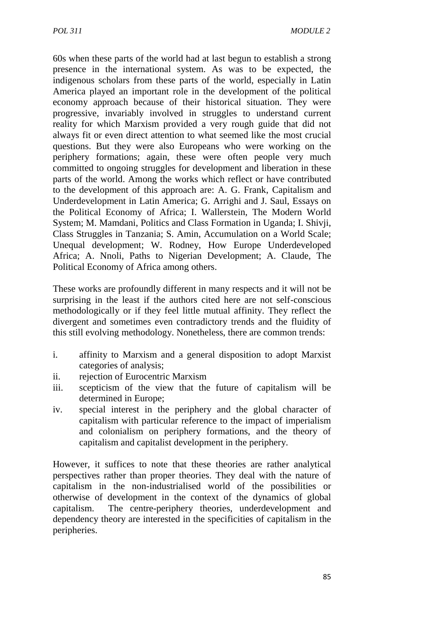60s when these parts of the world had at last begun to establish a strong presence in the international system. As was to be expected, the indigenous scholars from these parts of the world, especially in Latin America played an important role in the development of the political economy approach because of their historical situation. They were progressive, invariably involved in struggles to understand current reality for which Marxism provided a very rough guide that did not always fit or even direct attention to what seemed like the most crucial questions. But they were also Europeans who were working on the periphery formations; again, these were often people very much committed to ongoing struggles for development and liberation in these parts of the world. Among the works which reflect or have contributed to the development of this approach are: A. G. Frank, Capitalism and Underdevelopment in Latin America; G. Arrighi and J. Saul, Essays on the Political Economy of Africa; I. Wallerstein, The Modern World System; M. Mamdani, Politics and Class Formation in Uganda; I. Shivji, Class Struggles in Tanzania; S. Amin, Accumulation on a World Scale; Unequal development; W. Rodney, How Europe Underdeveloped Africa; A. Nnoli, Paths to Nigerian Development; A. Claude, The Political Economy of Africa among others.

These works are profoundly different in many respects and it will not be surprising in the least if the authors cited here are not self-conscious methodologically or if they feel little mutual affinity. They reflect the divergent and sometimes even contradictory trends and the fluidity of this still evolving methodology. Nonetheless, there are common trends:

- i. affinity to Marxism and a general disposition to adopt Marxist categories of analysis;
- ii. rejection of Eurocentric Marxism
- iii. scepticism of the view that the future of capitalism will be determined in Europe;
- iv. special interest in the periphery and the global character of capitalism with particular reference to the impact of imperialism and colonialism on periphery formations, and the theory of capitalism and capitalist development in the periphery.

However, it suffices to note that these theories are rather analytical perspectives rather than proper theories. They deal with the nature of capitalism in the non-industrialised world of the possibilities or otherwise of development in the context of the dynamics of global capitalism. The centre-periphery theories, underdevelopment and dependency theory are interested in the specificities of capitalism in the peripheries.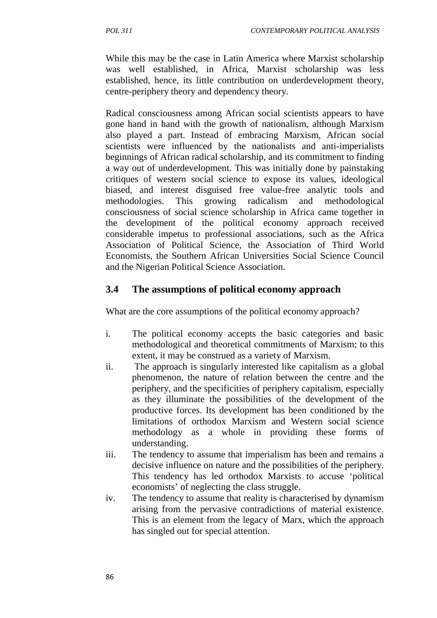While this may be the case in Latin America where Marxist scholarship was well established, in Africa, Marxist scholarship was less established, hence, its little contribution on underdevelopment theory, centre-periphery theory and dependency theory.

Radical consciousness among African social scientists appears to have gone hand in hand with the growth of nationalism, although Marxism also played a part. Instead of embracing Marxism, African social scientists were influenced by the nationalists and anti-imperialists beginnings of African radical scholarship, and its commitment to finding a way out of underdevelopment. This was initially done by painstaking critiques of western social science to expose its values, ideological biased, and interest disguised free value-free analytic tools and methodologies. This growing radicalism and methodological consciousness of social science scholarship in Africa came together in the development of the political economy approach received considerable impetus to professional associations, such as the Africa Association of Political Science, the Association of Third World Economists, the Southern African Universities Social Science Council and the Nigerian Political Science Association.

# **3.4 The assumptions of political economy approach**

What are the core assumptions of the political economy approach?

- i. The political economy accepts the basic categories and basic methodological and theoretical commitments of Marxism; to this extent, it may be construed as a variety of Marxism.
- ii. The approach is singularly interested like capitalism as a global phenomenon, the nature of relation between the centre and the periphery, and the specificities of periphery capitalism, especially as they illuminate the possibilities of the development of the productive forces. Its development has been conditioned by the limitations of orthodox Marxism and Western social science methodology as a whole in providing these forms of understanding.
- iii. The tendency to assume that imperialism has been and remains a decisive influence on nature and the possibilities of the periphery. This tendency has led orthodox Marxists to accuse 'political economists' of neglecting the class struggle.
- iv. The tendency to assume that reality is characterised by dynamism arising from the pervasive contradictions of material existence. This is an element from the legacy of Marx, which the approach has singled out for special attention.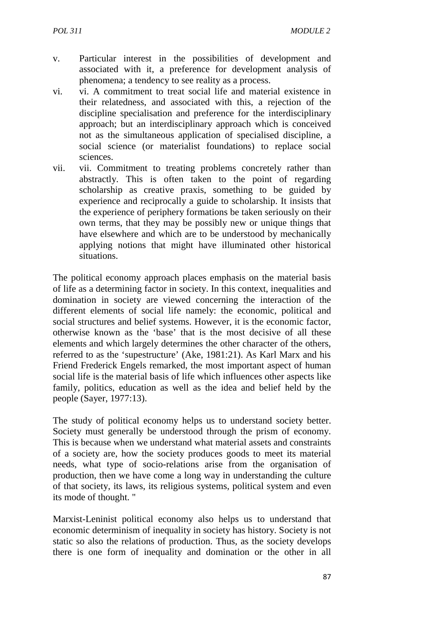- v. Particular interest in the possibilities of development and associated with it, a preference for development analysis of phenomena; a tendency to see reality as a process.
- vi. vi. A commitment to treat social life and material existence in their relatedness, and associated with this, a rejection of the discipline specialisation and preference for the interdisciplinary approach; but an interdisciplinary approach which is conceived not as the simultaneous application of specialised discipline, a social science (or materialist foundations) to replace social sciences.
- vii. vii. Commitment to treating problems concretely rather than abstractly. This is often taken to the point of regarding scholarship as creative praxis, something to be guided by experience and reciprocally a guide to scholarship. It insists that the experience of periphery formations be taken seriously on their own terms, that they may be possibly new or unique things that have elsewhere and which are to be understood by mechanically applying notions that might have illuminated other historical situations.

The political economy approach places emphasis on the material basis of life as a determining factor in society. In this context, inequalities and domination in society are viewed concerning the interaction of the different elements of social life namely: the economic, political and social structures and belief systems. However, it is the economic factor, otherwise known as the 'base' that is the most decisive of all these elements and which largely determines the other character of the others, referred to as the 'supestructure' (Ake, 1981:21). As Karl Marx and his Friend Frederick Engels remarked, the most important aspect of human social life is the material basis of life which influences other aspects like family, politics, education as well as the idea and belief held by the people (Sayer, 1977:13).

The study of political economy helps us to understand society better. Society must generally be understood through the prism of economy. This is because when we understand what material assets and constraints of a society are, how the society produces goods to meet its material needs, what type of socio-relations arise from the organisation of production, then we have come a long way in understanding the culture of that society, its laws, its religious systems, political system and even its mode of thought. "

Marxist-Leninist political economy also helps us to understand that economic determinism of inequality in society has history. Society is not static so also the relations of production. Thus, as the society develops there is one form of inequality and domination or the other in all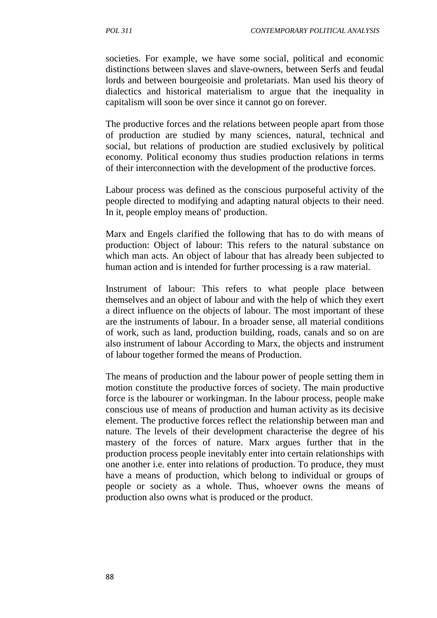societies. For example, we have some social, political and economic distinctions between slaves and slave-owners, between Serfs and feudal lords and between bourgeoisie and proletariats. Man used his theory of dialectics and historical materialism to argue that the inequality in capitalism will soon be over since it cannot go on forever.

The productive forces and the relations between people apart from those of production are studied by many sciences, natural, technical and social, but relations of production are studied exclusively by political economy. Political economy thus studies production relations in terms of their interconnection with the development of the productive forces.

Labour process was defined as the conscious purposeful activity of the people directed to modifying and adapting natural objects to their need. In it, people employ means of' production.

Marx and Engels clarified the following that has to do with means of production: Object of labour: This refers to the natural substance on which man acts. An object of labour that has already been subjected to human action and is intended for further processing is a raw material.

Instrument of labour: This refers to what people place between themselves and an object of labour and with the help of which they exert a direct influence on the objects of labour. The most important of these are the instruments of labour. In a broader sense, all material conditions of work, such as land, production building, roads, canals and so on are also instrument of labour According to Marx, the objects and instrument of labour together formed the means of Production.

The means of production and the labour power of people setting them in motion constitute the productive forces of society. The main productive force is the labourer or workingman. In the labour process, people make conscious use of means of production and human activity as its decisive element. The productive forces reflect the relationship between man and nature. The levels of their development characterise the degree of his mastery of the forces of nature. Marx argues further that in the production process people inevitably enter into certain relationships with one another i.e. enter into relations of production. To produce, they must have a means of production, which belong to individual or groups of people or society as a whole. Thus, whoever owns the means of production also owns what is produced or the product.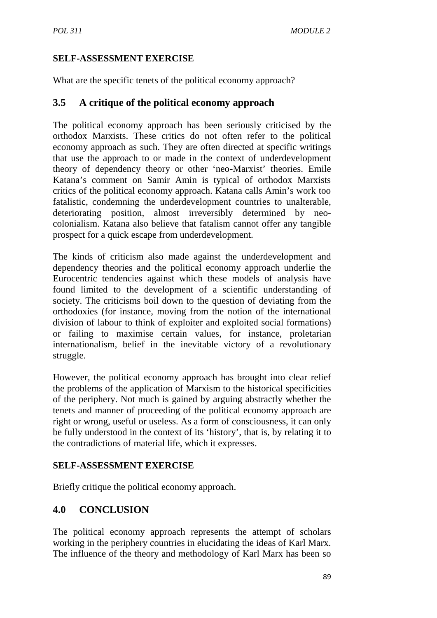### **SELF-ASSESSMENT EXERCISE**

What are the specific tenets of the political economy approach?

### **3.5 A critique of the political economy approach**

The political economy approach has been seriously criticised by the orthodox Marxists. These critics do not often refer to the political economy approach as such. They are often directed at specific writings that use the approach to or made in the context of underdevelopment theory of dependency theory or other 'neo-Marxist' theories. Emile Katana's comment on Samir Amin is typical of orthodox Marxists critics of the political economy approach. Katana calls Amin's work too fatalistic, condemning the underdevelopment countries to unalterable, deteriorating position, almost irreversibly determined by neocolonialism. Katana also believe that fatalism cannot offer any tangible prospect for a quick escape from underdevelopment.

The kinds of criticism also made against the underdevelopment and dependency theories and the political economy approach underlie the Eurocentric tendencies against which these models of analysis have found limited to the development of a scientific understanding of society. The criticisms boil down to the question of deviating from the orthodoxies (for instance, moving from the notion of the international division of labour to think of exploiter and exploited social formations) or failing to maximise certain values, for instance, proletarian internationalism, belief in the inevitable victory of a revolutionary struggle.

However, the political economy approach has brought into clear relief the problems of the application of Marxism to the historical specificities of the periphery. Not much is gained by arguing abstractly whether the tenets and manner of proceeding of the political economy approach are right or wrong, useful or useless. As a form of consciousness, it can only be fully understood in the context of its 'history', that is, by relating it to the contradictions of material life, which it expresses.

### **SELF-ASSESSMENT EXERCISE**

Briefly critique the political economy approach.

## **4.0 CONCLUSION**

The political economy approach represents the attempt of scholars working in the periphery countries in elucidating the ideas of Karl Marx. The influence of the theory and methodology of Karl Marx has been so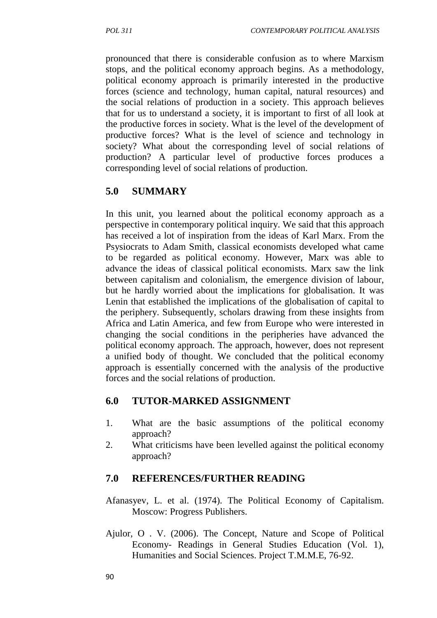pronounced that there is considerable confusion as to where Marxism stops, and the political economy approach begins. As a methodology, political economy approach is primarily interested in the productive forces (science and technology, human capital, natural resources) and the social relations of production in a society. This approach believes that for us to understand a society, it is important to first of all look at the productive forces in society. What is the level of the development of productive forces? What is the level of science and technology in society? What about the corresponding level of social relations of production? A particular level of productive forces produces a corresponding level of social relations of production.

# **5.0 SUMMARY**

In this unit, you learned about the political economy approach as a perspective in contemporary political inquiry. We said that this approach has received a lot of inspiration from the ideas of Karl Marx. From the Psysiocrats to Adam Smith, classical economists developed what came to be regarded as political economy. However, Marx was able to advance the ideas of classical political economists. Marx saw the link between capitalism and colonialism, the emergence division of labour, but he hardly worried about the implications for globalisation. It was Lenin that established the implications of the globalisation of capital to the periphery. Subsequently, scholars drawing from these insights from Africa and Latin America, and few from Europe who were interested in changing the social conditions in the peripheries have advanced the political economy approach. The approach, however, does not represent a unified body of thought. We concluded that the political economy approach is essentially concerned with the analysis of the productive forces and the social relations of production.

# **6.0 TUTOR-MARKED ASSIGNMENT**

- 1. What are the basic assumptions of the political economy approach?
- 2. What criticisms have been levelled against the political economy approach?

# **7.0 REFERENCES/FURTHER READING**

- Afanasyev, L. et al. (1974). The Political Economy of Capitalism. Moscow: Progress Publishers.
- Ajulor, O . V. (2006). The Concept, Nature and Scope of Political Economy- Readings in General Studies Education (Vol. 1), Humanities and Social Sciences. Project T.M.M.E, 76-92.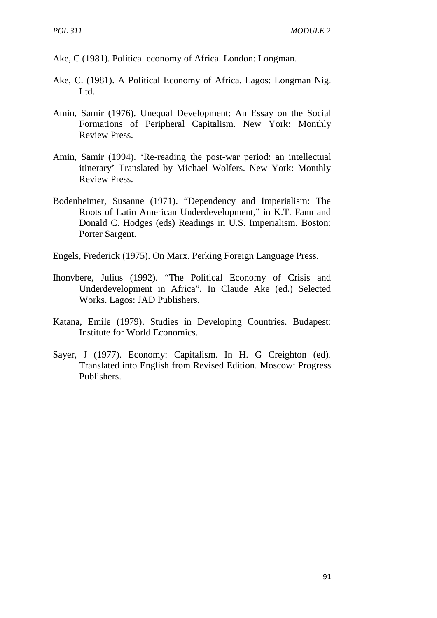- Ake, C (1981). Political economy of Africa. London: Longman.
- Ake, C. (1981). A Political Economy of Africa. Lagos: Longman Nig. Ltd.
- Amin, Samir (1976). Unequal Development: An Essay on the Social Formations of Peripheral Capitalism. New York: Monthly Review Press.
- Amin, Samir (1994). 'Re-reading the post-war period: an intellectual itinerary' Translated by Michael Wolfers. New York: Monthly Review Press.
- Bodenheimer, Susanne (1971). "Dependency and Imperialism: The Roots of Latin American Underdevelopment," in K.T. Fann and Donald C. Hodges (eds) Readings in U.S. Imperialism. Boston: Porter Sargent.
- Engels, Frederick (1975). On Marx. Perking Foreign Language Press.
- Ihonvbere, Julius (1992). "The Political Economy of Crisis and Underdevelopment in Africa". In Claude Ake (ed.) Selected Works. Lagos: JAD Publishers.
- Katana, Emile (1979). Studies in Developing Countries. Budapest: Institute for World Economics.
- Sayer, J (1977). Economy: Capitalism. In H. G Creighton (ed). Translated into English from Revised Edition. Moscow: Progress Publishers.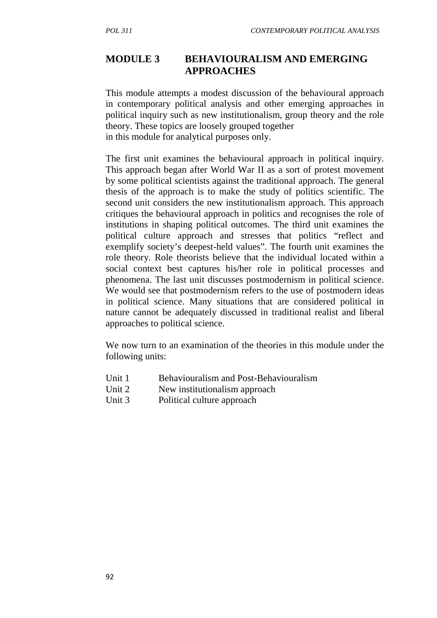# **MODULE 3 BEHAVIOURALISM AND EMERGING APPROACHES**

This module attempts a modest discussion of the behavioural approach in contemporary political analysis and other emerging approaches in political inquiry such as new institutionalism, group theory and the role theory. These topics are loosely grouped together in this module for analytical purposes only.

The first unit examines the behavioural approach in political inquiry. This approach began after World War II as a sort of protest movement by some political scientists against the traditional approach. The general thesis of the approach is to make the study of politics scientific. The second unit considers the new institutionalism approach. This approach critiques the behavioural approach in politics and recognises the role of institutions in shaping political outcomes. The third unit examines the political culture approach and stresses that politics "reflect and exemplify society's deepest-held values". The fourth unit examines the role theory. Role theorists believe that the individual located within a social context best captures his/her role in political processes and phenomena. The last unit discusses postmodernism in political science. We would see that postmodernism refers to the use of postmodern ideas in political science. Many situations that are considered political in nature cannot be adequately discussed in traditional realist and liberal approaches to political science.

We now turn to an examination of the theories in this module under the following units:

- Unit 1 Behaviouralism and Post-Behaviouralism
- Unit 2 New institutionalism approach
- Unit 3 Political culture approach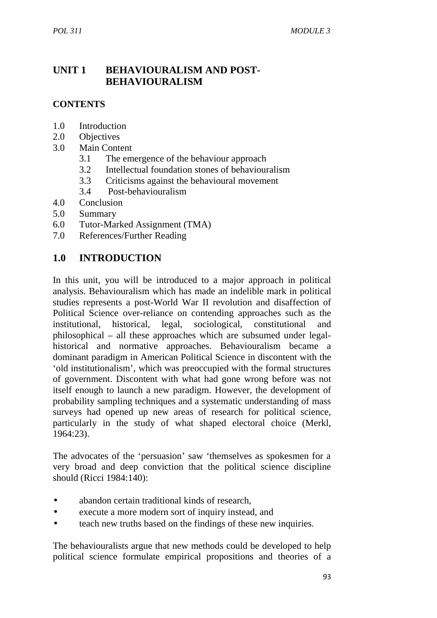# **UNIT 1 BEHAVIOURALISM AND POST- BEHAVIOURALISM**

## **CONTENTS**

- 1.0 Introduction
- 2.0 Objectives
- 3.0 Main Content
	- 3.1 The emergence of the behaviour approach
	- 3.2 Intellectual foundation stones of behaviouralism
	- 3.3 Criticisms against the behavioural movement
	- 3.4 Post-behaviouralism
- 4.0 Conclusion
- 5.0 Summary
- 6.0 Tutor-Marked Assignment (TMA)
- 7.0 References/Further Reading

# **1.0 INTRODUCTION**

In this unit, you will be introduced to a major approach in political analysis. Behaviouralism which has made an indelible mark in political studies represents a post-World War II revolution and disaffection of Political Science over-reliance on contending approaches such as the institutional, historical, legal, sociological, constitutional and philosophical – all these approaches which are subsumed under legal historical and normative approaches. Behaviouralism became a dominant paradigm in American Political Science in discontent with the 'old institutionalism', which was preoccupied with the formal structures of government. Discontent with what had gone wrong before was not itself enough to launch a new paradigm. However, the development of probability sampling techniques and a systematic understanding of mass surveys had opened up new areas of research for political science, particularly in the study of what shaped electoral choice (Merkl, 1964:23).

The advocates of the 'persuasion' saw 'themselves as spokesmen for a very broad and deep conviction that the political science discipline should (Ricci 1984:140):

- abandon certain traditional kinds of research,
- execute a more modern sort of inquiry instead, and
- teach new truths based on the findings of these new inquiries.

The behaviouralists argue that new methods could be developed to help political science formulate empirical propositions and theories of a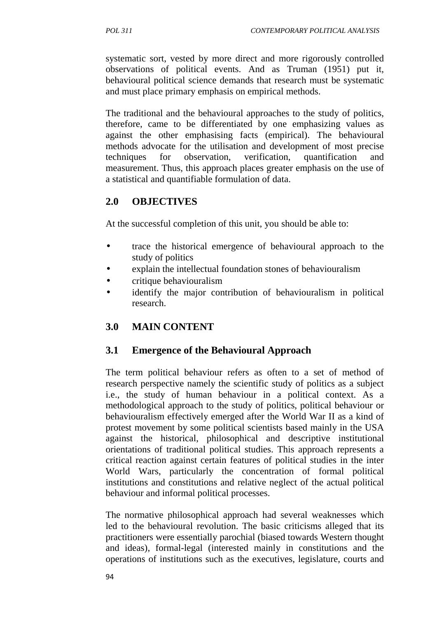systematic sort, vested by more direct and more rigorously controlled observations of political events. And as Truman (1951) put it, behavioural political science demands that research must be systematic and must place primary emphasis on empirical methods.

The traditional and the behavioural approaches to the study of politics, therefore, came to be differentiated by one emphasizing values as against the other emphasising facts (empirical). The behavioural methods advocate for the utilisation and development of most precise techniques for observation, verification, quantification and measurement. Thus, this approach places greater emphasis on the use of a statistical and quantifiable formulation of data.

# **2.0 OBJECTIVES**

At the successful completion of this unit, you should be able to:

- trace the historical emergence of behavioural approach to the study of politics
- explain the intellectual foundation stones of behaviouralism
- critique behaviouralism
- identify the major contribution of behaviouralism in political research.

# **3.0 MAIN CONTENT**

### **3.1 Emergence of the Behavioural Approach**

The term political behaviour refers as often to a set of method of research perspective namely the scientific study of politics as a subject i.e., the study of human behaviour in a political context. As a methodological approach to the study of politics, political behaviour or behaviouralism effectively emerged after the World War II as a kind of protest movement by some political scientists based mainly in the USA against the historical, philosophical and descriptive institutional orientations of traditional political studies. This approach represents a critical reaction against certain features of political studies in the inter World Wars, particularly the concentration of formal political institutions and constitutions and relative neglect of the actual political behaviour and informal political processes.

The normative philosophical approach had several weaknesses which led to the behavioural revolution. The basic criticisms alleged that its practitioners were essentially parochial (biased towards Western thought and ideas), formal-legal (interested mainly in constitutions and the operations of institutions such as the executives, legislature, courts and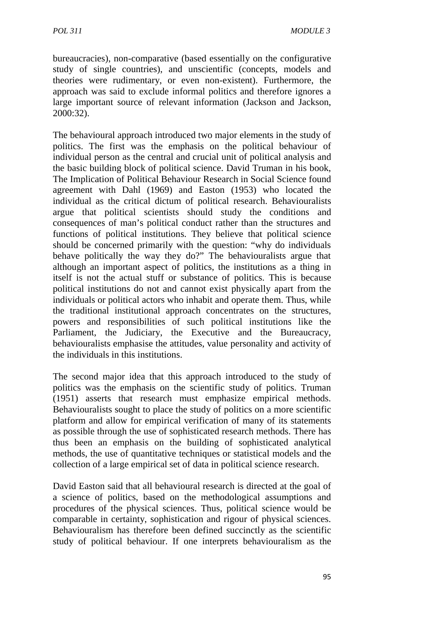bureaucracies), non-comparative (based essentially on the configurative study of single countries), and unscientific (concepts, models and theories were rudimentary, or even non-existent). Furthermore, the approach was said to exclude informal politics and therefore ignores a large important source of relevant information (Jackson and Jackson, 2000:32).

The behavioural approach introduced two major elements in the study of politics. The first was the emphasis on the political behaviour of individual person as the central and crucial unit of political analysis and the basic building block of political science. David Truman in his book, The Implication of Political Behaviour Research in Social Science found agreement with Dahl (1969) and Easton (1953) who located the individual as the critical dictum of political research. Behaviouralists argue that political scientists should study the conditions and consequences of man's political conduct rather than the structures and functions of political institutions. They believe that political science should be concerned primarily with the question: "why do individuals behave politically the way they do?" The behaviouralists argue that although an important aspect of politics, the institutions as a thing in itself is not the actual stuff or substance of politics. This is because political institutions do not and cannot exist physically apart from the individuals or political actors who inhabit and operate them. Thus, while the traditional institutional approach concentrates on the structures, powers and responsibilities of such political institutions like the Parliament, the Judiciary, the Executive and the Bureaucracy, behaviouralists emphasise the attitudes, value personality and activity of the individuals in this institutions.

The second major idea that this approach introduced to the study of politics was the emphasis on the scientific study of politics. Truman (1951) asserts that research must emphasize empirical methods. Behaviouralists sought to place the study of politics on a more scientific platform and allow for empirical verification of many of its statements as possible through the use of sophisticated research methods. There has thus been an emphasis on the building of sophisticated analytical methods, the use of quantitative techniques or statistical models and the collection of a large empirical set of data in political science research.

David Easton said that all behavioural research is directed at the goal of a science of politics, based on the methodological assumptions and procedures of the physical sciences. Thus, political science would be comparable in certainty, sophistication and rigour of physical sciences. Behaviouralism has therefore been defined succinctly as the scientific study of political behaviour. If one interprets behaviouralism as the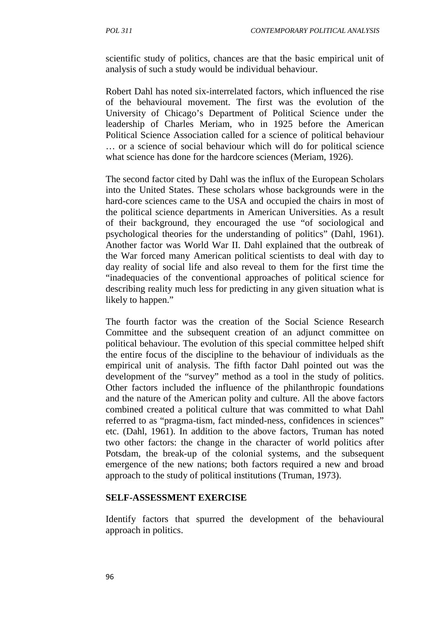scientific study of politics, chances are that the basic empirical unit of analysis of such a study would be individual behaviour.

Robert Dahl has noted six-interrelated factors, which influenced the rise of the behavioural movement. The first was the evolution of the University of Chicago's Department of Political Science under the leadership of Charles Meriam, who in 1925 before the American Political Science Association called for a science of political behaviour … or a science of social behaviour which will do for political science what science has done for the hardcore sciences (Meriam, 1926).

The second factor cited by Dahl was the influx of the European Scholars into the United States. These scholars whose backgrounds were in the hard-core sciences came to the USA and occupied the chairs in most of the political science departments in American Universities. As a result of their background, they encouraged the use "of sociological and psychological theories for the understanding of politics" (Dahl, 1961). Another factor was World War II. Dahl explained that the outbreak of the War forced many American political scientists to deal with day to day reality of social life and also reveal to them for the first time the "inadequacies of the conventional approaches of political science for describing reality much less for predicting in any given situation what is likely to happen."

The fourth factor was the creation of the Social Science Research Committee and the subsequent creation of an adjunct committee on political behaviour. The evolution of this special committee helped shift the entire focus of the discipline to the behaviour of individuals as the empirical unit of analysis. The fifth factor Dahl pointed out was the development of the "survey" method as a tool in the study of politics. Other factors included the influence of the philanthropic foundations and the nature of the American polity and culture. All the above factors combined created a political culture that was committed to what Dahl referred to as "pragma-tism, fact minded-ness, confidences in sciences" etc. (Dahl, 1961). In addition to the above factors, Truman has noted two other factors: the change in the character of world politics after Potsdam, the break-up of the colonial systems, and the subsequent emergence of the new nations; both factors required a new and broad approach to the study of political institutions (Truman, 1973).

#### **SELF-ASSESSMENT EXERCISE**

Identify factors that spurred the development of the behavioural approach in politics.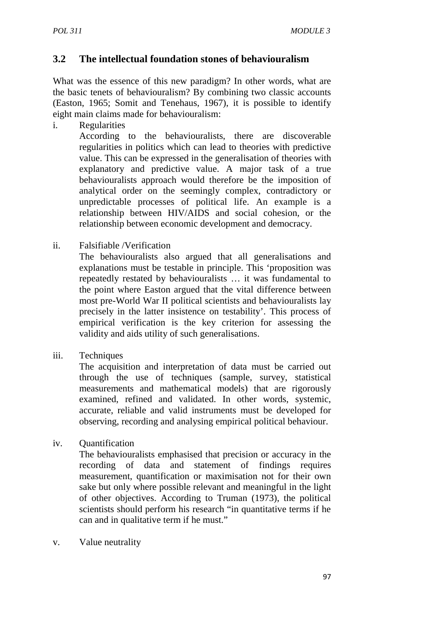## **3.2 The intellectual foundation stones of behaviouralism**

What was the essence of this new paradigm? In other words, what are the basic tenets of behaviouralism? By combining two classic accounts (Easton, 1965; Somit and Tenehaus, 1967), it is possible to identify eight main claims made for behaviouralism:

i. Regularities

According to the behaviouralists, there are discoverable regularities in politics which can lead to theories with predictive value. This can be expressed in the generalisation of theories with explanatory and predictive value. A major task of a true behaviouralists approach would therefore be the imposition of analytical order on the seemingly complex, contradictory or unpredictable processes of political life. An example is a relationship between HIV/AIDS and social cohesion, or the relationship between economic development and democracy.

ii. Falsifiable /Verification

The behaviouralists also argued that all generalisations and explanations must be testable in principle. This 'proposition was repeatedly restated by behaviouralists … it was fundamental to the point where Easton argued that the vital difference between most pre-World War II political scientists and behaviouralists lay precisely in the latter insistence on testability'. This process of empirical verification is the key criterion for assessing the validity and aids utility of such generalisations.

iii. Techniques

The acquisition and interpretation of data must be carried out through the use of techniques (sample, survey, statistical measurements and mathematical models) that are rigorously examined, refined and validated. In other words, systemic, accurate, reliable and valid instruments must be developed for observing, recording and analysing empirical political behaviour.

iv. Quantification

The behaviouralists emphasised that precision or accuracy in the recording of data and statement of findings requires measurement, quantification or maximisation not for their own sake but only where possible relevant and meaningful in the light of other objectives. According to Truman (1973), the political scientists should perform his research "in quantitative terms if he can and in qualitative term if he must."

v. Value neutrality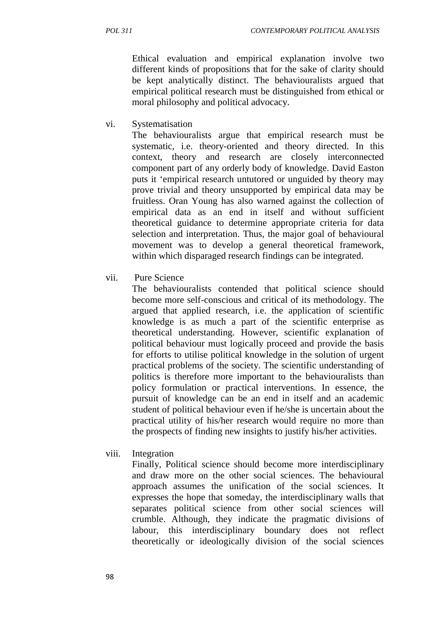Ethical evaluation and empirical explanation involve two different kinds of propositions that for the sake of clarity should be kept analytically distinct. The behaviouralists argued that empirical political research must be distinguished from ethical or moral philosophy and political advocacy.

vi. Systematisation

The behaviouralists argue that empirical research must be systematic, i.e. theory-oriented and theory directed. In this context, theory and research are closely interconnected component part of any orderly body of knowledge. David Easton puts it 'empirical research untutored or unguided by theory may prove trivial and theory unsupported by empirical data may be fruitless. Oran Young has also warned against the collection of empirical data as an end in itself and without sufficient theoretical guidance to determine appropriate criteria for data selection and interpretation. Thus, the major goal of behavioural movement was to develop a general theoretical framework, within which disparaged research findings can be integrated.

vii. Pure Science

The behaviouralists contended that political science should become more self-conscious and critical of its methodology. The argued that applied research, i.e. the application of scientific knowledge is as much a part of the scientific enterprise as theoretical understanding. However, scientific explanation of political behaviour must logically proceed and provide the basis for efforts to utilise political knowledge in the solution of urgent practical problems of the society. The scientific understanding of politics is therefore more important to the behaviouralists than policy formulation or practical interventions. In essence, the pursuit of knowledge can be an end in itself and an academic student of political behaviour even if he/she is uncertain about the practical utility of his/her research would require no more than the prospects of finding new insights to justify his/her activities.

viii. Integration

Finally, Political science should become more interdisciplinary and draw more on the other social sciences. The behavioural approach assumes the unification of the social sciences. It expresses the hope that someday, the interdisciplinary walls that separates political science from other social sciences will crumble. Although, they indicate the pragmatic divisions of labour, this interdisciplinary boundary does not reflect theoretically or ideologically division of the social sciences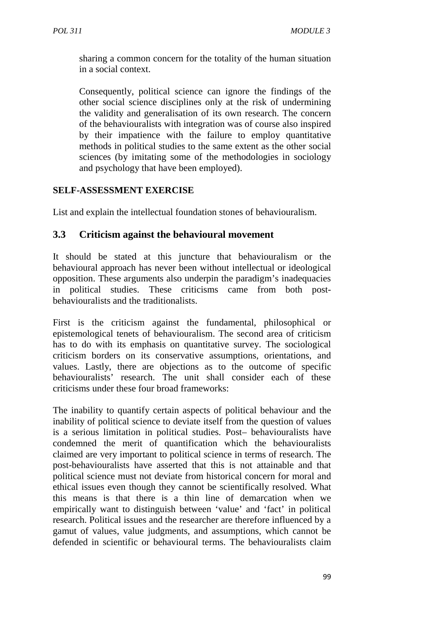sharing a common concern for the totality of the human situation in a social context.

Consequently, political science can ignore the findings of the other social science disciplines only at the risk of undermining the validity and generalisation of its own research. The concern of the behaviouralists with integration was of course also inspired by their impatience with the failure to employ quantitative methods in political studies to the same extent as the other social sciences (by imitating some of the methodologies in sociology and psychology that have been employed).

#### **SELF-ASSESSMENT EXERCISE**

List and explain the intellectual foundation stones of behaviouralism.

### **3.3 Criticism against the behavioural movement**

It should be stated at this juncture that behaviouralism or the behavioural approach has never been without intellectual or ideological opposition. These arguments also underpin the paradigm's inadequacies in political studies. These criticisms came from both post behaviouralists and the traditionalists.

First is the criticism against the fundamental, philosophical or epistemological tenets of behaviouralism. The second area of criticism has to do with its emphasis on quantitative survey. The sociological criticism borders on its conservative assumptions, orientations, and values. Lastly, there are objections as to the outcome of specific behaviouralists' research. The unit shall consider each of these criticisms under these four broad frameworks:

The inability to quantify certain aspects of political behaviour and the inability of political science to deviate itself from the question of values is a serious limitation in political studies. Post– behaviouralists have condemned the merit of quantification which the behaviouralists claimed are very important to political science in terms of research. The post-behaviouralists have asserted that this is not attainable and that political science must not deviate from historical concern for moral and ethical issues even though they cannot be scientifically resolved. What this means is that there is a thin line of demarcation when we empirically want to distinguish between 'value' and 'fact' in political research. Political issues and the researcher are therefore influenced by a gamut of values, value judgments, and assumptions, which cannot be defended in scientific or behavioural terms. The behaviouralists claim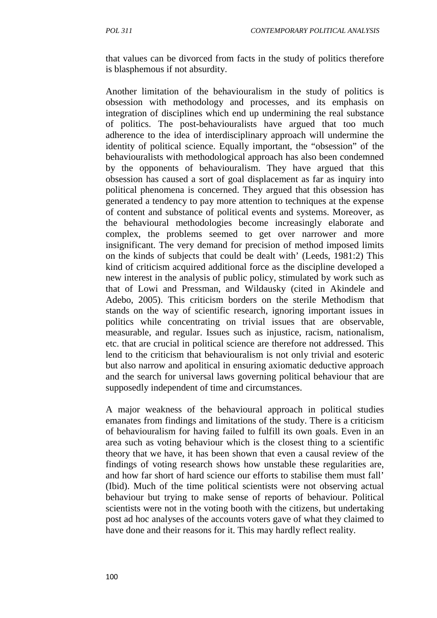that values can be divorced from facts in the study of politics therefore is blasphemous if not absurdity.

Another limitation of the behaviouralism in the study of politics is obsession with methodology and processes, and its emphasis on integration of disciplines which end up undermining the real substance of politics. The post-behaviouralists have argued that too much adherence to the idea of interdisciplinary approach will undermine the identity of political science. Equally important, the "obsession" of the behaviouralists with methodological approach has also been condemned by the opponents of behaviouralism. They have argued that this obsession has caused a sort of goal displacement as far as inquiry into political phenomena is concerned. They argued that this obsession has generated a tendency to pay more attention to techniques at the expense of content and substance of political events and systems. Moreover, as the behavioural methodologies become increasingly elaborate and complex, the problems seemed to get over narrower and more insignificant. The very demand for precision of method imposed limits on the kinds of subjects that could be dealt with' (Leeds, 1981:2) This kind of criticism acquired additional force as the discipline developed a new interest in the analysis of public policy, stimulated by work such as that of Lowi and Pressman, and Wildausky (cited in Akindele and Adebo, 2005). This criticism borders on the sterile Methodism that stands on the way of scientific research, ignoring important issues in politics while concentrating on trivial issues that are observable, measurable, and regular. Issues such as injustice, racism, nationalism, etc. that are crucial in political science are therefore not addressed. This lend to the criticism that behaviouralism is not only trivial and esoteric but also narrow and apolitical in ensuring axiomatic deductive approach and the search for universal laws governing political behaviour that are supposedly independent of time and circumstances.

A major weakness of the behavioural approach in political studies emanates from findings and limitations of the study. There is a criticism of behaviouralism for having failed to fulfill its own goals. Even in an area such as voting behaviour which is the closest thing to a scientific theory that we have, it has been shown that even a causal review of the findings of voting research shows how unstable these regularities are, and how far short of hard science our efforts to stabilise them must fall' (Ibid). Much of the time political scientists were not observing actual behaviour but trying to make sense of reports of behaviour. Political scientists were not in the voting booth with the citizens, but undertaking post ad hoc analyses of the accounts voters gave of what they claimed to have done and their reasons for it. This may hardly reflect reality.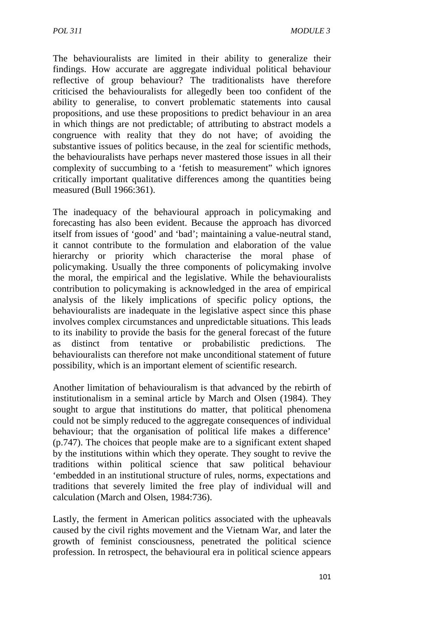The behaviouralists are limited in their ability to generalize their findings. How accurate are aggregate individual political behaviour reflective of group behaviour? The traditionalists have therefore criticised the behaviouralists for allegedly been too confident of the ability to generalise, to convert problematic statements into causal propositions, and use these propositions to predict behaviour in an area in which things are not predictable; of attributing to abstract models a congruence with reality that they do not have; of avoiding the substantive issues of politics because, in the zeal for scientific methods, the behaviouralists have perhaps never mastered those issues in all their complexity of succumbing to a 'fetish to measurement" which ignores critically important qualitative differences among the quantities being measured (Bull 1966:361).

The inadequacy of the behavioural approach in policymaking and forecasting has also been evident. Because the approach has divorced itself from issues of 'good' and 'bad'; maintaining a value-neutral stand, it cannot contribute to the formulation and elaboration of the value hierarchy or priority which characterise the moral phase of policymaking. Usually the three components of policymaking involve the moral, the empirical and the legislative. While the behaviouralists contribution to policymaking is acknowledged in the area of empirical analysis of the likely implications of specific policy options, the behaviouralists are inadequate in the legislative aspect since this phase involves complex circumstances and unpredictable situations. This leads to its inability to provide the basis for the general forecast of the future as distinct from tentative or probabilistic predictions. The behaviouralists can therefore not make unconditional statement of future possibility, which is an important element of scientific research.

Another limitation of behaviouralism is that advanced by the rebirth of institutionalism in a seminal article by March and Olsen (1984). They sought to argue that institutions do matter, that political phenomena could not be simply reduced to the aggregate consequences of individual behaviour; that the organisation of political life makes a difference' (p.747). The choices that people make are to a significant extent shaped by the institutions within which they operate. They sought to revive the traditions within political science that saw political behaviour 'embedded in an institutional structure of rules, norms, expectations and traditions that severely limited the free play of individual will and calculation (March and Olsen, 1984:736).

Lastly, the ferment in American politics associated with the upheavals caused by the civil rights movement and the Vietnam War, and later the growth of feminist consciousness, penetrated the political science profession. In retrospect, the behavioural era in political science appears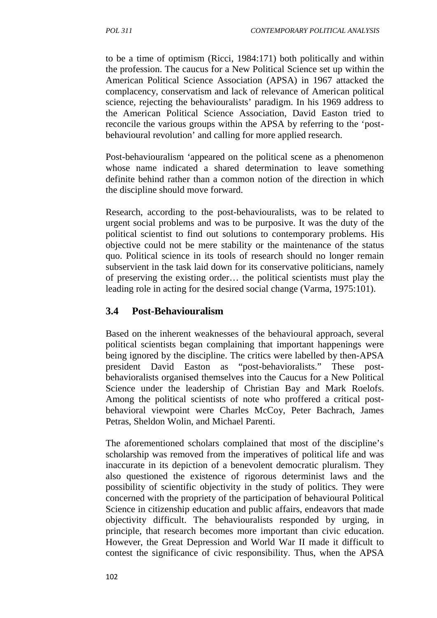to be a time of optimism (Ricci, 1984:171) both politically and within the profession. The caucus for a New Political Science set up within the American Political Science Association (APSA) in 1967 attacked the complacency, conservatism and lack of relevance of American political science, rejecting the behaviouralists' paradigm. In his 1969 address to the American Political Science Association, David Easton tried to reconcile the various groups within the APSA by referring to the 'post behavioural revolution' and calling for more applied research.

Post-behaviouralism 'appeared on the political scene as a phenomenon whose name indicated a shared determination to leave something definite behind rather than a common notion of the direction in which the discipline should move forward.

Research, according to the post-behaviouralists, was to be related to urgent social problems and was to be purposive. It was the duty of the political scientist to find out solutions to contemporary problems. His objective could not be mere stability or the maintenance of the status quo. Political science in its tools of research should no longer remain subservient in the task laid down for its conservative politicians, namely of preserving the existing order… the political scientists must play the leading role in acting for the desired social change (Varma, 1975:101).

### **3.4 Post-Behaviouralism**

Based on the inherent weaknesses of the behavioural approach, several political scientists began complaining that important happenings were being ignored by the discipline. The critics were labelled by then-APSA president David Easton as "post-behavioralists." These post behavioralists organised themselves into the Caucus for a New Political Science under the leadership of Christian Bay and Mark Roelofs. Among the political scientists of note who proffered a critical post behavioral viewpoint were Charles McCoy, Peter Bachrach, James Petras, Sheldon Wolin, and Michael Parenti.

The aforementioned scholars complained that most of the discipline's scholarship was removed from the imperatives of political life and was inaccurate in its depiction of a benevolent democratic pluralism. They also questioned the existence of rigorous determinist laws and the possibility of scientific objectivity in the study of politics. They were concerned with the propriety of the participation of behavioural Political Science in citizenship education and public affairs, endeavors that made objectivity difficult. The behaviouralists responded by urging, in principle, that research becomes more important than civic education. However, the Great Depression and World War II made it difficult to contest the significance of civic responsibility. Thus, when the APSA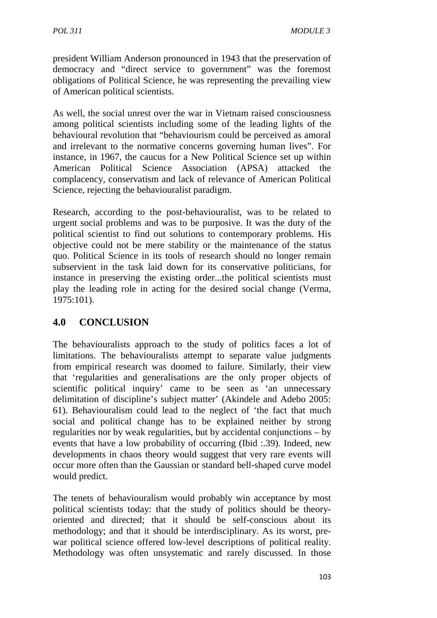president William Anderson pronounced in 1943 that the preservation of democracy and "direct service to government" was the foremost obligations of Political Science, he was representing the prevailing view of American political scientists.

As well, the social unrest over the war in Vietnam raised consciousness among political scientists including some of the leading lights of the behavioural revolution that "behaviourism could be perceived as amoral and irrelevant to the normative concerns governing human lives". For instance, in 1967, the caucus for a New Political Science set up within American Political Science Association (APSA) attacked the complacency, conservatism and lack of relevance of American Political Science, rejecting the behaviouralist paradigm.

Research, according to the post-behaviouralist, was to be related to urgent social problems and was to be purposive. It was the duty of the political scientist to find out solutions to contemporary problems. His objective could not be mere stability or the maintenance of the status quo. Political Science in its tools of research should no longer remain subservient in the task laid down for its conservative politicians, for instance in preserving the existing order...the political scientists must play the leading role in acting for the desired social change (Verma, 1975:101).

# **4.0 CONCLUSION**

The behaviouralists approach to the study of politics faces a lot of limitations. The behaviouralists attempt to separate value judgments from empirical research was doomed to failure. Similarly, their view that 'regularities and generalisations are the only proper objects of scientific political inquiry' came to be seen as 'an unnecessary delimitation of discipline's subject matter' (Akindele and Adebo 2005: 61). Behaviouralism could lead to the neglect of 'the fact that much social and political change has to be explained neither by strong regularities nor by weak regularities, but by accidental conjunctions – by events that have a low probability of occurring (Ibid :.39). Indeed, new developments in chaos theory would suggest that very rare events will occur more often than the Gaussian or standard bell-shaped curve model would predict.

The tenets of behaviouralism would probably win acceptance by most political scientists today: that the study of politics should be theory oriented and directed; that it should be self-conscious about its methodology; and that it should be interdisciplinary. As its worst, pre war political science offered low-level descriptions of political reality. Methodology was often unsystematic and rarely discussed. In those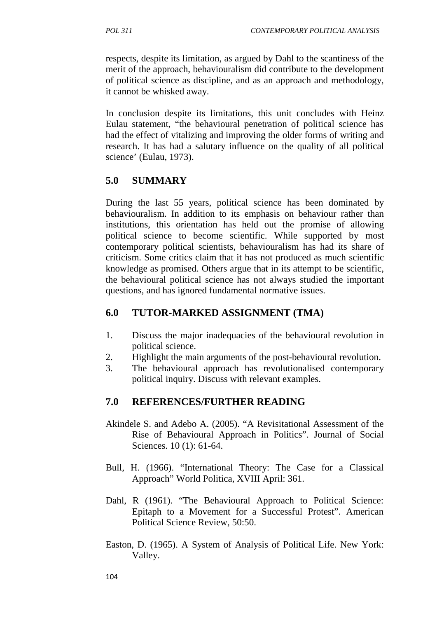respects, despite its limitation, as argued by Dahl to the scantiness of the merit of the approach, behaviouralism did contribute to the development of political science as discipline, and as an approach and methodology, it cannot be whisked away.

In conclusion despite its limitations, this unit concludes with Heinz Eulau statement, "the behavioural penetration of political science has had the effect of vitalizing and improving the older forms of writing and research. It has had a salutary influence on the quality of all political science' (Eulau, 1973).

# **5.0 SUMMARY**

During the last 55 years, political science has been dominated by behaviouralism. In addition to its emphasis on behaviour rather than institutions, this orientation has held out the promise of allowing political science to become scientific. While supported by most contemporary political scientists, behaviouralism has had its share of criticism. Some critics claim that it has not produced as much scientific knowledge as promised. Others argue that in its attempt to be scientific, the behavioural political science has not always studied the important questions, and has ignored fundamental normative issues.

# **6.0 TUTOR-MARKED ASSIGNMENT (TMA)**

- 1. Discuss the major inadequacies of the behavioural revolution in political science.
- 2. Highlight the main arguments of the post-behavioural revolution.
- 3. The behavioural approach has revolutionalised contemporary political inquiry. Discuss with relevant examples.

# **7.0 REFERENCES/FURTHER READING**

- Akindele S. and Adebo A. (2005). "A Revisitational Assessment of the Rise of Behavioural Approach in Politics". Journal of Social Sciences. 10 (1): 61-64.
- Bull, H. (1966). "International Theory: The Case for a Classical Approach" World Politica, XVIII April: 361.
- Dahl, R (1961). "The Behavioural Approach to Political Science: Epitaph to a Movement for a Successful Protest". American Political Science Review, 50:50.
- Easton, D. (1965). A System of Analysis of Political Life. New York: Valley.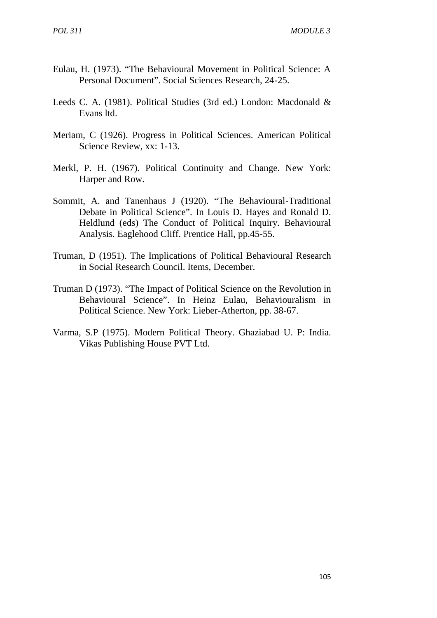- Eulau, H. (1973). "The Behavioural Movement in Political Science: A Personal Document". Social Sciences Research, 24-25.
- Leeds C. A. (1981). Political Studies (3rd ed.) London: Macdonald & Evans ltd.
- Meriam, C (1926). Progress in Political Sciences. American Political Science Review, xx: 1-13.
- Merkl, P. H. (1967). Political Continuity and Change. New York: Harper and Row.
- Sommit, A. and Tanenhaus J (1920). "The Behavioural-Traditional Debate in Political Science". In Louis D. Hayes and Ronald D. Heldlund (eds) The Conduct of Political Inquiry. Behavioural Analysis. Eaglehood Cliff. Prentice Hall, pp.45-55.
- Truman, D (1951). The Implications of Political Behavioural Research in Social Research Council. Items, December.
- Truman D (1973). "The Impact of Political Science on the Revolution in Behavioural Science". In Heinz Eulau, Behaviouralism in Political Science. New York: Lieber-Atherton, pp. 38-67.
- Varma, S.P (1975). Modern Political Theory. Ghaziabad U. P: India. Vikas Publishing House PVT Ltd.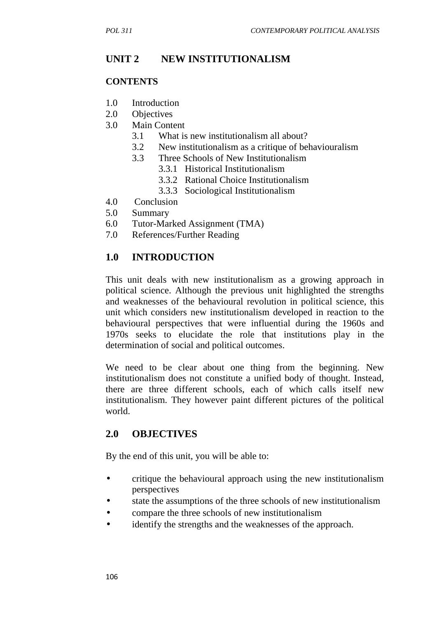## **UNIT 2 NEW INSTITUTIONALISM**

#### **CONTENTS**

- 1.0 Introduction
- 2.0 Objectives
- 3.0 Main Content
	- 3.1 What is new institutionalism all about?
	- 3.2 New institutionalism as a critique of behaviouralism
	- 3.3 Three Schools of New Institutionalism
		- 3.3.1 Historical Institutionalism
		- 3.3.2 Rational Choice Institutionalism
		- 3.3.3 Sociological Institutionalism
- 4.0 Conclusion
- 5.0 Summary
- 6.0 Tutor-Marked Assignment (TMA)
- 7.0 References/Further Reading

#### **1.0 INTRODUCTION**

This unit deals with new institutionalism as a growing approach in political science. Although the previous unit highlighted the strengths and weaknesses of the behavioural revolution in political science, this unit which considers new institutionalism developed in reaction to the behavioural perspectives that were influential during the 1960s and 1970s seeks to elucidate the role that institutions play in the determination of social and political outcomes.

We need to be clear about one thing from the beginning. New institutionalism does not constitute a unified body of thought. Instead, there are three different schools, each of which calls itself new institutionalism. They however paint different pictures of the political world.

### **2.0 OBJECTIVES**

By the end of this unit, you will be able to:

- critique the behavioural approach using the new institutionalism perspectives
- state the assumptions of the three schools of new institutionalism
- compare the three schools of new institutionalism
- identify the strengths and the weaknesses of the approach.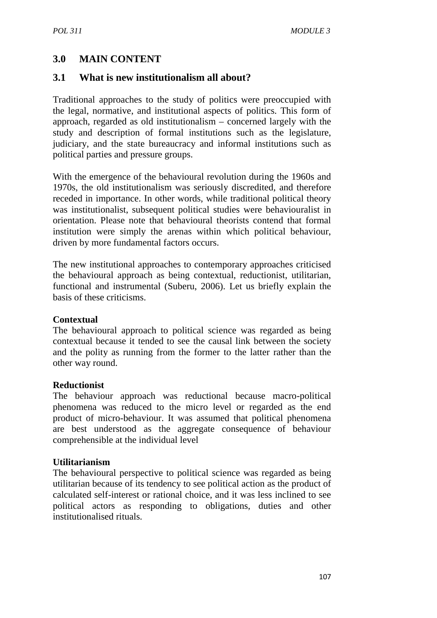## **3.0 MAIN CONTENT**

### **3.1 What is new institutionalism all about?**

Traditional approaches to the study of politics were preoccupied with the legal, normative, and institutional aspects of politics. This form of approach, regarded as old institutionalism – concerned largely with the study and description of formal institutions such as the legislature, judiciary, and the state bureaucracy and informal institutions such as political parties and pressure groups.

With the emergence of the behavioural revolution during the 1960s and 1970s, the old institutionalism was seriously discredited, and therefore receded in importance. In other words, while traditional political theory was institutionalist, subsequent political studies were behaviouralist in orientation. Please note that behavioural theorists contend that formal institution were simply the arenas within which political behaviour, driven by more fundamental factors occurs.

The new institutional approaches to contemporary approaches criticised the behavioural approach as being contextual, reductionist, utilitarian, functional and instrumental (Suberu, 2006). Let us briefly explain the basis of these criticisms.

#### **Contextual**

The behavioural approach to political science was regarded as being contextual because it tended to see the causal link between the society and the polity as running from the former to the latter rather than the other way round.

#### **Reductionist**

The behaviour approach was reductional because macro-political phenomena was reduced to the micro level or regarded as the end product of micro-behaviour. It was assumed that political phenomena are best understood as the aggregate consequence of behaviour comprehensible at the individual level

#### **Utilitarianism**

The behavioural perspective to political science was regarded as being utilitarian because of its tendency to see political action as the product of calculated self-interest or rational choice, and it was less inclined to see political actors as responding to obligations, duties and other institutionalised rituals.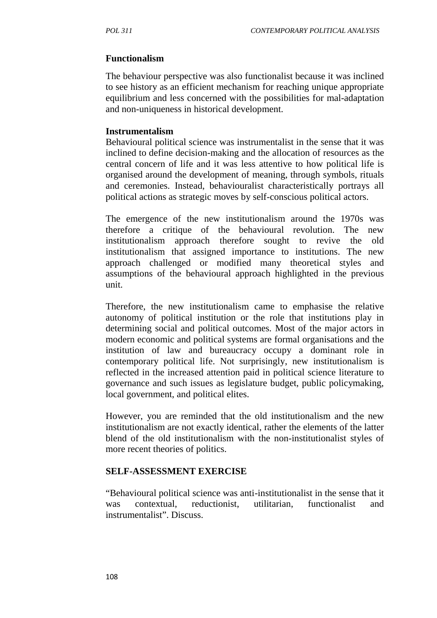#### **Functionalism**

The behaviour perspective was also functionalist because it was inclined to see history as an efficient mechanism for reaching unique appropriate equilibrium and less concerned with the possibilities for mal-adaptation and non-uniqueness in historical development.

#### **Instrumentalism**

Behavioural political science was instrumentalist in the sense that it was inclined to define decision-making and the allocation of resources as the central concern of life and it was less attentive to how political life is organised around the development of meaning, through symbols, rituals and ceremonies. Instead, behaviouralist characteristically portrays all political actions as strategic moves by self-conscious political actors.

The emergence of the new institutionalism around the 1970s was therefore a critique of the behavioural revolution. The new institutionalism approach therefore sought to revive the old institutionalism that assigned importance to institutions. The new approach challenged or modified many theoretical styles and assumptions of the behavioural approach highlighted in the previous unit.

Therefore, the new institutionalism came to emphasise the relative autonomy of political institution or the role that institutions play in determining social and political outcomes. Most of the major actors in modern economic and political systems are formal organisations and the institution of law and bureaucracy occupy a dominant role in contemporary political life. Not surprisingly, new institutionalism is reflected in the increased attention paid in political science literature to governance and such issues as legislature budget, public policymaking, local government, and political elites.

However, you are reminded that the old institutionalism and the new institutionalism are not exactly identical, rather the elements of the latter blend of the old institutionalism with the non-institutionalist styles of more recent theories of politics.

#### **SELF-ASSESSMENT EXERCISE**

"Behavioural political science was anti-institutionalist in the sense that it was contextual, reductionist, utilitarian, functionalist and instrumentalist". Discuss.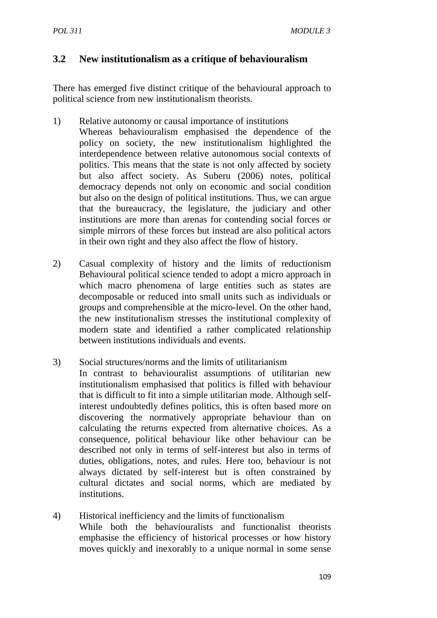# **3.2 New institutionalism as a critique of behaviouralism**

There has emerged five distinct critique of the behavioural approach to political science from new institutionalism theorists.

- 1) Relative autonomy or causal importance of institutions Whereas behaviouralism emphasised the dependence of the policy on society, the new institutionalism highlighted the interdependence between relative autonomous social contexts of politics. This means that the state is not only affected by society but also affect society. As Suberu (2006) notes, political democracy depends not only on economic and social condition but also on the design of political institutions. Thus, we can argue that the bureaucracy, the legislature, the judiciary and other institutions are more than arenas for contending social forces or simple mirrors of these forces but instead are also political actors in their own right and they also affect the flow of history.
- 2) Casual complexity of history and the limits of reductionism Behavioural political science tended to adopt a micro approach in which macro phenomena of large entities such as states are decomposable or reduced into small units such as individuals or groups and comprehensible at the micro-level. On the other hand, the new institutionalism stresses the institutional complexity of modern state and identified a rather complicated relationship between institutions individuals and events.
- 3) Social structures/norms and the limits of utilitarianism In contrast to behaviouralist assumptions of utilitarian new institutionalism emphasised that politics is filled with behaviour that is difficult to fit into a simple utilitarian mode. Although selfinterest undoubtedly defines politics, this is often based more on discovering the normatively appropriate behaviour than on calculating the returns expected from alternative choices. As a consequence, political behaviour like other behaviour can be described not only in terms of self-interest but also in terms of duties, obligations, notes, and rules. Here too, behaviour is not always dictated by self-interest but is often constrained by cultural dictates and social norms, which are mediated by institutions.
- 4) Historical inefficiency and the limits of functionalism While both the behaviouralists and functionalist theorists emphasise the efficiency of historical processes or how history moves quickly and inexorably to a unique normal in some sense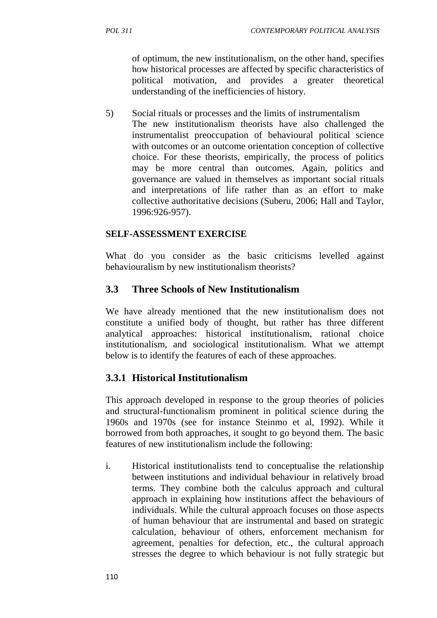of optimum, the new institutionalism, on the other hand, specifies how historical processes are affected by specific characteristics of political motivation, and provides a greater theoretical understanding of the inefficiencies of history.

5) Social rituals or processes and the limits of instrumentalism The new institutionalism theorists have also challenged the instrumentalist preoccupation of behavioural political science with outcomes or an outcome orientation conception of collective choice. For these theorists, empirically, the process of politics may be more central than outcomes. Again, politics and governance are valued in themselves as important social rituals and interpretations of life rather than as an effort to make collective authoritative decisions (Suberu, 2006; Hall and Taylor, 1996:926-957).

### **SELF-ASSESSMENT EXERCISE**

What do you consider as the basic criticisms levelled against behaviouralism by new institutionalism theorists?

### **3.3 Three Schools of New Institutionalism**

We have already mentioned that the new institutionalism does not constitute a unified body of thought, but rather has three different analytical approaches: historical institutionalism, rational choice institutionalism, and sociological institutionalism. What we attempt below is to identify the features of each of these approaches.

# **3.3.1 Historical Institutionalism**

This approach developed in response to the group theories of policies and structural-functionalism prominent in political science during the 1960s and 1970s (see for instance Steinmo et al, 1992). While it borrowed from both approaches, it sought to go beyond them. The basic features of new institutionalism include the following:

i. Historical institutionalists tend to conceptualise the relationship between institutions and individual behaviour in relatively broad terms. They combine both the calculus approach and cultural approach in explaining how institutions affect the behaviours of individuals. While the cultural approach focuses on those aspects of human behaviour that are instrumental and based on strategic calculation, behaviour of others, enforcement mechanism for agreement, penalties for defection, etc., the cultural approach stresses the degree to which behaviour is not fully strategic but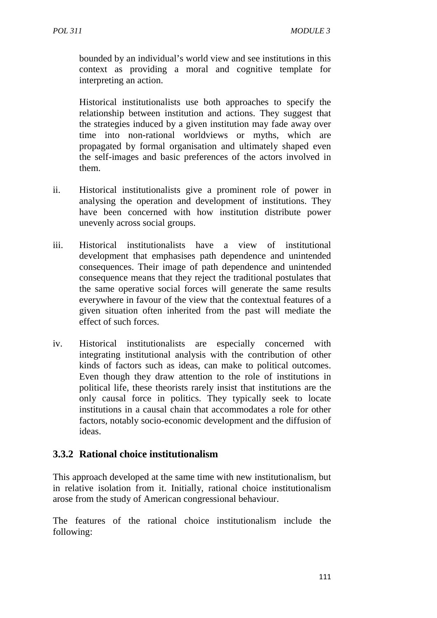bounded by an individual's world view and see institutions in this context as providing a moral and cognitive template for interpreting an action.

Historical institutionalists use both approaches to specify the relationship between institution and actions. They suggest that the strategies induced by a given institution may fade away over time into non-rational worldviews or myths, which are propagated by formal organisation and ultimately shaped even the self-images and basic preferences of the actors involved in them.

- ii. Historical institutionalists give a prominent role of power in analysing the operation and development of institutions. They have been concerned with how institution distribute power unevenly across social groups.
- iii. Historical institutionalists have a view of institutional development that emphasises path dependence and unintended consequences. Their image of path dependence and unintended consequence means that they reject the traditional postulates that the same operative social forces will generate the same results everywhere in favour of the view that the contextual features of a given situation often inherited from the past will mediate the effect of such forces.
- iv. Historical institutionalists are especially concerned with integrating institutional analysis with the contribution of other kinds of factors such as ideas, can make to political outcomes. Even though they draw attention to the role of institutions in political life, these theorists rarely insist that institutions are the only causal force in politics. They typically seek to locate institutions in a causal chain that accommodates a role for other factors, notably socio-economic development and the diffusion of ideas.

### **3.3.2 Rational choice institutionalism**

This approach developed at the same time with new institutionalism, but in relative isolation from it. Initially, rational choice institutionalism arose from the study of American congressional behaviour.

The features of the rational choice institutionalism include the following: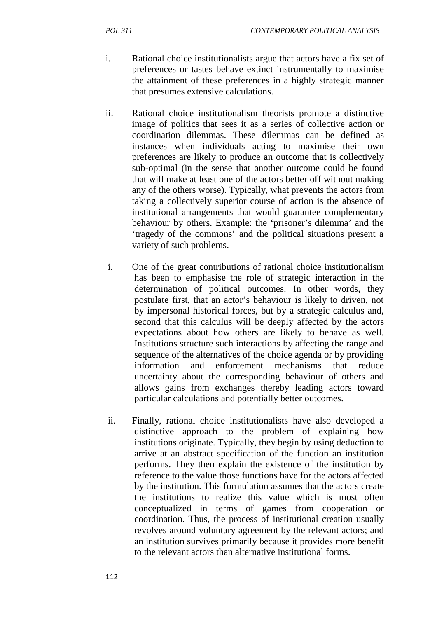- i. Rational choice institutionalists argue that actors have a fix set of preferences or tastes behave extinct instrumentally to maximise the attainment of these preferences in a highly strategic manner that presumes extensive calculations.
- ii. Rational choice institutionalism theorists promote a distinctive image of politics that sees it as a series of collective action or coordination dilemmas. These dilemmas can be defined as instances when individuals acting to maximise their own preferences are likely to produce an outcome that is collectively sub-optimal (in the sense that another outcome could be found that will make at least one of the actors better off without making any of the others worse). Typically, what prevents the actors from taking a collectively superior course of action is the absence of institutional arrangements that would guarantee complementary behaviour by others. Example: the 'prisoner's dilemma' and the 'tragedy of the commons' and the political situations present a variety of such problems.
- i. One of the great contributions of rational choice institutionalism has been to emphasise the role of strategic interaction in the determination of political outcomes. In other words, they postulate first, that an actor's behaviour is likely to driven, not by impersonal historical forces, but by a strategic calculus and, second that this calculus will be deeply affected by the actors expectations about how others are likely to behave as well. Institutions structure such interactions by affecting the range and sequence of the alternatives of the choice agenda or by providing information and enforcement mechanisms that reduce uncertainty about the corresponding behaviour of others and allows gains from exchanges thereby leading actors toward particular calculations and potentially better outcomes.
- ii. Finally, rational choice institutionalists have also developed a distinctive approach to the problem of explaining how institutions originate. Typically, they begin by using deduction to arrive at an abstract specification of the function an institution performs. They then explain the existence of the institution by reference to the value those functions have for the actors affected by the institution. This formulation assumes that the actors create the institutions to realize this value which is most often conceptualized in terms of games from cooperation or coordination. Thus, the process of institutional creation usually revolves around voluntary agreement by the relevant actors; and an institution survives primarily because it provides more benefit to the relevant actors than alternative institutional forms.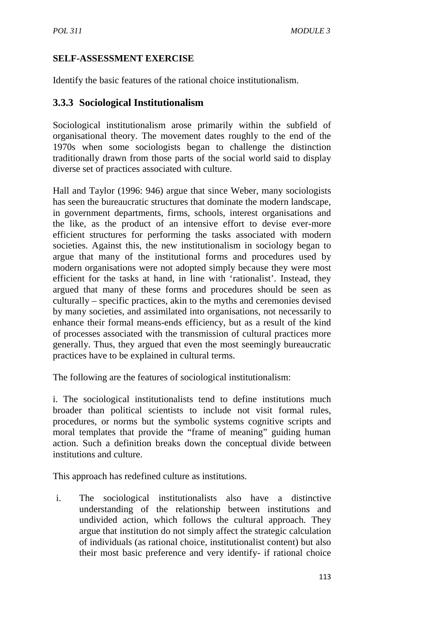### **SELF-ASSESSMENT EXERCISE**

Identify the basic features of the rational choice institutionalism.

### **3.3.3 Sociological Institutionalism**

Sociological institutionalism arose primarily within the subfield of organisational theory. The movement dates roughly to the end of the 1970s when some sociologists began to challenge the distinction traditionally drawn from those parts of the social world said to display diverse set of practices associated with culture.

Hall and Taylor (1996: 946) argue that since Weber, many sociologists has seen the bureaucratic structures that dominate the modern landscape, in government departments, firms, schools, interest organisations and the like, as the product of an intensive effort to devise ever-more efficient structures for performing the tasks associated with modern societies. Against this, the new institutionalism in sociology began to argue that many of the institutional forms and procedures used by modern organisations were not adopted simply because they were most efficient for the tasks at hand, in line with 'rationalist'. Instead, they argued that many of these forms and procedures should be seen as culturally – specific practices, akin to the myths and ceremonies devised by many societies, and assimilated into organisations, not necessarily to enhance their formal means-ends efficiency, but as a result of the kind of processes associated with the transmission of cultural practices more generally. Thus, they argued that even the most seemingly bureaucratic practices have to be explained in cultural terms.

The following are the features of sociological institutionalism:

i. The sociological institutionalists tend to define institutions much broader than political scientists to include not visit formal rules, procedures, or norms but the symbolic systems cognitive scripts and moral templates that provide the "frame of meaning" guiding human action. Such a definition breaks down the conceptual divide between institutions and culture.

This approach has redefined culture as institutions.

i. The sociological institutionalists also have a distinctive understanding of the relationship between institutions and undivided action, which follows the cultural approach. They argue that institution do not simply affect the strategic calculation of individuals (as rational choice, institutionalist content) but also their most basic preference and very identify- if rational choice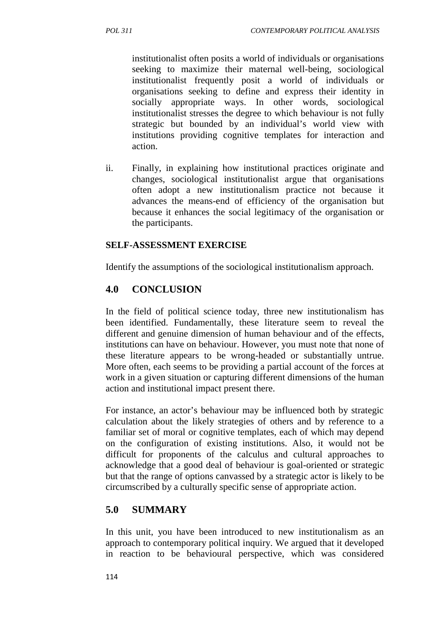institutionalist often posits a world of individuals or organisations seeking to maximize their maternal well-being, sociological institutionalist frequently posit a world of individuals or organisations seeking to define and express their identity in socially appropriate ways. In other words, sociological institutionalist stresses the degree to which behaviour is not fully strategic but bounded by an individual's world view with institutions providing cognitive templates for interaction and action.

ii. Finally, in explaining how institutional practices originate and changes, sociological institutionalist argue that organisations often adopt a new institutionalism practice not because it advances the means-end of efficiency of the organisation but because it enhances the social legitimacy of the organisation or the participants.

### **SELF-ASSESSMENT EXERCISE**

Identify the assumptions of the sociological institutionalism approach.

# **4.0 CONCLUSION**

In the field of political science today, three new institutionalism has been identified. Fundamentally, these literature seem to reveal the different and genuine dimension of human behaviour and of the effects, institutions can have on behaviour. However, you must note that none of these literature appears to be wrong-headed or substantially untrue. More often, each seems to be providing a partial account of the forces at work in a given situation or capturing different dimensions of the human action and institutional impact present there.

For instance, an actor's behaviour may be influenced both by strategic calculation about the likely strategies of others and by reference to a familiar set of moral or cognitive templates, each of which may depend on the configuration of existing institutions. Also, it would not be difficult for proponents of the calculus and cultural approaches to acknowledge that a good deal of behaviour is goal-oriented or strategic but that the range of options canvassed by a strategic actor is likely to be circumscribed by a culturally specific sense of appropriate action.

# **5.0 SUMMARY**

In this unit, you have been introduced to new institutionalism as an approach to contemporary political inquiry. We argued that it developed in reaction to be behavioural perspective, which was considered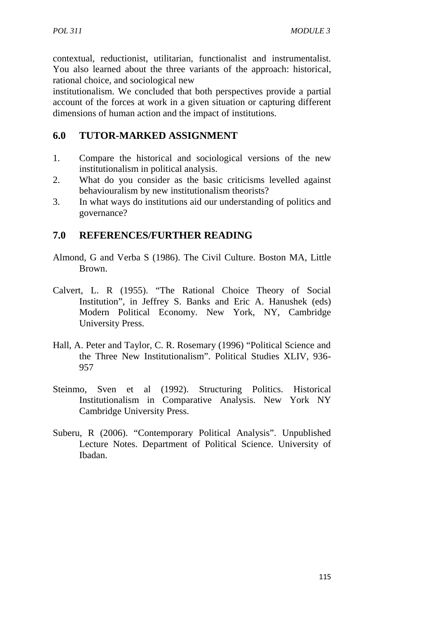contextual, reductionist, utilitarian, functionalist and instrumentalist. You also learned about the three variants of the approach: historical, rational choice, and sociological new

institutionalism. We concluded that both perspectives provide a partial account of the forces at work in a given situation or capturing different dimensions of human action and the impact of institutions.

## **6.0 TUTOR-MARKED ASSIGNMENT**

- 1. Compare the historical and sociological versions of the new institutionalism in political analysis.
- 2. What do you consider as the basic criticisms levelled against behaviouralism by new institutionalism theorists?
- 3. In what ways do institutions aid our understanding of politics and governance?

## **7.0 REFERENCES/FURTHER READING**

- Almond, G and Verba S (1986). The Civil Culture. Boston MA, Little Brown.
- Calvert, L. R (1955). "The Rational Choice Theory of Social Institution", in Jeffrey S. Banks and Eric A. Hanushek (eds) Modern Political Economy. New York, NY, Cambridge University Press.
- Hall, A. Peter and Taylor, C. R. Rosemary (1996) "Political Science and the Three New Institutionalism". Political Studies XLIV, 936- 957
- Steinmo, Sven et al (1992). Structuring Politics. Historical Institutionalism in Comparative Analysis. New York NY Cambridge University Press.
- Suberu, R (2006). "Contemporary Political Analysis". Unpublished Lecture Notes. Department of Political Science. University of Ibadan.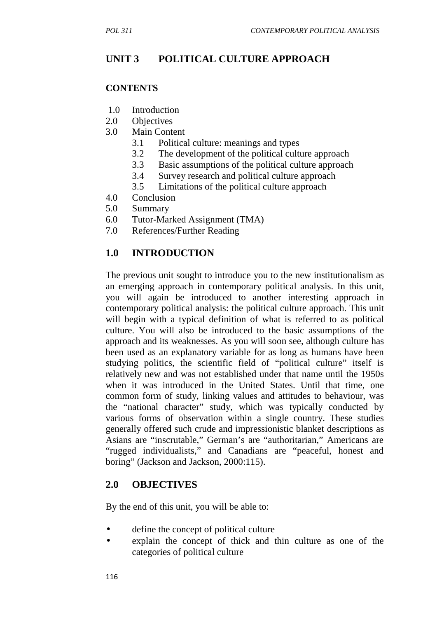## **UNIT 3 POLITICAL CULTURE APPROACH**

#### **CONTENTS**

- 1.0 Introduction
- 2.0 Objectives
- 3.0 Main Content
	- 3.1 Political culture: meanings and types
	- 3.2 The development of the political culture approach
	- 3.3 Basic assumptions of the political culture approach
	- 3.4 Survey research and political culture approach
	- 3.5 Limitations of the political culture approach
- 4.0 Conclusion
- 5.0 Summary
- 6.0 Tutor-Marked Assignment (TMA)
- 7.0 References/Further Reading

#### **1.0 INTRODUCTION**

The previous unit sought to introduce you to the new institutionalism as an emerging approach in contemporary political analysis. In this unit, you will again be introduced to another interesting approach in contemporary political analysis: the political culture approach. This unit will begin with a typical definition of what is referred to as political culture. You will also be introduced to the basic assumptions of the approach and its weaknesses. As you will soon see, although culture has been used as an explanatory variable for as long as humans have been studying politics, the scientific field of "political culture" itself is relatively new and was not established under that name until the 1950s when it was introduced in the United States. Until that time, one common form of study, linking values and attitudes to behaviour, was the "national character" study, which was typically conducted by various forms of observation within a single country. These studies generally offered such crude and impressionistic blanket descriptions as Asians are "inscrutable," German's are "authoritarian," Americans are "rugged individualists," and Canadians are "peaceful, honest and boring" (Jackson and Jackson, 2000:115).

#### **2.0 OBJECTIVES**

By the end of this unit, you will be able to:

- define the concept of political culture
- explain the concept of thick and thin culture as one of the categories of political culture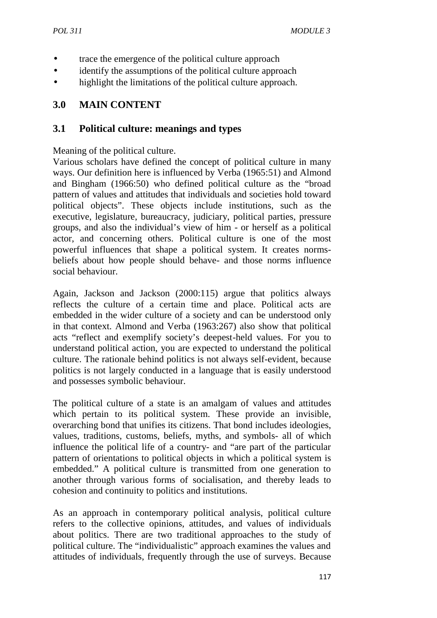- trace the emergence of the political culture approach
- identify the assumptions of the political culture approach
- highlight the limitations of the political culture approach.

# **3.0 MAIN CONTENT**

## **3.1 Political culture: meanings and types**

Meaning of the political culture.

Various scholars have defined the concept of political culture in many ways. Our definition here is influenced by Verba (1965:51) and Almond and Bingham (1966:50) who defined political culture as the "broad pattern of values and attitudes that individuals and societies hold toward political objects". These objects include institutions, such as the executive, legislature, bureaucracy, judiciary, political parties, pressure groups, and also the individual's view of him - or herself as a political actor, and concerning others. Political culture is one of the most powerful influences that shape a political system. It creates norms beliefs about how people should behave- and those norms influence social behaviour.

Again, Jackson and Jackson (2000:115) argue that politics always reflects the culture of a certain time and place. Political acts are embedded in the wider culture of a society and can be understood only in that context. Almond and Verba (1963:267) also show that political acts "reflect and exemplify society's deepest-held values. For you to understand political action, you are expected to understand the political culture. The rationale behind politics is not always self-evident, because politics is not largely conducted in a language that is easily understood and possesses symbolic behaviour.

The political culture of a state is an amalgam of values and attitudes which pertain to its political system. These provide an invisible, overarching bond that unifies its citizens. That bond includes ideologies, values, traditions, customs, beliefs, myths, and symbols- all of which influence the political life of a country- and "are part of the particular pattern of orientations to political objects in which a political system is embedded." A political culture is transmitted from one generation to another through various forms of socialisation, and thereby leads to cohesion and continuity to politics and institutions.

As an approach in contemporary political analysis, political culture refers to the collective opinions, attitudes, and values of individuals about politics. There are two traditional approaches to the study of political culture. The "individualistic" approach examines the values and attitudes of individuals, frequently through the use of surveys. Because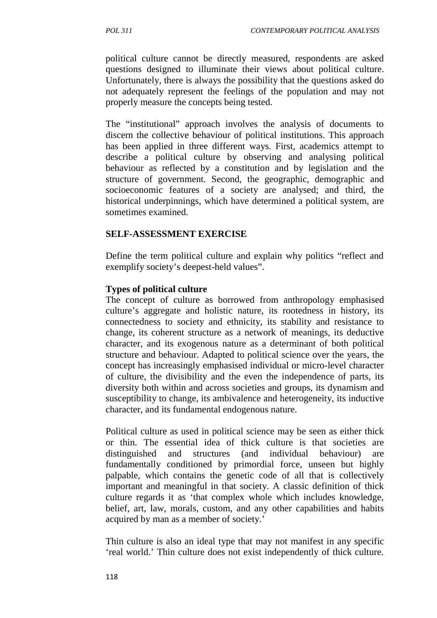political culture cannot be directly measured, respondents are asked questions designed to illuminate their views about political culture. Unfortunately, there is always the possibility that the questions asked do not adequately represent the feelings of the population and may not properly measure the concepts being tested.

The "institutional" approach involves the analysis of documents to discern the collective behaviour of political institutions. This approach has been applied in three different ways. First, academics attempt to describe a political culture by observing and analysing political behaviour as reflected by a constitution and by legislation and the structure of government. Second, the geographic, demographic and socioeconomic features of a society are analysed; and third, the historical underpinnings, which have determined a political system, are sometimes examined.

#### **SELF-ASSESSMENT EXERCISE**

Define the term political culture and explain why politics "reflect and exemplify society's deepest-held values".

#### **Types of political culture**

The concept of culture as borrowed from anthropology emphasised culture's aggregate and holistic nature, its rootedness in history, its connectedness to society and ethnicity, its stability and resistance to change, its coherent structure as a network of meanings, its deductive character, and its exogenous nature as a determinant of both political structure and behaviour. Adapted to political science over the years, the concept has increasingly emphasised individual or micro-level character of culture, the divisibility and the even the independence of parts, its diversity both within and across societies and groups, its dynamism and susceptibility to change, its ambivalence and heterogeneity, its inductive character, and its fundamental endogenous nature.

Political culture as used in political science may be seen as either thick or thin. The essential idea of thick culture is that societies are distinguished and structures (and individual behaviour) are fundamentally conditioned by primordial force, unseen but highly palpable, which contains the genetic code of all that is collectively important and meaningful in that society. A classic definition of thick culture regards it as 'that complex whole which includes knowledge, belief, art, law, morals, custom, and any other capabilities and habits acquired by man as a member of society.'

Thin culture is also an ideal type that may not manifest in any specific 'real world.' Thin culture does not exist independently of thick culture.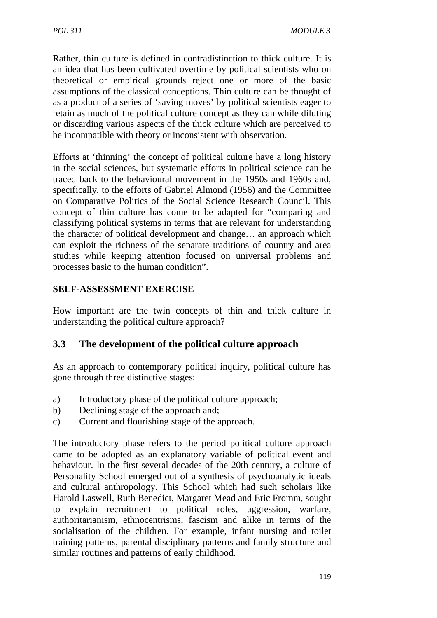Rather, thin culture is defined in contradistinction to thick culture. It is an idea that has been cultivated overtime by political scientists who on theoretical or empirical grounds reject one or more of the basic assumptions of the classical conceptions. Thin culture can be thought of as a product of a series of 'saving moves' by political scientists eager to retain as much of the political culture concept as they can while diluting or discarding various aspects of the thick culture which are perceived to be incompatible with theory or inconsistent with observation.

Efforts at 'thinning' the concept of political culture have a long history in the social sciences, but systematic efforts in political science can be traced back to the behavioural movement in the 1950s and 1960s and, specifically, to the efforts of Gabriel Almond (1956) and the Committee on Comparative Politics of the Social Science Research Council. This concept of thin culture has come to be adapted for "comparing and classifying political systems in terms that are relevant for understanding the character of political development and change… an approach which can exploit the richness of the separate traditions of country and area studies while keeping attention focused on universal problems and processes basic to the human condition".

#### **SELF-ASSESSMENT EXERCISE**

How important are the twin concepts of thin and thick culture in understanding the political culture approach?

### **3.3 The development of the political culture approach**

As an approach to contemporary political inquiry, political culture has gone through three distinctive stages:

- a) Introductory phase of the political culture approach;
- b) Declining stage of the approach and;
- c) Current and flourishing stage of the approach.

The introductory phase refers to the period political culture approach came to be adopted as an explanatory variable of political event and behaviour. In the first several decades of the 20th century, a culture of Personality School emerged out of a synthesis of psychoanalytic ideals and cultural anthropology. This School which had such scholars like Harold Laswell, Ruth Benedict, Margaret Mead and Eric Fromm, sought to explain recruitment to political roles, aggression, warfare, authoritarianism, ethnocentrisms, fascism and alike in terms of the socialisation of the children. For example, infant nursing and toilet training patterns, parental disciplinary patterns and family structure and similar routines and patterns of early childhood.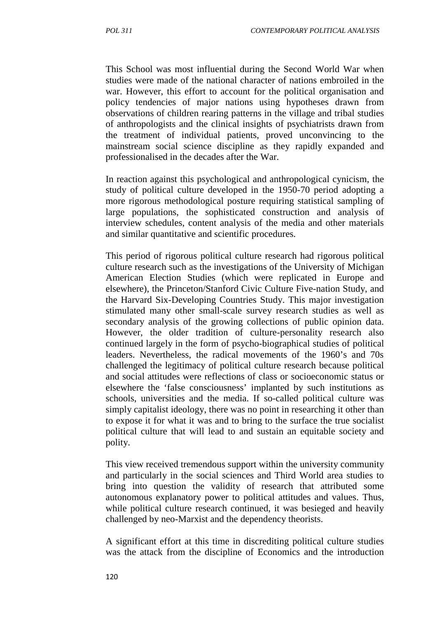This School was most influential during the Second World War when studies were made of the national character of nations embroiled in the war. However, this effort to account for the political organisation and policy tendencies of major nations using hypotheses drawn from observations of children rearing patterns in the village and tribal studies of anthropologists and the clinical insights of psychiatrists drawn from the treatment of individual patients, proved unconvincing to the mainstream social science discipline as they rapidly expanded and professionalised in the decades after the War.

In reaction against this psychological and anthropological cynicism, the study of political culture developed in the 1950-70 period adopting a more rigorous methodological posture requiring statistical sampling of large populations, the sophisticated construction and analysis of interview schedules, content analysis of the media and other materials and similar quantitative and scientific procedures.

This period of rigorous political culture research had rigorous political culture research such as the investigations of the University of Michigan American Election Studies (which were replicated in Europe and elsewhere), the Princeton/Stanford Civic Culture Five-nation Study, and the Harvard Six-Developing Countries Study. This major investigation stimulated many other small-scale survey research studies as well as secondary analysis of the growing collections of public opinion data. However, the older tradition of culture-personality research also continued largely in the form of psycho-biographical studies of political leaders. Nevertheless, the radical movements of the 1960's and 70s challenged the legitimacy of political culture research because political and social attitudes were reflections of class or socioeconomic status or elsewhere the 'false consciousness' implanted by such institutions as schools, universities and the media. If so-called political culture was simply capitalist ideology, there was no point in researching it other than to expose it for what it was and to bring to the surface the true socialist political culture that will lead to and sustain an equitable society and polity.

This view received tremendous support within the university community and particularly in the social sciences and Third World area studies to bring into question the validity of research that attributed some autonomous explanatory power to political attitudes and values. Thus, while political culture research continued, it was besieged and heavily challenged by neo-Marxist and the dependency theorists.

A significant effort at this time in discrediting political culture studies was the attack from the discipline of Economics and the introduction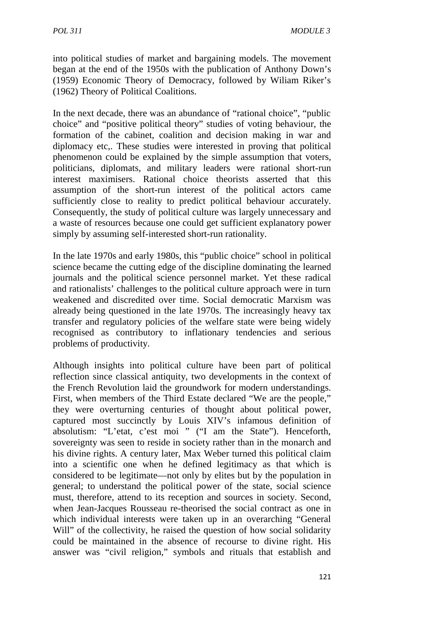into political studies of market and bargaining models. The movement began at the end of the 1950s with the publication of Anthony Down's (1959) Economic Theory of Democracy, followed by Wiliam Riker's (1962) Theory of Political Coalitions.

In the next decade, there was an abundance of "rational choice", "public choice" and "positive political theory" studies of voting behaviour, the formation of the cabinet, coalition and decision making in war and diplomacy etc,. These studies were interested in proving that political phenomenon could be explained by the simple assumption that voters, politicians, diplomats, and military leaders were rational short-run interest maximisers. Rational choice theorists asserted that this assumption of the short-run interest of the political actors came sufficiently close to reality to predict political behaviour accurately. Consequently, the study of political culture was largely unnecessary and a waste of resources because one could get sufficient explanatory power simply by assuming self-interested short-run rationality.

In the late 1970s and early 1980s, this "public choice" school in political science became the cutting edge of the discipline dominating the learned journals and the political science personnel market. Yet these radical and rationalists' challenges to the political culture approach were in turn weakened and discredited over time. Social democratic Marxism was already being questioned in the late 1970s. The increasingly heavy tax transfer and regulatory policies of the welfare state were being widely recognised as contributory to inflationary tendencies and serious problems of productivity.

Although insights into political culture have been part of political reflection since classical antiquity, two developments in the context of the French Revolution laid the groundwork for modern understandings. First, when members of the Third Estate declared "We are the people," they were overturning centuries of thought about political power, captured most succinctly by Louis XIV's infamous definition of absolutism: "L'etat, c'est moi " ("I am the State"). Henceforth, sovereignty was seen to reside in society rather than in the monarch and his divine rights. A century later, Max Weber turned this political claim into a scientific one when he defined legitimacy as that which is considered to be legitimate—not only by elites but by the population in general; to understand the political power of the state, social science must, therefore, attend to its reception and sources in society. Second, when Jean-Jacques Rousseau re-theorised the social contract as one in which individual interests were taken up in an overarching "General Will" of the collectivity, he raised the question of how social solidarity could be maintained in the absence of recourse to divine right. His answer was "civil religion," symbols and rituals that establish and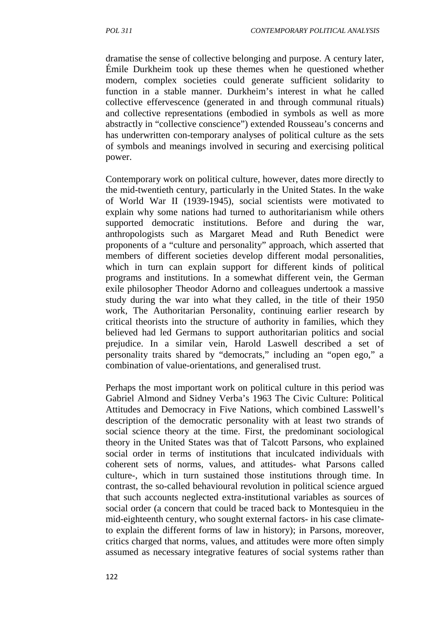dramatise the sense of collective belonging and purpose. A century later, Émile Durkheim took up these themes when he questioned whether modern, complex societies could generate sufficient solidarity to function in a stable manner. Durkheim's interest in what he called collective effervescence (generated in and through communal rituals) and collective representations (embodied in symbols as well as more abstractly in "collective conscience") extended Rousseau's concerns and has underwritten con-temporary analyses of political culture as the sets of symbols and meanings involved in securing and exercising political power.

Contemporary work on political culture, however, dates more directly to the mid-twentieth century, particularly in the United States. In the wake of World War II (1939-1945), social scientists were motivated to explain why some nations had turned to authoritarianism while others supported democratic institutions. Before and during the war, anthropologists such as Margaret Mead and Ruth Benedict were proponents of a "culture and personality" approach, which asserted that members of different societies develop different modal personalities, which in turn can explain support for different kinds of political programs and institutions. In a somewhat different vein, the German exile philosopher Theodor Adorno and colleagues undertook a massive study during the war into what they called, in the title of their 1950 work, The Authoritarian Personality, continuing earlier research by critical theorists into the structure of authority in families, which they believed had led Germans to support authoritarian politics and social prejudice. In a similar vein, Harold Laswell described a set of personality traits shared by "democrats," including an "open ego," a combination of value-orientations, and generalised trust.

Perhaps the most important work on political culture in this period was Gabriel Almond and Sidney Verba's 1963 The Civic Culture: Political Attitudes and Democracy in Five Nations, which combined Lasswell's description of the democratic personality with at least two strands of social science theory at the time. First, the predominant sociological theory in the United States was that of Talcott Parsons, who explained social order in terms of institutions that inculcated individuals with coherent sets of norms, values, and attitudes- what Parsons called culture-, which in turn sustained those institutions through time. In contrast, the so-called behavioural revolution in political science argued that such accounts neglected extra-institutional variables as sources of social order (a concern that could be traced back to Montesquieu in the mid-eighteenth century, who sought external factors- in his case climateto explain the different forms of law in history); in Parsons, moreover, critics charged that norms, values, and attitudes were more often simply assumed as necessary integrative features of social systems rather than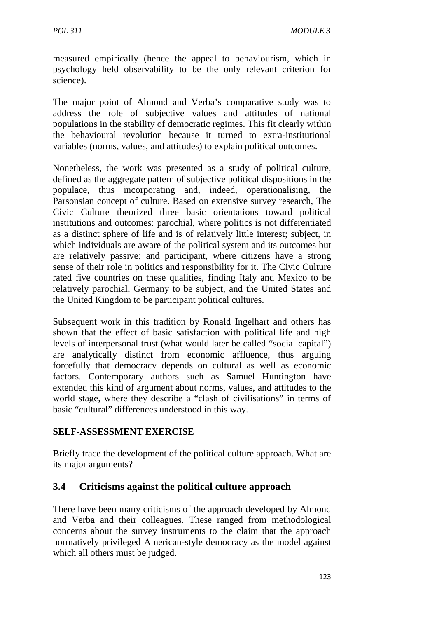measured empirically (hence the appeal to behaviourism, which in psychology held observability to be the only relevant criterion for science).

The major point of Almond and Verba's comparative study was to address the role of subjective values and attitudes of national populations in the stability of democratic regimes. This fit clearly within the behavioural revolution because it turned to extra-institutional variables (norms, values, and attitudes) to explain political outcomes.

Nonetheless, the work was presented as a study of political culture, defined as the aggregate pattern of subjective political dispositions in the populace, thus incorporating and, indeed, operationalising, the Parsonsian concept of culture. Based on extensive survey research, The Civic Culture theorized three basic orientations toward political institutions and outcomes: parochial, where politics is not differentiated as a distinct sphere of life and is of relatively little interest; subject, in which individuals are aware of the political system and its outcomes but are relatively passive; and participant, where citizens have a strong sense of their role in politics and responsibility for it. The Civic Culture rated five countries on these qualities, finding Italy and Mexico to be relatively parochial, Germany to be subject, and the United States and the United Kingdom to be participant political cultures.

Subsequent work in this tradition by Ronald Ingelhart and others has shown that the effect of basic satisfaction with political life and high levels of interpersonal trust (what would later be called "social capital") are analytically distinct from economic affluence, thus arguing forcefully that democracy depends on cultural as well as economic factors. Contemporary authors such as Samuel Huntington have extended this kind of argument about norms, values, and attitudes to the world stage, where they describe a "clash of civilisations" in terms of basic "cultural" differences understood in this way.

#### **SELF-ASSESSMENT EXERCISE**

Briefly trace the development of the political culture approach. What are its major arguments?

### **3.4 Criticisms against the political culture approach**

There have been many criticisms of the approach developed by Almond and Verba and their colleagues. These ranged from methodological concerns about the survey instruments to the claim that the approach normatively privileged American-style democracy as the model against which all others must be judged.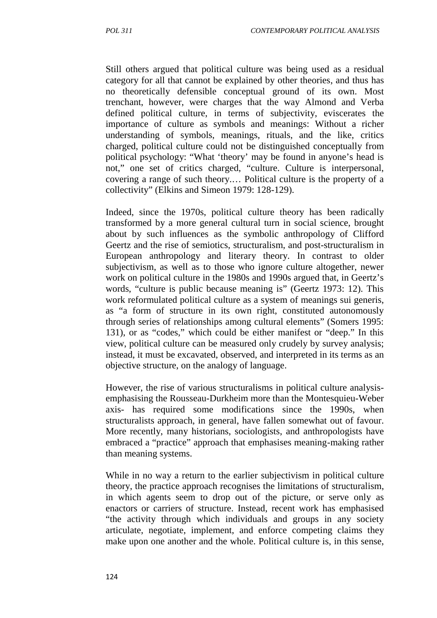Still others argued that political culture was being used as a residual category for all that cannot be explained by other theories, and thus has no theoretically defensible conceptual ground of its own. Most trenchant, however, were charges that the way Almond and Verba defined political culture, in terms of subjectivity, eviscerates the importance of culture as symbols and meanings: Without a richer understanding of symbols, meanings, rituals, and the like, critics charged, political culture could not be distinguished conceptually from political psychology: "What 'theory' may be found in anyone's head is not," one set of critics charged, "culture. Culture is interpersonal, covering a range of such theory.… Political culture is the property of a collectivity" (Elkins and Simeon 1979: 128-129).

Indeed, since the 1970s, political culture theory has been radically transformed by a more general cultural turn in social science, brought about by such influences as the symbolic anthropology of Clifford Geertz and the rise of semiotics, structuralism, and post-structuralism in European anthropology and literary theory. In contrast to older subjectivism, as well as to those who ignore culture altogether, newer work on political culture in the 1980s and 1990s argued that, in Geertz's words, "culture is public because meaning is" (Geertz 1973: 12). This work reformulated political culture as a system of meanings sui generis, as "a form of structure in its own right, constituted autonomously through series of relationships among cultural elements" (Somers 1995: 131), or as "codes," which could be either manifest or "deep." In this view, political culture can be measured only crudely by survey analysis; instead, it must be excavated, observed, and interpreted in its terms as an objective structure, on the analogy of language.

However, the rise of various structuralisms in political culture analysis emphasising the Rousseau-Durkheim more than the Montesquieu-Weber axis- has required some modifications since the 1990s, when structuralists approach, in general, have fallen somewhat out of favour. More recently, many historians, sociologists, and anthropologists have embraced a "practice" approach that emphasises meaning-making rather than meaning systems.

While in no way a return to the earlier subjectivism in political culture theory, the practice approach recognises the limitations of structuralism, in which agents seem to drop out of the picture, or serve only as enactors or carriers of structure. Instead, recent work has emphasised "the activity through which individuals and groups in any society articulate, negotiate, implement, and enforce competing claims they make upon one another and the whole. Political culture is, in this sense,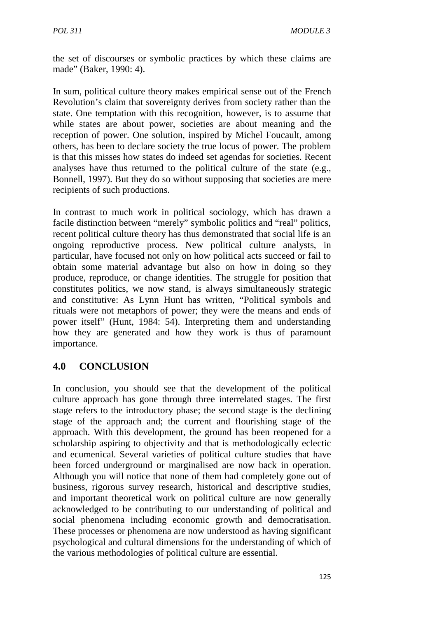the set of discourses or symbolic practices by which these claims are made" (Baker, 1990: 4).

In sum, political culture theory makes empirical sense out of the French Revolution's claim that sovereignty derives from society rather than the state. One temptation with this recognition, however, is to assume that while states are about power, societies are about meaning and the reception of power. One solution, inspired by Michel Foucault, among others, has been to declare society the true locus of power. The problem is that this misses how states do indeed set agendas for societies. Recent analyses have thus returned to the political culture of the state (e.g., Bonnell, 1997). But they do so without supposing that societies are mere recipients of such productions.

In contrast to much work in political sociology, which has drawn a facile distinction between "merely" symbolic politics and "real" politics, recent political culture theory has thus demonstrated that social life is an ongoing reproductive process. New political culture analysts, in particular, have focused not only on how political acts succeed or fail to obtain some material advantage but also on how in doing so they produce, reproduce, or change identities. The struggle for position that constitutes politics, we now stand, is always simultaneously strategic and constitutive: As Lynn Hunt has written, "Political symbols and rituals were not metaphors of power; they were the means and ends of power itself" (Hunt, 1984: 54). Interpreting them and understanding how they are generated and how they work is thus of paramount importance.

### **4.0 CONCLUSION**

In conclusion, you should see that the development of the political culture approach has gone through three interrelated stages. The first stage refers to the introductory phase; the second stage is the declining stage of the approach and; the current and flourishing stage of the approach. With this development, the ground has been reopened for a scholarship aspiring to objectivity and that is methodologically eclectic and ecumenical. Several varieties of political culture studies that have been forced underground or marginalised are now back in operation. Although you will notice that none of them had completely gone out of business, rigorous survey research, historical and descriptive studies, and important theoretical work on political culture are now generally acknowledged to be contributing to our understanding of political and social phenomena including economic growth and democratisation. These processes or phenomena are now understood as having significant psychological and cultural dimensions for the understanding of which of the various methodologies of political culture are essential.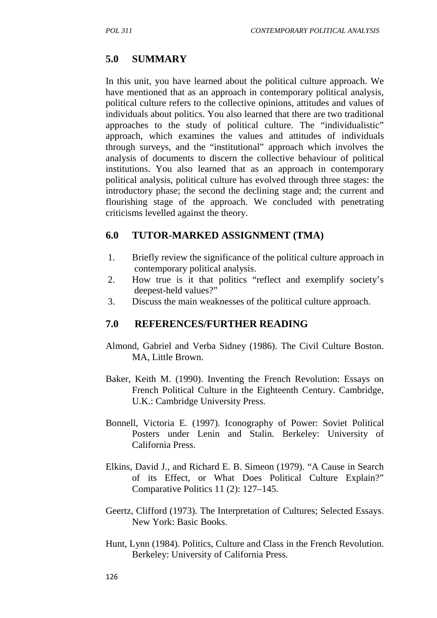#### **5.0 SUMMARY**

In this unit, you have learned about the political culture approach. We have mentioned that as an approach in contemporary political analysis, political culture refers to the collective opinions, attitudes and values of individuals about politics. You also learned that there are two traditional approaches to the study of political culture. The "individualistic" approach, which examines the values and attitudes of individuals through surveys, and the "institutional" approach which involves the analysis of documents to discern the collective behaviour of political institutions. You also learned that as an approach in contemporary political analysis, political culture has evolved through three stages: the introductory phase; the second the declining stage and; the current and flourishing stage of the approach. We concluded with penetrating criticisms levelled against the theory.

#### **6.0 TUTOR-MARKED ASSIGNMENT (TMA)**

- 1. Briefly review the significance of the political culture approach in contemporary political analysis.
- 2. How true is it that politics "reflect and exemplify society's deepest-held values?"
- 3. Discuss the main weaknesses of the political culture approach.

#### **7.0 REFERENCES/FURTHER READING**

- Almond, Gabriel and Verba Sidney (1986). The Civil Culture Boston. MA, Little Brown.
- Baker, Keith M. (1990). Inventing the French Revolution: Essays on French Political Culture in the Eighteenth Century. Cambridge, U.K.: Cambridge University Press.
- Bonnell, Victoria E. (1997). Iconography of Power: Soviet Political Posters under Lenin and Stalin. Berkeley: University of California Press.
- Elkins, David J., and Richard E. B. Simeon (1979). "A Cause in Search of its Effect, or What Does Political Culture Explain?" Comparative Politics 11 (2): 127–145.
- Geertz, Clifford (1973). The Interpretation of Cultures; Selected Essays. New York: Basic Books.
- Hunt, Lynn (1984). Politics, Culture and Class in the French Revolution. Berkeley: University of California Press.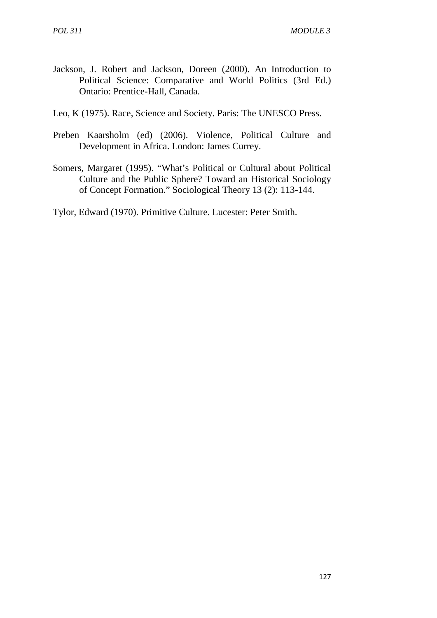Jackson, J. Robert and Jackson, Doreen (2000). An Introduction to Political Science: Comparative and World Politics (3rd Ed.) Ontario: Prentice-Hall, Canada.

Leo, K (1975). Race, Science and Society. Paris: The UNESCO Press.

- Preben Kaarsholm (ed) (2006). Violence, Political Culture and Development in Africa. London: James Currey.
- Somers, Margaret (1995). "What's Political or Cultural about Political Culture and the Public Sphere? Toward an Historical Sociology of Concept Formation." Sociological Theory 13 (2): 113-144.

Tylor, Edward (1970). Primitive Culture. Lucester: Peter Smith.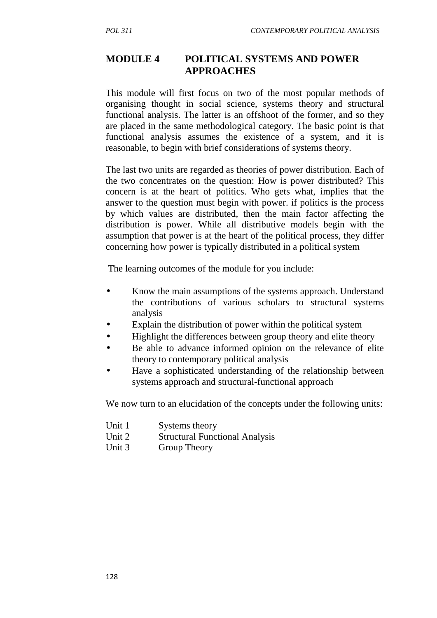## **MODULE 4 POLITICAL SYSTEMS AND POWER APPROACHES**

This module will first focus on two of the most popular methods of organising thought in social science, systems theory and structural functional analysis. The latter is an offshoot of the former, and so they are placed in the same methodological category. The basic point is that functional analysis assumes the existence of a system, and it is reasonable, to begin with brief considerations of systems theory.

The last two units are regarded as theories of power distribution. Each of the two concentrates on the question: How is power distributed? This concern is at the heart of politics. Who gets what, implies that the answer to the question must begin with power. if politics is the process by which values are distributed, then the main factor affecting the distribution is power. While all distributive models begin with the assumption that power is at the heart of the political process, they differ concerning how power is typically distributed in a political system

The learning outcomes of the module for you include:

- Know the main assumptions of the systems approach. Understand the contributions of various scholars to structural systems analysis
- Explain the distribution of power within the political system
- Highlight the differences between group theory and elite theory
- Be able to advance informed opinion on the relevance of elite theory to contemporary political analysis
- Have a sophisticated understanding of the relationship between systems approach and structural-functional approach

We now turn to an elucidation of the concepts under the following units:

- Unit 1 Systems theory
- Unit 2 Structural Functional Analysis
- Unit 3 Group Theory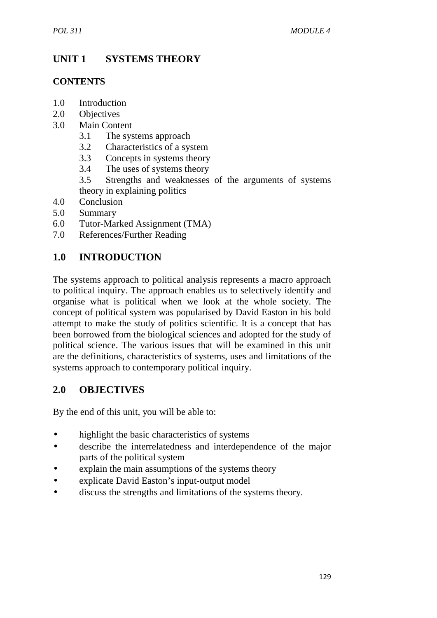# **UNIT 1 SYSTEMS THEORY**

#### **CONTENTS**

- 1.0 Introduction
- 2.0 Objectives
- 3.0 Main Content
	- 3.1 The systems approach
	- 3.2 Characteristics of a system
	- 3.3 Concepts in systems theory
	- 3.4 The uses of systems theory
	- 3.5 Strengths and weaknesses of the arguments of systems
	- theory in explaining politics
- 4.0 Conclusion
- 5.0 Summary
- 6.0 Tutor-Marked Assignment (TMA)
- 7.0 References/Further Reading

## **1.0 INTRODUCTION**

The systems approach to political analysis represents a macro approach to political inquiry. The approach enables us to selectively identify and organise what is political when we look at the whole society. The concept of political system was popularised by David Easton in his bold attempt to make the study of politics scientific. It is a concept that has been borrowed from the biological sciences and adopted for the study of political science. The various issues that will be examined in this unit are the definitions, characteristics of systems, uses and limitations of the systems approach to contemporary political inquiry.

### **2.0 OBJECTIVES**

By the end of this unit, you will be able to:

- highlight the basic characteristics of systems
- describe the interrelatedness and interdependence of the major parts of the political system
- explain the main assumptions of the systems theory
- explicate David Easton's input-output model
- discuss the strengths and limitations of the systems theory.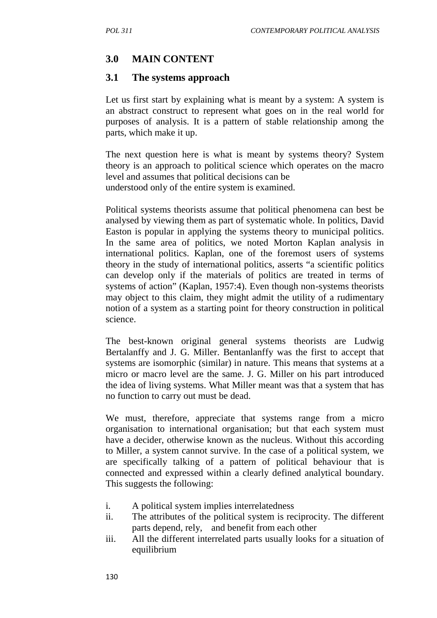### **3.0 MAIN CONTENT**

#### **3.1 The systems approach**

Let us first start by explaining what is meant by a system: A system is an abstract construct to represent what goes on in the real world for purposes of analysis. It is a pattern of stable relationship among the parts, which make it up.

The next question here is what is meant by systems theory? System theory is an approach to political science which operates on the macro level and assumes that political decisions can be understood only of the entire system is examined.

Political systems theorists assume that political phenomena can best be analysed by viewing them as part of systematic whole. In politics, David Easton is popular in applying the systems theory to municipal politics. In the same area of politics, we noted Morton Kaplan analysis in international politics. Kaplan, one of the foremost users of systems theory in the study of international politics, asserts "a scientific politics can develop only if the materials of politics are treated in terms of systems of action" (Kaplan, 1957:4). Even though non-systems theorists may object to this claim, they might admit the utility of a rudimentary notion of a system as a starting point for theory construction in political science.

The best-known original general systems theorists are Ludwig Bertalanffy and J. G. Miller. Bentanlanffy was the first to accept that systems are isomorphic (similar) in nature. This means that systems at a micro or macro level are the same. J. G. Miller on his part introduced the idea of living systems. What Miller meant was that a system that has no function to carry out must be dead.

We must, therefore, appreciate that systems range from a micro organisation to international organisation; but that each system must have a decider, otherwise known as the nucleus. Without this according to Miller, a system cannot survive. In the case of a political system, we are specifically talking of a pattern of political behaviour that is connected and expressed within a clearly defined analytical boundary. This suggests the following:

- i. A political system implies interrelatedness
- ii. The attributes of the political system is reciprocity. The different parts depend, rely, and benefit from each other
- iii. All the different interrelated parts usually looks for a situation of equilibrium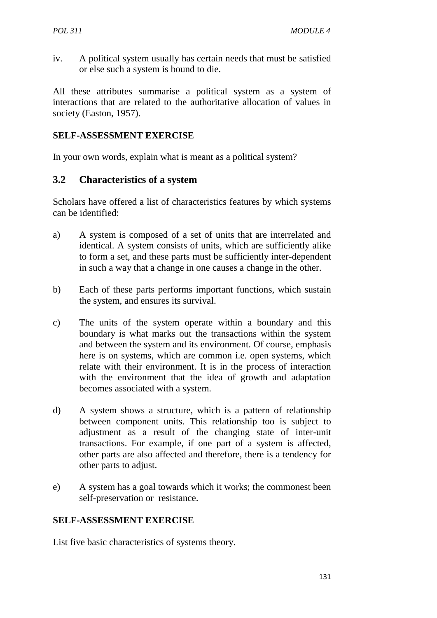iv. A political system usually has certain needs that must be satisfied or else such a system is bound to die.

All these attributes summarise a political system as a system of interactions that are related to the authoritative allocation of values in society (Easton, 1957).

### **SELF-ASSESSMENT EXERCISE**

In your own words, explain what is meant as a political system?

### **3.2 Characteristics of a system**

Scholars have offered a list of characteristics features by which systems can be identified:

- a) A system is composed of a set of units that are interrelated and identical. A system consists of units, which are sufficiently alike to form a set, and these parts must be sufficiently inter-dependent in such a way that a change in one causes a change in the other.
- b) Each of these parts performs important functions, which sustain the system, and ensures its survival.
- c) The units of the system operate within a boundary and this boundary is what marks out the transactions within the system and between the system and its environment. Of course, emphasis here is on systems, which are common i.e. open systems, which relate with their environment. It is in the process of interaction with the environment that the idea of growth and adaptation becomes associated with a system.
- d) A system shows a structure, which is a pattern of relationship between component units. This relationship too is subject to adjustment as a result of the changing state of inter-unit transactions. For example, if one part of a system is affected, other parts are also affected and therefore, there is a tendency for other parts to adjust.
- e) A system has a goal towards which it works; the commonest been self-preservation or resistance.

### **SELF-ASSESSMENT EXERCISE**

List five basic characteristics of systems theory.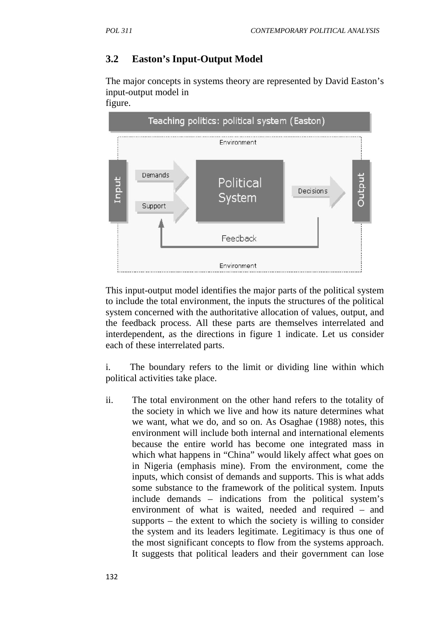# **3.2 Easton's Input-Output Model**

The major concepts in systems theory are represented by David Easton's input-output model in figure.



This input-output model identifies the major parts of the political system to include the total environment, the inputs the structures of the political system concerned with the authoritative allocation of values, output, and the feedback process. All these parts are themselves interrelated and interdependent, as the directions in figure 1 indicate. Let us consider each of these interrelated parts.

i. The boundary refers to the limit or dividing line within which political activities take place.

ii. The total environment on the other hand refers to the totality of the society in which we live and how its nature determines what we want, what we do, and so on. As Osaghae (1988) notes, this environment will include both internal and international elements because the entire world has become one integrated mass in which what happens in "China" would likely affect what goes on in Nigeria (emphasis mine). From the environment, come the inputs, which consist of demands and supports. This is what adds some substance to the framework of the political system. Inputs include demands – indications from the political system's environment of what is waited, needed and required – and supports – the extent to which the society is willing to consider the system and its leaders legitimate. Legitimacy is thus one of the most significant concepts to flow from the systems approach. It suggests that political leaders and their government can lose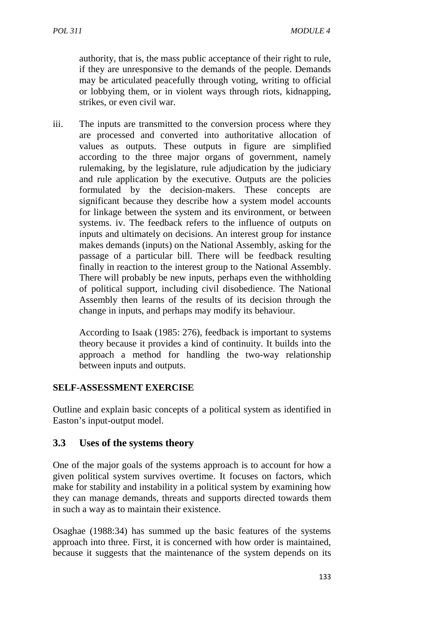authority, that is, the mass public acceptance of their right to rule, if they are unresponsive to the demands of the people. Demands may be articulated peacefully through voting, writing to official or lobbying them, or in violent ways through riots, kidnapping, strikes, or even civil war.

iii. The inputs are transmitted to the conversion process where they are processed and converted into authoritative allocation of values as outputs. These outputs in figure are simplified according to the three major organs of government, namely rulemaking, by the legislature, rule adjudication by the judiciary and rule application by the executive. Outputs are the policies formulated by the decision-makers. These concepts are significant because they describe how a system model accounts for linkage between the system and its environment, or between systems. iv. The feedback refers to the influence of outputs on inputs and ultimately on decisions. An interest group for instance makes demands (inputs) on the National Assembly, asking for the passage of a particular bill. There will be feedback resulting finally in reaction to the interest group to the National Assembly. There will probably be new inputs, perhaps even the withholding of political support, including civil disobedience. The National Assembly then learns of the results of its decision through the change in inputs, and perhaps may modify its behaviour.

According to Isaak (1985: 276), feedback is important to systems theory because it provides a kind of continuity. It builds into the approach a method for handling the two-way relationship between inputs and outputs.

# **SELF-ASSESSMENT EXERCISE**

Outline and explain basic concepts of a political system as identified in Easton's input-output model.

# **3.3 Uses of the systems theory**

One of the major goals of the systems approach is to account for how a given political system survives overtime. It focuses on factors, which make for stability and instability in a political system by examining how they can manage demands, threats and supports directed towards them in such a way as to maintain their existence.

Osaghae (1988:34) has summed up the basic features of the systems approach into three. First, it is concerned with how order is maintained, because it suggests that the maintenance of the system depends on its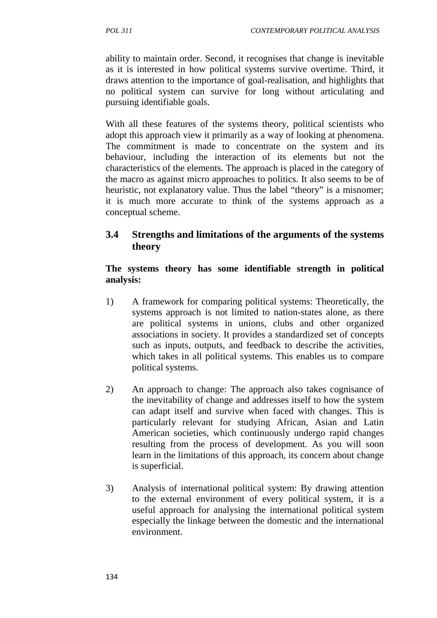ability to maintain order. Second, it recognises that change is inevitable as it is interested in how political systems survive overtime. Third, it draws attention to the importance of goal-realisation, and highlights that no political system can survive for long without articulating and pursuing identifiable goals.

With all these features of the systems theory, political scientists who adopt this approach view it primarily as a way of looking at phenomena. The commitment is made to concentrate on the system and its behaviour, including the interaction of its elements but not the characteristics of the elements. The approach is placed in the category of the macro as against micro approaches to politics. It also seems to be of heuristic, not explanatory value. Thus the label "theory" is a misnomer; it is much more accurate to think of the systems approach as a conceptual scheme.

# **3.4 Strengths and limitations of the arguments of the systems theory**

# **The systems theory has some identifiable strength in political analysis:**

- 1) A framework for comparing political systems: Theoretically, the systems approach is not limited to nation-states alone, as there are political systems in unions, clubs and other organized associations in society. It provides a standardized set of concepts such as inputs, outputs, and feedback to describe the activities, which takes in all political systems. This enables us to compare political systems.
- 2) An approach to change: The approach also takes cognisance of the inevitability of change and addresses itself to how the system can adapt itself and survive when faced with changes. This is particularly relevant for studying African, Asian and Latin American societies, which continuously undergo rapid changes resulting from the process of development. As you will soon learn in the limitations of this approach, its concern about change is superficial.
- 3) Analysis of international political system: By drawing attention to the external environment of every political system, it is a useful approach for analysing the international political system especially the linkage between the domestic and the international environment.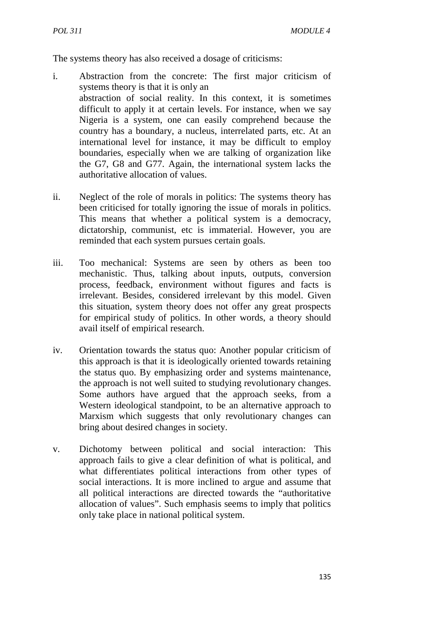The systems theory has also received a dosage of criticisms:

- i. Abstraction from the concrete: The first major criticism of systems theory is that it is only an abstraction of social reality. In this context, it is sometimes difficult to apply it at certain levels. For instance, when we say Nigeria is a system, one can easily comprehend because the country has a boundary, a nucleus, interrelated parts, etc. At an international level for instance, it may be difficult to employ boundaries, especially when we are talking of organization like the G7, G8 and G77. Again, the international system lacks the authoritative allocation of values.
- ii. Neglect of the role of morals in politics: The systems theory has been criticised for totally ignoring the issue of morals in politics. This means that whether a political system is a democracy, dictatorship, communist, etc is immaterial. However, you are reminded that each system pursues certain goals.
- iii. Too mechanical: Systems are seen by others as been too mechanistic. Thus, talking about inputs, outputs, conversion process, feedback, environment without figures and facts is irrelevant. Besides, considered irrelevant by this model. Given this situation, system theory does not offer any great prospects for empirical study of politics. In other words, a theory should avail itself of empirical research.
- iv. Orientation towards the status quo: Another popular criticism of this approach is that it is ideologically oriented towards retaining the status quo. By emphasizing order and systems maintenance, the approach is not well suited to studying revolutionary changes. Some authors have argued that the approach seeks, from a Western ideological standpoint, to be an alternative approach to Marxism which suggests that only revolutionary changes can bring about desired changes in society.
- v. Dichotomy between political and social interaction: This approach fails to give a clear definition of what is political, and what differentiates political interactions from other types of social interactions. It is more inclined to argue and assume that all political interactions are directed towards the "authoritative allocation of values". Such emphasis seems to imply that politics only take place in national political system.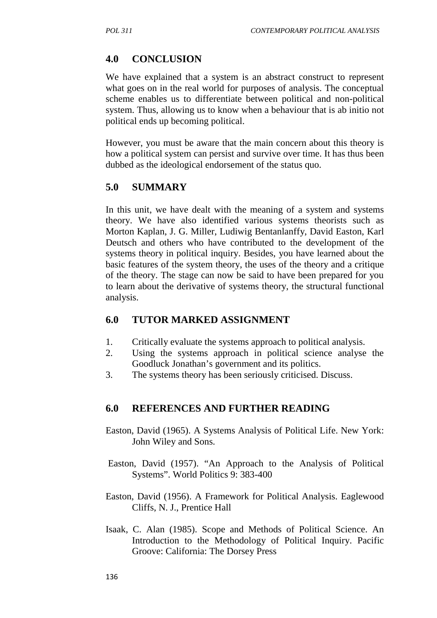### **4.0 CONCLUSION**

We have explained that a system is an abstract construct to represent what goes on in the real world for purposes of analysis. The conceptual scheme enables us to differentiate between political and non-political system. Thus, allowing us to know when a behaviour that is ab initio not political ends up becoming political.

However, you must be aware that the main concern about this theory is how a political system can persist and survive over time. It has thus been dubbed as the ideological endorsement of the status quo.

### **5.0 SUMMARY**

In this unit, we have dealt with the meaning of a system and systems theory. We have also identified various systems theorists such as Morton Kaplan, J. G. Miller, Ludiwig Bentanlanffy, David Easton, Karl Deutsch and others who have contributed to the development of the systems theory in political inquiry. Besides, you have learned about the basic features of the system theory, the uses of the theory and a critique of the theory. The stage can now be said to have been prepared for you to learn about the derivative of systems theory, the structural functional analysis.

### **6.0 TUTOR MARKED ASSIGNMENT**

- 1. Critically evaluate the systems approach to political analysis.
- 2. Using the systems approach in political science analyse the Goodluck Jonathan's government and its politics.
- 3. The systems theory has been seriously criticised. Discuss.

### **6.0 REFERENCES AND FURTHER READING**

- Easton, David (1965). A Systems Analysis of Political Life. New York: John Wiley and Sons.
- Easton, David (1957). "An Approach to the Analysis of Political Systems". World Politics 9: 383-400
- Easton, David (1956). A Framework for Political Analysis. Eaglewood Cliffs, N. J., Prentice Hall
- Isaak, C. Alan (1985). Scope and Methods of Political Science. An Introduction to the Methodology of Political Inquiry. Pacific Groove: California: The Dorsey Press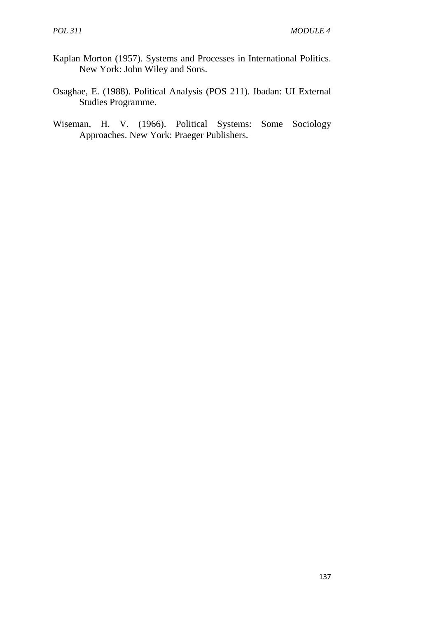- Kaplan Morton (1957). Systems and Processes in International Politics. New York: John Wiley and Sons.
- Osaghae, E. (1988). Political Analysis (POS 211). Ibadan: UI External Studies Programme.
- Wiseman, H. V. (1966). Political Systems: Some Sociology Approaches. New York: Praeger Publishers.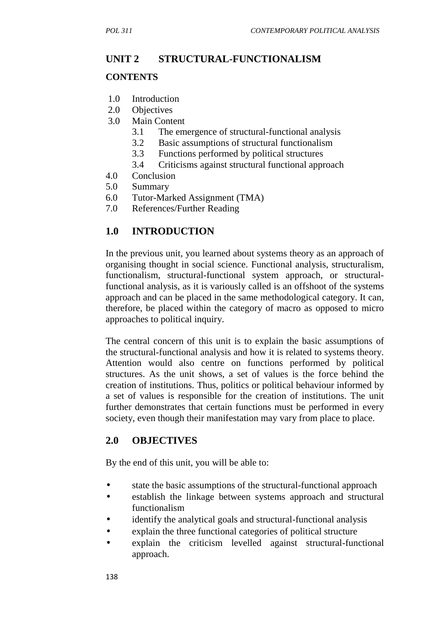# **UNIT 2 STRUCTURAL-FUNCTIONALISM**

### **CONTENTS**

- 1.0 Introduction
- 2.0 Objectives
- 3.0 Main Content
	- 3.1 The emergence of structural-functional analysis
	- 3.2 Basic assumptions of structural functionalism
	- 3.3 Functions performed by political structures
	- 3.4 Criticisms against structural functional approach
- 4.0 Conclusion
- 5.0 Summary
- 6.0 Tutor-Marked Assignment (TMA)
- 7.0 References/Further Reading

# **1.0 INTRODUCTION**

In the previous unit, you learned about systems theory as an approach of organising thought in social science. Functional analysis, structuralism, functionalism, structural-functional system approach, or structuralfunctional analysis, as it is variously called is an offshoot of the systems approach and can be placed in the same methodological category. It can, therefore, be placed within the category of macro as opposed to micro approaches to political inquiry.

The central concern of this unit is to explain the basic assumptions of the structural-functional analysis and how it is related to systems theory. Attention would also centre on functions performed by political structures. As the unit shows, a set of values is the force behind the creation of institutions. Thus, politics or political behaviour informed by a set of values is responsible for the creation of institutions. The unit further demonstrates that certain functions must be performed in every society, even though their manifestation may vary from place to place.

# **2.0 OBJECTIVES**

By the end of this unit, you will be able to:

- state the basic assumptions of the structural-functional approach
- establish the linkage between systems approach and structural functionalism
- identify the analytical goals and structural-functional analysis
- explain the three functional categories of political structure
- explain the criticism levelled against structural-functional approach.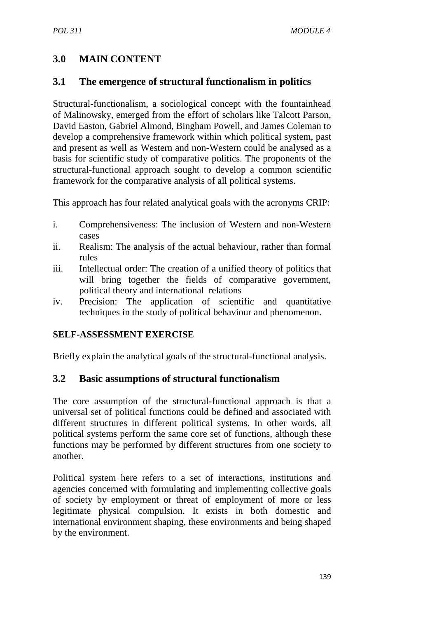# **3.0 MAIN CONTENT**

# **3.1 The emergence of structural functionalism in politics**

Structural-functionalism, a sociological concept with the fountainhead of Malinowsky, emerged from the effort of scholars like Talcott Parson, David Easton, Gabriel Almond, Bingham Powell, and James Coleman to develop a comprehensive framework within which political system, past and present as well as Western and non-Western could be analysed as a basis for scientific study of comparative politics. The proponents of the structural-functional approach sought to develop a common scientific framework for the comparative analysis of all political systems.

This approach has four related analytical goals with the acronyms CRIP:

- i. Comprehensiveness: The inclusion of Western and non-Western cases
- ii. Realism: The analysis of the actual behaviour, rather than formal rules
- iii. Intellectual order: The creation of a unified theory of politics that will bring together the fields of comparative government, political theory and international relations
- iv. Precision: The application of scientific and quantitative techniques in the study of political behaviour and phenomenon.

# **SELF-ASSESSMENT EXERCISE**

Briefly explain the analytical goals of the structural-functional analysis.

# **3.2 Basic assumptions of structural functionalism**

The core assumption of the structural-functional approach is that a universal set of political functions could be defined and associated with different structures in different political systems. In other words, all political systems perform the same core set of functions, although these functions may be performed by different structures from one society to another.

Political system here refers to a set of interactions, institutions and agencies concerned with formulating and implementing collective goals of society by employment or threat of employment of more or less legitimate physical compulsion. It exists in both domestic and international environment shaping, these environments and being shaped by the environment.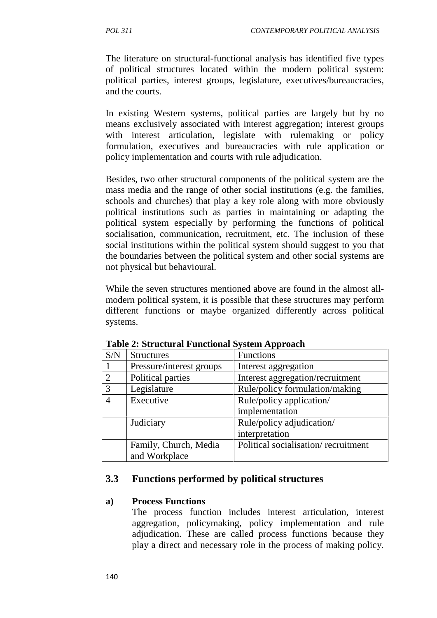The literature on structural-functional analysis has identified five types of political structures located within the modern political system: political parties, interest groups, legislature, executives/bureaucracies, and the courts.

In existing Western systems, political parties are largely but by no means exclusively associated with interest aggregation; interest groups with interest articulation, legislate with rulemaking or policy formulation, executives and bureaucracies with rule application or policy implementation and courts with rule adjudication.

Besides, two other structural components of the political system are the mass media and the range of other social institutions (e.g. the families, schools and churches) that play a key role along with more obviously political institutions such as parties in maintaining or adapting the political system especially by performing the functions of political socialisation, communication, recruitment, etc. The inclusion of these social institutions within the political system should suggest to you that the boundaries between the political system and other social systems are not physical but behavioural.

While the seven structures mentioned above are found in the almost all modern political system, it is possible that these structures may perform different functions or maybe organized differently across political systems.

| S/N            | <b>Structures</b>        | <b>Functions</b>                    |  |  |  |
|----------------|--------------------------|-------------------------------------|--|--|--|
|                | Pressure/interest groups | Interest aggregation                |  |  |  |
| $\overline{2}$ | Political parties        | Interest aggregation/recruitment    |  |  |  |
| 3              | Legislature              | Rule/policy formulation/making      |  |  |  |
| 4              | Executive                | Rule/policy application/            |  |  |  |
|                |                          | implementation                      |  |  |  |
|                | Judiciary                | Rule/policy adjudication/           |  |  |  |
|                |                          | interpretation                      |  |  |  |
|                | Family, Church, Media    | Political socialisation/recruitment |  |  |  |
|                | and Workplace            |                                     |  |  |  |

**Table 2: Structural Functional System Approach**

# **3.3 Functions performed by political structures**

### **a) Process Functions**

The process function includes interest articulation, interest aggregation, policymaking, policy implementation and rule adjudication. These are called process functions because they play a direct and necessary role in the process of making policy.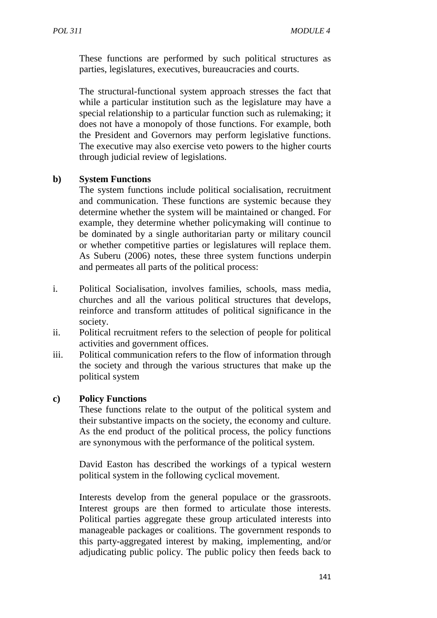These functions are performed by such political structures as parties, legislatures, executives, bureaucracies and courts.

The structural-functional system approach stresses the fact that while a particular institution such as the legislature may have a special relationship to a particular function such as rulemaking; it does not have a monopoly of those functions. For example, both the President and Governors may perform legislative functions. The executive may also exercise veto powers to the higher courts through judicial review of legislations.

### **b) System Functions**

The system functions include political socialisation, recruitment and communication. These functions are systemic because they determine whether the system will be maintained or changed. For example, they determine whether policymaking will continue to be dominated by a single authoritarian party or military council or whether competitive parties or legislatures will replace them. As Suberu (2006) notes, these three system functions underpin and permeates all parts of the political process:

- i. Political Socialisation, involves families, schools, mass media, churches and all the various political structures that develops, reinforce and transform attitudes of political significance in the society.
- ii. Political recruitment refers to the selection of people for political activities and government offices.
- iii. Political communication refers to the flow of information through the society and through the various structures that make up the political system

### **c) Policy Functions**

These functions relate to the output of the political system and their substantive impacts on the society, the economy and culture. As the end product of the political process, the policy functions are synonymous with the performance of the political system.

David Easton has described the workings of a typical western political system in the following cyclical movement.

Interests develop from the general populace or the grassroots. Interest groups are then formed to articulate those interests. Political parties aggregate these group articulated interests into manageable packages or coalitions. The government responds to this party-aggregated interest by making, implementing, and/or adjudicating public policy. The public policy then feeds back to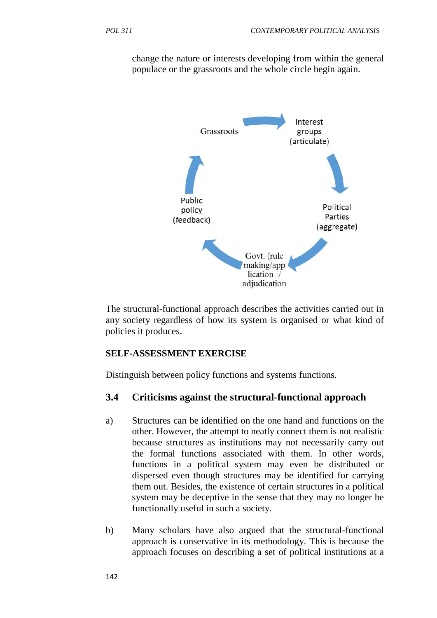

The structural-functional approach describes the activities carried out in any society regardless of how its system is organised or what kind of policies it produces.

### **SELF-ASSESSMENT EXERCISE**

Distinguish between policy functions and systems functions.

# **3.4 Criticisms against the structural-functional approach**

- a) Structures can be identified on the one hand and functions on the other. However, the attempt to neatly connect them is not realistic because structures as institutions may not necessarily carry out the formal functions associated with them. In other words, functions in a political system may even be distributed or dispersed even though structures may be identified for carrying them out. Besides, the existence of certain structures in a political system may be deceptive in the sense that they may no longer be functionally useful in such a society.
- b) Many scholars have also argued that the structural-functional approach is conservative in its methodology. This is because the approach focuses on describing a set of political institutions at a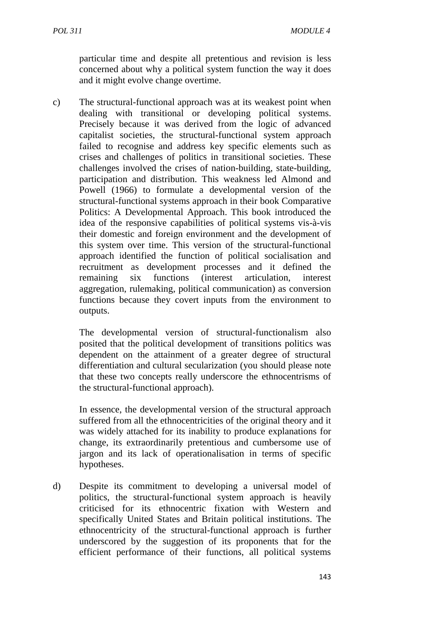particular time and despite all pretentious and revision is less concerned about why a political system function the way it does and it might evolve change overtime.

c) The structural-functional approach was at its weakest point when dealing with transitional or developing political systems. Precisely because it was derived from the logic of advanced capitalist societies, the structural-functional system approach failed to recognise and address key specific elements such as crises and challenges of politics in transitional societies. These challenges involved the crises of nation-building, state-building, participation and distribution. This weakness led Almond and Powell (1966) to formulate a developmental version of the structural-functional systems approach in their book Comparative Politics: A Developmental Approach. This book introduced the idea of the responsive capabilities of political systems vis-à-vis their domestic and foreign environment and the development of this system over time. This version of the structural-functional approach identified the function of political socialisation and recruitment as development processes and it defined the remaining six functions (interest articulation, interest aggregation, rulemaking, political communication) as conversion functions because they covert inputs from the environment to outputs.

The developmental version of structural-functionalism also posited that the political development of transitions politics was dependent on the attainment of a greater degree of structural differentiation and cultural secularization (you should please note that these two concepts really underscore the ethnocentrisms of the structural-functional approach).

In essence, the developmental version of the structural approach suffered from all the ethnocentricities of the original theory and it was widely attached for its inability to produce explanations for change, its extraordinarily pretentious and cumbersome use of jargon and its lack of operationalisation in terms of specific hypotheses.

d) Despite its commitment to developing a universal model of politics, the structural-functional system approach is heavily criticised for its ethnocentric fixation with Western and specifically United States and Britain political institutions. The ethnocentricity of the structural-functional approach is further underscored by the suggestion of its proponents that for the efficient performance of their functions, all political systems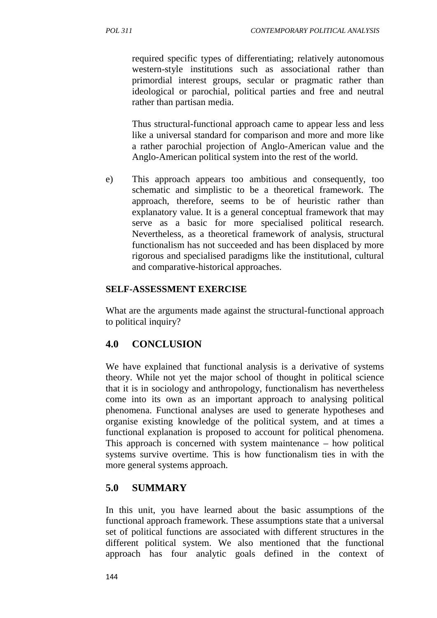required specific types of differentiating; relatively autonomous western-style institutions such as associational rather than primordial interest groups, secular or pragmatic rather than ideological or parochial, political parties and free and neutral rather than partisan media.

Thus structural-functional approach came to appear less and less like a universal standard for comparison and more and more like a rather parochial projection of Anglo-American value and the Anglo-American political system into the rest of the world.

e) This approach appears too ambitious and consequently, too schematic and simplistic to be a theoretical framework. The approach, therefore, seems to be of heuristic rather than explanatory value. It is a general conceptual framework that may serve as a basic for more specialised political research. Nevertheless, as a theoretical framework of analysis, structural functionalism has not succeeded and has been displaced by more rigorous and specialised paradigms like the institutional, cultural and comparative-historical approaches.

### **SELF-ASSESSMENT EXERCISE**

What are the arguments made against the structural-functional approach to political inquiry?

# **4.0 CONCLUSION**

We have explained that functional analysis is a derivative of systems theory. While not yet the major school of thought in political science that it is in sociology and anthropology, functionalism has nevertheless come into its own as an important approach to analysing political phenomena. Functional analyses are used to generate hypotheses and organise existing knowledge of the political system, and at times a functional explanation is proposed to account for political phenomena. This approach is concerned with system maintenance – how political systems survive overtime. This is how functionalism ties in with the more general systems approach.

# **5.0 SUMMARY**

In this unit, you have learned about the basic assumptions of the functional approach framework. These assumptions state that a universal set of political functions are associated with different structures in the different political system. We also mentioned that the functional approach has four analytic goals defined in the context of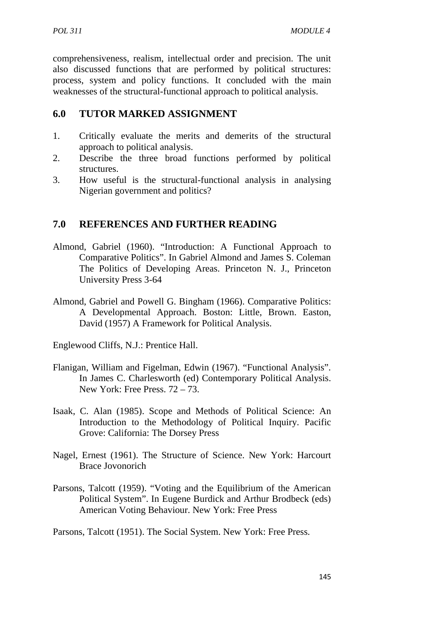comprehensiveness, realism, intellectual order and precision. The unit also discussed functions that are performed by political structures: process, system and policy functions. It concluded with the main weaknesses of the structural-functional approach to political analysis.

# **6.0 TUTOR MARKED ASSIGNMENT**

- 1. Critically evaluate the merits and demerits of the structural approach to political analysis.
- 2. Describe the three broad functions performed by political structures.
- 3. How useful is the structural-functional analysis in analysing Nigerian government and politics?

### **7.0 REFERENCES AND FURTHER READING**

- Almond, Gabriel (1960). "Introduction: A Functional Approach to Comparative Politics". In Gabriel Almond and James S. Coleman The Politics of Developing Areas. Princeton N. J., Princeton University Press 3-64
- Almond, Gabriel and Powell G. Bingham (1966). Comparative Politics: A Developmental Approach. Boston: Little, Brown. Easton, David (1957) A Framework for Political Analysis.
- Englewood Cliffs, N.J.: Prentice Hall.
- Flanigan, William and Figelman, Edwin (1967). "Functional Analysis". In James C. Charlesworth (ed) Contemporary Political Analysis. New York: Free Press. 72 – 73.
- Isaak, C. Alan (1985). Scope and Methods of Political Science: An Introduction to the Methodology of Political Inquiry. Pacific Grove: California: The Dorsey Press
- Nagel, Ernest (1961). The Structure of Science. New York: Harcourt Brace Jovonorich
- Parsons, Talcott (1959). "Voting and the Equilibrium of the American Political System". In Eugene Burdick and Arthur Brodbeck (eds) American Voting Behaviour. New York: Free Press

Parsons, Talcott (1951). The Social System. New York: Free Press.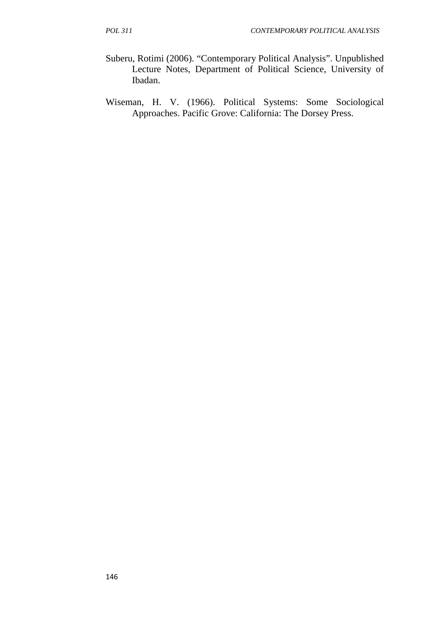- Suberu, Rotimi (2006). "Contemporary Political Analysis". Unpublished Lecture Notes, Department of Political Science, University of Ibadan.
- Wiseman, H. V. (1966). Political Systems: Some Sociological Approaches. Pacific Grove: California: The Dorsey Press.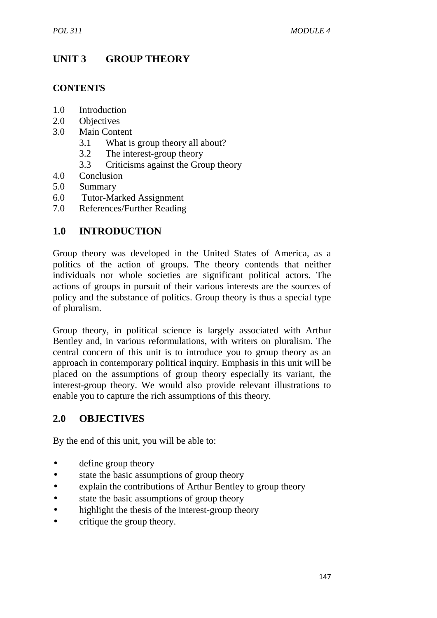# **UNIT 3 GROUP THEORY**

### **CONTENTS**

- 1.0 Introduction
- 2.0 Objectives
- 3.0 Main Content
	- 3.1 What is group theory all about?
	- 3.2 The interest-group theory
	- 3.3 Criticisms against the Group theory
- 4.0 Conclusion
- 5.0 Summary
- 6.0 Tutor-Marked Assignment
- 7.0 References/Further Reading

### **1.0 INTRODUCTION**

Group theory was developed in the United States of America, as a politics of the action of groups. The theory contends that neither individuals nor whole societies are significant political actors. The actions of groups in pursuit of their various interests are the sources of policy and the substance of politics. Group theory is thus a special type of pluralism.

Group theory, in political science is largely associated with Arthur Bentley and, in various reformulations, with writers on pluralism. The central concern of this unit is to introduce you to group theory as an approach in contemporary political inquiry. Emphasis in this unit will be placed on the assumptions of group theory especially its variant, the interest-group theory. We would also provide relevant illustrations to enable you to capture the rich assumptions of this theory.

# **2.0 OBJECTIVES**

By the end of this unit, you will be able to:

- define group theory
- state the basic assumptions of group theory
- explain the contributions of Arthur Bentley to group theory
- state the basic assumptions of group theory
- highlight the thesis of the interest-group theory
- critique the group theory.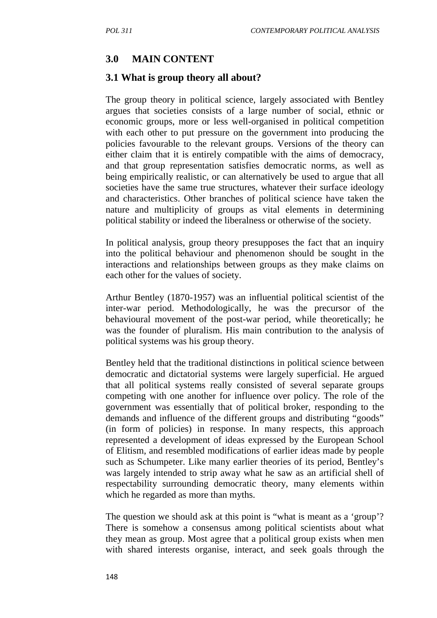### **3.0 MAIN CONTENT**

#### **3.1 What is group theory all about?**

The group theory in political science, largely associated with Bentley argues that societies consists of a large number of social, ethnic or economic groups, more or less well-organised in political competition with each other to put pressure on the government into producing the policies favourable to the relevant groups. Versions of the theory can either claim that it is entirely compatible with the aims of democracy, and that group representation satisfies democratic norms, as well as being empirically realistic, or can alternatively be used to argue that all societies have the same true structures, whatever their surface ideology and characteristics. Other branches of political science have taken the nature and multiplicity of groups as vital elements in determining political stability or indeed the liberalness or otherwise of the society.

In political analysis, group theory presupposes the fact that an inquiry into the political behaviour and phenomenon should be sought in the interactions and relationships between groups as they make claims on each other for the values of society.

Arthur Bentley (1870-1957) was an influential political scientist of the inter-war period. Methodologically, he was the precursor of the behavioural movement of the post-war period, while theoretically; he was the founder of pluralism. His main contribution to the analysis of political systems was his group theory.

Bentley held that the traditional distinctions in political science between democratic and dictatorial systems were largely superficial. He argued that all political systems really consisted of several separate groups competing with one another for influence over policy. The role of the government was essentially that of political broker, responding to the demands and influence of the different groups and distributing "goods" (in form of policies) in response. In many respects, this approach represented a development of ideas expressed by the European School of Elitism, and resembled modifications of earlier ideas made by people such as Schumpeter. Like many earlier theories of its period, Bentley's was largely intended to strip away what he saw as an artificial shell of respectability surrounding democratic theory, many elements within which he regarded as more than myths.

The question we should ask at this point is "what is meant as a 'group'? There is somehow a consensus among political scientists about what they mean as group. Most agree that a political group exists when men with shared interests organise, interact, and seek goals through the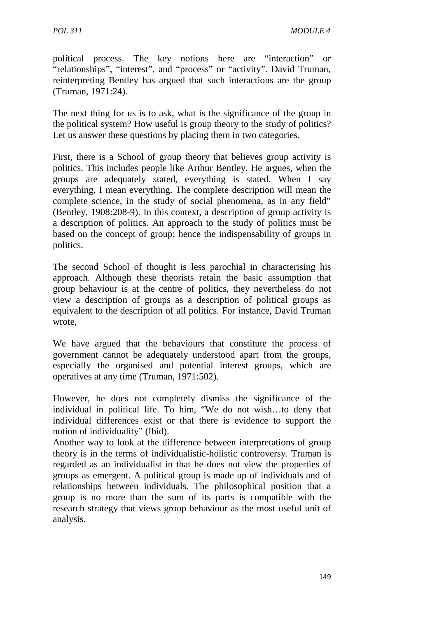political process. The key notions here are "interaction" or "relationships", "interest", and "process" or "activity". David Truman, reinterpreting Bentley has argued that such interactions are the group (Truman, 1971:24).

The next thing for us is to ask, what is the significance of the group in the political system? How useful is group theory to the study of politics? Let us answer these questions by placing them in two categories.

First, there is a School of group theory that believes group activity is politics. This includes people like Arthur Bentley. He argues, when the groups are adequately stated, everything is stated. When I say everything, I mean everything. The complete description will mean the complete science, in the study of social phenomena, as in any field" (Bentley, 1908:208-9). In this context, a description of group activity is a description of politics. An approach to the study of politics must be based on the concept of group; hence the indispensability of groups in politics.

The second School of thought is less parochial in characterising his approach. Although these theorists retain the basic assumption that group behaviour is at the centre of politics, they nevertheless do not view a description of groups as a description of political groups as equivalent to the description of all politics. For instance, David Truman wrote,

We have argued that the behaviours that constitute the process of government cannot be adequately understood apart from the groups, especially the organised and potential interest groups, which are operatives at any time (Truman, 1971:502).

However, he does not completely dismiss the significance of the individual in political life. To him, "We do not wish…to deny that individual differences exist or that there is evidence to support the notion of individuality" (Ibid).

Another way to look at the difference between interpretations of group theory is in the terms of individualistic-holistic controversy. Truman is regarded as an individualist in that he does not view the properties of groups as emergent. A political group is made up of individuals and of relationships between individuals. The philosophical position that a group is no more than the sum of its parts is compatible with the research strategy that views group behaviour as the most useful unit of analysis.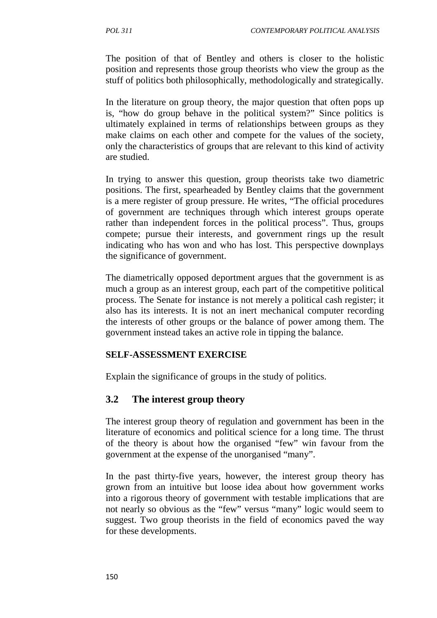The position of that of Bentley and others is closer to the holistic position and represents those group theorists who view the group as the stuff of politics both philosophically, methodologically and strategically.

In the literature on group theory, the major question that often pops up is, "how do group behave in the political system?" Since politics is ultimately explained in terms of relationships between groups as they make claims on each other and compete for the values of the society, only the characteristics of groups that are relevant to this kind of activity are studied.

In trying to answer this question, group theorists take two diametric positions. The first, spearheaded by Bentley claims that the government is a mere register of group pressure. He writes, "The official procedures of government are techniques through which interest groups operate rather than independent forces in the political process". Thus, groups compete; pursue their interests, and government rings up the result indicating who has won and who has lost. This perspective downplays the significance of government.

The diametrically opposed deportment argues that the government is as much a group as an interest group, each part of the competitive political process. The Senate for instance is not merely a political cash register; it also has its interests. It is not an inert mechanical computer recording the interests of other groups or the balance of power among them. The government instead takes an active role in tipping the balance.

# **SELF-ASSESSMENT EXERCISE**

Explain the significance of groups in the study of politics.

# **3.2 The interest group theory**

The interest group theory of regulation and government has been in the literature of economics and political science for a long time. The thrust of the theory is about how the organised "few" win favour from the government at the expense of the unorganised "many".

In the past thirty-five years, however, the interest group theory has grown from an intuitive but loose idea about how government works into a rigorous theory of government with testable implications that are not nearly so obvious as the "few" versus "many" logic would seem to suggest. Two group theorists in the field of economics paved the way for these developments.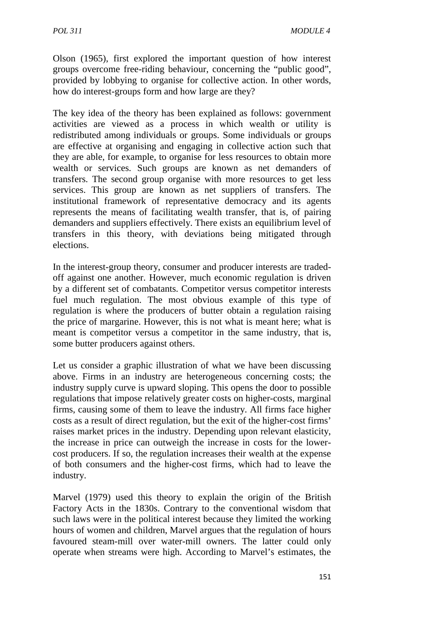Olson (1965), first explored the important question of how interest groups overcome free-riding behaviour, concerning the "public good", provided by lobbying to organise for collective action. In other words, how do interest-groups form and how large are they?

The key idea of the theory has been explained as follows: government activities are viewed as a process in which wealth or utility is redistributed among individuals or groups. Some individuals or groups are effective at organising and engaging in collective action such that they are able, for example, to organise for less resources to obtain more wealth or services. Such groups are known as net demanders of transfers. The second group organise with more resources to get less services. This group are known as net suppliers of transfers. The institutional framework of representative democracy and its agents represents the means of facilitating wealth transfer, that is, of pairing demanders and suppliers effectively. There exists an equilibrium level of transfers in this theory, with deviations being mitigated through elections.

In the interest-group theory, consumer and producer interests are traded off against one another. However, much economic regulation is driven by a different set of combatants. Competitor versus competitor interests fuel much regulation. The most obvious example of this type of regulation is where the producers of butter obtain a regulation raising the price of margarine. However, this is not what is meant here; what is meant is competitor versus a competitor in the same industry, that is, some butter producers against others.

Let us consider a graphic illustration of what we have been discussing above. Firms in an industry are heterogeneous concerning costs; the industry supply curve is upward sloping. This opens the door to possible regulations that impose relatively greater costs on higher-costs, marginal firms, causing some of them to leave the industry. All firms face higher costs as a result of direct regulation, but the exit of the higher-cost firms' raises market prices in the industry. Depending upon relevant elasticity, the increase in price can outweigh the increase in costs for the lower cost producers. If so, the regulation increases their wealth at the expense of both consumers and the higher-cost firms, which had to leave the industry.

Marvel (1979) used this theory to explain the origin of the British Factory Acts in the 1830s. Contrary to the conventional wisdom that such laws were in the political interest because they limited the working hours of women and children, Marvel argues that the regulation of hours favoured steam-mill over water-mill owners. The latter could only operate when streams were high. According to Marvel's estimates, the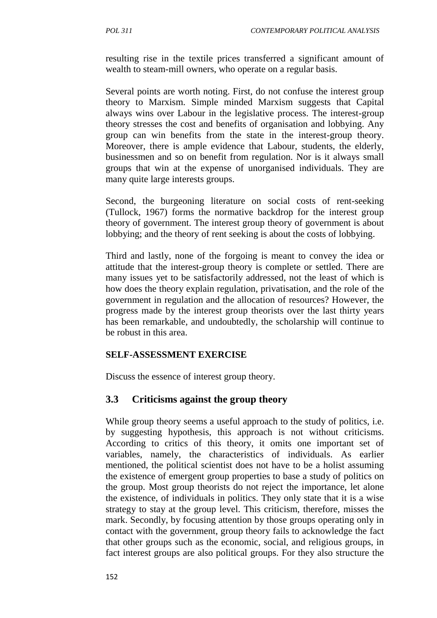resulting rise in the textile prices transferred a significant amount of wealth to steam-mill owners, who operate on a regular basis.

Several points are worth noting. First, do not confuse the interest group theory to Marxism. Simple minded Marxism suggests that Capital always wins over Labour in the legislative process. The interest-group theory stresses the cost and benefits of organisation and lobbying. Any group can win benefits from the state in the interest-group theory. Moreover, there is ample evidence that Labour, students, the elderly, businessmen and so on benefit from regulation. Nor is it always small groups that win at the expense of unorganised individuals. They are many quite large interests groups.

Second, the burgeoning literature on social costs of rent-seeking (Tullock, 1967) forms the normative backdrop for the interest group theory of government. The interest group theory of government is about lobbying; and the theory of rent seeking is about the costs of lobbying.

Third and lastly, none of the forgoing is meant to convey the idea or attitude that the interest-group theory is complete or settled. There are many issues yet to be satisfactorily addressed, not the least of which is how does the theory explain regulation, privatisation, and the role of the government in regulation and the allocation of resources? However, the progress made by the interest group theorists over the last thirty years has been remarkable, and undoubtedly, the scholarship will continue to be robust in this area.

### **SELF-ASSESSMENT EXERCISE**

Discuss the essence of interest group theory.

# **3.3 Criticisms against the group theory**

While group theory seems a useful approach to the study of politics, *i.e.* by suggesting hypothesis, this approach is not without criticisms. According to critics of this theory, it omits one important set of variables, namely, the characteristics of individuals. As earlier mentioned, the political scientist does not have to be a holist assuming the existence of emergent group properties to base a study of politics on the group. Most group theorists do not reject the importance, let alone the existence, of individuals in politics. They only state that it is a wise strategy to stay at the group level. This criticism, therefore, misses the mark. Secondly, by focusing attention by those groups operating only in contact with the government, group theory fails to acknowledge the fact that other groups such as the economic, social, and religious groups, in fact interest groups are also political groups. For they also structure the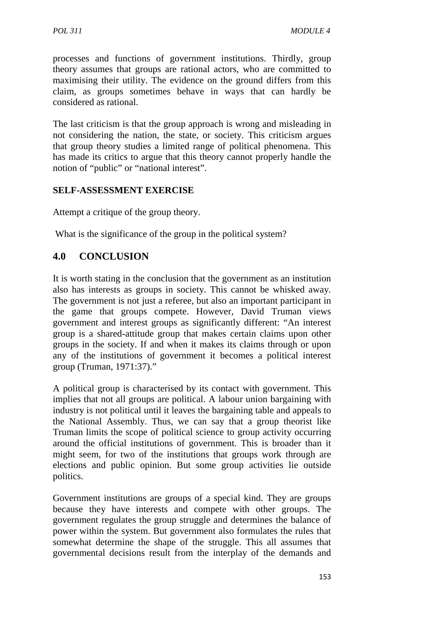processes and functions of government institutions. Thirdly, group theory assumes that groups are rational actors, who are committed to maximising their utility. The evidence on the ground differs from this claim, as groups sometimes behave in ways that can hardly be considered as rational.

The last criticism is that the group approach is wrong and misleading in not considering the nation, the state, or society. This criticism argues that group theory studies a limited range of political phenomena. This has made its critics to argue that this theory cannot properly handle the notion of "public" or "national interest".

### **SELF-ASSESSMENT EXERCISE**

Attempt a critique of the group theory.

What is the significance of the group in the political system?

# **4.0 CONCLUSION**

It is worth stating in the conclusion that the government as an institution also has interests as groups in society. This cannot be whisked away. The government is not just a referee, but also an important participant in the game that groups compete. However, David Truman views government and interest groups as significantly different: "An interest group is a shared-attitude group that makes certain claims upon other groups in the society. If and when it makes its claims through or upon any of the institutions of government it becomes a political interest group (Truman, 1971:37)."

A political group is characterised by its contact with government. This implies that not all groups are political. A labour union bargaining with industry is not political until it leaves the bargaining table and appeals to the National Assembly. Thus, we can say that a group theorist like Truman limits the scope of political science to group activity occurring around the official institutions of government. This is broader than it might seem, for two of the institutions that groups work through are elections and public opinion. But some group activities lie outside politics.

Government institutions are groups of a special kind. They are groups because they have interests and compete with other groups. The government regulates the group struggle and determines the balance of power within the system. But government also formulates the rules that somewhat determine the shape of the struggle. This all assumes that governmental decisions result from the interplay of the demands and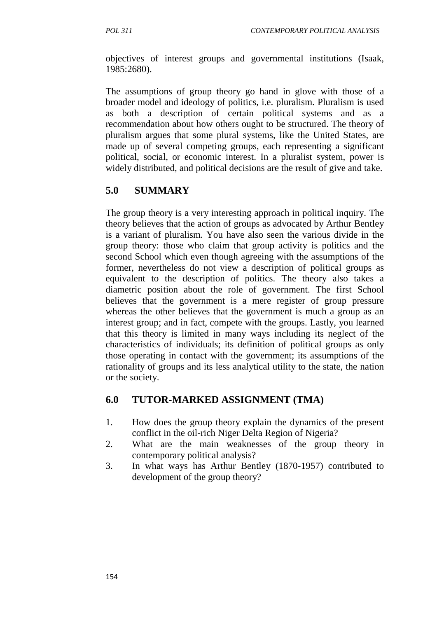objectives of interest groups and governmental institutions (Isaak, 1985:2680).

The assumptions of group theory go hand in glove with those of a broader model and ideology of politics, i.e. pluralism. Pluralism is used as both a description of certain political systems and as a recommendation about how others ought to be structured. The theory of pluralism argues that some plural systems, like the United States, are made up of several competing groups, each representing a significant political, social, or economic interest. In a pluralist system, power is widely distributed, and political decisions are the result of give and take.

# **5.0 SUMMARY**

The group theory is a very interesting approach in political inquiry. The theory believes that the action of groups as advocated by Arthur Bentley is a variant of pluralism. You have also seen the various divide in the group theory: those who claim that group activity is politics and the second School which even though agreeing with the assumptions of the former, nevertheless do not view a description of political groups as equivalent to the description of politics. The theory also takes a diametric position about the role of government. The first School believes that the government is a mere register of group pressure whereas the other believes that the government is much a group as an interest group; and in fact, compete with the groups. Lastly, you learned that this theory is limited in many ways including its neglect of the characteristics of individuals; its definition of political groups as only those operating in contact with the government; its assumptions of the rationality of groups and its less analytical utility to the state, the nation or the society.

# **6.0 TUTOR-MARKED ASSIGNMENT (TMA)**

- 1. How does the group theory explain the dynamics of the present conflict in the oil-rich Niger Delta Region of Nigeria?
- 2. What are the main weaknesses of the group theory in contemporary political analysis?
- 3. In what ways has Arthur Bentley (1870-1957) contributed to development of the group theory?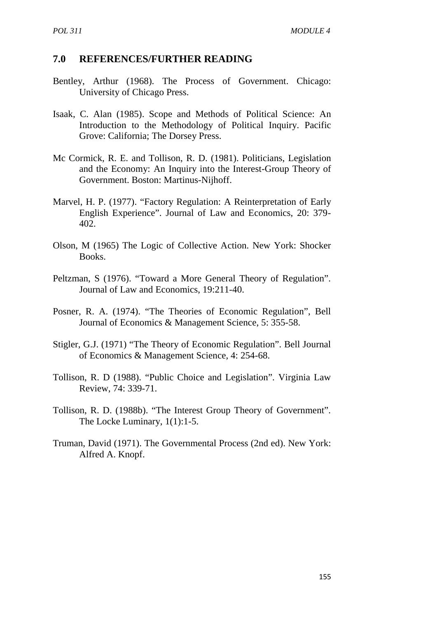### **7.0 REFERENCES/FURTHER READING**

- Bentley, Arthur (1968). The Process of Government. Chicago: University of Chicago Press.
- Isaak, C. Alan (1985). Scope and Methods of Political Science: An Introduction to the Methodology of Political Inquiry. Pacific Grove: California; The Dorsey Press.
- Mc Cormick, R. E. and Tollison, R. D. (1981). Politicians, Legislation and the Economy: An Inquiry into the Interest-Group Theory of Government. Boston: Martinus-Nijhoff.
- Marvel, H. P. (1977). "Factory Regulation: A Reinterpretation of Early English Experience". Journal of Law and Economics, 20: 379- 402.
- Olson, M (1965) The Logic of Collective Action. New York: Shocker Books.
- Peltzman, S (1976). "Toward a More General Theory of Regulation". Journal of Law and Economics, 19:211-40.
- Posner, R. A. (1974). "The Theories of Economic Regulation", Bell Journal of Economics & Management Science, 5: 355-58.
- Stigler, G.J. (1971) "The Theory of Economic Regulation". Bell Journal of Economics & Management Science, 4: 254-68.
- Tollison, R. D (1988). "Public Choice and Legislation". Virginia Law Review, 74: 339-71.
- Tollison, R. D. (1988b). "The Interest Group Theory of Government". The Locke Luminary,  $1(1):1-5$ .
- Truman, David (1971). The Governmental Process (2nd ed). New York: Alfred A. Knopf.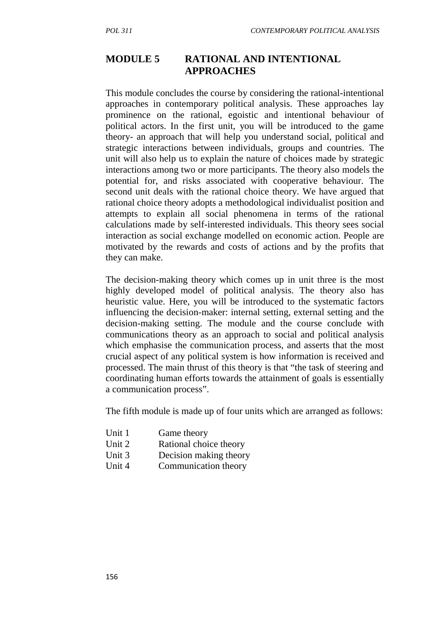# **MODULE 5 RATIONAL AND INTENTIONAL APPROACHES**

This module concludes the course by considering the rational-intentional approaches in contemporary political analysis. These approaches lay prominence on the rational, egoistic and intentional behaviour of political actors. In the first unit, you will be introduced to the game theory- an approach that will help you understand social, political and strategic interactions between individuals, groups and countries. The unit will also help us to explain the nature of choices made by strategic interactions among two or more participants. The theory also models the potential for, and risks associated with cooperative behaviour. The second unit deals with the rational choice theory. We have argued that rational choice theory adopts a methodological individualist position and attempts to explain all social phenomena in terms of the rational calculations made by self-interested individuals. This theory sees social interaction as social exchange modelled on economic action. People are motivated by the rewards and costs of actions and by the profits that they can make.

The decision-making theory which comes up in unit three is the most highly developed model of political analysis. The theory also has heuristic value. Here, you will be introduced to the systematic factors influencing the decision-maker: internal setting, external setting and the decision-making setting. The module and the course conclude with communications theory as an approach to social and political analysis which emphasise the communication process, and asserts that the most crucial aspect of any political system is how information is received and processed. The main thrust of this theory is that "the task of steering and coordinating human efforts towards the attainment of goals is essentially a communication process".

The fifth module is made up of four units which are arranged as follows:

- Unit 1 Game theory
- Unit 2 Rational choice theory
- Unit 3 Decision making theory
- Unit 4 Communication theory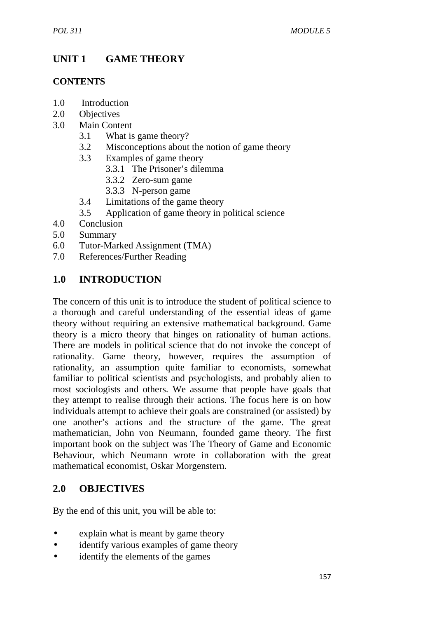# **UNIT 1 GAME THEORY**

### **CONTENTS**

- 1.0 Introduction
- 2.0 Objectives
- 3.0 Main Content
	- 3.1 What is game theory?
	- 3.2 Misconceptions about the notion of game theory
	- 3.3 Examples of game theory
		- 3.3.1 The Prisoner's dilemma
		- 3.3.2 Zero-sum game
		- 3.3.3 N-person game
	- 3.4 Limitations of the game theory
	- 3.5 Application of game theory in political science
- 4.0 Conclusion
- 5.0 Summary
- 6.0 Tutor-Marked Assignment (TMA)
- 7.0 References/Further Reading

# **1.0 INTRODUCTION**

The concern of this unit is to introduce the student of political science to a thorough and careful understanding of the essential ideas of game theory without requiring an extensive mathematical background. Game theory is a micro theory that hinges on rationality of human actions. There are models in political science that do not invoke the concept of rationality. Game theory, however, requires the assumption of rationality, an assumption quite familiar to economists, somewhat familiar to political scientists and psychologists, and probably alien to most sociologists and others. We assume that people have goals that they attempt to realise through their actions. The focus here is on how individuals attempt to achieve their goals are constrained (or assisted) by one another's actions and the structure of the game. The great mathematician, John von Neumann, founded game theory. The first important book on the subject was The Theory of Game and Economic Behaviour, which Neumann wrote in collaboration with the great mathematical economist, Oskar Morgenstern.

# **2.0 OBJECTIVES**

By the end of this unit, you will be able to:

- explain what is meant by game theory
- identify various examples of game theory
- identify the elements of the games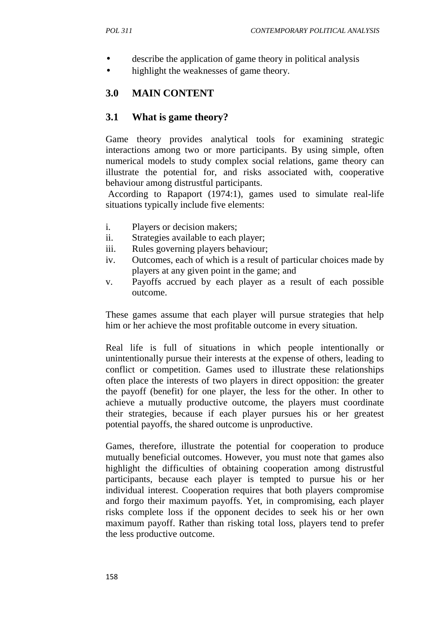- describe the application of game theory in political analysis
- highlight the weaknesses of game theory.

# **3.0 MAIN CONTENT**

# **3.1 What is game theory?**

Game theory provides analytical tools for examining strategic interactions among two or more participants. By using simple, often numerical models to study complex social relations, game theory can illustrate the potential for, and risks associated with, cooperative behaviour among distrustful participants.

According to Rapaport (1974:1), games used to simulate real-life situations typically include five elements:

- i. Players or decision makers;
- ii. Strategies available to each player;
- iii. Rules governing players behaviour;
- iv. Outcomes, each of which is a result of particular choices made by players at any given point in the game; and
- v. Payoffs accrued by each player as a result of each possible outcome.

These games assume that each player will pursue strategies that help him or her achieve the most profitable outcome in every situation.

Real life is full of situations in which people intentionally or unintentionally pursue their interests at the expense of others, leading to conflict or competition. Games used to illustrate these relationships often place the interests of two players in direct opposition: the greater the payoff (benefit) for one player, the less for the other. In other to achieve a mutually productive outcome, the players must coordinate their strategies, because if each player pursues his or her greatest potential payoffs, the shared outcome is unproductive.

Games, therefore, illustrate the potential for cooperation to produce mutually beneficial outcomes. However, you must note that games also highlight the difficulties of obtaining cooperation among distrustful participants, because each player is tempted to pursue his or her individual interest. Cooperation requires that both players compromise and forgo their maximum payoffs. Yet, in compromising, each player risks complete loss if the opponent decides to seek his or her own maximum payoff. Rather than risking total loss, players tend to prefer the less productive outcome.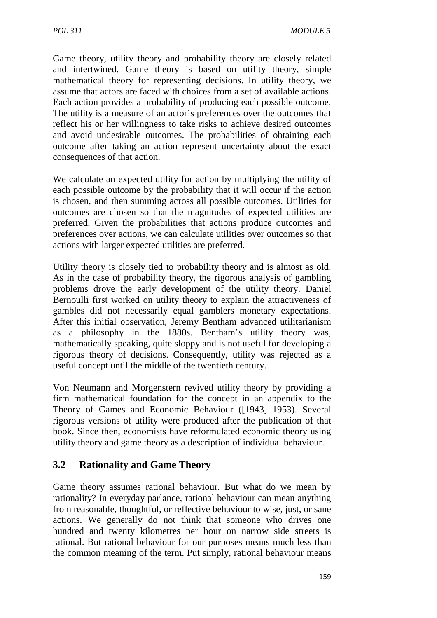Game theory, utility theory and probability theory are closely related and intertwined. Game theory is based on utility theory, simple mathematical theory for representing decisions. In utility theory, we assume that actors are faced with choices from a set of available actions. Each action provides a probability of producing each possible outcome. The utility is a measure of an actor's preferences over the outcomes that reflect his or her willingness to take risks to achieve desired outcomes and avoid undesirable outcomes. The probabilities of obtaining each outcome after taking an action represent uncertainty about the exact consequences of that action.

We calculate an expected utility for action by multiplying the utility of each possible outcome by the probability that it will occur if the action is chosen, and then summing across all possible outcomes. Utilities for outcomes are chosen so that the magnitudes of expected utilities are preferred. Given the probabilities that actions produce outcomes and preferences over actions, we can calculate utilities over outcomes so that actions with larger expected utilities are preferred.

Utility theory is closely tied to probability theory and is almost as old. As in the case of probability theory, the rigorous analysis of gambling problems drove the early development of the utility theory. Daniel Bernoulli first worked on utility theory to explain the attractiveness of gambles did not necessarily equal gamblers monetary expectations. After this initial observation, Jeremy Bentham advanced utilitarianism as a philosophy in the 1880s. Bentham's utility theory was, mathematically speaking, quite sloppy and is not useful for developing a rigorous theory of decisions. Consequently, utility was rejected as a useful concept until the middle of the twentieth century.

Von Neumann and Morgenstern revived utility theory by providing a firm mathematical foundation for the concept in an appendix to the Theory of Games and Economic Behaviour ([1943] 1953). Several rigorous versions of utility were produced after the publication of that book. Since then, economists have reformulated economic theory using utility theory and game theory as a description of individual behaviour.

# **3.2 Rationality and Game Theory**

Game theory assumes rational behaviour. But what do we mean by rationality? In everyday parlance, rational behaviour can mean anything from reasonable, thoughtful, or reflective behaviour to wise, just, or sane actions. We generally do not think that someone who drives one hundred and twenty kilometres per hour on narrow side streets is rational. But rational behaviour for our purposes means much less than the common meaning of the term. Put simply, rational behaviour means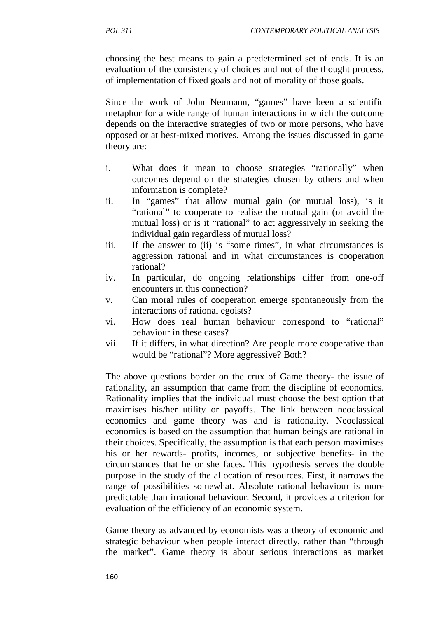choosing the best means to gain a predetermined set of ends. It is an evaluation of the consistency of choices and not of the thought process, of implementation of fixed goals and not of morality of those goals.

Since the work of John Neumann, "games" have been a scientific metaphor for a wide range of human interactions in which the outcome depends on the interactive strategies of two or more persons, who have opposed or at best-mixed motives. Among the issues discussed in game theory are:

- i. What does it mean to choose strategies "rationally" when outcomes depend on the strategies chosen by others and when information is complete?
- ii. In "games" that allow mutual gain (or mutual loss), is it "rational" to cooperate to realise the mutual gain (or avoid the mutual loss) or is it "rational" to act aggressively in seeking the individual gain regardless of mutual loss?
- iii. If the answer to (ii) is "some times", in what circumstances is aggression rational and in what circumstances is cooperation rational?
- iv. In particular, do ongoing relationships differ from one-off encounters in this connection?
- v. Can moral rules of cooperation emerge spontaneously from the interactions of rational egoists?
- vi. How does real human behaviour correspond to "rational" behaviour in these cases?
- vii. If it differs, in what direction? Are people more cooperative than would be "rational"? More aggressive? Both?

The above questions border on the crux of Game theory- the issue of rationality, an assumption that came from the discipline of economics. Rationality implies that the individual must choose the best option that maximises his/her utility or payoffs. The link between neoclassical economics and game theory was and is rationality. Neoclassical economics is based on the assumption that human beings are rational in their choices. Specifically, the assumption is that each person maximises his or her rewards- profits, incomes, or subjective benefits- in the circumstances that he or she faces. This hypothesis serves the double purpose in the study of the allocation of resources. First, it narrows the range of possibilities somewhat. Absolute rational behaviour is more predictable than irrational behaviour. Second, it provides a criterion for evaluation of the efficiency of an economic system.

Game theory as advanced by economists was a theory of economic and strategic behaviour when people interact directly, rather than "through the market". Game theory is about serious interactions as market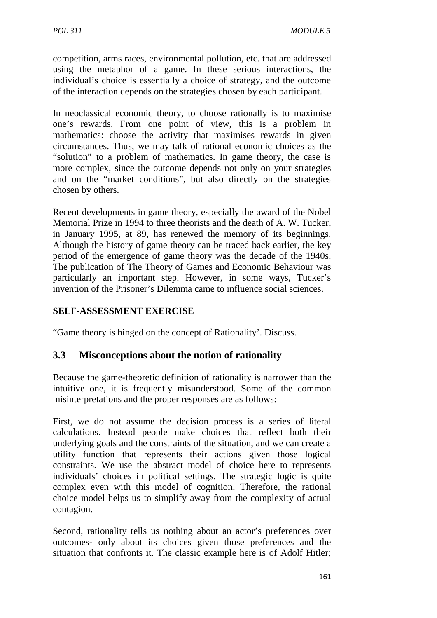competition, arms races, environmental pollution, etc. that are addressed using the metaphor of a game. In these serious interactions, the individual's choice is essentially a choice of strategy, and the outcome of the interaction depends on the strategies chosen by each participant.

In neoclassical economic theory, to choose rationally is to maximise one's rewards. From one point of view, this is a problem in mathematics: choose the activity that maximises rewards in given circumstances. Thus, we may talk of rational economic choices as the "solution" to a problem of mathematics. In game theory, the case is more complex, since the outcome depends not only on your strategies and on the "market conditions", but also directly on the strategies chosen by others.

Recent developments in game theory, especially the award of the Nobel Memorial Prize in 1994 to three theorists and the death of A. W. Tucker, in January 1995, at 89, has renewed the memory of its beginnings. Although the history of game theory can be traced back earlier, the key period of the emergence of game theory was the decade of the 1940s. The publication of The Theory of Games and Economic Behaviour was particularly an important step. However, in some ways, Tucker's invention of the Prisoner's Dilemma came to influence social sciences.

# **SELF-ASSESSMENT EXERCISE**

"Game theory is hinged on the concept of Rationality'. Discuss.

# **3.3 Misconceptions about the notion of rationality**

Because the game-theoretic definition of rationality is narrower than the intuitive one, it is frequently misunderstood. Some of the common misinterpretations and the proper responses are as follows:

First, we do not assume the decision process is a series of literal calculations. Instead people make choices that reflect both their underlying goals and the constraints of the situation, and we can create a utility function that represents their actions given those logical constraints. We use the abstract model of choice here to represents individuals' choices in political settings. The strategic logic is quite complex even with this model of cognition. Therefore, the rational choice model helps us to simplify away from the complexity of actual contagion.

Second, rationality tells us nothing about an actor's preferences over outcomes- only about its choices given those preferences and the situation that confronts it. The classic example here is of Adolf Hitler;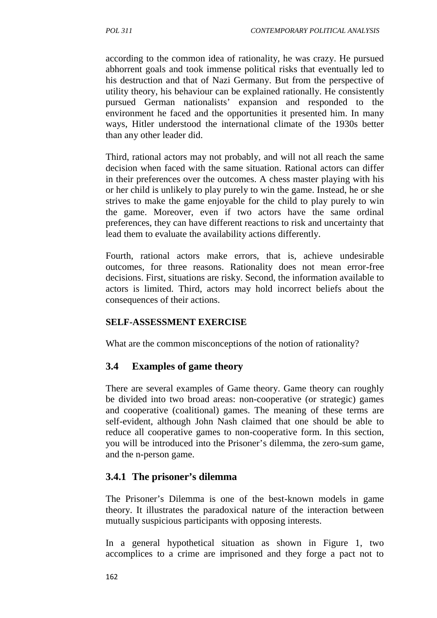according to the common idea of rationality, he was crazy. He pursued abhorrent goals and took immense political risks that eventually led to his destruction and that of Nazi Germany. But from the perspective of utility theory, his behaviour can be explained rationally. He consistently pursued German nationalists' expansion and responded to the environment he faced and the opportunities it presented him. In many ways, Hitler understood the international climate of the 1930s better than any other leader did.

Third, rational actors may not probably, and will not all reach the same decision when faced with the same situation. Rational actors can differ in their preferences over the outcomes. A chess master playing with his or her child is unlikely to play purely to win the game. Instead, he or she strives to make the game enjoyable for the child to play purely to win the game. Moreover, even if two actors have the same ordinal preferences, they can have different reactions to risk and uncertainty that lead them to evaluate the availability actions differently.

Fourth, rational actors make errors, that is, achieve undesirable outcomes, for three reasons. Rationality does not mean error-free decisions. First, situations are risky. Second, the information available to actors is limited. Third, actors may hold incorrect beliefs about the consequences of their actions.

# **SELF-ASSESSMENT EXERCISE**

What are the common misconceptions of the notion of rationality?

# **3.4 Examples of game theory**

There are several examples of Game theory. Game theory can roughly be divided into two broad areas: non-cooperative (or strategic) games and cooperative (coalitional) games. The meaning of these terms are self-evident, although John Nash claimed that one should be able to reduce all cooperative games to non-cooperative form. In this section, you will be introduced into the Prisoner's dilemma, the zero-sum game, and the n-person game.

# **3.4.1 The prisoner's dilemma**

The Prisoner's Dilemma is one of the best-known models in game theory. It illustrates the paradoxical nature of the interaction between mutually suspicious participants with opposing interests.

In a general hypothetical situation as shown in Figure 1, two accomplices to a crime are imprisoned and they forge a pact not to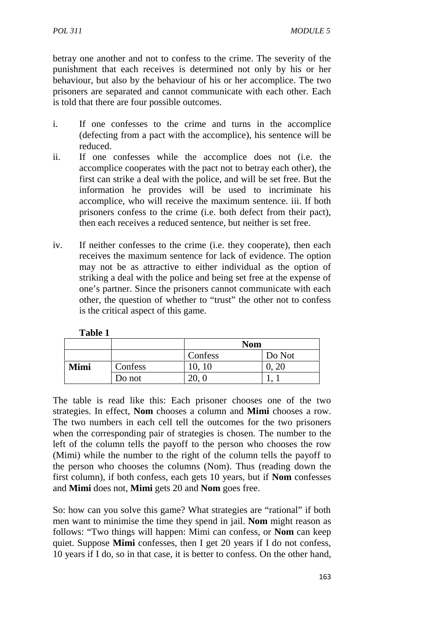betray one another and not to confess to the crime. The severity of the punishment that each receives is determined not only by his or her behaviour, but also by the behaviour of his or her accomplice. The two prisoners are separated and cannot communicate with each other. Each is told that there are four possible outcomes.

- i. If one confesses to the crime and turns in the accomplice (defecting from a pact with the accomplice), his sentence will be reduced.
- ii. If one confesses while the accomplice does not (i.e. the accomplice cooperates with the pact not to betray each other), the first can strike a deal with the police, and will be set free. But the information he provides will be used to incriminate his accomplice, who will receive the maximum sentence. iii. If both prisoners confess to the crime (i.e. both defect from their pact), then each receives a reduced sentence, but neither is set free.
- iv. If neither confesses to the crime (i.e. they cooperate), then each receives the maximum sentence for lack of evidence. The option may not be as attractive to either individual as the option of striking a deal with the police and being set free at the expense of one's partner. Since the prisoners cannot communicate with each other, the question of whether to "trust" the other not to confess is the critical aspect of this game.

| $\sim$ $\sim$ $\sim$ $\sim$ |         |         |            |  |
|-----------------------------|---------|---------|------------|--|
|                             |         |         | <b>Nom</b> |  |
|                             |         | Confess | Do Not     |  |
| <b>Mimi</b>                 | Confess | 10, 10  | 0, 20      |  |
|                             | Do not  |         |            |  |

**Table 1**

The table is read like this: Each prisoner chooses one of the two strategies. In effect, **Nom** chooses a column and **Mimi** chooses a row. The two numbers in each cell tell the outcomes for the two prisoners when the corresponding pair of strategies is chosen. The number to the left of the column tells the payoff to the person who chooses the row (Mimi) while the number to the right of the column tells the payoff to the person who chooses the columns (Nom). Thus (reading down the first column), if both confess, each gets 10 years, but if **Nom** confesses and **Mimi** does not, **Mimi** gets 20 and **Nom** goes free.

So: how can you solve this game? What strategies are "rational" if both men want to minimise the time they spend in jail. **Nom** might reason as follows: "Two things will happen: Mimi can confess, or **Nom** can keep quiet. Suppose **Mimi** confesses, then I get 20 years if I do not confess, 10 years if I do, so in that case, it is better to confess. On the other hand,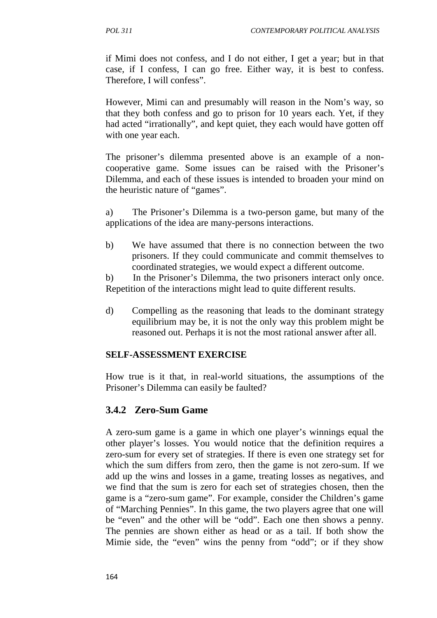if Mimi does not confess, and I do not either, I get a year; but in that case, if I confess, I can go free. Either way, it is best to confess. Therefore, I will confess".

However, Mimi can and presumably will reason in the Nom's way, so that they both confess and go to prison for 10 years each. Yet, if they had acted "irrationally", and kept quiet, they each would have gotten off with one year each.

The prisoner's dilemma presented above is an example of a non cooperative game. Some issues can be raised with the Prisoner's Dilemma, and each of these issues is intended to broaden your mind on the heuristic nature of "games".

a) The Prisoner's Dilemma is a two-person game, but many of the applications of the idea are many-persons interactions.

b) We have assumed that there is no connection between the two prisoners. If they could communicate and commit themselves to coordinated strategies, we would expect a different outcome.

b) In the Prisoner's Dilemma, the two prisoners interact only once. Repetition of the interactions might lead to quite different results.

d) Compelling as the reasoning that leads to the dominant strategy equilibrium may be, it is not the only way this problem might be reasoned out. Perhaps it is not the most rational answer after all.

### **SELF-ASSESSMENT EXERCISE**

How true is it that, in real-world situations, the assumptions of the Prisoner's Dilemma can easily be faulted?

### **3.4.2 Zero-Sum Game**

A zero-sum game is a game in which one player's winnings equal the other player's losses. You would notice that the definition requires a zero-sum for every set of strategies. If there is even one strategy set for which the sum differs from zero, then the game is not zero-sum. If we add up the wins and losses in a game, treating losses as negatives, and we find that the sum is zero for each set of strategies chosen, then the game is a "zero-sum game". For example, consider the Children's game of "Marching Pennies". In this game, the two players agree that one will be "even" and the other will be "odd". Each one then shows a penny. The pennies are shown either as head or as a tail. If both show the Mimie side, the "even" wins the penny from "odd"; or if they show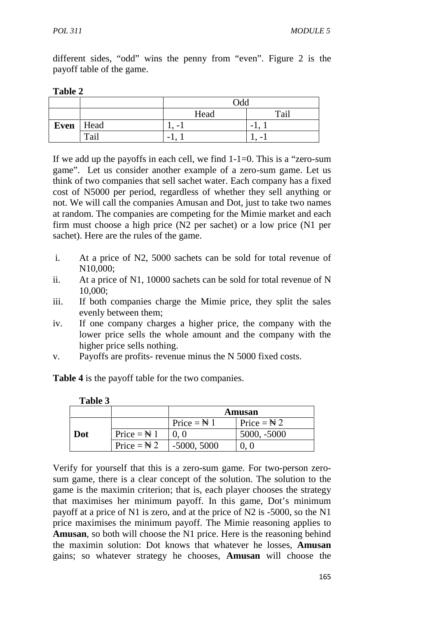different sides, "odd" wins the penny from "even". Figure 2 is the payoff table of the game.

#### **Table 2**

|                    |      | Odd  |      |
|--------------------|------|------|------|
|                    |      | Head | Tail |
| <b>Even</b>   Head |      |      | -    |
|                    | Tail | -    |      |

If we add up the payoffs in each cell, we find  $1-1=0$ . This is a "zero-sum game". Let us consider another example of a zero-sum game. Let us think of two companies that sell sachet water. Each company has a fixed cost of N5000 per period, regardless of whether they sell anything or not. We will call the companies Amusan and Dot, just to take two names at random. The companies are competing for the Mimie market and each firm must choose a high price (N2 per sachet) or a low price (N1 per sachet). Here are the rules of the game.

- i. At a price of N2, 5000 sachets can be sold for total revenue of N10,000;
- ii. At a price of N1, 10000 sachets can be sold for total revenue of N 10,000;
- iii. If both companies charge the Mimie price, they split the sales evenly between them;
- iv. If one company charges a higher price, the company with the lower price sells the whole amount and the company with the higher price sells nothing.
- v. Payoffs are profits- revenue minus the N 5000 fixed costs.

**Table 4** is the payoff table for the two companies.

| 1 avit J |                        |                        |                        |  |  |
|----------|------------------------|------------------------|------------------------|--|--|
|          |                        | Amusan                 |                        |  |  |
|          |                        | Price = $\mathbb{N}$ 1 | Price = $\mathbb{N}$ 2 |  |  |
| Dot      | Price = $\mathbb{N}$ 1 | 0.0                    | $5000, -5000$          |  |  |
|          | Price = $\mathbb{N}$ 2 | $-5000, 5000$          | 0. O                   |  |  |

**Table 3**

Verify for yourself that this is a zero-sum game. For two-person zero sum game, there is a clear concept of the solution. The solution to the game is the maximin criterion; that is, each player chooses the strategy that maximises her minimum payoff. In this game, Dot's minimum payoff at a price of N1 is zero, and at the price of N2 is -5000, so the N1 price maximises the minimum payoff. The Mimie reasoning applies to **Amusan**, so both will choose the N1 price. Here is the reasoning behind the maximin solution: Dot knows that whatever he losses, **Amusan** gains; so whatever strategy he chooses, **Amusan** will choose the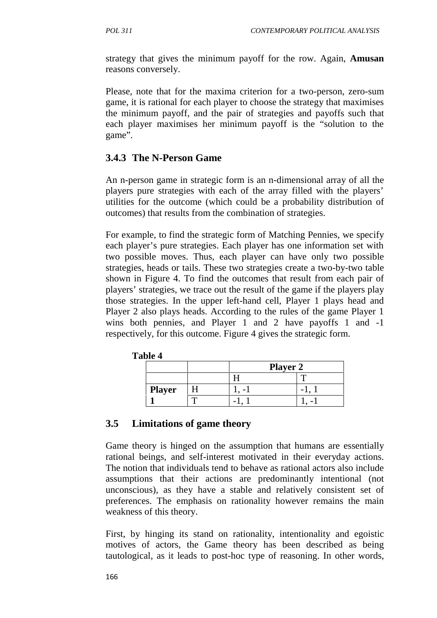strategy that gives the minimum payoff for the row. Again, **Amusan** reasons conversely.

Please, note that for the maxima criterion for a two-person, zero-sum game, it is rational for each player to choose the strategy that maximises the minimum payoff, and the pair of strategies and payoffs such that each player maximises her minimum payoff is the "solution to the game".

## **3.4.3 The N-Person Game**

An n-person game in strategic form is an n-dimensional array of all the players pure strategies with each of the array filled with the players' utilities for the outcome (which could be a probability distribution of outcomes) that results from the combination of strategies.

For example, to find the strategic form of Matching Pennies, we specify each player's pure strategies. Each player has one information set with two possible moves. Thus, each player can have only two possible strategies, heads or tails. These two strategies create a two-by-two table shown in Figure 4. To find the outcomes that result from each pair of players' strategies, we trace out the result of the game if the players play those strategies. In the upper left-hand cell, Player 1 plays head and Player 2 also plays heads. According to the rules of the game Player 1 wins both pennies, and Player 1 and 2 have payoffs 1 and -1 respectively, for this outcome. Figure 4 gives the strategic form.

|               | <b>Player 2</b> |  |
|---------------|-----------------|--|
|               |                 |  |
| <b>Player</b> |                 |  |
|               | -               |  |

**Table 4**

### **3.5 Limitations of game theory**

Game theory is hinged on the assumption that humans are essentially rational beings, and self-interest motivated in their everyday actions. The notion that individuals tend to behave as rational actors also include assumptions that their actions are predominantly intentional (not unconscious), as they have a stable and relatively consistent set of preferences. The emphasis on rationality however remains the main weakness of this theory.

First, by hinging its stand on rationality, intentionality and egoistic motives of actors, the Game theory has been described as being tautological, as it leads to post-hoc type of reasoning. In other words,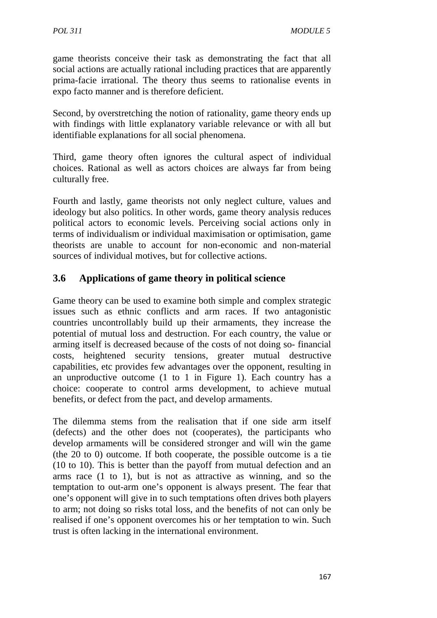game theorists conceive their task as demonstrating the fact that all social actions are actually rational including practices that are apparently prima-facie irrational. The theory thus seems to rationalise events in expo facto manner and is therefore deficient.

Second, by overstretching the notion of rationality, game theory ends up with findings with little explanatory variable relevance or with all but identifiable explanations for all social phenomena.

Third, game theory often ignores the cultural aspect of individual choices. Rational as well as actors choices are always far from being culturally free.

Fourth and lastly, game theorists not only neglect culture, values and ideology but also politics. In other words, game theory analysis reduces political actors to economic levels. Perceiving social actions only in terms of individualism or individual maximisation or optimisation, game theorists are unable to account for non-economic and non-material sources of individual motives, but for collective actions.

## **3.6 Applications of game theory in political science**

Game theory can be used to examine both simple and complex strategic issues such as ethnic conflicts and arm races. If two antagonistic countries uncontrollably build up their armaments, they increase the potential of mutual loss and destruction. For each country, the value or arming itself is decreased because of the costs of not doing so- financial costs, heightened security tensions, greater mutual destructive capabilities, etc provides few advantages over the opponent, resulting in an unproductive outcome (1 to 1 in Figure 1). Each country has a choice: cooperate to control arms development, to achieve mutual benefits, or defect from the pact, and develop armaments.

The dilemma stems from the realisation that if one side arm itself (defects) and the other does not (cooperates), the participants who develop armaments will be considered stronger and will win the game (the 20 to 0) outcome. If both cooperate, the possible outcome is a tie (10 to 10). This is better than the payoff from mutual defection and an arms race (1 to 1), but is not as attractive as winning, and so the temptation to out-arm one's opponent is always present. The fear that one's opponent will give in to such temptations often drives both players to arm; not doing so risks total loss, and the benefits of not can only be realised if one's opponent overcomes his or her temptation to win. Such trust is often lacking in the international environment.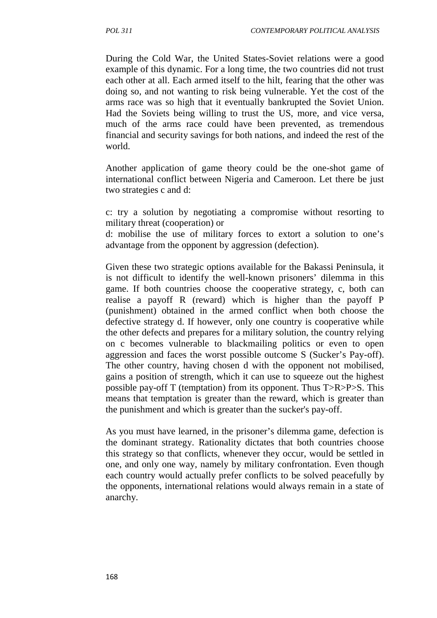During the Cold War, the United States-Soviet relations were a good example of this dynamic. For a long time, the two countries did not trust each other at all. Each armed itself to the hilt, fearing that the other was doing so, and not wanting to risk being vulnerable. Yet the cost of the arms race was so high that it eventually bankrupted the Soviet Union. Had the Soviets being willing to trust the US, more, and vice versa, much of the arms race could have been prevented, as tremendous financial and security savings for both nations, and indeed the rest of the world.

Another application of game theory could be the one-shot game of international conflict between Nigeria and Cameroon. Let there be just two strategies c and d:

c: try a solution by negotiating a compromise without resorting to military threat (cooperation) or

d: mobilise the use of military forces to extort a solution to one's advantage from the opponent by aggression (defection).

Given these two strategic options available for the Bakassi Peninsula, it is not difficult to identify the well-known prisoners' dilemma in this game. If both countries choose the cooperative strategy, c, both can realise a payoff R (reward) which is higher than the payoff P (punishment) obtained in the armed conflict when both choose the defective strategy d. If however, only one country is cooperative while the other defects and prepares for a military solution, the country relying on c becomes vulnerable to blackmailing politics or even to open aggression and faces the worst possible outcome S (Sucker's Pay-off). The other country, having chosen d with the opponent not mobilised, gains a position of strength, which it can use to squeeze out the highest possible pay-off T (temptation) from its opponent. Thus T>R>P>S. This means that temptation is greater than the reward, which is greater than the punishment and which is greater than the sucker's pay-off.

As you must have learned, in the prisoner's dilemma game, defection is the dominant strategy. Rationality dictates that both countries choose this strategy so that conflicts, whenever they occur, would be settled in one, and only one way, namely by military confrontation. Even though each country would actually prefer conflicts to be solved peacefully by the opponents, international relations would always remain in a state of anarchy.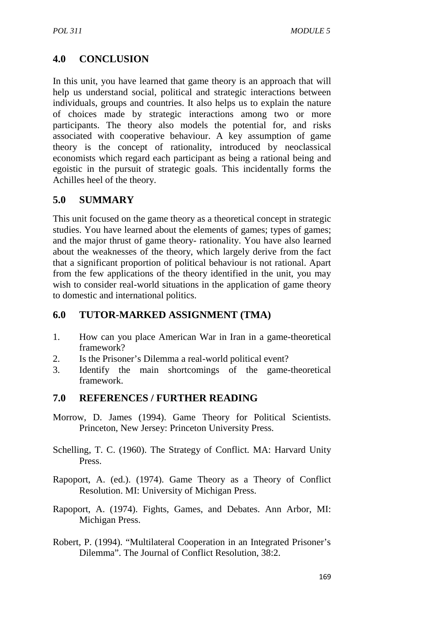# **4.0 CONCLUSION**

In this unit, you have learned that game theory is an approach that will help us understand social, political and strategic interactions between individuals, groups and countries. It also helps us to explain the nature of choices made by strategic interactions among two or more participants. The theory also models the potential for, and risks associated with cooperative behaviour. A key assumption of game theory is the concept of rationality, introduced by neoclassical economists which regard each participant as being a rational being and egoistic in the pursuit of strategic goals. This incidentally forms the Achilles heel of the theory.

### **5.0 SUMMARY**

This unit focused on the game theory as a theoretical concept in strategic studies. You have learned about the elements of games; types of games; and the major thrust of game theory- rationality. You have also learned about the weaknesses of the theory, which largely derive from the fact that a significant proportion of political behaviour is not rational. Apart from the few applications of the theory identified in the unit, you may wish to consider real-world situations in the application of game theory to domestic and international politics.

### **6.0 TUTOR-MARKED ASSIGNMENT (TMA)**

- 1. How can you place American War in Iran in a game-theoretical framework?
- 2. Is the Prisoner's Dilemma a real-world political event?
- 3. Identify the main shortcomings of the game-theoretical framework.

### **7.0 REFERENCES / FURTHER READING**

- Morrow, D. James (1994). Game Theory for Political Scientists. Princeton, New Jersey: Princeton University Press.
- Schelling, T. C. (1960). The Strategy of Conflict. MA: Harvard Unity Press.
- Rapoport, A. (ed.). (1974). Game Theory as a Theory of Conflict Resolution. MI: University of Michigan Press.
- Rapoport, A. (1974). Fights, Games, and Debates. Ann Arbor, MI: Michigan Press.
- Robert, P. (1994). "Multilateral Cooperation in an Integrated Prisoner's Dilemma". The Journal of Conflict Resolution, 38:2.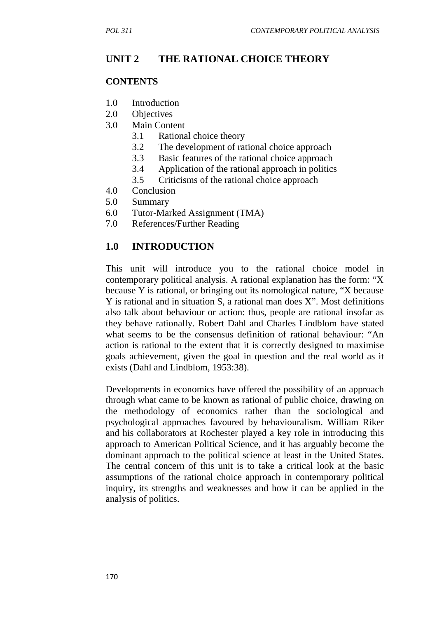#### **UNIT 2 THE RATIONAL CHOICE THEORY**

#### **CONTENTS**

- 1.0 Introduction
- 2.0 Objectives
- 3.0 Main Content
	- 3.1 Rational choice theory
	- 3.2 The development of rational choice approach
	- 3.3 Basic features of the rational choice approach
	- 3.4 Application of the rational approach in politics
	- 3.5 Criticisms of the rational choice approach
- 4.0 Conclusion
- 5.0 Summary
- 6.0 Tutor-Marked Assignment (TMA)
- 7.0 References/Further Reading

#### **1.0 INTRODUCTION**

This unit will introduce you to the rational choice model in contemporary political analysis. A rational explanation has the form: "X because Y is rational, or bringing out its nomological nature, "X because Y is rational and in situation S, a rational man does X". Most definitions also talk about behaviour or action: thus, people are rational insofar as they behave rationally. Robert Dahl and Charles Lindblom have stated what seems to be the consensus definition of rational behaviour: "An action is rational to the extent that it is correctly designed to maximise goals achievement, given the goal in question and the real world as it exists (Dahl and Lindblom, 1953:38).

Developments in economics have offered the possibility of an approach through what came to be known as rational of public choice, drawing on the methodology of economics rather than the sociological and psychological approaches favoured by behaviouralism. William Riker and his collaborators at Rochester played a key role in introducing this approach to American Political Science, and it has arguably become the dominant approach to the political science at least in the United States. The central concern of this unit is to take a critical look at the basic assumptions of the rational choice approach in contemporary political inquiry, its strengths and weaknesses and how it can be applied in the analysis of politics.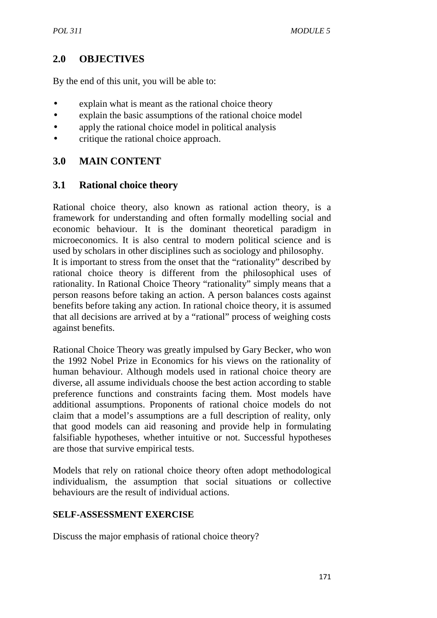## **2.0 OBJECTIVES**

By the end of this unit, you will be able to:

- explain what is meant as the rational choice theory
- explain the basic assumptions of the rational choice model
- apply the rational choice model in political analysis
- critique the rational choice approach.

## **3.0 MAIN CONTENT**

## **3.1 Rational choice theory**

Rational choice theory, also known as rational action theory, is a framework for understanding and often formally modelling social and economic behaviour. It is the dominant theoretical paradigm in microeconomics. It is also central to modern political science and is used by scholars in other disciplines such as sociology and philosophy. It is important to stress from the onset that the "rationality" described by rational choice theory is different from the philosophical uses of rationality. In Rational Choice Theory "rationality" simply means that a person reasons before taking an action. A person balances costs against benefits before taking any action. In rational choice theory, it is assumed that all decisions are arrived at by a "rational" process of weighing costs against benefits.

Rational Choice Theory was greatly impulsed by Gary Becker, who won the 1992 Nobel Prize in Economics for his views on the rationality of human behaviour. Although models used in rational choice theory are diverse, all assume individuals choose the best action according to stable preference functions and constraints facing them. Most models have additional assumptions. Proponents of rational choice models do not claim that a model's assumptions are a full description of reality, only that good models can aid reasoning and provide help in formulating falsifiable hypotheses, whether intuitive or not. Successful hypotheses are those that survive empirical tests.

Models that rely on rational choice theory often adopt methodological individualism, the assumption that social situations or collective behaviours are the result of individual actions.

### **SELF-ASSESSMENT EXERCISE**

Discuss the major emphasis of rational choice theory?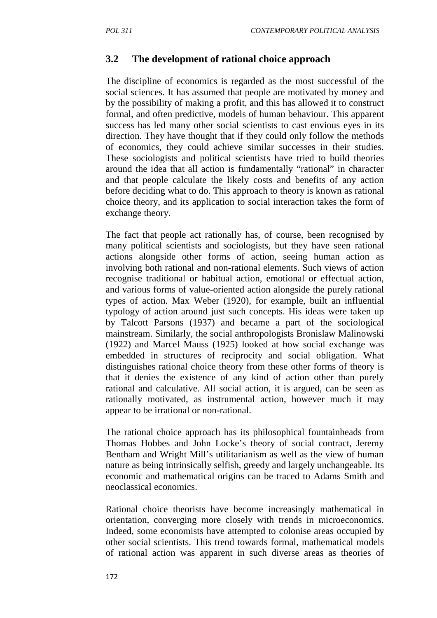#### **3.2 The development of rational choice approach**

The discipline of economics is regarded as the most successful of the social sciences. It has assumed that people are motivated by money and by the possibility of making a profit, and this has allowed it to construct formal, and often predictive, models of human behaviour. This apparent success has led many other social scientists to cast envious eyes in its direction. They have thought that if they could only follow the methods of economics, they could achieve similar successes in their studies. These sociologists and political scientists have tried to build theories around the idea that all action is fundamentally "rational" in character and that people calculate the likely costs and benefits of any action before deciding what to do. This approach to theory is known as rational choice theory, and its application to social interaction takes the form of exchange theory.

The fact that people act rationally has, of course, been recognised by many political scientists and sociologists, but they have seen rational actions alongside other forms of action, seeing human action as involving both rational and non-rational elements. Such views of action recognise traditional or habitual action, emotional or effectual action, and various forms of value-oriented action alongside the purely rational types of action. Max Weber (1920), for example, built an influential typology of action around just such concepts. His ideas were taken up by Talcott Parsons (1937) and became a part of the sociological mainstream. Similarly, the social anthropologists Bronislaw Malinowski (1922) and Marcel Mauss (1925) looked at how social exchange was embedded in structures of reciprocity and social obligation. What distinguishes rational choice theory from these other forms of theory is that it denies the existence of any kind of action other than purely rational and calculative. All social action, it is argued, can be seen as rationally motivated, as instrumental action, however much it may appear to be irrational or non-rational.

The rational choice approach has its philosophical fountainheads from Thomas Hobbes and John Locke's theory of social contract, Jeremy Bentham and Wright Mill's utilitarianism as well as the view of human nature as being intrinsically selfish, greedy and largely unchangeable. Its economic and mathematical origins can be traced to Adams Smith and neoclassical economics.

Rational choice theorists have become increasingly mathematical in orientation, converging more closely with trends in microeconomics. Indeed, some economists have attempted to colonise areas occupied by other social scientists. This trend towards formal, mathematical models of rational action was apparent in such diverse areas as theories of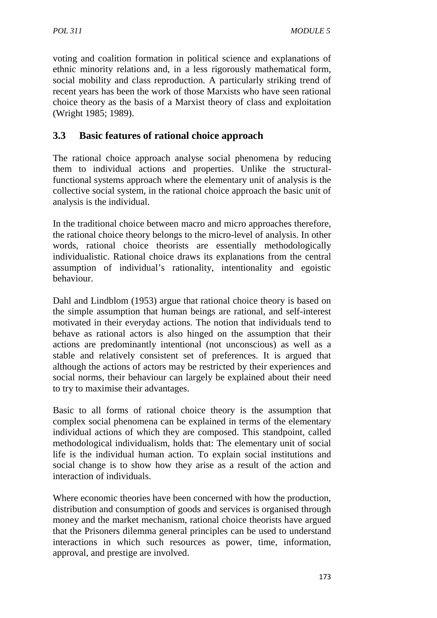voting and coalition formation in political science and explanations of ethnic minority relations and, in a less rigorously mathematical form, social mobility and class reproduction. A particularly striking trend of recent years has been the work of those Marxists who have seen rational choice theory as the basis of a Marxist theory of class and exploitation (Wright 1985; 1989).

## **3.3 Basic features of rational choice approach**

The rational choice approach analyse social phenomena by reducing them to individual actions and properties. Unlike the structuralfunctional systems approach where the elementary unit of analysis is the collective social system, in the rational choice approach the basic unit of analysis is the individual.

In the traditional choice between macro and micro approaches therefore, the rational choice theory belongs to the micro-level of analysis. In other words, rational choice theorists are essentially methodologically individualistic. Rational choice draws its explanations from the central assumption of individual's rationality, intentionality and egoistic behaviour.

Dahl and Lindblom (1953) argue that rational choice theory is based on the simple assumption that human beings are rational, and self-interest motivated in their everyday actions. The notion that individuals tend to behave as rational actors is also hinged on the assumption that their actions are predominantly intentional (not unconscious) as well as a stable and relatively consistent set of preferences. It is argued that although the actions of actors may be restricted by their experiences and social norms, their behaviour can largely be explained about their need to try to maximise their advantages.

Basic to all forms of rational choice theory is the assumption that complex social phenomena can be explained in terms of the elementary individual actions of which they are composed. This standpoint, called methodological individualism, holds that: The elementary unit of social life is the individual human action. To explain social institutions and social change is to show how they arise as a result of the action and interaction of individuals.

Where economic theories have been concerned with how the production, distribution and consumption of goods and services is organised through money and the market mechanism, rational choice theorists have argued that the Prisoners dilemma general principles can be used to understand interactions in which such resources as power, time, information, approval, and prestige are involved.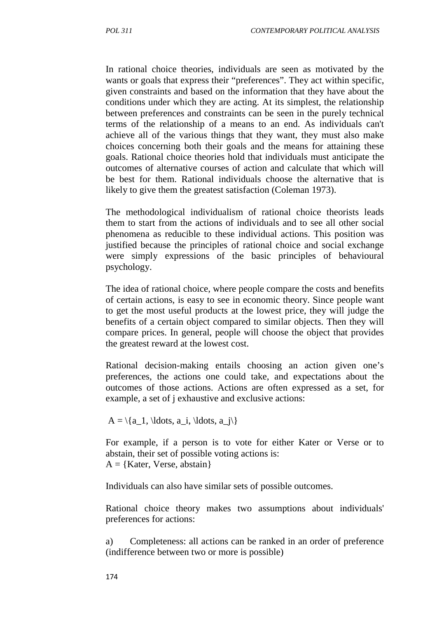In rational choice theories, individuals are seen as motivated by the wants or goals that express their "preferences". They act within specific, given constraints and based on the information that they have about the conditions under which they are acting. At its simplest, the relationship between preferences and constraints can be seen in the purely technical terms of the relationship of a means to an end. As individuals can't achieve all of the various things that they want, they must also make choices concerning both their goals and the means for attaining these goals. Rational choice theories hold that individuals must anticipate the outcomes of alternative courses of action and calculate that which will be best for them. Rational individuals choose the alternative that is likely to give them the greatest satisfaction (Coleman 1973).

The methodological individualism of rational choice theorists leads them to start from the actions of individuals and to see all other social phenomena as reducible to these individual actions. This position was justified because the principles of rational choice and social exchange were simply expressions of the basic principles of behavioural psychology.

The idea of rational choice, where people compare the costs and benefits of certain actions, is easy to see in economic theory. Since people want to get the most useful products at the lowest price, they will judge the benefits of a certain object compared to similar objects. Then they will compare prices. In general, people will choose the object that provides the greatest reward at the lowest cost.

Rational decision-making entails choosing an action given one's preferences, the actions one could take, and expectations about the outcomes of those actions. Actions are often expressed as a set, for example, a set of j exhaustive and exclusive actions:

 $A = \{a_1, \ldots, a_i, \ldots, a_j\}$ 

For example, if a person is to vote for either Kater or Verse or to abstain, their set of possible voting actions is:  $A = \{Kater, Versse, abstain\}$ 

Individuals can also have similar sets of possible outcomes.

Rational choice theory makes two assumptions about individuals' preferences for actions:

a) Completeness: all actions can be ranked in an order of preference (indifference between two or more is possible)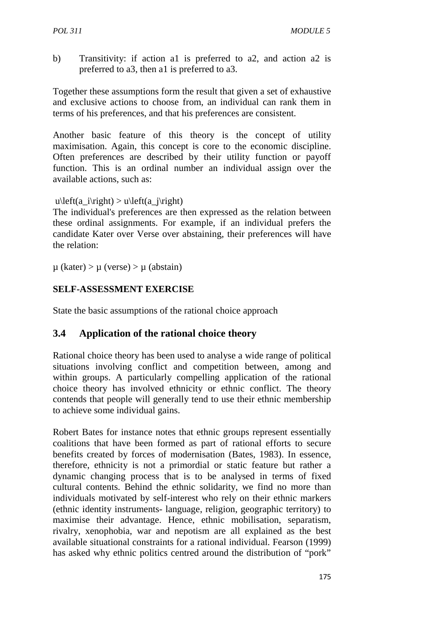b) Transitivity: if action a1 is preferred to a2, and action a2 is preferred to a3, then a1 is preferred to a3.

Together these assumptions form the result that given a set of exhaustive and exclusive actions to choose from, an individual can rank them in terms of his preferences, and that his preferences are consistent.

Another basic feature of this theory is the concept of utility maximisation. Again, this concept is core to the economic discipline. Often preferences are described by their utility function or payoff function. This is an ordinal number an individual assign over the available actions, such as:

u\left(a\_i\right) > u\left(a\_j\right)

The individual's preferences are then expressed as the relation between these ordinal assignments. For example, if an individual prefers the candidate Kater over Verse over abstaining, their preferences will have the relation:

 $\mu$  (kater) >  $\mu$  (verse) >  $\mu$  (abstain)

#### **SELF-ASSESSMENT EXERCISE**

State the basic assumptions of the rational choice approach

#### **3.4 Application of the rational choice theory**

Rational choice theory has been used to analyse a wide range of political situations involving conflict and competition between, among and within groups. A particularly compelling application of the rational choice theory has involved ethnicity or ethnic conflict. The theory contends that people will generally tend to use their ethnic membership to achieve some individual gains.

Robert Bates for instance notes that ethnic groups represent essentially coalitions that have been formed as part of rational efforts to secure benefits created by forces of modernisation (Bates, 1983). In essence, therefore, ethnicity is not a primordial or static feature but rather a dynamic changing process that is to be analysed in terms of fixed cultural contents. Behind the ethnic solidarity, we find no more than individuals motivated by self-interest who rely on their ethnic markers (ethnic identity instruments- language, religion, geographic territory) to maximise their advantage. Hence, ethnic mobilisation, separatism, rivalry, xenophobia, war and nepotism are all explained as the best available situational constraints for a rational individual. Fearson (1999) has asked why ethnic politics centred around the distribution of "pork"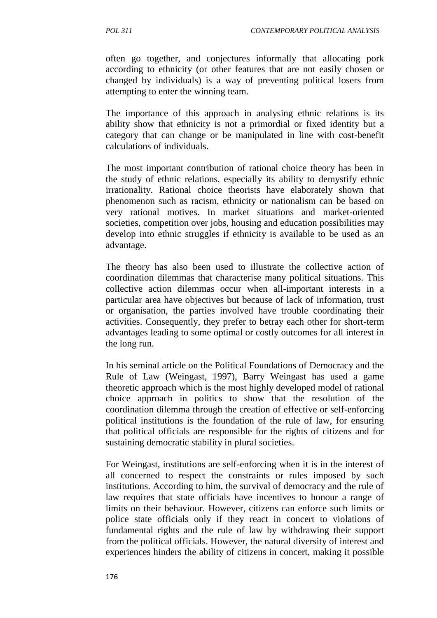often go together, and conjectures informally that allocating pork according to ethnicity (or other features that are not easily chosen or changed by individuals) is a way of preventing political losers from attempting to enter the winning team.

The importance of this approach in analysing ethnic relations is its ability show that ethnicity is not a primordial or fixed identity but a category that can change or be manipulated in line with cost-benefit calculations of individuals.

The most important contribution of rational choice theory has been in the study of ethnic relations, especially its ability to demystify ethnic irrationality. Rational choice theorists have elaborately shown that phenomenon such as racism, ethnicity or nationalism can be based on very rational motives. In market situations and market-oriented societies, competition over jobs, housing and education possibilities may develop into ethnic struggles if ethnicity is available to be used as an advantage.

The theory has also been used to illustrate the collective action of coordination dilemmas that characterise many political situations. This collective action dilemmas occur when all-important interests in a particular area have objectives but because of lack of information, trust or organisation, the parties involved have trouble coordinating their activities. Consequently, they prefer to betray each other for short-term advantages leading to some optimal or costly outcomes for all interest in the long run.

In his seminal article on the Political Foundations of Democracy and the Rule of Law (Weingast, 1997), Barry Weingast has used a game theoretic approach which is the most highly developed model of rational choice approach in politics to show that the resolution of the coordination dilemma through the creation of effective or self-enforcing political institutions is the foundation of the rule of law, for ensuring that political officials are responsible for the rights of citizens and for sustaining democratic stability in plural societies.

For Weingast, institutions are self-enforcing when it is in the interest of all concerned to respect the constraints or rules imposed by such institutions. According to him, the survival of democracy and the rule of law requires that state officials have incentives to honour a range of limits on their behaviour. However, citizens can enforce such limits or police state officials only if they react in concert to violations of fundamental rights and the rule of law by withdrawing their support from the political officials. However, the natural diversity of interest and experiences hinders the ability of citizens in concert, making it possible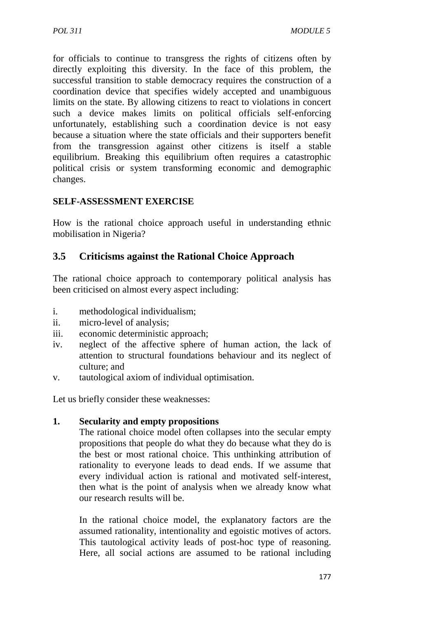for officials to continue to transgress the rights of citizens often by directly exploiting this diversity. In the face of this problem, the successful transition to stable democracy requires the construction of a coordination device that specifies widely accepted and unambiguous limits on the state. By allowing citizens to react to violations in concert such a device makes limits on political officials self-enforcing unfortunately, establishing such a coordination device is not easy because a situation where the state officials and their supporters benefit from the transgression against other citizens is itself a stable equilibrium. Breaking this equilibrium often requires a catastrophic political crisis or system transforming economic and demographic changes.

### **SELF-ASSESSMENT EXERCISE**

How is the rational choice approach useful in understanding ethnic mobilisation in Nigeria?

### **3.5 Criticisms against the Rational Choice Approach**

The rational choice approach to contemporary political analysis has been criticised on almost every aspect including:

- i. methodological individualism;
- ii. micro-level of analysis;
- iii. economic deterministic approach;
- iv. neglect of the affective sphere of human action, the lack of attention to structural foundations behaviour and its neglect of culture; and
- v. tautological axiom of individual optimisation.

Let us briefly consider these weaknesses:

### **1. Secularity and empty propositions**

The rational choice model often collapses into the secular empty propositions that people do what they do because what they do is the best or most rational choice. This unthinking attribution of rationality to everyone leads to dead ends. If we assume that every individual action is rational and motivated self-interest, then what is the point of analysis when we already know what our research results will be.

In the rational choice model, the explanatory factors are the assumed rationality, intentionality and egoistic motives of actors. This tautological activity leads of post-hoc type of reasoning. Here, all social actions are assumed to be rational including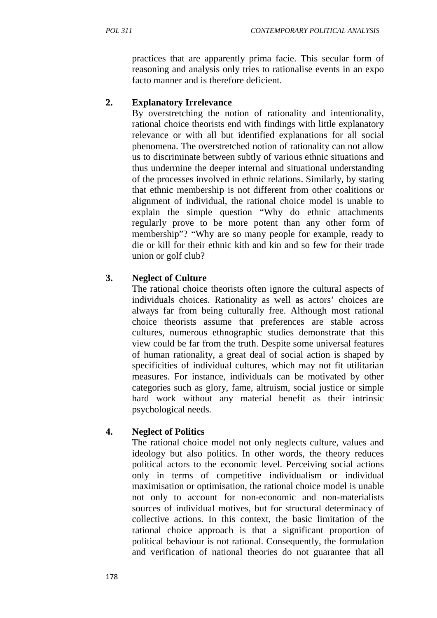practices that are apparently prima facie. This secular form of reasoning and analysis only tries to rationalise events in an expo facto manner and is therefore deficient.

#### **2. Explanatory Irrelevance**

By overstretching the notion of rationality and intentionality, rational choice theorists end with findings with little explanatory relevance or with all but identified explanations for all social phenomena. The overstretched notion of rationality can not allow us to discriminate between subtly of various ethnic situations and thus undermine the deeper internal and situational understanding of the processes involved in ethnic relations. Similarly, by stating that ethnic membership is not different from other coalitions or alignment of individual, the rational choice model is unable to explain the simple question "Why do ethnic attachments regularly prove to be more potent than any other form of membership"? "Why are so many people for example, ready to die or kill for their ethnic kith and kin and so few for their trade union or golf club?

### **3. Neglect of Culture**

The rational choice theorists often ignore the cultural aspects of individuals choices. Rationality as well as actors' choices are always far from being culturally free. Although most rational choice theorists assume that preferences are stable across cultures, numerous ethnographic studies demonstrate that this view could be far from the truth. Despite some universal features of human rationality, a great deal of social action is shaped by specificities of individual cultures, which may not fit utilitarian measures. For instance, individuals can be motivated by other categories such as glory, fame, altruism, social justice or simple hard work without any material benefit as their intrinsic psychological needs.

### **4. Neglect of Politics**

The rational choice model not only neglects culture, values and ideology but also politics. In other words, the theory reduces political actors to the economic level. Perceiving social actions only in terms of competitive individualism or individual maximisation or optimisation, the rational choice model is unable not only to account for non-economic and non-materialists sources of individual motives, but for structural determinacy of collective actions. In this context, the basic limitation of the rational choice approach is that a significant proportion of political behaviour is not rational. Consequently, the formulation and verification of national theories do not guarantee that all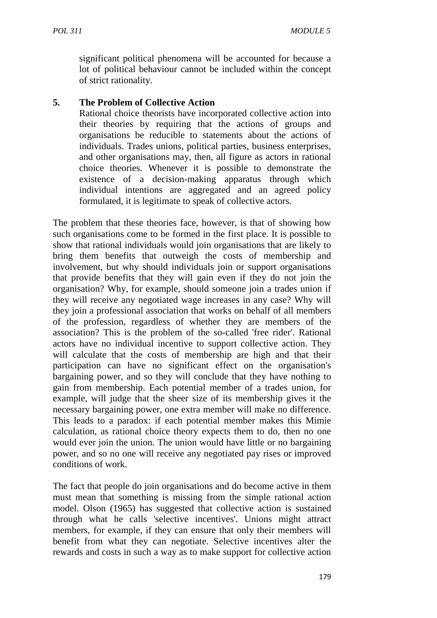significant political phenomena will be accounted for because a lot of political behaviour cannot be included within the concept of strict rationality.

#### **5. The Problem of Collective Action**

Rational choice theorists have incorporated collective action into their theories by requiring that the actions of groups and organisations be reducible to statements about the actions of individuals. Trades unions, political parties, business enterprises, and other organisations may, then, all figure as actors in rational choice theories. Whenever it is possible to demonstrate the existence of a decision-making apparatus through which individual intentions are aggregated and an agreed policy formulated, it is legitimate to speak of collective actors.

The problem that these theories face, however, is that of showing how such organisations come to be formed in the first place. It is possible to show that rational individuals would join organisations that are likely to bring them benefits that outweigh the costs of membership and involvement, but why should individuals join or support organisations that provide benefits that they will gain even if they do not join the organisation? Why, for example, should someone join a trades union if they will receive any negotiated wage increases in any case? Why will they join a professional association that works on behalf of all members of the profession, regardless of whether they are members of the association? This is the problem of the so-called 'free rider'. Rational actors have no individual incentive to support collective action. They will calculate that the costs of membership are high and that their participation can have no significant effect on the organisation's bargaining power, and so they will conclude that they have nothing to gain from membership. Each potential member of a trades union, for example, will judge that the sheer size of its membership gives it the necessary bargaining power, one extra member will make no difference. This leads to a paradox: if each potential member makes this Mimie calculation, as rational choice theory expects them to do, then no one would ever join the union. The union would have little or no bargaining power, and so no one will receive any negotiated pay rises or improved conditions of work.

The fact that people do join organisations and do become active in them must mean that something is missing from the simple rational action model. Olson (1965) has suggested that collective action is sustained through what he calls 'selective incentives'. Unions might attract members, for example, if they can ensure that only their members will benefit from what they can negotiate. Selective incentives alter the rewards and costs in such a way as to make support for collective action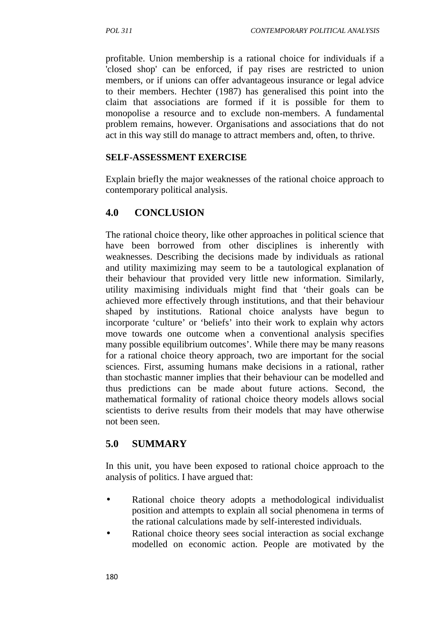profitable. Union membership is a rational choice for individuals if a 'closed shop' can be enforced, if pay rises are restricted to union members, or if unions can offer advantageous insurance or legal advice to their members. Hechter (1987) has generalised this point into the claim that associations are formed if it is possible for them to monopolise a resource and to exclude non-members. A fundamental problem remains, however. Organisations and associations that do not act in this way still do manage to attract members and, often, to thrive.

#### **SELF-ASSESSMENT EXERCISE**

Explain briefly the major weaknesses of the rational choice approach to contemporary political analysis.

### **4.0 CONCLUSION**

The rational choice theory, like other approaches in political science that have been borrowed from other disciplines is inherently with weaknesses. Describing the decisions made by individuals as rational and utility maximizing may seem to be a tautological explanation of their behaviour that provided very little new information. Similarly, utility maximising individuals might find that 'their goals can be achieved more effectively through institutions, and that their behaviour shaped by institutions. Rational choice analysts have begun to incorporate 'culture' or 'beliefs' into their work to explain why actors move towards one outcome when a conventional analysis specifies many possible equilibrium outcomes'. While there may be many reasons for a rational choice theory approach, two are important for the social sciences. First, assuming humans make decisions in a rational, rather than stochastic manner implies that their behaviour can be modelled and thus predictions can be made about future actions. Second, the mathematical formality of rational choice theory models allows social scientists to derive results from their models that may have otherwise not been seen.

### **5.0 SUMMARY**

In this unit, you have been exposed to rational choice approach to the analysis of politics. I have argued that:

- Rational choice theory adopts a methodological individualist position and attempts to explain all social phenomena in terms of the rational calculations made by self-interested individuals.
- Rational choice theory sees social interaction as social exchange modelled on economic action. People are motivated by the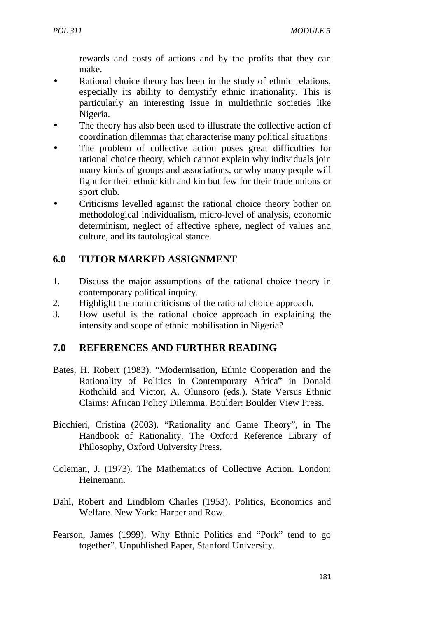rewards and costs of actions and by the profits that they can make.

- Rational choice theory has been in the study of ethnic relations, especially its ability to demystify ethnic irrationality. This is particularly an interesting issue in multiethnic societies like Nigeria.
- The theory has also been used to illustrate the collective action of coordination dilemmas that characterise many political situations
- The problem of collective action poses great difficulties for rational choice theory, which cannot explain why individuals join many kinds of groups and associations, or why many people will fight for their ethnic kith and kin but few for their trade unions or sport club.
- Criticisms levelled against the rational choice theory bother on methodological individualism, micro-level of analysis, economic determinism, neglect of affective sphere, neglect of values and culture, and its tautological stance.

### **6.0 TUTOR MARKED ASSIGNMENT**

- 1. Discuss the major assumptions of the rational choice theory in contemporary political inquiry.
- 2. Highlight the main criticisms of the rational choice approach.
- 3. How useful is the rational choice approach in explaining the intensity and scope of ethnic mobilisation in Nigeria?

## **7.0 REFERENCES AND FURTHER READING**

- Bates, H. Robert (1983). "Modernisation, Ethnic Cooperation and the Rationality of Politics in Contemporary Africa" in Donald Rothchild and Victor, A. Olunsoro (eds.). State Versus Ethnic Claims: African Policy Dilemma. Boulder: Boulder View Press.
- Bicchieri, Cristina (2003). "Rationality and Game Theory", in The Handbook of Rationality. The Oxford Reference Library of Philosophy, Oxford University Press.
- Coleman, J. (1973). The Mathematics of Collective Action. London: Heinemann.
- Dahl, Robert and Lindblom Charles (1953). Politics, Economics and Welfare. New York: Harper and Row.
- Fearson, James (1999). Why Ethnic Politics and "Pork" tend to go together". Unpublished Paper, Stanford University.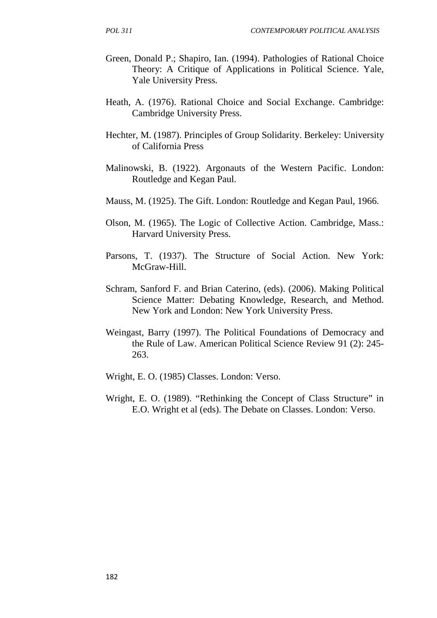- Green, Donald P.; Shapiro, Ian. (1994). Pathologies of Rational Choice Theory: A Critique of Applications in Political Science. Yale, Yale University Press.
- Heath, A. (1976). Rational Choice and Social Exchange. Cambridge: Cambridge University Press.
- Hechter, M. (1987). Principles of Group Solidarity. Berkeley: University of California Press
- Malinowski, B. (1922). Argonauts of the Western Pacific. London: Routledge and Kegan Paul.
- Mauss, M. (1925). The Gift. London: Routledge and Kegan Paul, 1966.
- Olson, M. (1965). The Logic of Collective Action. Cambridge, Mass.: Harvard University Press.
- Parsons, T. (1937). The Structure of Social Action. New York: McGraw-Hill.
- Schram, Sanford F. and Brian Caterino, (eds). (2006). Making Political Science Matter: Debating Knowledge, Research, and Method. New York and London: New York University Press.
- Weingast, Barry (1997). The Political Foundations of Democracy and the Rule of Law. American Political Science Review 91 (2): 245- 263.
- Wright, E. O. (1985) Classes. London: Verso.
- Wright, E. O. (1989). "Rethinking the Concept of Class Structure" in E.O. Wright et al (eds). The Debate on Classes. London: Verso.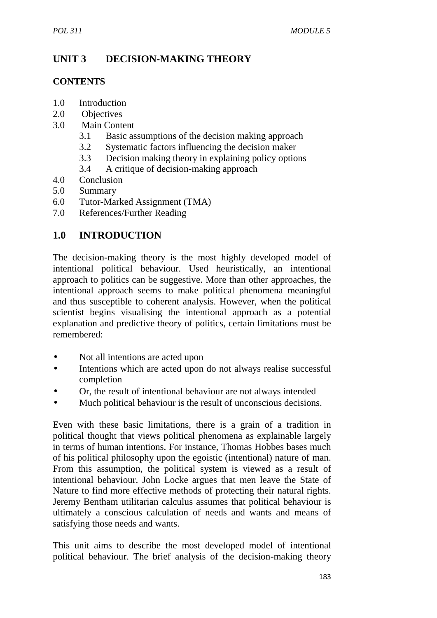## **UNIT 3 DECISION-MAKING THEORY**

#### **CONTENTS**

- 1.0 Introduction
- 2.0 Objectives
- 3.0 Main Content
	- 3.1 Basic assumptions of the decision making approach
	- 3.2 Systematic factors influencing the decision maker
	- 3.3 Decision making theory in explaining policy options
	- 3.4 A critique of decision-making approach
- 4.0 Conclusion
- 5.0 Summary
- 6.0 Tutor-Marked Assignment (TMA)
- 7.0 References/Further Reading

## **1.0 INTRODUCTION**

The decision-making theory is the most highly developed model of intentional political behaviour. Used heuristically, an intentional approach to politics can be suggestive. More than other approaches, the intentional approach seems to make political phenomena meaningful and thus susceptible to coherent analysis. However, when the political scientist begins visualising the intentional approach as a potential explanation and predictive theory of politics, certain limitations must be remembered:

- Not all intentions are acted upon
- Intentions which are acted upon do not always realise successful completion
- Or, the result of intentional behaviour are not always intended
- Much political behaviour is the result of unconscious decisions.

Even with these basic limitations, there is a grain of a tradition in political thought that views political phenomena as explainable largely in terms of human intentions. For instance, Thomas Hobbes bases much of his political philosophy upon the egoistic (intentional) nature of man. From this assumption, the political system is viewed as a result of intentional behaviour. John Locke argues that men leave the State of Nature to find more effective methods of protecting their natural rights. Jeremy Bentham utilitarian calculus assumes that political behaviour is ultimately a conscious calculation of needs and wants and means of satisfying those needs and wants.

This unit aims to describe the most developed model of intentional political behaviour. The brief analysis of the decision-making theory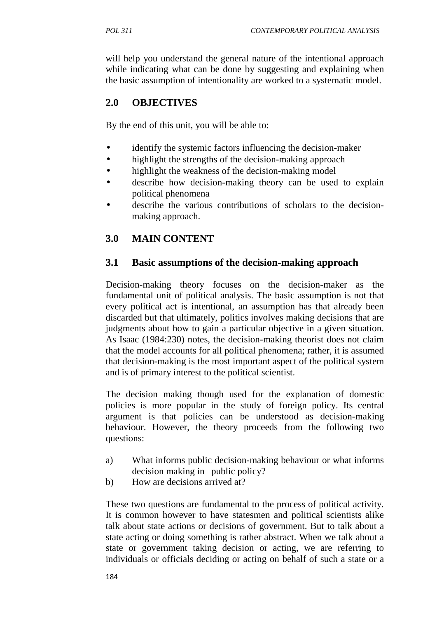will help you understand the general nature of the intentional approach while indicating what can be done by suggesting and explaining when the basic assumption of intentionality are worked to a systematic model.

## **2.0 OBJECTIVES**

By the end of this unit, you will be able to:

- identify the systemic factors influencing the decision-maker
- highlight the strengths of the decision-making approach
- highlight the weakness of the decision-making model
- describe how decision-making theory can be used to explain political phenomena
- describe the various contributions of scholars to the decision making approach.

# **3.0 MAIN CONTENT**

## **3.1 Basic assumptions of the decision-making approach**

Decision-making theory focuses on the decision-maker as the fundamental unit of political analysis. The basic assumption is not that every political act is intentional, an assumption has that already been discarded but that ultimately, politics involves making decisions that are judgments about how to gain a particular objective in a given situation. As Isaac (1984:230) notes, the decision-making theorist does not claim that the model accounts for all political phenomena; rather, it is assumed that decision-making is the most important aspect of the political system and is of primary interest to the political scientist.

The decision making though used for the explanation of domestic policies is more popular in the study of foreign policy. Its central argument is that policies can be understood as decision-making behaviour. However, the theory proceeds from the following two questions:

- a) What informs public decision-making behaviour or what informs decision making in public policy?
- b) How are decisions arrived at?

These two questions are fundamental to the process of political activity. It is common however to have statesmen and political scientists alike talk about state actions or decisions of government. But to talk about a state acting or doing something is rather abstract. When we talk about a state or government taking decision or acting, we are referring to individuals or officials deciding or acting on behalf of such a state or a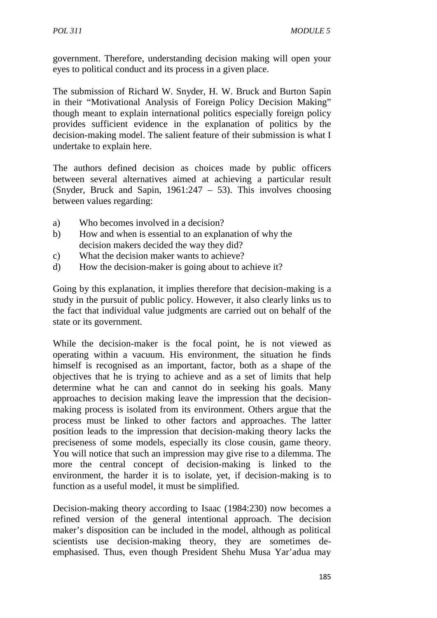government. Therefore, understanding decision making will open your eyes to political conduct and its process in a given place.

The submission of Richard W. Snyder, H. W. Bruck and Burton Sapin in their "Motivational Analysis of Foreign Policy Decision Making" though meant to explain international politics especially foreign policy provides sufficient evidence in the explanation of politics by the decision-making model. The salient feature of their submission is what I undertake to explain here.

The authors defined decision as choices made by public officers between several alternatives aimed at achieving a particular result (Snyder, Bruck and Sapin, 1961:247 – 53). This involves choosing between values regarding:

- a) Who becomes involved in a decision?
- b) How and when is essential to an explanation of why the decision makers decided the way they did?
- c) What the decision maker wants to achieve?
- d) How the decision-maker is going about to achieve it?

Going by this explanation, it implies therefore that decision-making is a study in the pursuit of public policy. However, it also clearly links us to the fact that individual value judgments are carried out on behalf of the state or its government.

While the decision-maker is the focal point, he is not viewed as operating within a vacuum. His environment, the situation he finds himself is recognised as an important, factor, both as a shape of the objectives that he is trying to achieve and as a set of limits that help determine what he can and cannot do in seeking his goals. Many approaches to decision making leave the impression that the decision making process is isolated from its environment. Others argue that the process must be linked to other factors and approaches. The latter position leads to the impression that decision-making theory lacks the preciseness of some models, especially its close cousin, game theory. You will notice that such an impression may give rise to a dilemma. The more the central concept of decision-making is linked to the environment, the harder it is to isolate, yet, if decision-making is to function as a useful model, it must be simplified.

Decision-making theory according to Isaac (1984:230) now becomes a refined version of the general intentional approach. The decision maker's disposition can be included in the model, although as political scientists use decision-making theory, they are sometimes de emphasised. Thus, even though President Shehu Musa Yar'adua may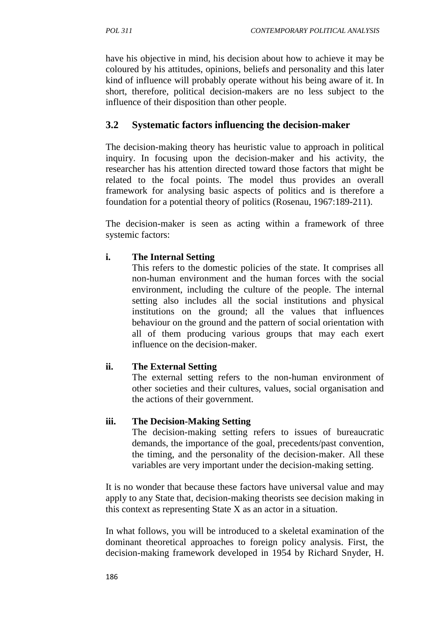have his objective in mind, his decision about how to achieve it may be coloured by his attitudes, opinions, beliefs and personality and this later kind of influence will probably operate without his being aware of it. In short, therefore, political decision-makers are no less subject to the influence of their disposition than other people.

## **3.2 Systematic factors influencing the decision-maker**

The decision-making theory has heuristic value to approach in political inquiry. In focusing upon the decision-maker and his activity, the researcher has his attention directed toward those factors that might be related to the focal points. The model thus provides an overall framework for analysing basic aspects of politics and is therefore a foundation for a potential theory of politics (Rosenau, 1967:189-211).

The decision-maker is seen as acting within a framework of three systemic factors:

#### **i. The Internal Setting**

This refers to the domestic policies of the state. It comprises all non-human environment and the human forces with the social environment, including the culture of the people. The internal setting also includes all the social institutions and physical institutions on the ground; all the values that influences behaviour on the ground and the pattern of social orientation with all of them producing various groups that may each exert influence on the decision-maker.

#### **ii. The External Setting**

The external setting refers to the non-human environment of other societies and their cultures, values, social organisation and the actions of their government.

#### **iii. The Decision-Making Setting**

The decision-making setting refers to issues of bureaucratic demands, the importance of the goal, precedents/past convention, the timing, and the personality of the decision-maker. All these variables are very important under the decision-making setting.

It is no wonder that because these factors have universal value and may apply to any State that, decision-making theorists see decision making in this context as representing State X as an actor in a situation.

In what follows, you will be introduced to a skeletal examination of the dominant theoretical approaches to foreign policy analysis. First, the decision-making framework developed in 1954 by Richard Snyder, H.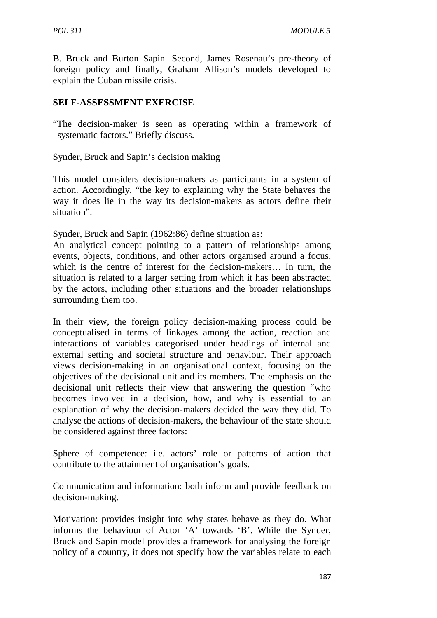B. Bruck and Burton Sapin. Second, James Rosenau's pre-theory of foreign policy and finally, Graham Allison's models developed to explain the Cuban missile crisis.

#### **SELF-ASSESSMENT EXERCISE**

"The decision-maker is seen as operating within a framework of systematic factors." Briefly discuss.

Synder, Bruck and Sapin's decision making

This model considers decision-makers as participants in a system of action. Accordingly, "the key to explaining why the State behaves the way it does lie in the way its decision-makers as actors define their situation".

Synder, Bruck and Sapin (1962:86) define situation as:

An analytical concept pointing to a pattern of relationships among events, objects, conditions, and other actors organised around a focus, which is the centre of interest for the decision-makers… In turn, the situation is related to a larger setting from which it has been abstracted by the actors, including other situations and the broader relationships surrounding them too.

In their view, the foreign policy decision-making process could be conceptualised in terms of linkages among the action, reaction and interactions of variables categorised under headings of internal and external setting and societal structure and behaviour. Their approach views decision-making in an organisational context, focusing on the objectives of the decisional unit and its members. The emphasis on the decisional unit reflects their view that answering the question "who becomes involved in a decision, how, and why is essential to an explanation of why the decision-makers decided the way they did. To analyse the actions of decision-makers, the behaviour of the state should be considered against three factors:

Sphere of competence: i.e. actors' role or patterns of action that contribute to the attainment of organisation's goals.

Communication and information: both inform and provide feedback on decision-making.

Motivation: provides insight into why states behave as they do. What informs the behaviour of Actor 'A' towards 'B'. While the Synder, Bruck and Sapin model provides a framework for analysing the foreign policy of a country, it does not specify how the variables relate to each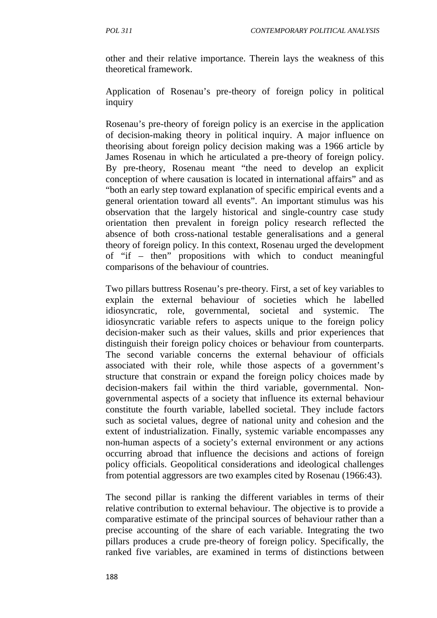other and their relative importance. Therein lays the weakness of this theoretical framework.

Application of Rosenau's pre-theory of foreign policy in political inquiry

Rosenau's pre-theory of foreign policy is an exercise in the application of decision-making theory in political inquiry. A major influence on theorising about foreign policy decision making was a 1966 article by James Rosenau in which he articulated a pre-theory of foreign policy. By pre-theory, Rosenau meant "the need to develop an explicit conception of where causation is located in international affairs" and as "both an early step toward explanation of specific empirical events and a general orientation toward all events". An important stimulus was his observation that the largely historical and single-country case study orientation then prevalent in foreign policy research reflected the absence of both cross-national testable generalisations and a general theory of foreign policy. In this context, Rosenau urged the development of "if – then" propositions with which to conduct meaningful comparisons of the behaviour of countries.

Two pillars buttress Rosenau's pre-theory. First, a set of key variables to explain the external behaviour of societies which he labelled idiosyncratic, role, governmental, societal and systemic. The idiosyncratic variable refers to aspects unique to the foreign policy decision-maker such as their values, skills and prior experiences that distinguish their foreign policy choices or behaviour from counterparts. The second variable concerns the external behaviour of officials associated with their role, while those aspects of a government's structure that constrain or expand the foreign policy choices made by decision-makers fail within the third variable, governmental. Non governmental aspects of a society that influence its external behaviour constitute the fourth variable, labelled societal. They include factors such as societal values, degree of national unity and cohesion and the extent of industrialization. Finally, systemic variable encompasses any non-human aspects of a society's external environment or any actions occurring abroad that influence the decisions and actions of foreign policy officials. Geopolitical considerations and ideological challenges from potential aggressors are two examples cited by Rosenau (1966:43).

The second pillar is ranking the different variables in terms of their relative contribution to external behaviour. The objective is to provide a comparative estimate of the principal sources of behaviour rather than a precise accounting of the share of each variable. Integrating the two pillars produces a crude pre-theory of foreign policy. Specifically, the ranked five variables, are examined in terms of distinctions between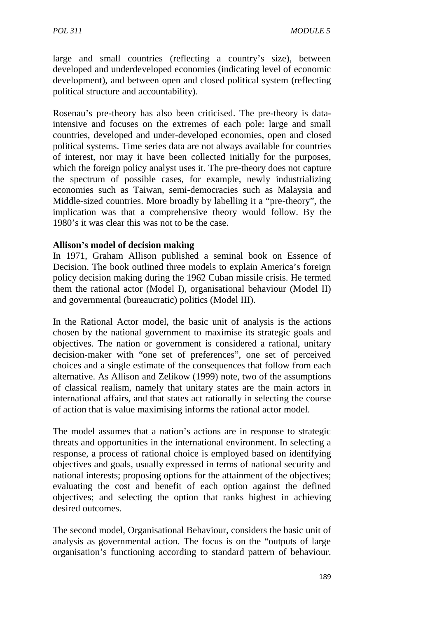large and small countries (reflecting a country's size), between developed and underdeveloped economies (indicating level of economic development), and between open and closed political system (reflecting political structure and accountability).

Rosenau's pre-theory has also been criticised. The pre-theory is dataintensive and focuses on the extremes of each pole: large and small countries, developed and under-developed economies, open and closed political systems. Time series data are not always available for countries of interest, nor may it have been collected initially for the purposes, which the foreign policy analyst uses it. The pre-theory does not capture the spectrum of possible cases, for example, newly industrializing economies such as Taiwan, semi-democracies such as Malaysia and Middle-sized countries. More broadly by labelling it a "pre-theory", the implication was that a comprehensive theory would follow. By the 1980's it was clear this was not to be the case.

#### **Allison's model of decision making**

In 1971, Graham Allison published a seminal book on Essence of Decision. The book outlined three models to explain America's foreign policy decision making during the 1962 Cuban missile crisis. He termed them the rational actor (Model I), organisational behaviour (Model II) and governmental (bureaucratic) politics (Model III).

In the Rational Actor model, the basic unit of analysis is the actions chosen by the national government to maximise its strategic goals and objectives. The nation or government is considered a rational, unitary decision-maker with "one set of preferences", one set of perceived choices and a single estimate of the consequences that follow from each alternative. As Allison and Zelikow (1999) note, two of the assumptions of classical realism, namely that unitary states are the main actors in international affairs, and that states act rationally in selecting the course of action that is value maximising informs the rational actor model.

The model assumes that a nation's actions are in response to strategic threats and opportunities in the international environment. In selecting a response, a process of rational choice is employed based on identifying objectives and goals, usually expressed in terms of national security and national interests; proposing options for the attainment of the objectives; evaluating the cost and benefit of each option against the defined objectives; and selecting the option that ranks highest in achieving desired outcomes.

The second model, Organisational Behaviour, considers the basic unit of analysis as governmental action. The focus is on the "outputs of large organisation's functioning according to standard pattern of behaviour.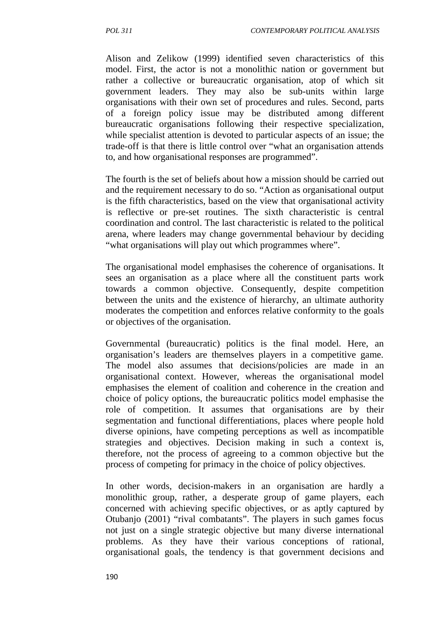Alison and Zelikow (1999) identified seven characteristics of this model. First, the actor is not a monolithic nation or government but rather a collective or bureaucratic organisation, atop of which sit government leaders. They may also be sub-units within large organisations with their own set of procedures and rules. Second, parts of a foreign policy issue may be distributed among different bureaucratic organisations following their respective specialization, while specialist attention is devoted to particular aspects of an issue; the trade-off is that there is little control over "what an organisation attends to, and how organisational responses are programmed".

The fourth is the set of beliefs about how a mission should be carried out and the requirement necessary to do so. "Action as organisational output is the fifth characteristics, based on the view that organisational activity is reflective or pre-set routines. The sixth characteristic is central coordination and control. The last characteristic is related to the political arena, where leaders may change governmental behaviour by deciding "what organisations will play out which programmes where".

The organisational model emphasises the coherence of organisations. It sees an organisation as a place where all the constituent parts work towards a common objective. Consequently, despite competition between the units and the existence of hierarchy, an ultimate authority moderates the competition and enforces relative conformity to the goals or objectives of the organisation.

Governmental (bureaucratic) politics is the final model. Here, an organisation's leaders are themselves players in a competitive game. The model also assumes that decisions/policies are made in an organisational context. However, whereas the organisational model emphasises the element of coalition and coherence in the creation and choice of policy options, the bureaucratic politics model emphasise the role of competition. It assumes that organisations are by their segmentation and functional differentiations, places where people hold diverse opinions, have competing perceptions as well as incompatible strategies and objectives. Decision making in such a context is, therefore, not the process of agreeing to a common objective but the process of competing for primacy in the choice of policy objectives.

In other words, decision-makers in an organisation are hardly a monolithic group, rather, a desperate group of game players, each concerned with achieving specific objectives, or as aptly captured by Otubanjo (2001) "rival combatants". The players in such games focus not just on a single strategic objective but many diverse international problems. As they have their various conceptions of rational, organisational goals, the tendency is that government decisions and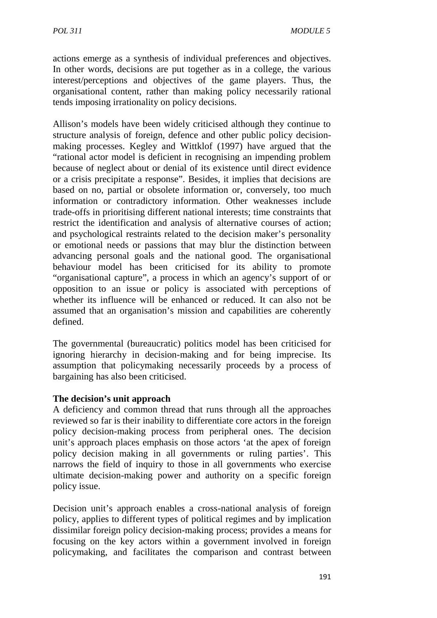actions emerge as a synthesis of individual preferences and objectives. In other words, decisions are put together as in a college, the various interest/perceptions and objectives of the game players. Thus, the organisational content, rather than making policy necessarily rational tends imposing irrationality on policy decisions.

Allison's models have been widely criticised although they continue to structure analysis of foreign, defence and other public policy decision making processes. Kegley and Wittklof (1997) have argued that the "rational actor model is deficient in recognising an impending problem because of neglect about or denial of its existence until direct evidence or a crisis precipitate a response". Besides, it implies that decisions are based on no, partial or obsolete information or, conversely, too much information or contradictory information. Other weaknesses include trade-offs in prioritising different national interests; time constraints that restrict the identification and analysis of alternative courses of action; and psychological restraints related to the decision maker's personality or emotional needs or passions that may blur the distinction between advancing personal goals and the national good. The organisational behaviour model has been criticised for its ability to promote "organisational capture", a process in which an agency's support of or opposition to an issue or policy is associated with perceptions of whether its influence will be enhanced or reduced. It can also not be assumed that an organisation's mission and capabilities are coherently defined.

The governmental (bureaucratic) politics model has been criticised for ignoring hierarchy in decision-making and for being imprecise. Its assumption that policymaking necessarily proceeds by a process of bargaining has also been criticised.

#### **The decision's unit approach**

A deficiency and common thread that runs through all the approaches reviewed so far is their inability to differentiate core actors in the foreign policy decision-making process from peripheral ones. The decision unit's approach places emphasis on those actors 'at the apex of foreign policy decision making in all governments or ruling parties'. This narrows the field of inquiry to those in all governments who exercise ultimate decision-making power and authority on a specific foreign policy issue.

Decision unit's approach enables a cross-national analysis of foreign policy, applies to different types of political regimes and by implication dissimilar foreign policy decision-making process; provides a means for focusing on the key actors within a government involved in foreign policymaking, and facilitates the comparison and contrast between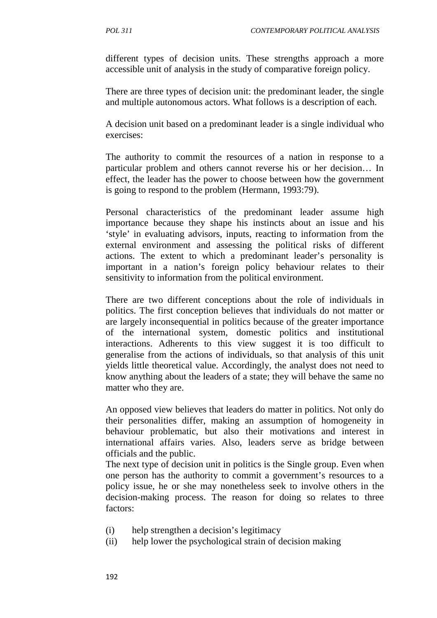different types of decision units. These strengths approach a more accessible unit of analysis in the study of comparative foreign policy.

There are three types of decision unit: the predominant leader, the single and multiple autonomous actors. What follows is a description of each.

A decision unit based on a predominant leader is a single individual who exercises:

The authority to commit the resources of a nation in response to a particular problem and others cannot reverse his or her decision… In effect, the leader has the power to choose between how the government is going to respond to the problem (Hermann, 1993:79).

Personal characteristics of the predominant leader assume high importance because they shape his instincts about an issue and his 'style' in evaluating advisors, inputs, reacting to information from the external environment and assessing the political risks of different actions. The extent to which a predominant leader's personality is important in a nation's foreign policy behaviour relates to their sensitivity to information from the political environment.

There are two different conceptions about the role of individuals in politics. The first conception believes that individuals do not matter or are largely inconsequential in politics because of the greater importance of the international system, domestic politics and institutional interactions. Adherents to this view suggest it is too difficult to generalise from the actions of individuals, so that analysis of this unit yields little theoretical value. Accordingly, the analyst does not need to know anything about the leaders of a state; they will behave the same no matter who they are.

An opposed view believes that leaders do matter in politics. Not only do their personalities differ, making an assumption of homogeneity in behaviour problematic, but also their motivations and interest in international affairs varies. Also, leaders serve as bridge between officials and the public.

The next type of decision unit in politics is the Single group. Even when one person has the authority to commit a government's resources to a policy issue, he or she may nonetheless seek to involve others in the decision-making process. The reason for doing so relates to three factors:

- (i) help strengthen a decision's legitimacy
- (ii) help lower the psychological strain of decision making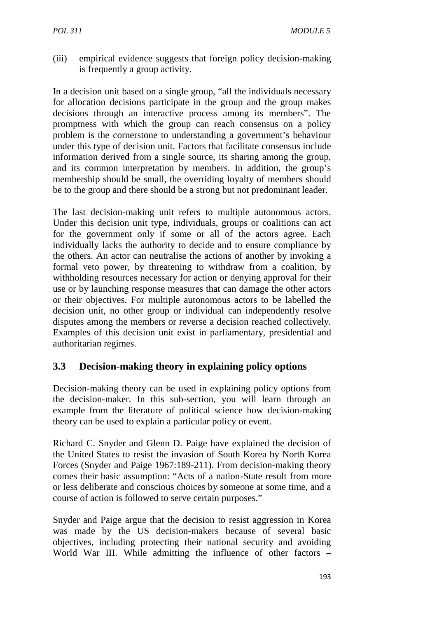(iii) empirical evidence suggests that foreign policy decision-making is frequently a group activity.

In a decision unit based on a single group, "all the individuals necessary for allocation decisions participate in the group and the group makes decisions through an interactive process among its members". The promptness with which the group can reach consensus on a policy problem is the cornerstone to understanding a government's behaviour under this type of decision unit. Factors that facilitate consensus include information derived from a single source, its sharing among the group, and its common interpretation by members. In addition, the group's membership should be small, the overriding loyalty of members should be to the group and there should be a strong but not predominant leader.

The last decision-making unit refers to multiple autonomous actors. Under this decision unit type, individuals, groups or coalitions can act for the government only if some or all of the actors agree. Each individually lacks the authority to decide and to ensure compliance by the others. An actor can neutralise the actions of another by invoking a formal veto power, by threatening to withdraw from a coalition, by withholding resources necessary for action or denying approval for their use or by launching response measures that can damage the other actors or their objectives. For multiple autonomous actors to be labelled the decision unit, no other group or individual can independently resolve disputes among the members or reverse a decision reached collectively. Examples of this decision unit exist in parliamentary, presidential and authoritarian regimes.

### **3.3 Decision-making theory in explaining policy options**

Decision-making theory can be used in explaining policy options from the decision-maker. In this sub-section, you will learn through an example from the literature of political science how decision-making theory can be used to explain a particular policy or event.

Richard C. Snyder and Glenn D. Paige have explained the decision of the United States to resist the invasion of South Korea by North Korea Forces (Snyder and Paige 1967:189-211). From decision-making theory comes their basic assumption: "Acts of a nation-State result from more or less deliberate and conscious choices by someone at some time, and a course of action is followed to serve certain purposes."

Snyder and Paige argue that the decision to resist aggression in Korea was made by the US decision-makers because of several basic objectives, including protecting their national security and avoiding World War III. While admitting the influence of other factors –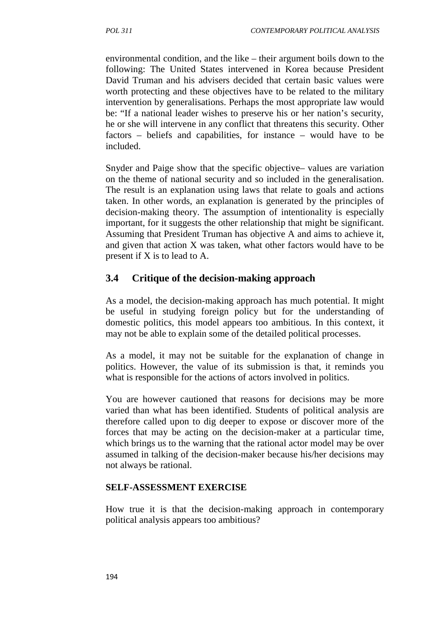environmental condition, and the like – their argument boils down to the following: The United States intervened in Korea because President David Truman and his advisers decided that certain basic values were worth protecting and these objectives have to be related to the military intervention by generalisations. Perhaps the most appropriate law would be: "If a national leader wishes to preserve his or her nation's security, he or she will intervene in any conflict that threatens this security. Other factors – beliefs and capabilities, for instance – would have to be included.

Snyder and Paige show that the specific objective– values are variation on the theme of national security and so included in the generalisation. The result is an explanation using laws that relate to goals and actions taken. In other words, an explanation is generated by the principles of decision-making theory. The assumption of intentionality is especially important, for it suggests the other relationship that might be significant. Assuming that President Truman has objective A and aims to achieve it, and given that action X was taken, what other factors would have to be present if X is to lead to A.

## **3.4 Critique of the decision-making approach**

As a model, the decision-making approach has much potential. It might be useful in studying foreign policy but for the understanding of domestic politics, this model appears too ambitious. In this context, it may not be able to explain some of the detailed political processes.

As a model, it may not be suitable for the explanation of change in politics. However, the value of its submission is that, it reminds you what is responsible for the actions of actors involved in politics.

You are however cautioned that reasons for decisions may be more varied than what has been identified. Students of political analysis are therefore called upon to dig deeper to expose or discover more of the forces that may be acting on the decision-maker at a particular time, which brings us to the warning that the rational actor model may be over assumed in talking of the decision-maker because his/her decisions may not always be rational.

#### **SELF-ASSESSMENT EXERCISE**

How true it is that the decision-making approach in contemporary political analysis appears too ambitious?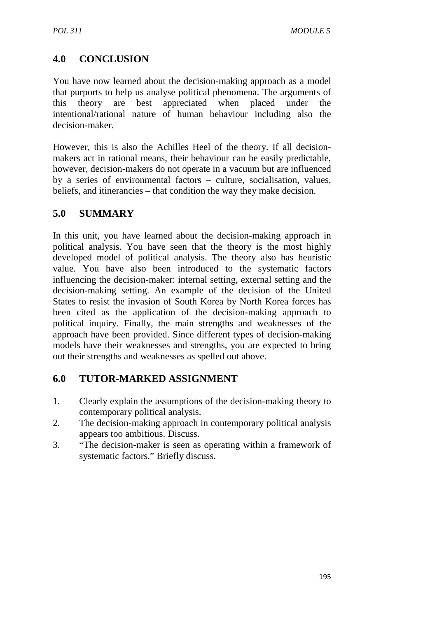# **4.0 CONCLUSION**

You have now learned about the decision-making approach as a model that purports to help us analyse political phenomena. The arguments of this theory are best appreciated when placed under the intentional/rational nature of human behaviour including also the decision-maker.

However, this is also the Achilles Heel of the theory. If all decision makers act in rational means, their behaviour can be easily predictable, however, decision-makers do not operate in a vacuum but are influenced by a series of environmental factors – culture, socialisation, values, beliefs, and itinerancies – that condition the way they make decision.

## **5.0 SUMMARY**

In this unit, you have learned about the decision-making approach in political analysis. You have seen that the theory is the most highly developed model of political analysis. The theory also has heuristic value. You have also been introduced to the systematic factors influencing the decision-maker: internal setting, external setting and the decision-making setting. An example of the decision of the United States to resist the invasion of South Korea by North Korea forces has been cited as the application of the decision-making approach to political inquiry. Finally, the main strengths and weaknesses of the approach have been provided. Since different types of decision-making models have their weaknesses and strengths, you are expected to bring out their strengths and weaknesses as spelled out above.

### **6.0 TUTOR-MARKED ASSIGNMENT**

- 1. Clearly explain the assumptions of the decision-making theory to contemporary political analysis.
- 2. The decision-making approach in contemporary political analysis appears too ambitious. Discuss.
- 3. "The decision-maker is seen as operating within a framework of systematic factors." Briefly discuss.